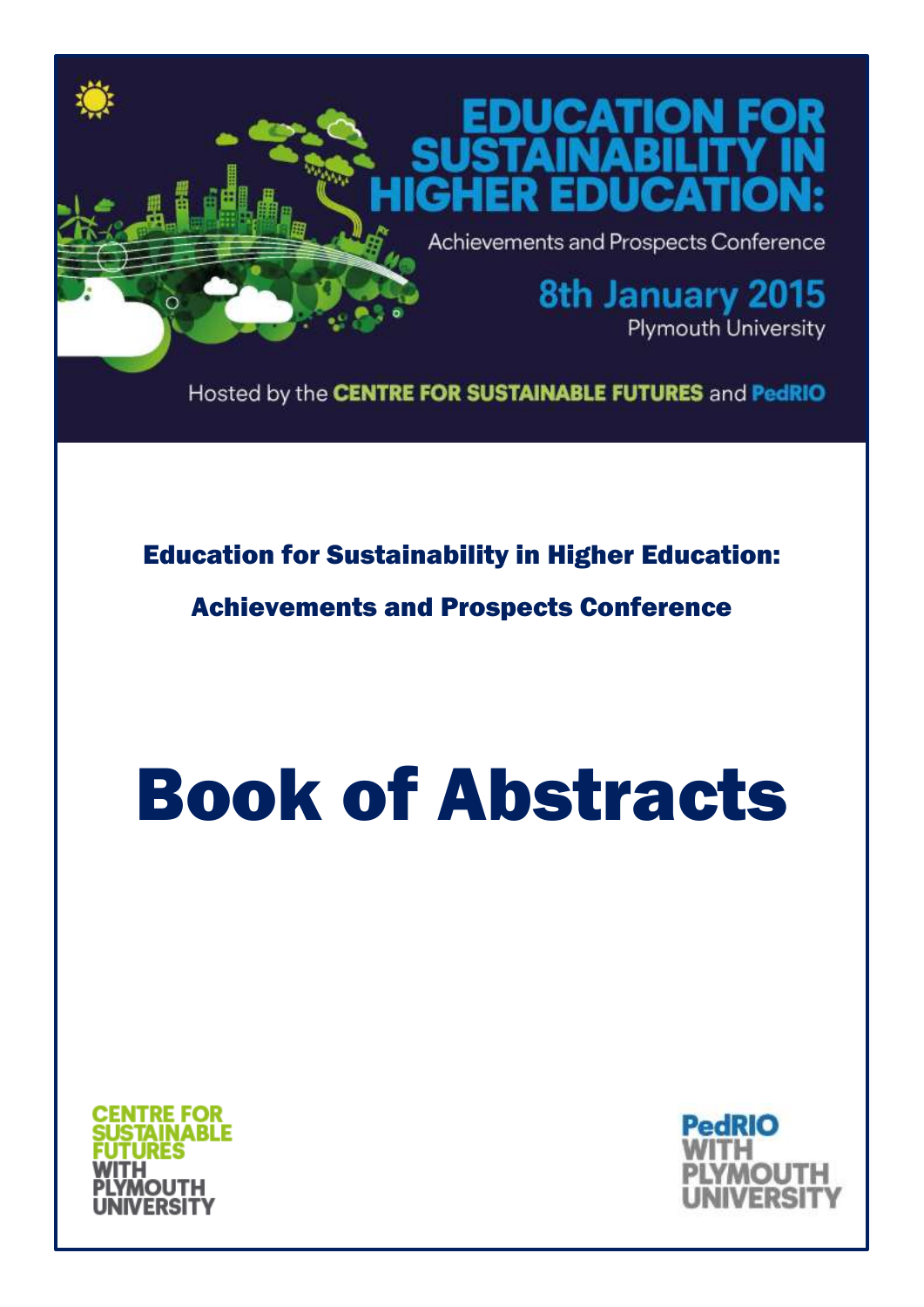

Education for Sustainability in Higher Education:

Achievements and Prospects Conference

# Book of Abstracts



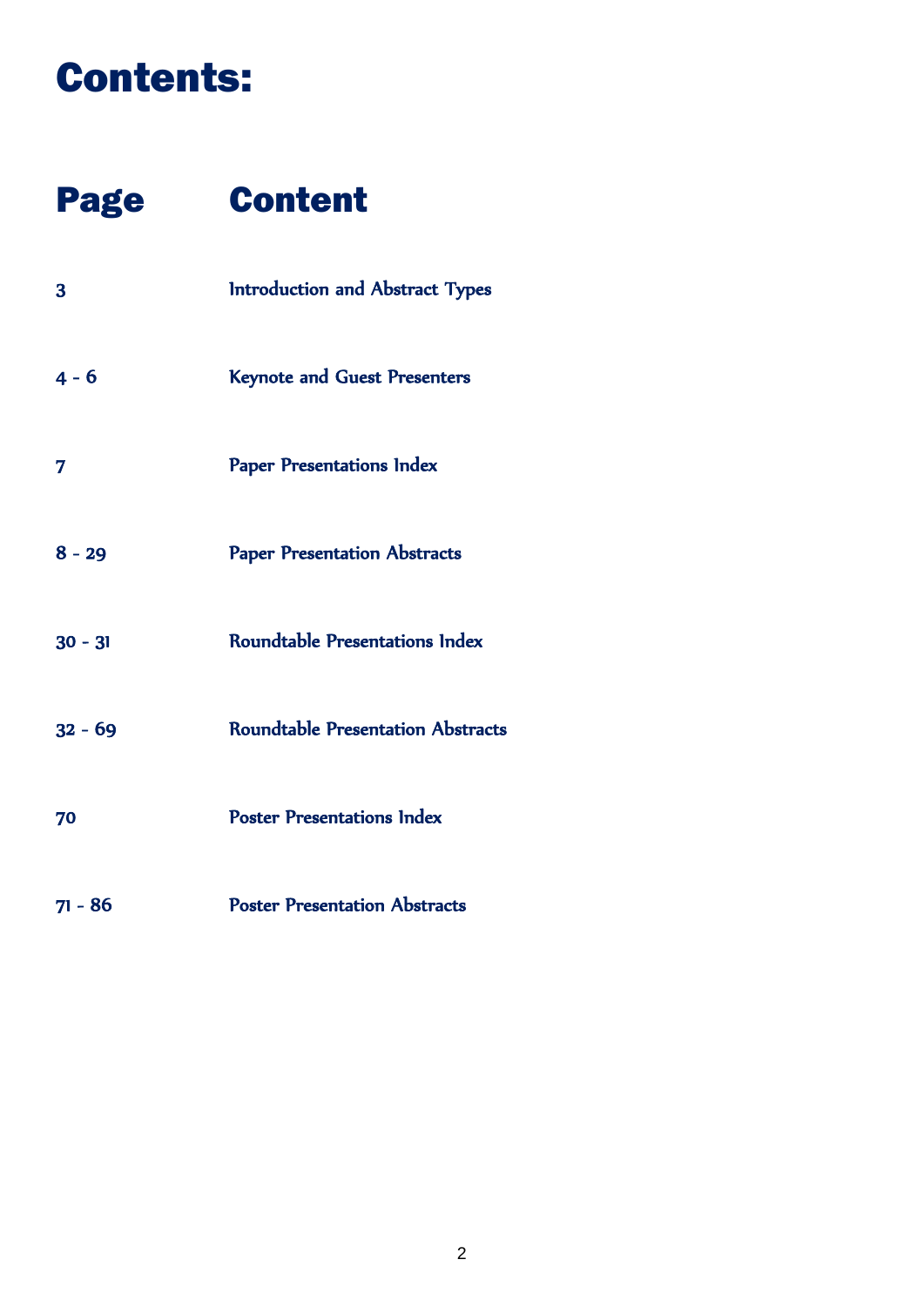### Contents:

### Page Content

| 3         | Introduction and Abstract Types          |
|-----------|------------------------------------------|
| $4 - 6$   | <b>Keynote and Guest Presenters</b>      |
| 7         | <b>Paper Presentations Index</b>         |
| $8 - 29$  | <b>Paper Presentation Abstracts</b>      |
| $30 - 31$ | <b>Roundtable Presentations Index</b>    |
| $32 - 69$ | <b>Roundtable Presentation Abstracts</b> |
| 70        | <b>Poster Presentations Index</b>        |
| $71 - 86$ | <b>Poster Presentation Abstracts</b>     |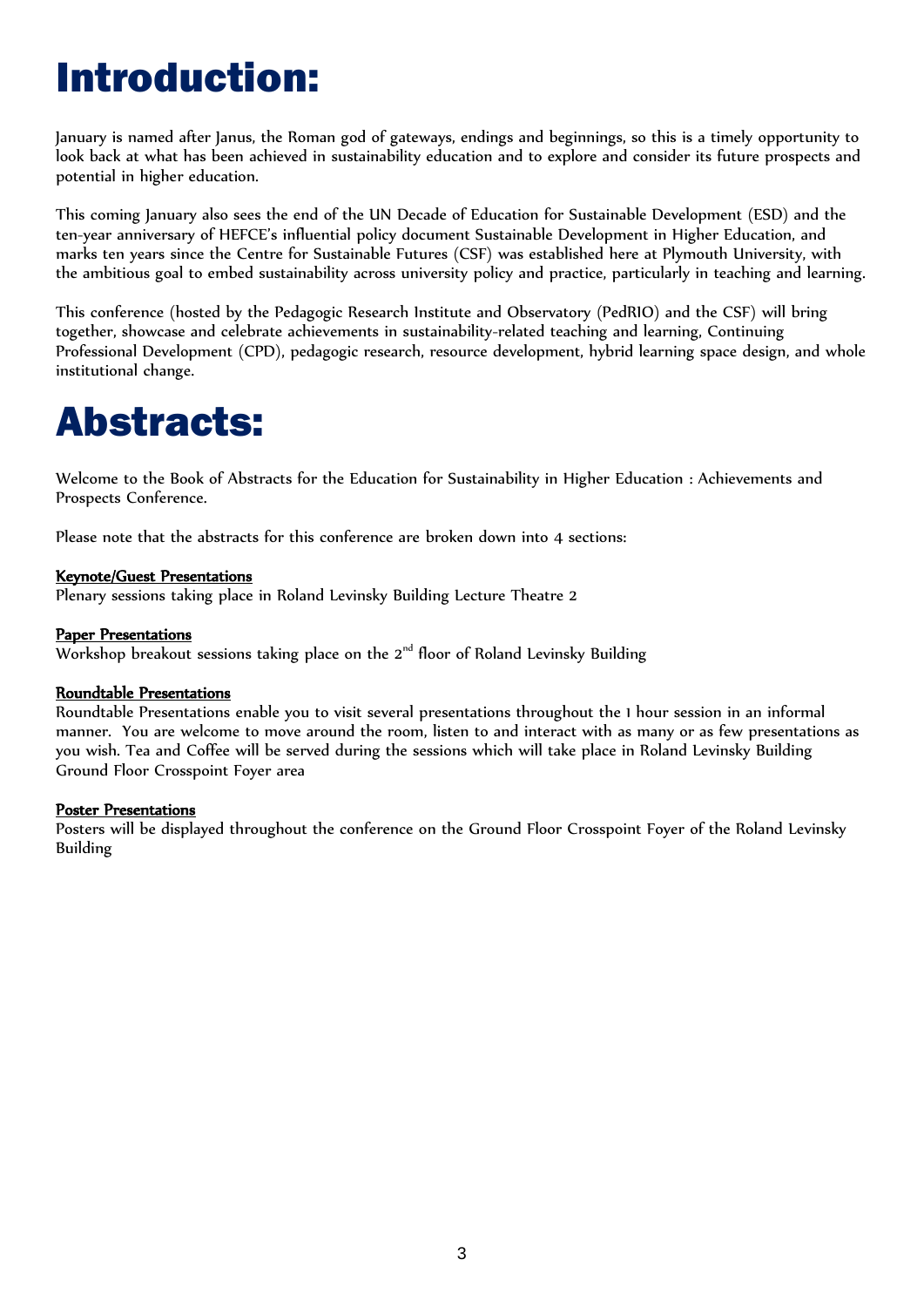# Introduction:

January is named after Janus, the Roman god of gateways, endings and beginnings, so this is a timely opportunity to look back at what has been achieved in sustainability education and to explore and consider its future prospects and potential in higher education.

This coming January also sees the end of the UN Decade of Education for Sustainable Development (ESD) and the ten-year anniversary of HEFCE's influential policy document Sustainable Development in Higher Education, and marks ten years since the Centre for Sustainable Futures (CSF) was established here at Plymouth University, with the ambitious goal to embed sustainability across university policy and practice, particularly in teaching and learning.

This conference (hosted by the Pedagogic Research Institute and Observatory (PedRIO) and the CSF) will bring together, showcase and celebrate achievements in sustainability-related teaching and learning, Continuing Professional Development (CPD), pedagogic research, resource development, hybrid learning space design, and whole institutional change.

### Abstracts:

Welcome to the Book of Abstracts for the Education for Sustainability in Higher Education : Achievements and Prospects Conference.

Please note that the abstracts for this conference are broken down into 4 sections:

#### Keynote/Guest Presentations

Plenary sessions taking place in Roland Levinsky Building Lecture Theatre 2

#### Paper Presentations

Workshop breakout sessions taking place on the  $2<sup>nd</sup>$  floor of Roland Levinsky Building

#### Roundtable Presentations

Roundtable Presentations enable you to visit several presentations throughout the 1 hour session in an informal manner. You are welcome to move around the room, listen to and interact with as many or as few presentations as you wish. Tea and Coffee will be served during the sessions which will take place in Roland Levinsky Building Ground Floor Crosspoint Foyer area

#### Poster Presentations

Posters will be displayed throughout the conference on the Ground Floor Crosspoint Foyer of the Roland Levinsky Building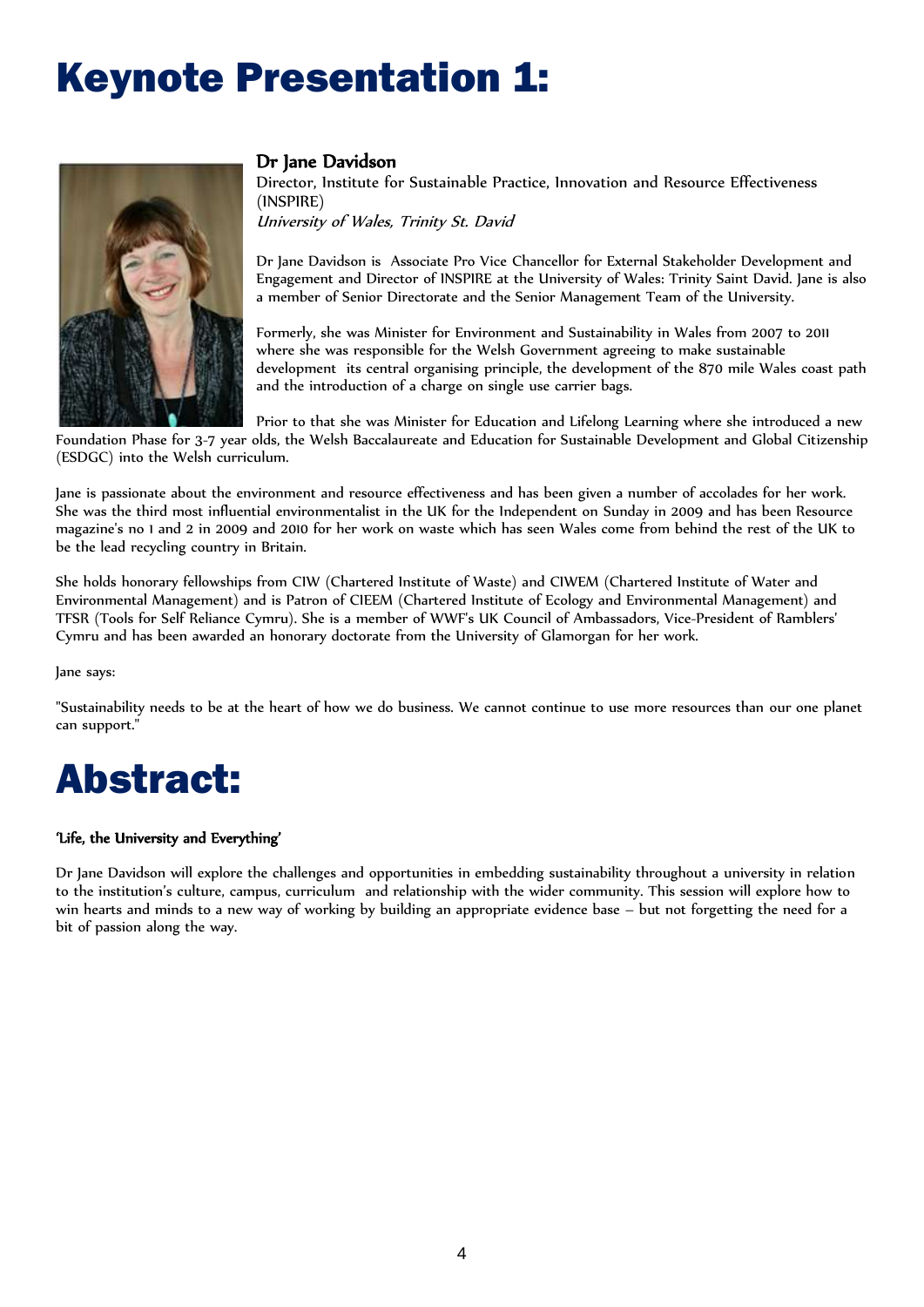### Keynote Presentation 1:



#### Dr Jane Davidson

Director, Institute for Sustainable Practice, Innovation and Resource Effectiveness (INSPIRE) University of Wales, Trinity St. David

Dr Jane Davidson is Associate Pro Vice Chancellor for External Stakeholder Development and Engagement and Director of INSPIRE at the University of Wales: Trinity Saint David. Jane is also a member of Senior Directorate and the Senior Management Team of the University.

Formerly, she was Minister for Environment and Sustainability in Wales from 2007 to 2011 where she was responsible for the Welsh Government agreeing to make sustainable development its central organising principle, the development of the 870 mile Wales coast path and the introduction of a charge on single use carrier bags.

Prior to that she was Minister for Education and Lifelong Learning where she introduced a new Foundation Phase for 3-7 year olds, the Welsh Baccalaureate and Education for Sustainable Development and Global Citizenship (ESDGC) into the Welsh curriculum.

Jane is passionate about the environment and resource effectiveness and has been given a number of accolades for her work. She was the third most influential environmentalist in the UK for the Independent on Sunday in 2009 and has been Resource magazine's no 1 and 2 in 2009 and 2010 for her work on waste which has seen Wales come from behind the rest of the UK to be the lead recycling country in Britain.

She holds honorary fellowships from CIW (Chartered Institute of Waste) and CIWEM (Chartered Institute of Water and Environmental Management) and is Patron of CIEEM (Chartered Institute of Ecology and Environmental Management) and TFSR (Tools for Self Reliance Cymru). She is a member of WWF's UK Council of Ambassadors, Vice-President of Ramblers' Cymru and has been awarded an honorary doctorate from the University of Glamorgan for her work.

Jane says:

"Sustainability needs to be at the heart of how we do business. We cannot continue to use more resources than our one planet can support."

### Abstract:

#### 'Life, the University and Everything'

Dr Jane Davidson will explore the challenges and opportunities in embedding sustainability throughout a university in relation to the institution's culture, campus, curriculum and relationship with the wider community. This session will explore how to win hearts and minds to a new way of working by building an appropriate evidence base – but not forgetting the need for a bit of passion along the way.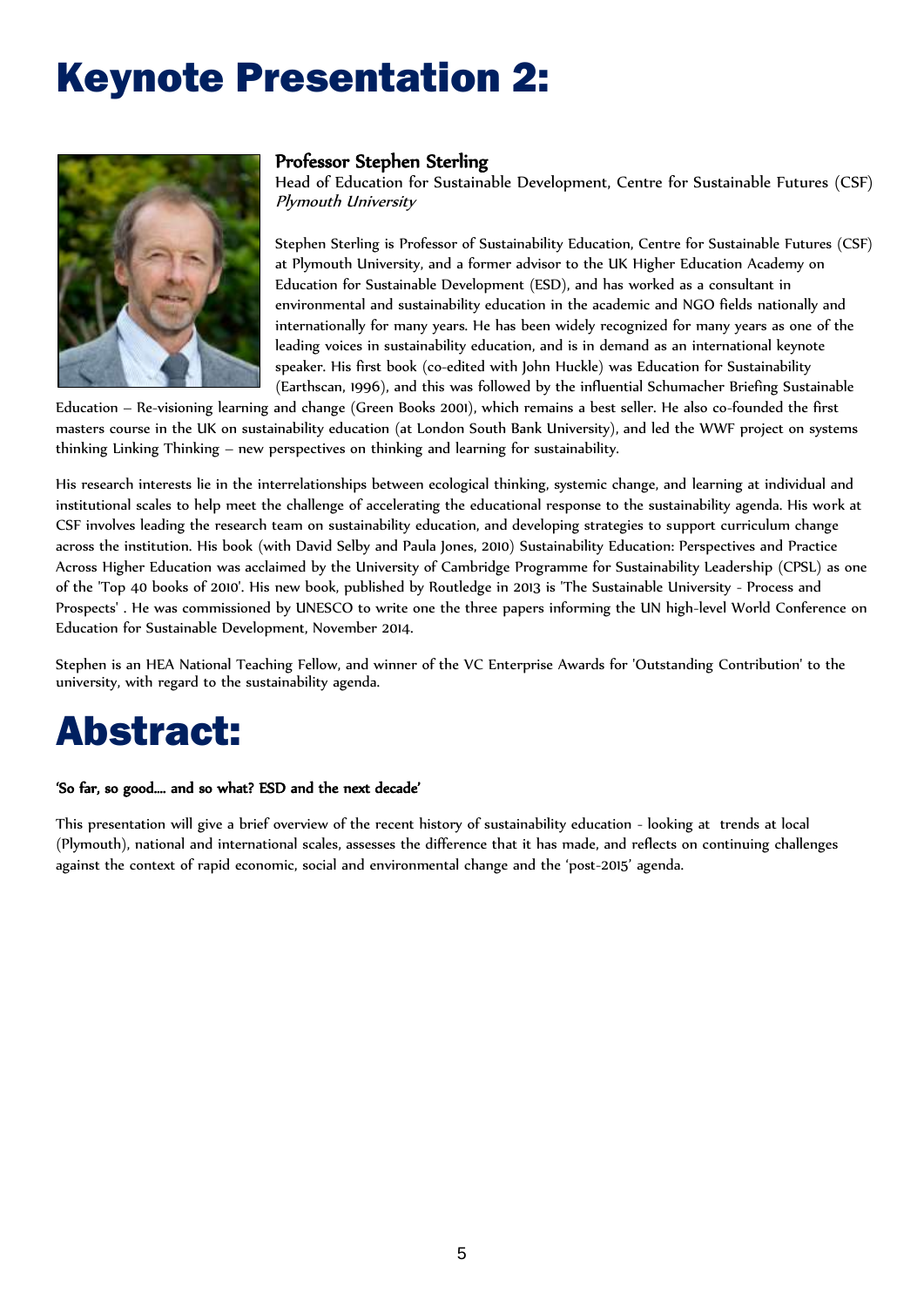### Keynote Presentation 2:



#### Professor Stephen Sterling

Head of Education for Sustainable Development, Centre for Sustainable Futures (CSF) Plymouth University

Stephen Sterling is Professor of Sustainability Education, Centre for Sustainable Futures (CSF) at Plymouth University, and a former advisor to the UK Higher Education Academy on Education for Sustainable Development (ESD), and has worked as a consultant in environmental and sustainability education in the academic and NGO fields nationally and internationally for many years. He has been widely recognized for many years as one of the leading voices in sustainability education, and is in demand as an international keynote speaker. His first book (co-edited with John Huckle) was Education for Sustainability (Earthscan, 1996), and this was followed by the influential Schumacher Briefing Sustainable

Education – Re-visioning learning and change (Green Books 2001), which remains a best seller. He also co-founded the first masters course in the UK on sustainability education (at London South Bank University), and led the WWF project on systems thinking Linking Thinking – new perspectives on thinking and learning for sustainability.

His research interests lie in the interrelationships between ecological thinking, systemic change, and learning at individual and institutional scales to help meet the challenge of accelerating the educational response to the sustainability agenda. His work at CSF involves leading the research team on sustainability education, and developing strategies to support curriculum change across the institution. His book (with David Selby and Paula Jones, 2010) Sustainability Education: Perspectives and Practice Across Higher Education was acclaimed by the University of Cambridge Programme for Sustainability Leadership (CPSL) as one of the 'Top 40 books of 2010'. His new book, published by Routledge in 2013 is 'The Sustainable University - Process and Prospects' . He was commissioned by UNESCO to write one the three papers informing the UN high-level World Conference on Education for Sustainable Development, November 2014.

Stephen is an HEA National Teaching Fellow, and winner of the VC Enterprise Awards for 'Outstanding Contribution' to the university, with regard to the sustainability agenda.

### Abstract:

#### 'So far, so good…. and so what? ESD and the next decade'

This presentation will give a brief overview of the recent history of sustainability education - looking at trends at local (Plymouth), national and international scales, assesses the difference that it has made, and reflects on continuing challenges against the context of rapid economic, social and environmental change and the 'post-2015' agenda.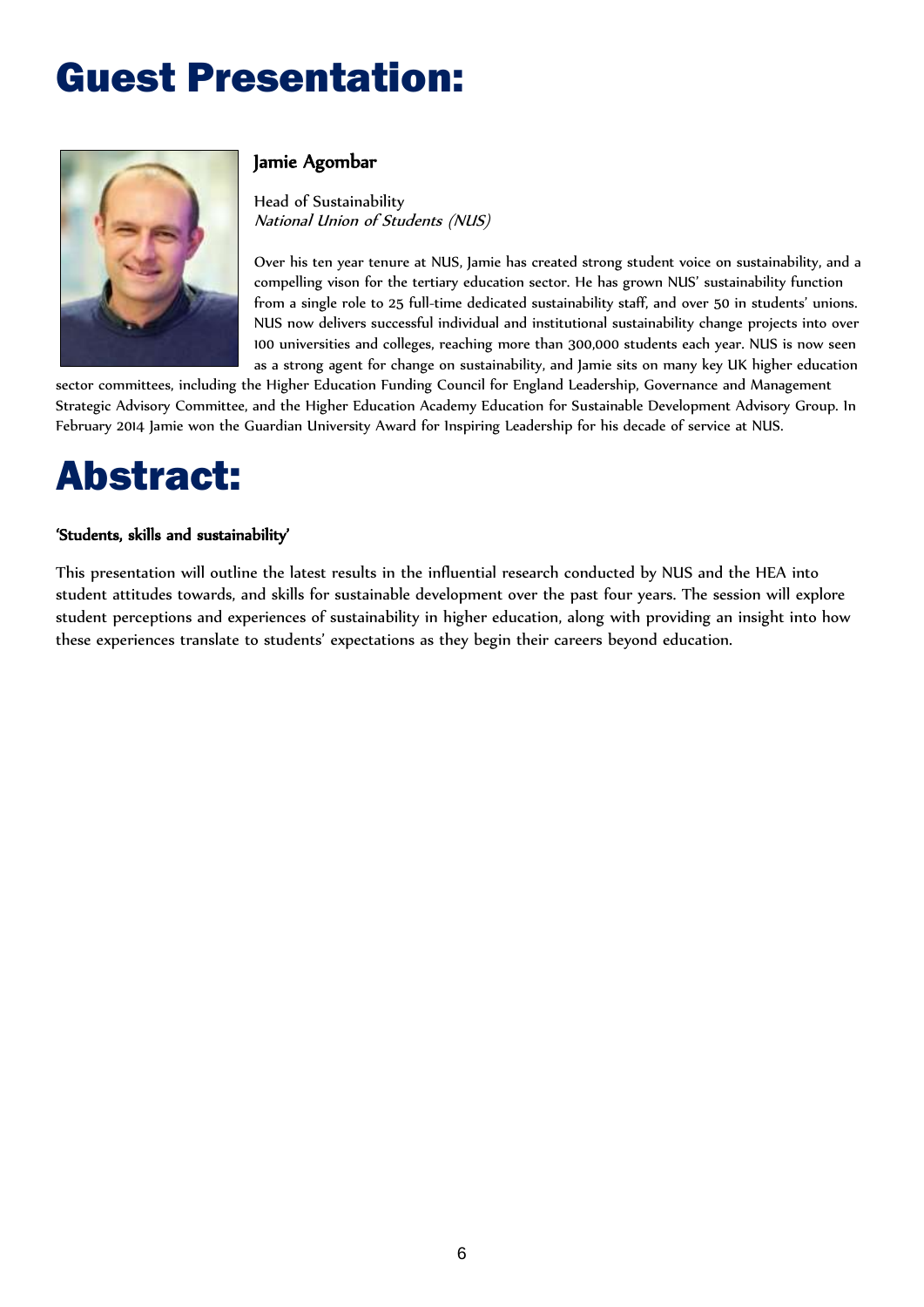# Guest Presentation:



### Jamie Agombar

Head of Sustainability National Union of Students (NUS)

Over his ten year tenure at NUS, Jamie has created strong student voice on sustainability, and a compelling vison for the tertiary education sector. He has grown NUS' sustainability function from a single role to 25 full-time dedicated sustainability staff, and over 50 in students' unions. NUS now delivers successful individual and institutional sustainability change projects into over 100 universities and colleges, reaching more than 300,000 students each year. NUS is now seen as a strong agent for change on sustainability, and Jamie sits on many key UK higher education

sector committees, including the Higher Education Funding Council for England Leadership, Governance and Management Strategic Advisory Committee, and the Higher Education Academy Education for Sustainable Development Advisory Group. In February 2014 Jamie won the Guardian University Award for Inspiring Leadership for his decade of service at NUS.

### Abstract:

#### 'Students, skills and sustainability'

This presentation will outline the latest results in the influential research conducted by NUS and the HEA into student attitudes towards, and skills for sustainable development over the past four years. The session will explore student perceptions and experiences of sustainability in higher education, along with providing an insight into how these experiences translate to students' expectations as they begin their careers beyond education.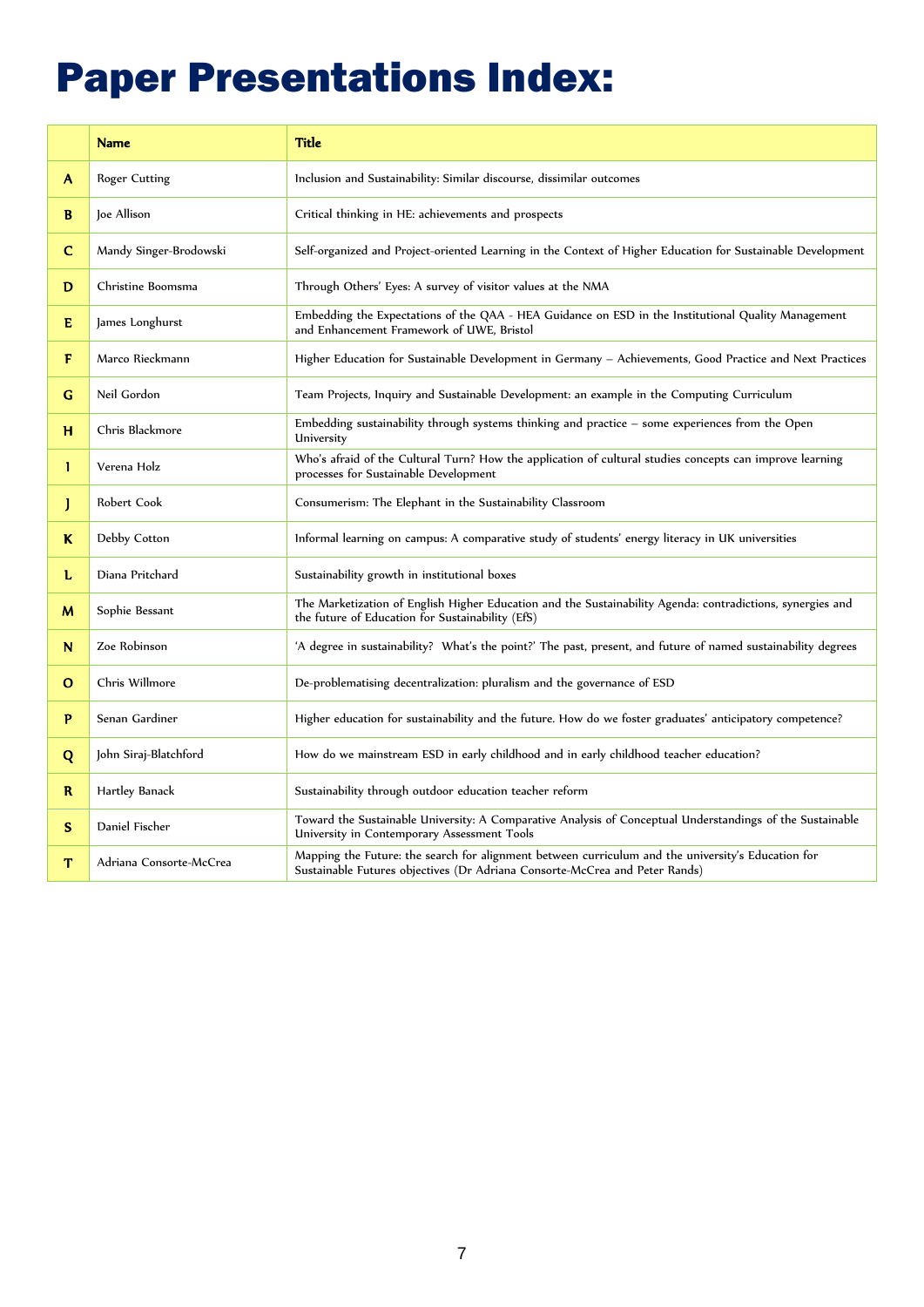# Paper Presentations Index:

|              | <b>Name</b>             | <b>Title</b>                                                                                                                                                                      |
|--------------|-------------------------|-----------------------------------------------------------------------------------------------------------------------------------------------------------------------------------|
| A            | Roger Cutting           | Inclusion and Sustainability: Similar discourse, dissimilar outcomes                                                                                                              |
| B            | Joe Allison             | Critical thinking in HE: achievements and prospects                                                                                                                               |
| C            | Mandy Singer-Brodowski  | Self-organized and Project-oriented Learning in the Context of Higher Education for Sustainable Development                                                                       |
| D            | Christine Boomsma       | Through Others' Eyes: A survey of visitor values at the NMA                                                                                                                       |
| E            | James Longhurst         | Embedding the Expectations of the QAA - HEA Guidance on ESD in the Institutional Quality Management<br>and Enhancement Framework of UWE, Bristol                                  |
| F            | Marco Rieckmann         | Higher Education for Sustainable Development in Germany - Achievements, Good Practice and Next Practices                                                                          |
| G            | Neil Gordon             | Team Projects, Inquiry and Sustainable Development: an example in the Computing Curriculum                                                                                        |
| н            | Chris Blackmore         | Embedding sustainability through systems thinking and practice - some experiences from the Open<br>University                                                                     |
| L            | Verena Holz             | Who's afraid of the Cultural Turn? How the application of cultural studies concepts can improve learning<br>processes for Sustainable Development                                 |
| J            | Robert Cook             | Consumerism: The Elephant in the Sustainability Classroom                                                                                                                         |
| K            | Debby Cotton            | Informal learning on campus: A comparative study of students' energy literacy in UK universities                                                                                  |
| L            | Diana Pritchard         | Sustainability growth in institutional boxes                                                                                                                                      |
| м            | Sophie Bessant          | The Marketization of English Higher Education and the Sustainability Agenda: contradictions, synergies and<br>the future of Education for Sustainability (EfS)                    |
| N            | Zoe Robinson            | 'A degree in sustainability? What's the point?' The past, present, and future of named sustainability degrees                                                                     |
| $\mathbf{o}$ | Chris Willmore          | De-problematising decentralization: pluralism and the governance of ESD                                                                                                           |
| P            | Senan Gardiner          | Higher education for sustainability and the future. How do we foster graduates' anticipatory competence?                                                                          |
| Q            | John Siraj-Blatchford   | How do we mainstream ESD in early childhood and in early childhood teacher education?                                                                                             |
| R            | Hartley Banack          | Sustainability through outdoor education teacher reform                                                                                                                           |
| S.           | Daniel Fischer          | Toward the Sustainable University: A Comparative Analysis of Conceptual Understandings of the Sustainable<br>University in Contemporary Assessment Tools                          |
| T            | Adriana Consorte-McCrea | Mapping the Future: the search for alignment between curriculum and the university's Education for<br>Sustainable Futures objectives (Dr Adriana Consorte-McCrea and Peter Rands) |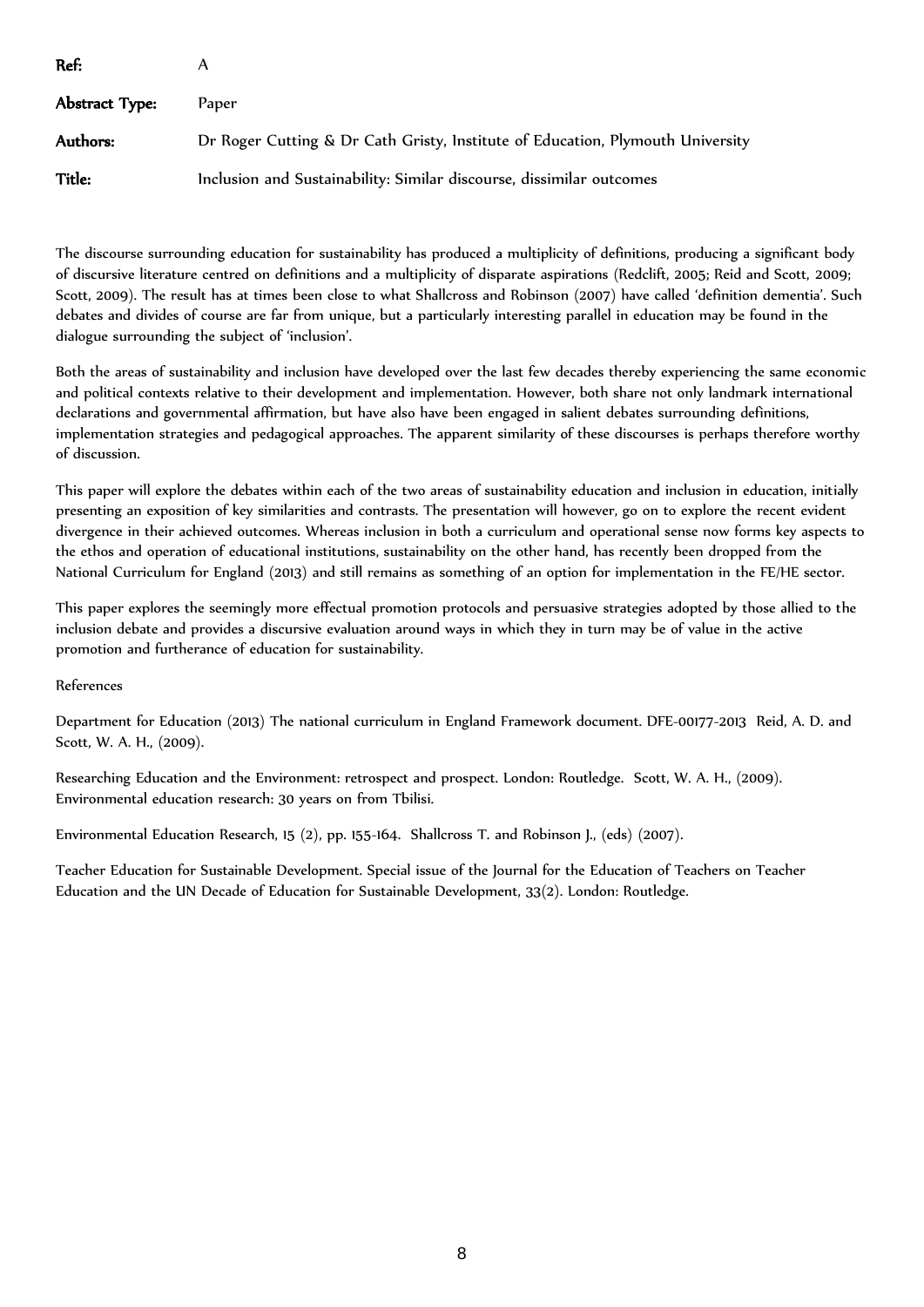| Ref:           |                                                                                |
|----------------|--------------------------------------------------------------------------------|
| Abstract Type: | Paper                                                                          |
| Authors:       | Dr Roger Cutting & Dr Cath Gristy, Institute of Education, Plymouth University |
| Title:         | Inclusion and Sustainability: Similar discourse, dissimilar outcomes           |

The discourse surrounding education for sustainability has produced a multiplicity of definitions, producing a significant body of discursive literature centred on definitions and a multiplicity of disparate aspirations (Redclift, 2005; Reid and Scott, 2009; Scott, 2009). The result has at times been close to what Shallcross and Robinson (2007) have called 'definition dementia'. Such debates and divides of course are far from unique, but a particularly interesting parallel in education may be found in the dialogue surrounding the subject of 'inclusion'.

Both the areas of sustainability and inclusion have developed over the last few decades thereby experiencing the same economic and political contexts relative to their development and implementation. However, both share not only landmark international declarations and governmental affirmation, but have also have been engaged in salient debates surrounding definitions, implementation strategies and pedagogical approaches. The apparent similarity of these discourses is perhaps therefore worthy of discussion.

This paper will explore the debates within each of the two areas of sustainability education and inclusion in education, initially presenting an exposition of key similarities and contrasts. The presentation will however, go on to explore the recent evident divergence in their achieved outcomes. Whereas inclusion in both a curriculum and operational sense now forms key aspects to the ethos and operation of educational institutions, sustainability on the other hand, has recently been dropped from the National Curriculum for England (2013) and still remains as something of an option for implementation in the FE/HE sector.

This paper explores the seemingly more effectual promotion protocols and persuasive strategies adopted by those allied to the inclusion debate and provides a discursive evaluation around ways in which they in turn may be of value in the active promotion and furtherance of education for sustainability.

#### References

Department for Education (2013) The national curriculum in England Framework document. DFE-00177-2013 Reid, A. D. and Scott, W. A. H., (2009).

Researching Education and the Environment: retrospect and prospect. London: Routledge. Scott, W. A. H., (2009). Environmental education research: 30 years on from Tbilisi.

Environmental Education Research, 15 (2), pp. 155-164. Shallcross T. and Robinson J., (eds) (2007).

Teacher Education for Sustainable Development. Special issue of the Journal for the Education of Teachers on Teacher Education and the UN Decade of Education for Sustainable Development, 33(2). London: Routledge.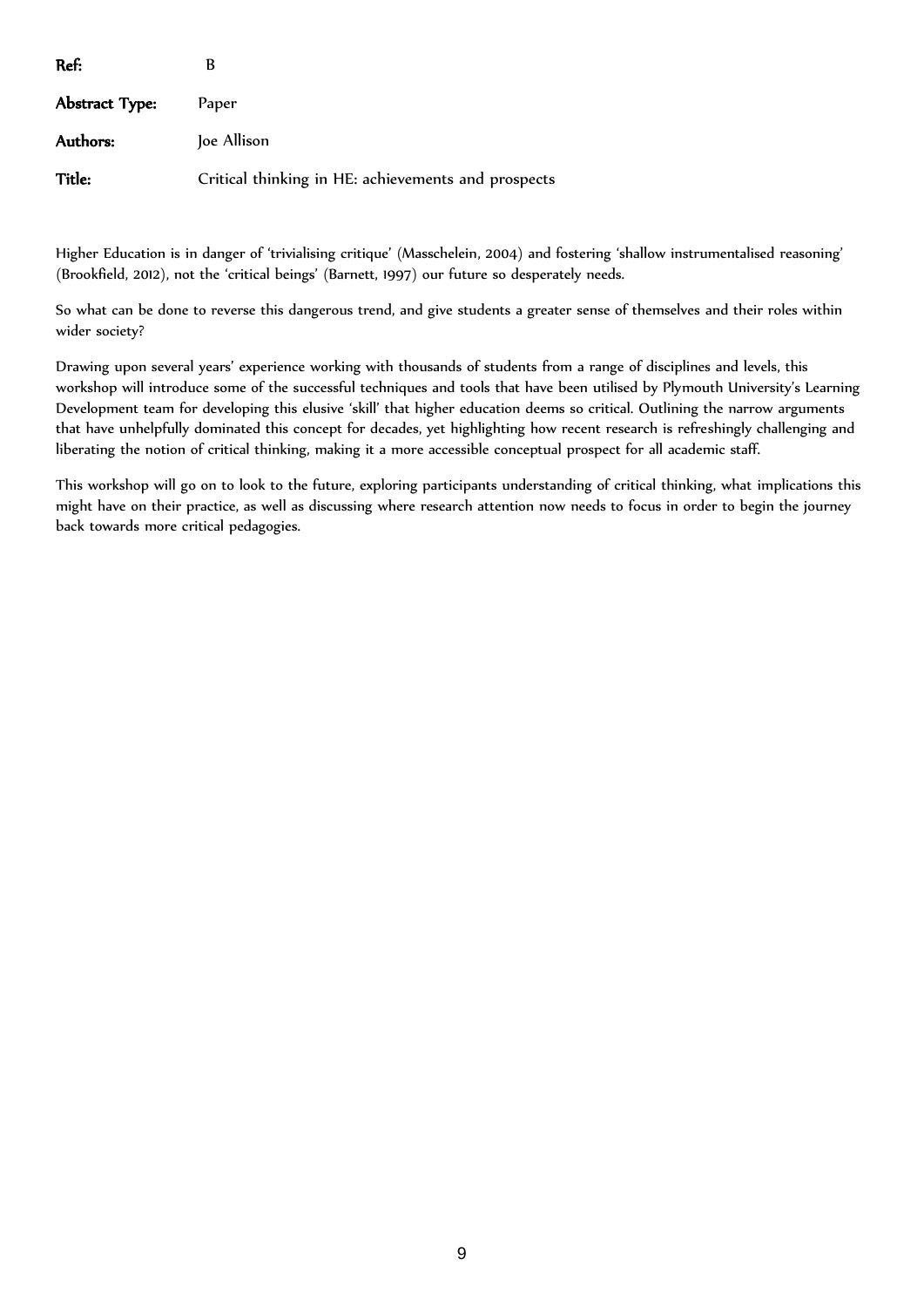| Ref:           | B                                                   |
|----------------|-----------------------------------------------------|
| Abstract Type: | Paper                                               |
| Authors:       | Joe Allison                                         |
| Title:         | Critical thinking in HE: achievements and prospects |

Higher Education is in danger of 'trivialising critique' (Masschelein, 2004) and fostering 'shallow instrumentalised reasoning' (Brookfield, 2012), not the 'critical beings' (Barnett, 1997) our future so desperately needs.

So what can be done to reverse this dangerous trend, and give students a greater sense of themselves and their roles within wider society?

Drawing upon several years' experience working with thousands of students from a range of disciplines and levels, this workshop will introduce some of the successful techniques and tools that have been utilised by Plymouth University's Learning Development team for developing this elusive 'skill' that higher education deems so critical. Outlining the narrow arguments that have unhelpfully dominated this concept for decades, yet highlighting how recent research is refreshingly challenging and liberating the notion of critical thinking, making it a more accessible conceptual prospect for all academic staff.

This workshop will go on to look to the future, exploring participants understanding of critical thinking, what implications this might have on their practice, as well as discussing where research attention now needs to focus in order to begin the journey back towards more critical pedagogies.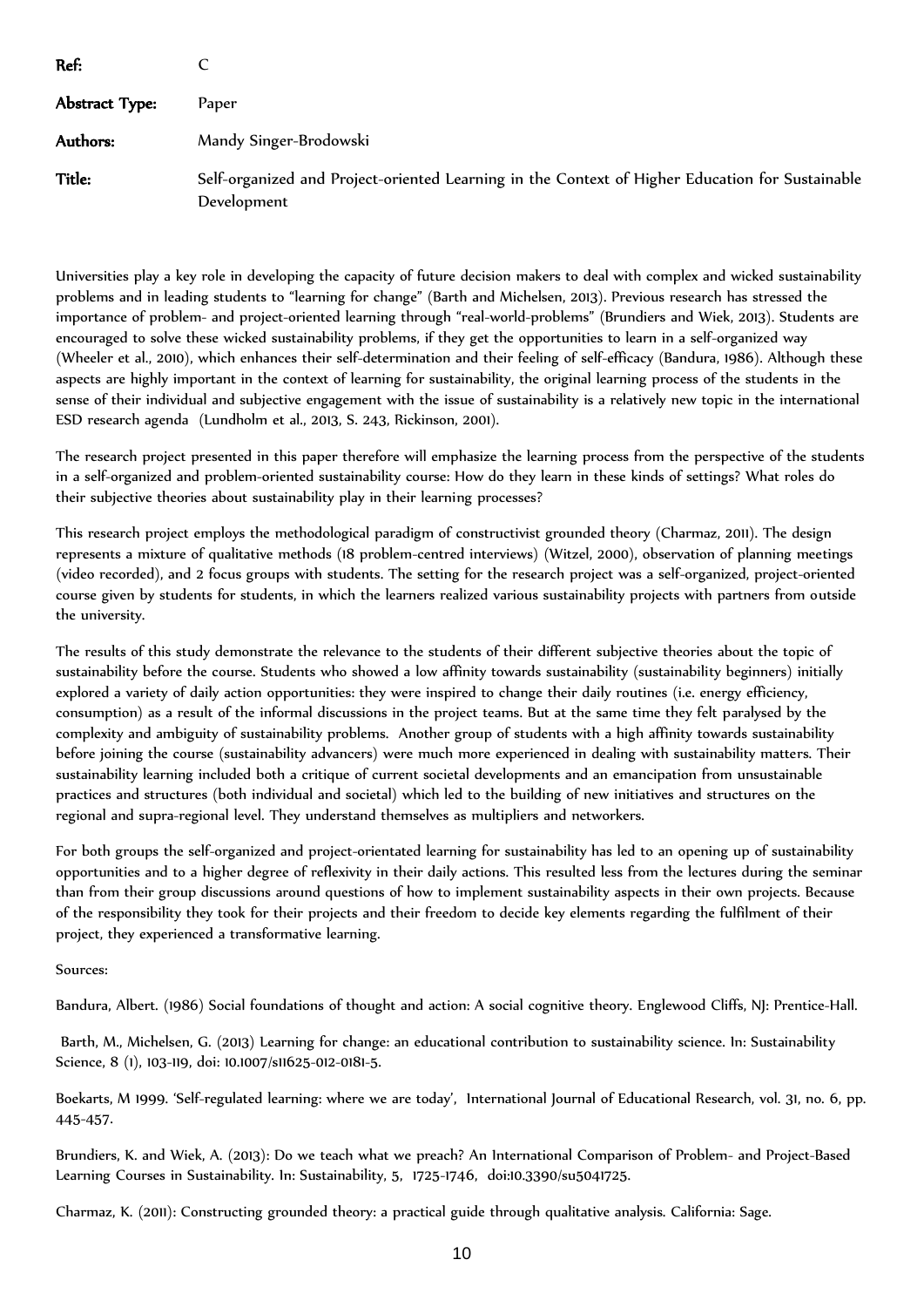| Ref:           |                                                                                                                |
|----------------|----------------------------------------------------------------------------------------------------------------|
| Abstract Type: | Paper                                                                                                          |
| Authors:       | Mandy Singer-Brodowski                                                                                         |
| Title:         | Self-organized and Project-oriented Learning in the Context of Higher Education for Sustainable<br>Development |

Universities play a key role in developing the capacity of future decision makers to deal with complex and wicked sustainability problems and in leading students to "learning for change" (Barth and Michelsen, 2013). Previous research has stressed the importance of problem- and project-oriented learning through "real-world-problems" (Brundiers and Wiek, 2013). Students are encouraged to solve these wicked sustainability problems, if they get the opportunities to learn in a self-organized way (Wheeler et al., 2010), which enhances their self-determination and their feeling of self-efficacy (Bandura, 1986). Although these aspects are highly important in the context of learning for sustainability, the original learning process of the students in the sense of their individual and subjective engagement with the issue of sustainability is a relatively new topic in the international ESD research agenda (Lundholm et al., 2013, S. 243, Rickinson, 2001).

The research project presented in this paper therefore will emphasize the learning process from the perspective of the students in a self-organized and problem-oriented sustainability course: How do they learn in these kinds of settings? What roles do their subjective theories about sustainability play in their learning processes?

This research project employs the methodological paradigm of constructivist grounded theory (Charmaz, 2011). The design represents a mixture of qualitative methods (18 problem-centred interviews) (Witzel, 2000), observation of planning meetings (video recorded), and 2 focus groups with students. The setting for the research project was a self-organized, project-oriented course given by students for students, in which the learners realized various sustainability projects with partners from outside the university.

The results of this study demonstrate the relevance to the students of their different subjective theories about the topic of sustainability before the course. Students who showed a low affinity towards sustainability (sustainability beginners) initially explored a variety of daily action opportunities: they were inspired to change their daily routines (i.e. energy efficiency, consumption) as a result of the informal discussions in the project teams. But at the same time they felt paralysed by the complexity and ambiguity of sustainability problems. Another group of students with a high affinity towards sustainability before joining the course (sustainability advancers) were much more experienced in dealing with sustainability matters. Their sustainability learning included both a critique of current societal developments and an emancipation from unsustainable practices and structures (both individual and societal) which led to the building of new initiatives and structures on the regional and supra-regional level. They understand themselves as multipliers and networkers.

For both groups the self-organized and project-orientated learning for sustainability has led to an opening up of sustainability opportunities and to a higher degree of reflexivity in their daily actions. This resulted less from the lectures during the seminar than from their group discussions around questions of how to implement sustainability aspects in their own projects. Because of the responsibility they took for their projects and their freedom to decide key elements regarding the fulfilment of their project, they experienced a transformative learning.

Sources:

Bandura, Albert. (1986) Social foundations of thought and action: A social cognitive theory. Englewood Cliffs, NJ: Prentice-Hall.

Barth, M., Michelsen, G. (2013) Learning for change: an educational contribution to sustainability science. In: Sustainability Science, 8 (1), 103-119, doi: 10.1007/s11625-012-0181-5.

Boekarts, M 1999. 'Self-regulated learning: where we are today', International Journal of Educational Research, vol. 31, no. 6, pp. 445-457.

Brundiers, K. and Wiek, A. (2013): Do we teach what we preach? An International Comparison of Problem- and Project-Based Learning Courses in Sustainability. In: Sustainability, 5, 1725-1746, doi:10.3390/su5041725.

Charmaz, K. (2011): Constructing grounded theory: a practical guide through qualitative analysis. California: Sage.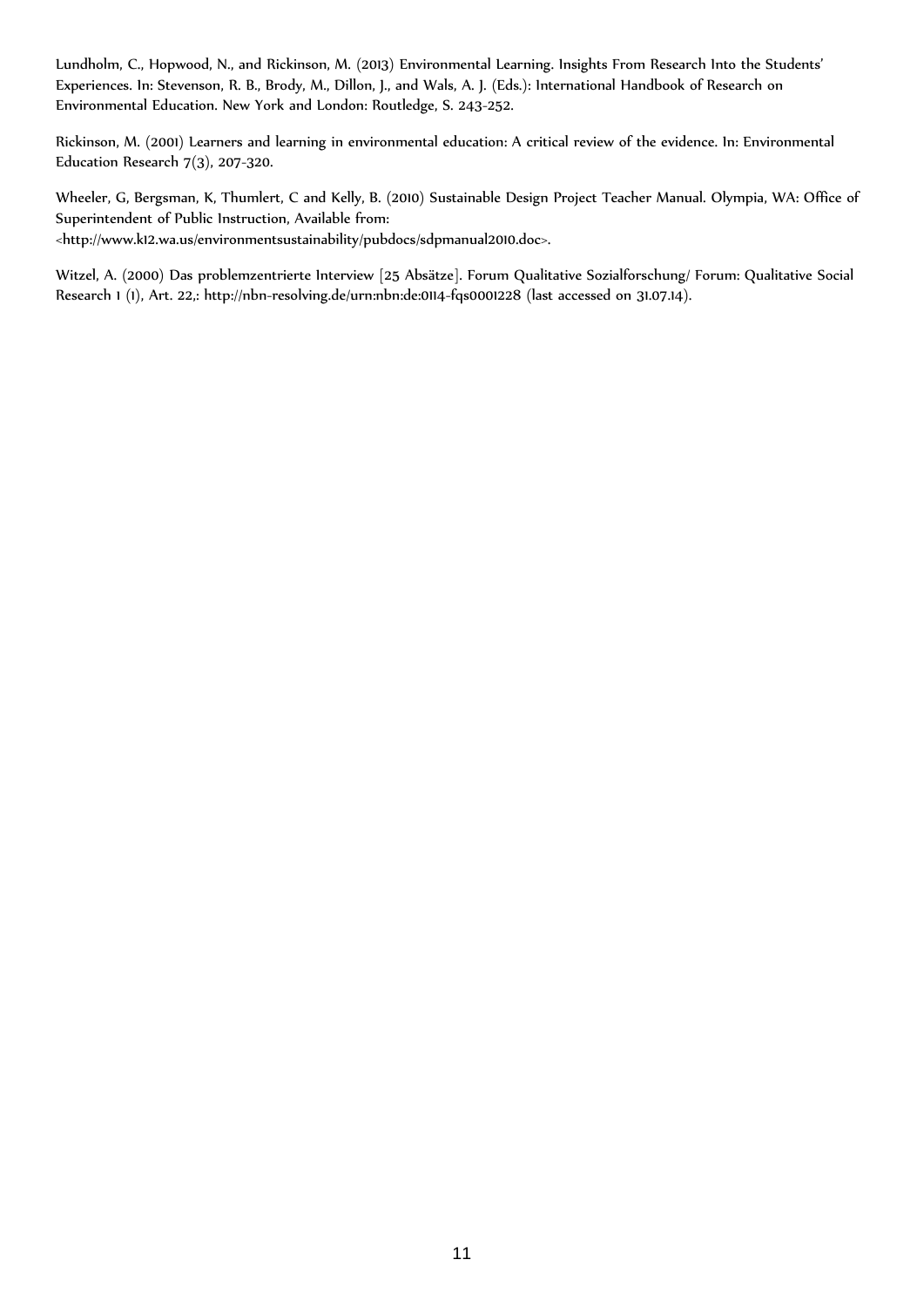Lundholm, C., Hopwood, N., and Rickinson, M. (2013) Environmental Learning. Insights From Research Into the Students' Experiences. In: Stevenson, R. B., Brody, M., Dillon, J., and Wals, A. J. (Eds.): International Handbook of Research on Environmental Education. New York and London: Routledge, S. 243-252.

Rickinson, M. (2001) Learners and learning in environmental education: A critical review of the evidence. In: Environmental Education Research 7(3), 207-320.

Wheeler, G, Bergsman, K, Thumlert, C and Kelly, B. (2010) Sustainable Design Project Teacher Manual. Olympia, WA: Office of Superintendent of Public Instruction, Available from:

<http://www.k12.wa.us/environmentsustainability/pubdocs/sdpmanual2010.doc>.

Witzel, A. (2000) Das problemzentrierte Interview [25 Absätze]. Forum Qualitative Sozialforschung/ Forum: Qualitative Social Research 1 (1), Art. 22,: http://nbn-resolving.de/urn:nbn:de:0114-fqs0001228 (last accessed on 31.07.14).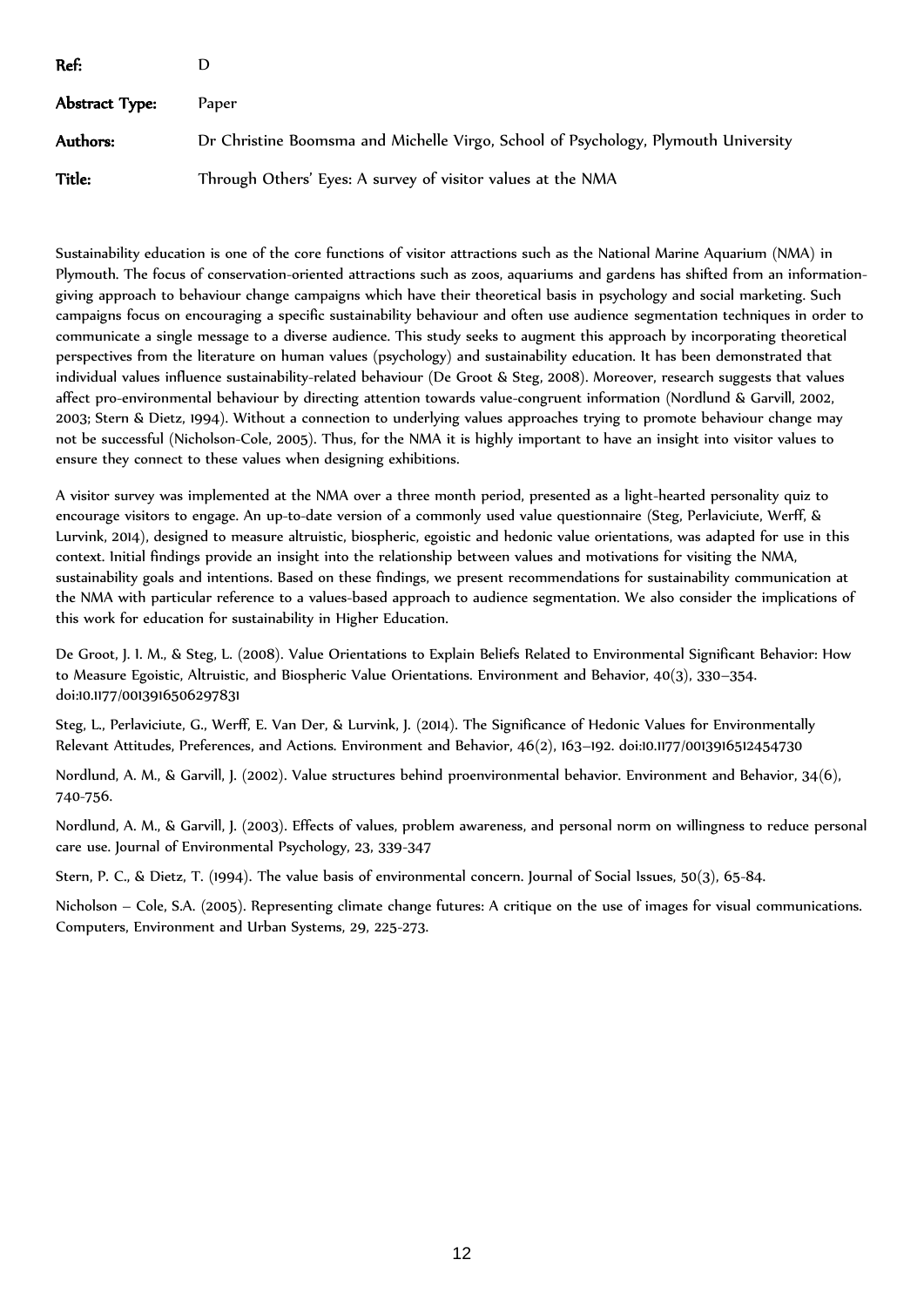| Ref:           |                                                                                    |
|----------------|------------------------------------------------------------------------------------|
| Abstract Type: | Paper                                                                              |
| Authors:       | Dr Christine Boomsma and Michelle Virgo, School of Psychology, Plymouth University |
| Title:         | Through Others' Eyes: A survey of visitor values at the NMA                        |

Sustainability education is one of the core functions of visitor attractions such as the National Marine Aquarium (NMA) in Plymouth. The focus of conservation-oriented attractions such as zoos, aquariums and gardens has shifted from an informationgiving approach to behaviour change campaigns which have their theoretical basis in psychology and social marketing. Such campaigns focus on encouraging a specific sustainability behaviour and often use audience segmentation techniques in order to communicate a single message to a diverse audience. This study seeks to augment this approach by incorporating theoretical perspectives from the literature on human values (psychology) and sustainability education. It has been demonstrated that individual values influence sustainability-related behaviour (De Groot & Steg, 2008). Moreover, research suggests that values affect pro-environmental behaviour by directing attention towards value-congruent information (Nordlund & Garvill, 2002, 2003; Stern & Dietz, 1994). Without a connection to underlying values approaches trying to promote behaviour change may not be successful (Nicholson-Cole, 2005). Thus, for the NMA it is highly important to have an insight into visitor values to ensure they connect to these values when designing exhibitions.

A visitor survey was implemented at the NMA over a three month period, presented as a light-hearted personality quiz to encourage visitors to engage. An up-to-date version of a commonly used value questionnaire (Steg, Perlaviciute, Werff, & Lurvink, 2014), designed to measure altruistic, biospheric, egoistic and hedonic value orientations, was adapted for use in this context. Initial findings provide an insight into the relationship between values and motivations for visiting the NMA, sustainability goals and intentions. Based on these findings, we present recommendations for sustainability communication at the NMA with particular reference to a values-based approach to audience segmentation. We also consider the implications of this work for education for sustainability in Higher Education.

De Groot, J. I. M., & Steg, L. (2008). Value Orientations to Explain Beliefs Related to Environmental Significant Behavior: How to Measure Egoistic, Altruistic, and Biospheric Value Orientations. Environment and Behavior, 40(3), 330–354. doi:10.1177/0013916506297831

Steg, L., Perlaviciute, G., Werff, E. Van Der, & Lurvink, J. (2014). The Significance of Hedonic Values for Environmentally Relevant Attitudes, Preferences, and Actions. Environment and Behavior, 46(2), 163–192. doi:10.1177/0013916512454730

Nordlund, A. M., & Garvill, J. (2002). Value structures behind proenvironmental behavior. Environment and Behavior, 34(6), 740-756.

Nordlund, A. M., & Garvill, J. (2003). Effects of values, problem awareness, and personal norm on willingness to reduce personal care use. Journal of Environmental Psychology, 23, 339-347

Stern, P. C., & Dietz, T. (1994). The value basis of environmental concern. Journal of Social Issues, 50(3), 65-84.

Nicholson – Cole, S.A. (2005). Representing climate change futures: A critique on the use of images for visual communications. Computers, Environment and Urban Systems, 29, 225-273.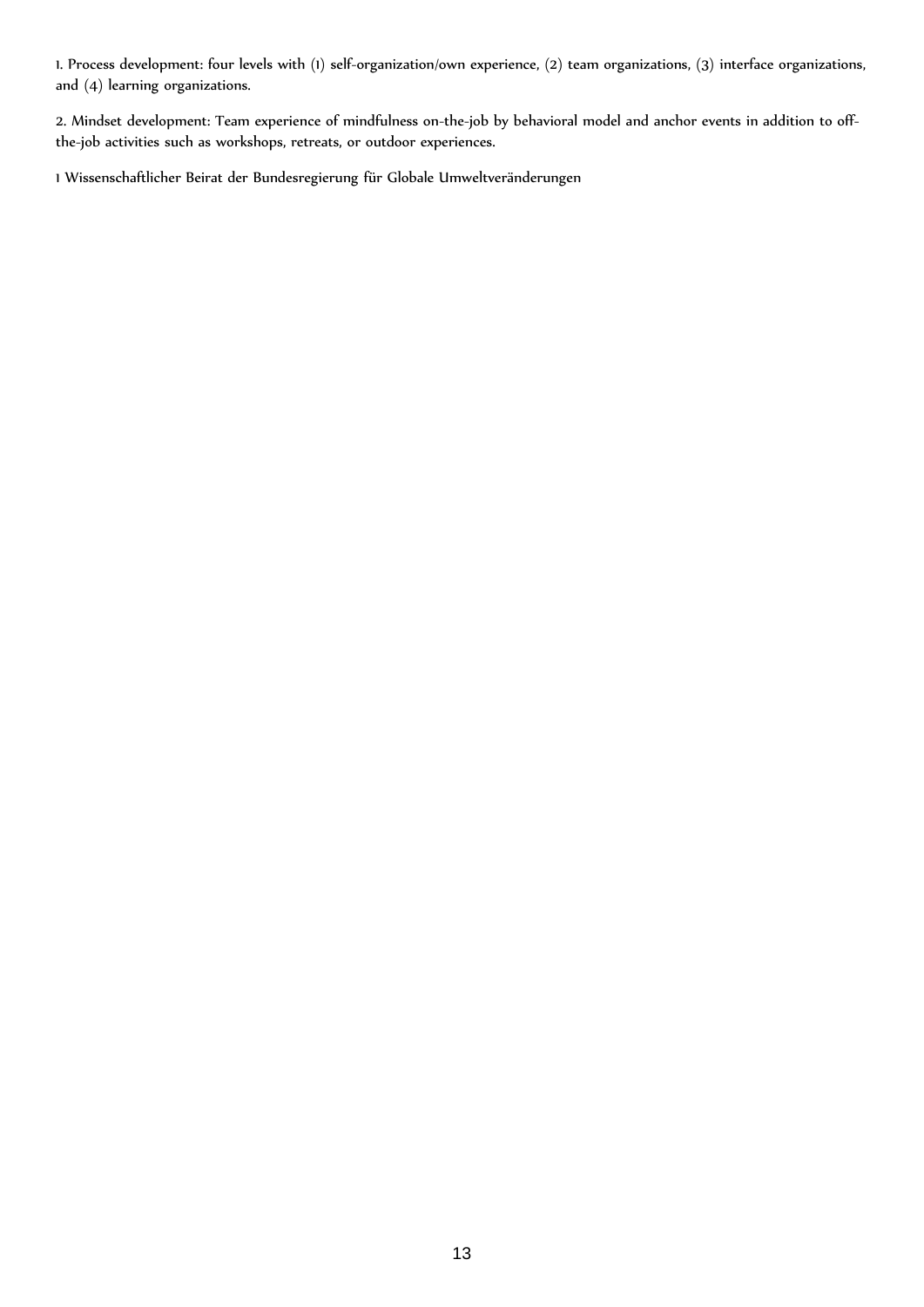1. Process development: four levels with (1) self-organization/own experience, (2) team organizations, (3) interface organizations, and (4) learning organizations.

2. Mindset development: Team experience of mindfulness on-the-job by behavioral model and anchor events in addition to offthe-job activities such as workshops, retreats, or outdoor experiences.

1 Wissenschaftlicher Beirat der Bundesregierung für Globale Umweltveränderungen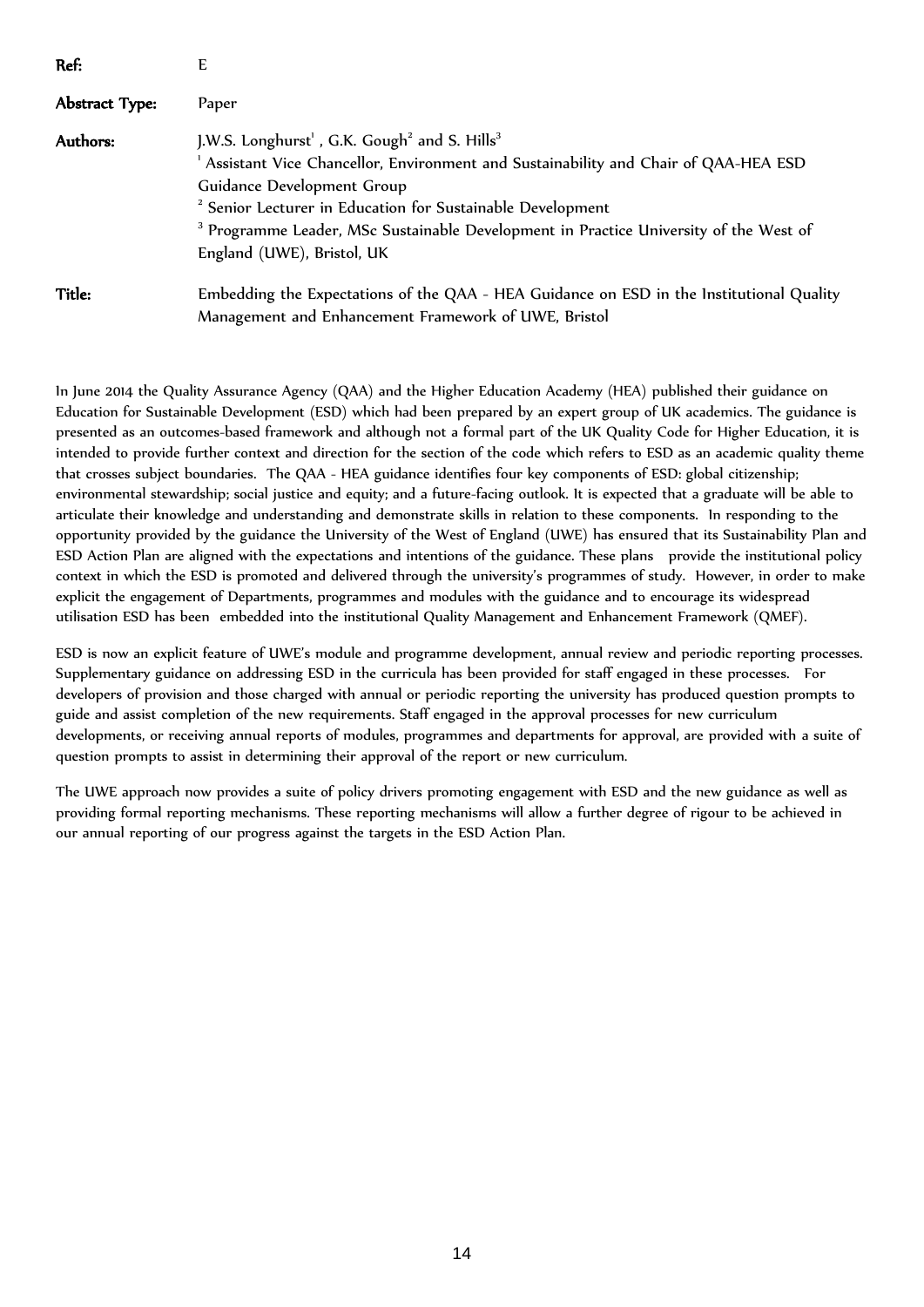| Ref:           | E                                                                                                |
|----------------|--------------------------------------------------------------------------------------------------|
| Abstract Type: | Paper                                                                                            |
| Authors:       | J.W.S. Longhurst <sup>1</sup> , G.K. Gough <sup>2</sup> and S. Hills <sup>3</sup>                |
|                | Assistant Vice Chancellor, Environment and Sustainability and Chair of QAA-HEA ESD               |
|                | Guidance Development Group                                                                       |
|                | <sup>2</sup> Senior Lecturer in Education for Sustainable Development                            |
|                | <sup>3</sup> Programme Leader, MSc Sustainable Development in Practice University of the West of |
|                | England (UWE), Bristol, UK                                                                       |
| Title:         | Embedding the Expectations of the QAA - HEA Guidance on ESD in the Institutional Quality         |
|                | Management and Enhancement Framework of UWE, Bristol                                             |

In June 2014 the Quality Assurance Agency (QAA) and the Higher Education Academy (HEA) published their guidance on Education for Sustainable Development (ESD) which had been prepared by an expert group of UK academics. The guidance is presented as an outcomes-based framework and although not a formal part of the UK Quality Code for Higher Education, it is intended to provide further context and direction for the section of the code which refers to ESD as an academic quality theme that crosses subject boundaries. The QAA - HEA guidance identifies four key components of ESD: global citizenship; environmental stewardship; social justice and equity; and a future-facing outlook. It is expected that a graduate will be able to articulate their knowledge and understanding and demonstrate skills in relation to these components. In responding to the opportunity provided by the guidance the University of the West of England (UWE) has ensured that its Sustainability Plan and ESD Action Plan are aligned with the expectations and intentions of the guidance. These plans provide the institutional policy context in which the ESD is promoted and delivered through the university's programmes of study. However, in order to make explicit the engagement of Departments, programmes and modules with the guidance and to encourage its widespread utilisation ESD has been embedded into the institutional Quality Management and Enhancement Framework (QMEF).

ESD is now an explicit feature of UWE's module and programme development, annual review and periodic reporting processes. Supplementary guidance on addressing ESD in the curricula has been provided for staff engaged in these processes. For developers of provision and those charged with annual or periodic reporting the university has produced question prompts to guide and assist completion of the new requirements. Staff engaged in the approval processes for new curriculum developments, or receiving annual reports of modules, programmes and departments for approval, are provided with a suite of question prompts to assist in determining their approval of the report or new curriculum.

The UWE approach now provides a suite of policy drivers promoting engagement with ESD and the new guidance as well as providing formal reporting mechanisms. These reporting mechanisms will allow a further degree of rigour to be achieved in our annual reporting of our progress against the targets in the ESD Action Plan.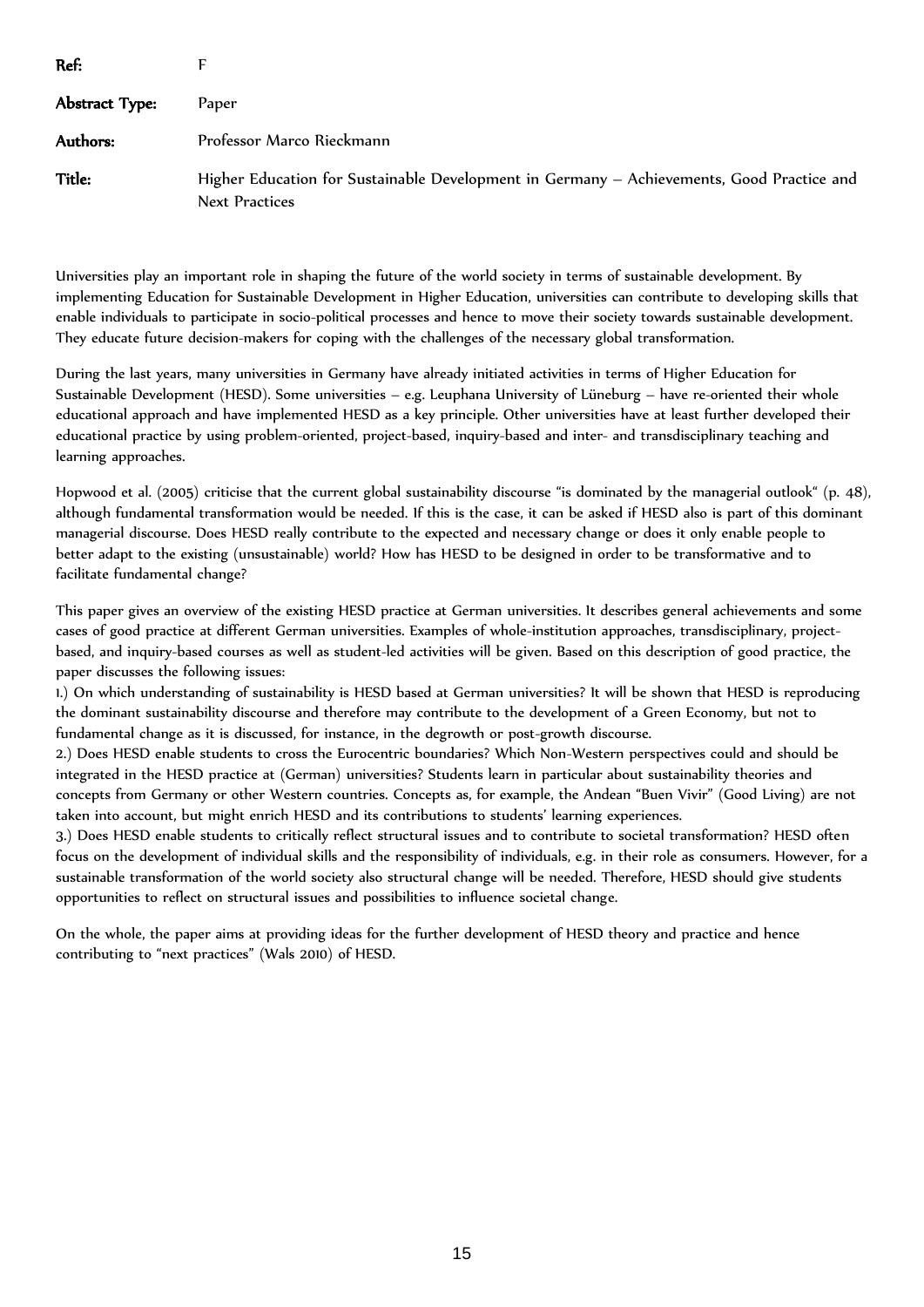| Ref:           |                                                                                                                    |
|----------------|--------------------------------------------------------------------------------------------------------------------|
| Abstract Type: | <b>Paper</b>                                                                                                       |
| Authors:       | Professor Marco Rieckmann                                                                                          |
| <b>Title:</b>  | Higher Education for Sustainable Development in Germany - Achievements, Good Practice and<br><b>Next Practices</b> |

Universities play an important role in shaping the future of the world society in terms of sustainable development. By implementing Education for Sustainable Development in Higher Education, universities can contribute to developing skills that enable individuals to participate in socio-political processes and hence to move their society towards sustainable development. They educate future decision-makers for coping with the challenges of the necessary global transformation.

During the last years, many universities in Germany have already initiated activities in terms of Higher Education for Sustainable Development (HESD). Some universities – e.g. Leuphana University of Lüneburg – have re-oriented their whole educational approach and have implemented HESD as a key principle. Other universities have at least further developed their educational practice by using problem-oriented, project-based, inquiry-based and inter- and transdisciplinary teaching and learning approaches.

Hopwood et al. (2005) criticise that the current global sustainability discourse "is dominated by the managerial outlook" (p. 48), although fundamental transformation would be needed. If this is the case, it can be asked if HESD also is part of this dominant managerial discourse. Does HESD really contribute to the expected and necessary change or does it only enable people to better adapt to the existing (unsustainable) world? How has HESD to be designed in order to be transformative and to facilitate fundamental change?

This paper gives an overview of the existing HESD practice at German universities. It describes general achievements and some cases of good practice at different German universities. Examples of whole-institution approaches, transdisciplinary, projectbased, and inquiry-based courses as well as student-led activities will be given. Based on this description of good practice, the paper discusses the following issues:

1.) On which understanding of sustainability is HESD based at German universities? It will be shown that HESD is reproducing the dominant sustainability discourse and therefore may contribute to the development of a Green Economy, but not to fundamental change as it is discussed, for instance, in the degrowth or post-growth discourse.

2.) Does HESD enable students to cross the Eurocentric boundaries? Which Non-Western perspectives could and should be integrated in the HESD practice at (German) universities? Students learn in particular about sustainability theories and concepts from Germany or other Western countries. Concepts as, for example, the Andean "Buen Vivir" (Good Living) are not taken into account, but might enrich HESD and its contributions to students' learning experiences.

3.) Does HESD enable students to critically reflect structural issues and to contribute to societal transformation? HESD often focus on the development of individual skills and the responsibility of individuals, e.g. in their role as consumers. However, for a sustainable transformation of the world society also structural change will be needed. Therefore, HESD should give students opportunities to reflect on structural issues and possibilities to influence societal change.

On the whole, the paper aims at providing ideas for the further development of HESD theory and practice and hence contributing to "next practices" (Wals 2010) of HESD.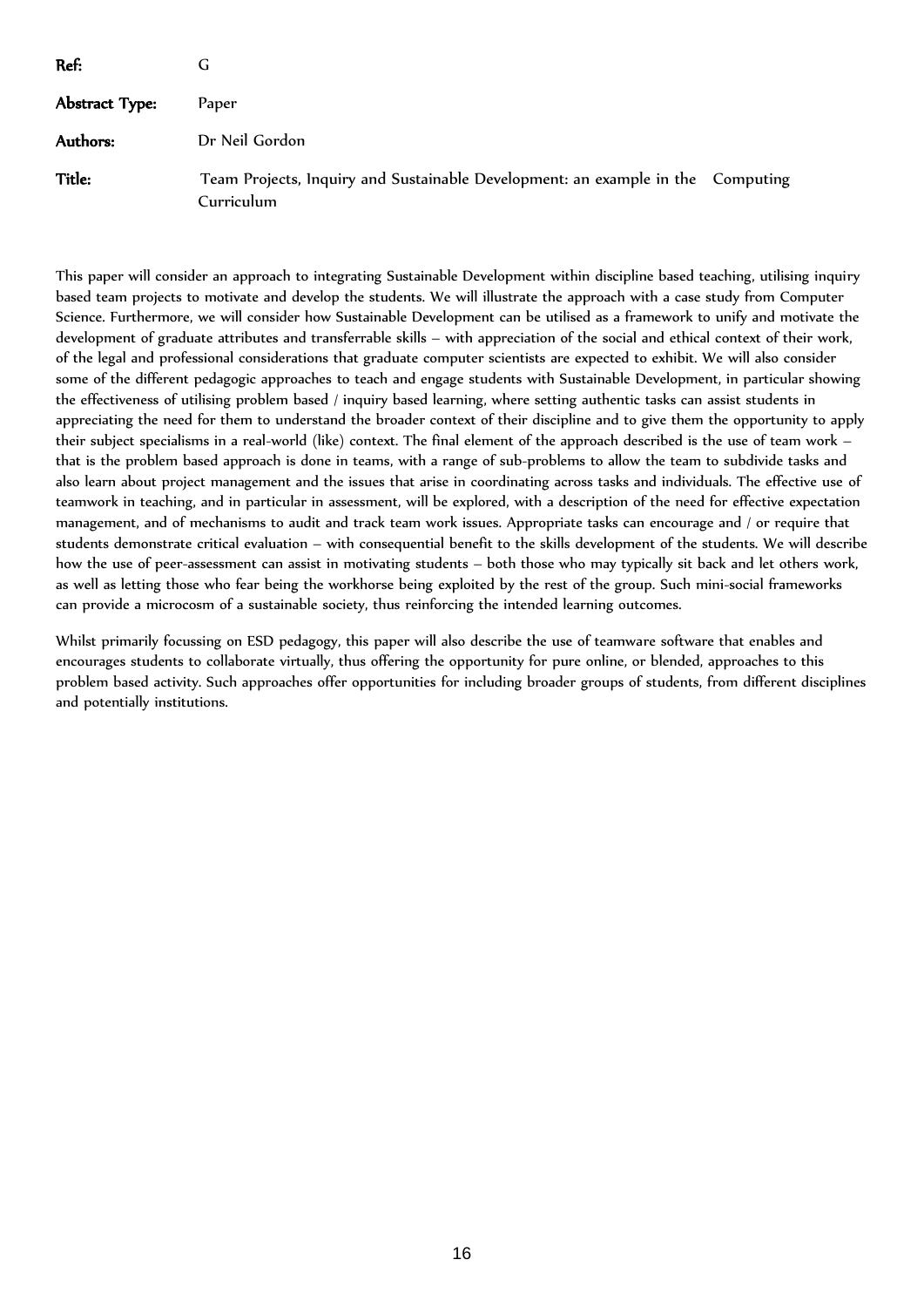| Ref:           | G                                                                                             |  |
|----------------|-----------------------------------------------------------------------------------------------|--|
| Abstract Type: | Paper                                                                                         |  |
| Authors:       | Dr Neil Gordon                                                                                |  |
| <b>Title:</b>  | Team Projects, Inquiry and Sustainable Development: an example in the Computing<br>Curriculum |  |

This paper will consider an approach to integrating Sustainable Development within discipline based teaching, utilising inquiry based team projects to motivate and develop the students. We will illustrate the approach with a case study from Computer Science. Furthermore, we will consider how Sustainable Development can be utilised as a framework to unify and motivate the development of graduate attributes and transferrable skills – with appreciation of the social and ethical context of their work, of the legal and professional considerations that graduate computer scientists are expected to exhibit. We will also consider some of the different pedagogic approaches to teach and engage students with Sustainable Development, in particular showing the effectiveness of utilising problem based / inquiry based learning, where setting authentic tasks can assist students in appreciating the need for them to understand the broader context of their discipline and to give them the opportunity to apply their subject specialisms in a real-world (like) context. The final element of the approach described is the use of team work – that is the problem based approach is done in teams, with a range of sub-problems to allow the team to subdivide tasks and also learn about project management and the issues that arise in coordinating across tasks and individuals. The effective use of teamwork in teaching, and in particular in assessment, will be explored, with a description of the need for effective expectation management, and of mechanisms to audit and track team work issues. Appropriate tasks can encourage and / or require that students demonstrate critical evaluation – with consequential benefit to the skills development of the students. We will describe how the use of peer-assessment can assist in motivating students – both those who may typically sit back and let others work, as well as letting those who fear being the workhorse being exploited by the rest of the group. Such mini-social frameworks can provide a microcosm of a sustainable society, thus reinforcing the intended learning outcomes.

Whilst primarily focussing on ESD pedagogy, this paper will also describe the use of teamware software that enables and encourages students to collaborate virtually, thus offering the opportunity for pure online, or blended, approaches to this problem based activity. Such approaches offer opportunities for including broader groups of students, from different disciplines and potentially institutions.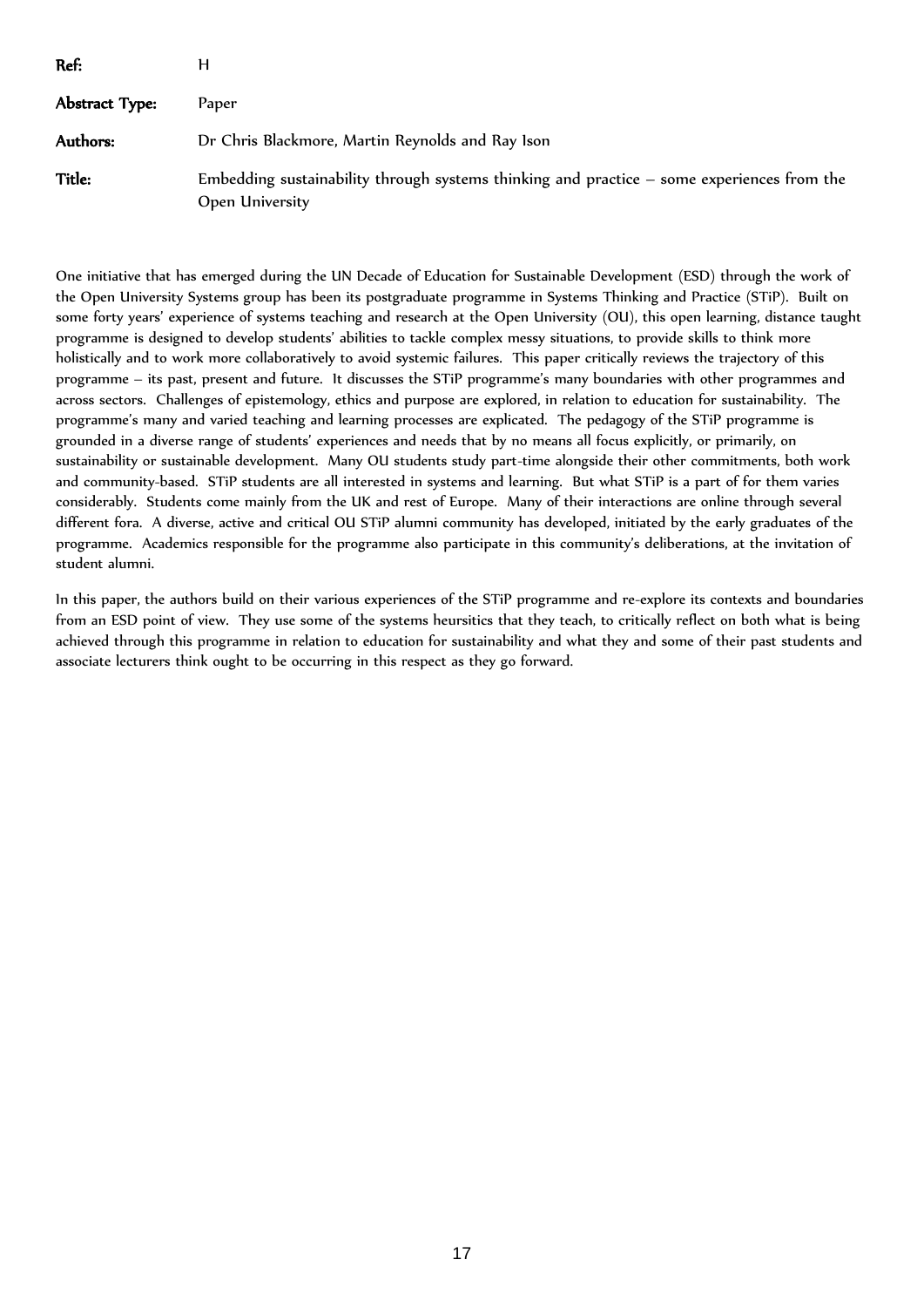| Ref:           |                                                                                                                 |
|----------------|-----------------------------------------------------------------------------------------------------------------|
| Abstract Type: | <b>Paper</b>                                                                                                    |
| Authors:       | Dr Chris Blackmore, Martin Reynolds and Ray Ison                                                                |
| Title:         | Embedding sustainability through systems thinking and practice $-$ some experiences from the<br>Open University |

One initiative that has emerged during the UN Decade of Education for Sustainable Development (ESD) through the work of the Open University Systems group has been its postgraduate programme in Systems Thinking and Practice (STiP). Built on some forty years' experience of systems teaching and research at the Open University (OU), this open learning, distance taught programme is designed to develop students' abilities to tackle complex messy situations, to provide skills to think more holistically and to work more collaboratively to avoid systemic failures. This paper critically reviews the trajectory of this programme – its past, present and future. It discusses the STiP programme's many boundaries with other programmes and across sectors. Challenges of epistemology, ethics and purpose are explored, in relation to education for sustainability. The programme's many and varied teaching and learning processes are explicated. The pedagogy of the STiP programme is grounded in a diverse range of students' experiences and needs that by no means all focus explicitly, or primarily, on sustainability or sustainable development. Many OU students study part-time alongside their other commitments, both work and community-based. STiP students are all interested in systems and learning. But what STiP is a part of for them varies considerably. Students come mainly from the UK and rest of Europe. Many of their interactions are online through several different fora. A diverse, active and critical OU STiP alumni community has developed, initiated by the early graduates of the programme. Academics responsible for the programme also participate in this community's deliberations, at the invitation of student alumni.

In this paper, the authors build on their various experiences of the STiP programme and re-explore its contexts and boundaries from an ESD point of view. They use some of the systems heursitics that they teach, to critically reflect on both what is being achieved through this programme in relation to education for sustainability and what they and some of their past students and associate lecturers think ought to be occurring in this respect as they go forward.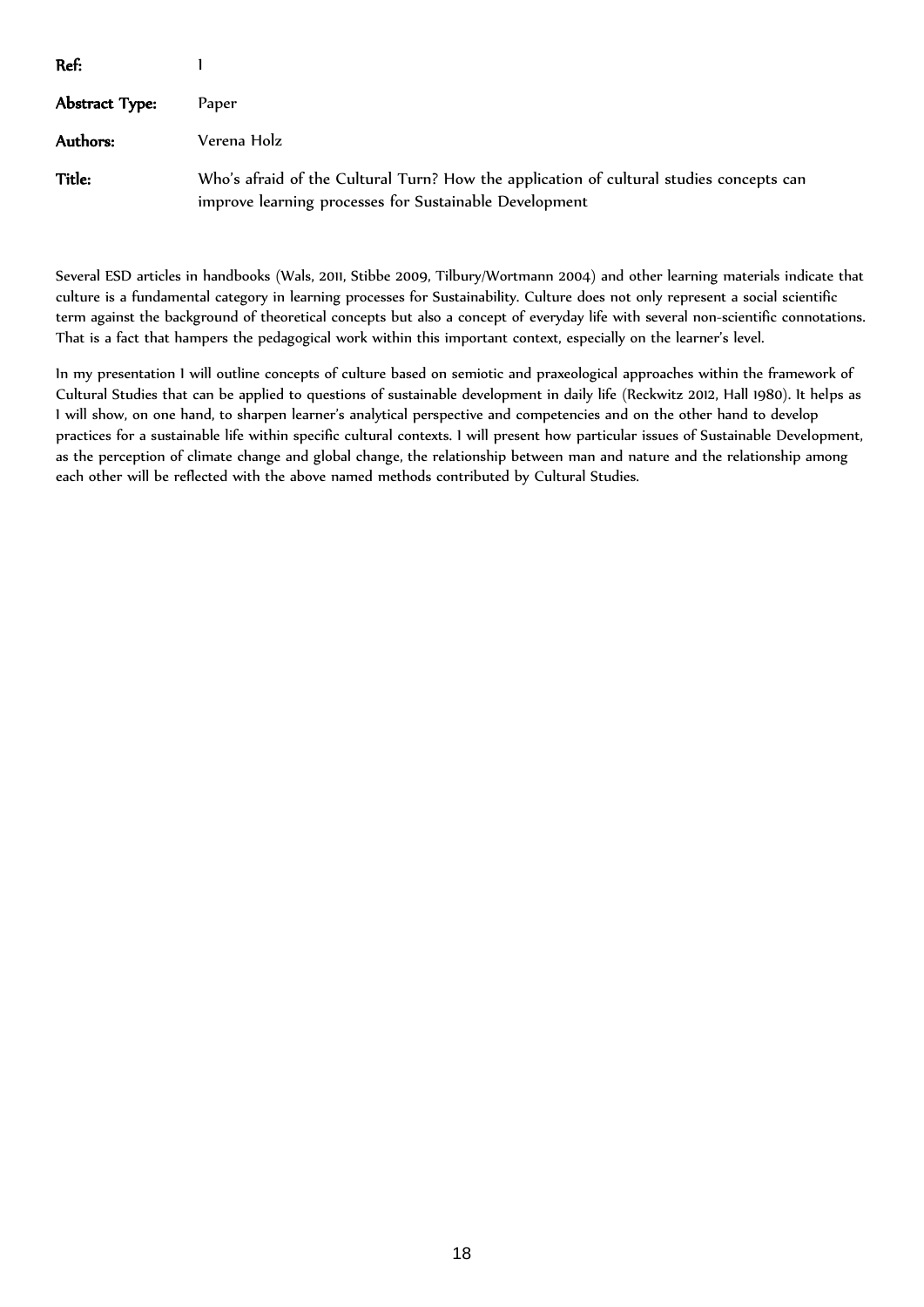| Ref:           |                                                                                                                                                   |
|----------------|---------------------------------------------------------------------------------------------------------------------------------------------------|
| Abstract Type: | Paper                                                                                                                                             |
| Authors:       | Verena Holz                                                                                                                                       |
| Title:         | Who's afraid of the Cultural Turn? How the application of cultural studies concepts can<br>improve learning processes for Sustainable Development |

Several ESD articles in handbooks (Wals, 2011, Stibbe 2009, Tilbury/Wortmann 2004) and other learning materials indicate that culture is a fundamental category in learning processes for Sustainability. Culture does not only represent a social scientific term against the background of theoretical concepts but also a concept of everyday life with several non-scientific connotations. That is a fact that hampers the pedagogical work within this important context, especially on the learner's level.

In my presentation I will outline concepts of culture based on semiotic and praxeological approaches within the framework of Cultural Studies that can be applied to questions of sustainable development in daily life (Reckwitz 2012, Hall 1980). It helps as I will show, on one hand, to sharpen learner's analytical perspective and competencies and on the other hand to develop practices for a sustainable life within specific cultural contexts. I will present how particular issues of Sustainable Development, as the perception of climate change and global change, the relationship between man and nature and the relationship among each other will be reflected with the above named methods contributed by Cultural Studies.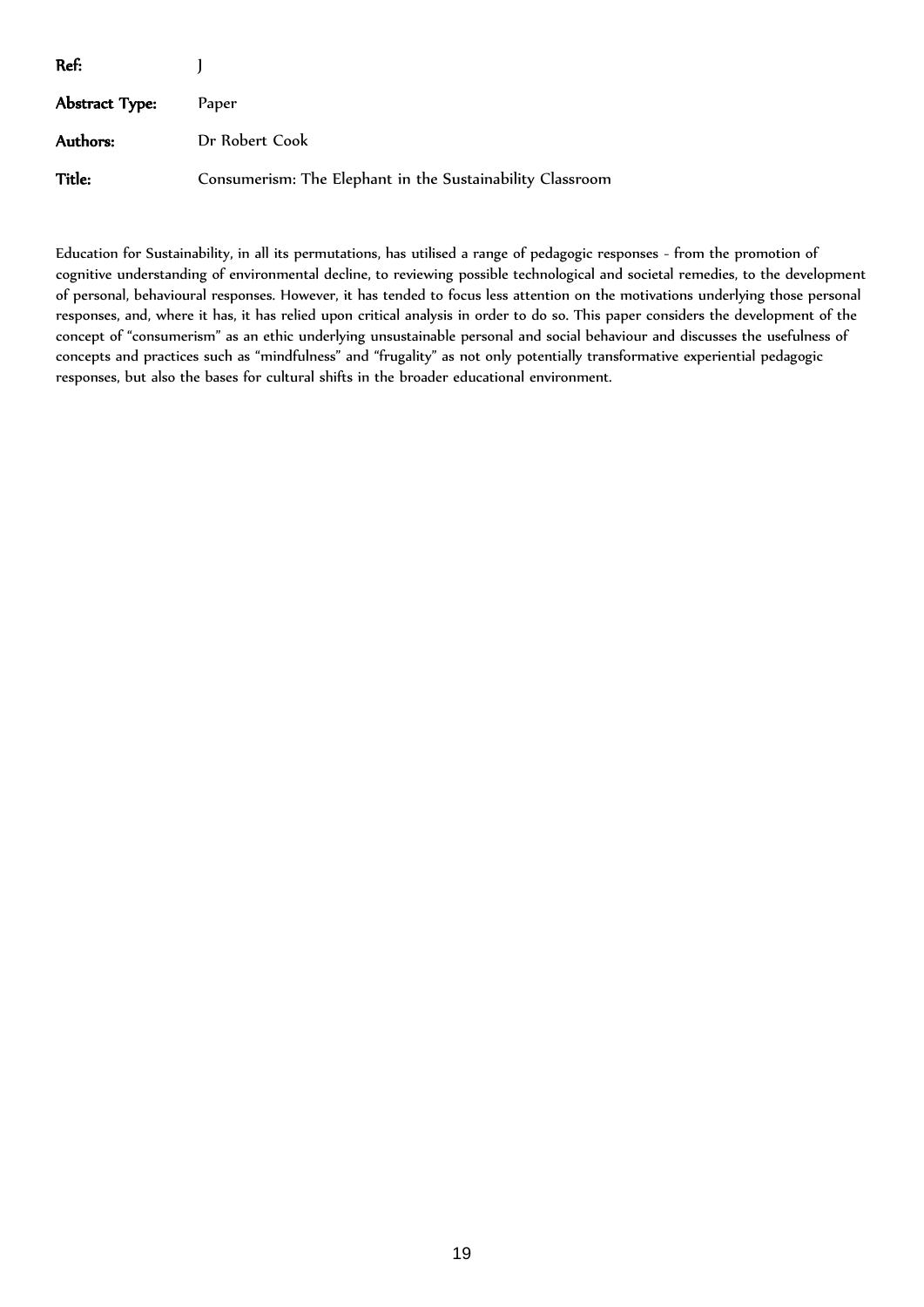| Ref:           |                                                           |
|----------------|-----------------------------------------------------------|
| Abstract Type: | Paper                                                     |
| Authors:       | Dr Robert Cook                                            |
| <b>Title:</b>  | Consumerism: The Elephant in the Sustainability Classroom |

Education for Sustainability, in all its permutations, has utilised a range of pedagogic responses - from the promotion of cognitive understanding of environmental decline, to reviewing possible technological and societal remedies, to the development of personal, behavioural responses. However, it has tended to focus less attention on the motivations underlying those personal responses, and, where it has, it has relied upon critical analysis in order to do so. This paper considers the development of the concept of "consumerism" as an ethic underlying unsustainable personal and social behaviour and discusses the usefulness of concepts and practices such as "mindfulness" and "frugality" as not only potentially transformative experiential pedagogic responses, but also the bases for cultural shifts in the broader educational environment.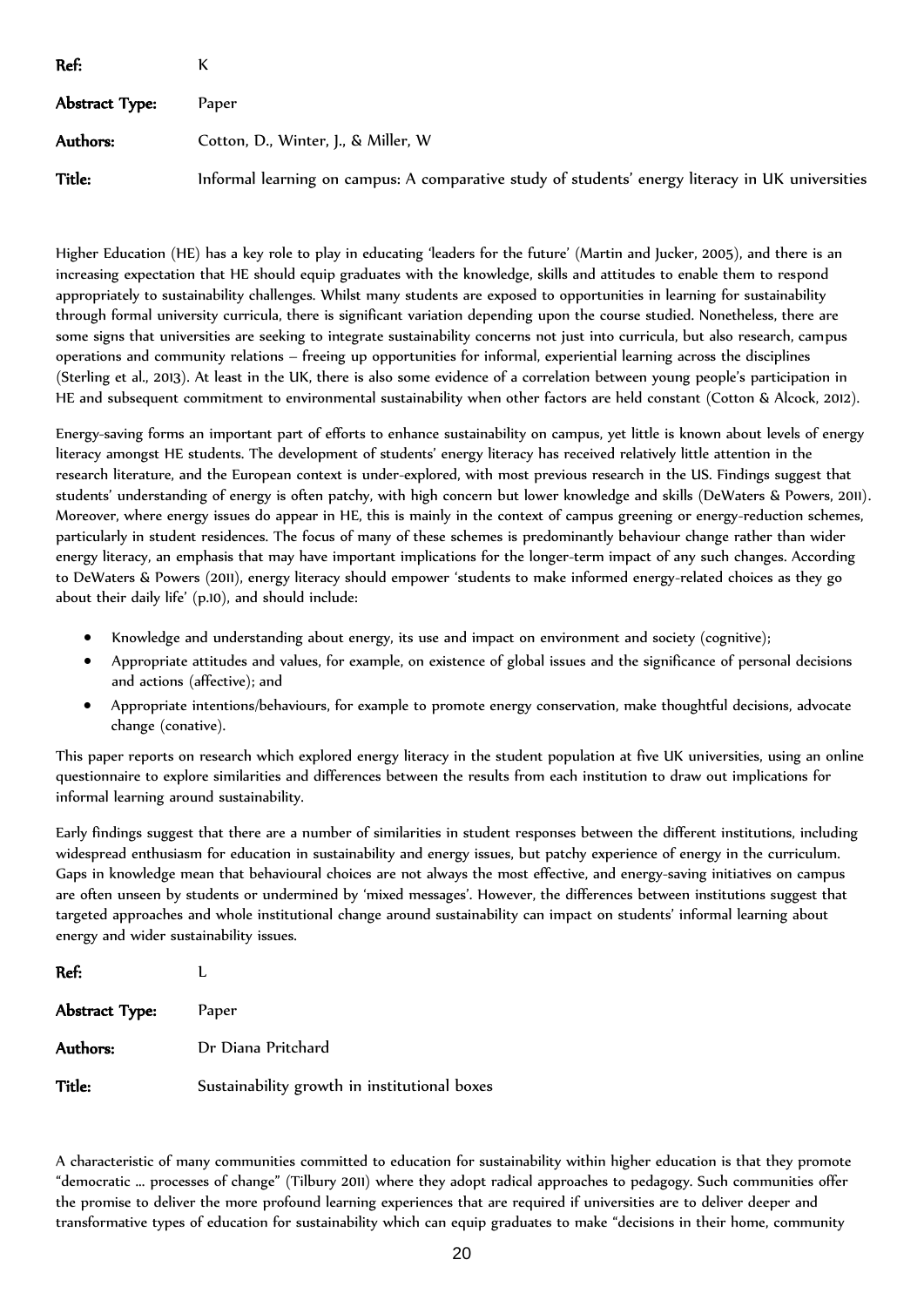| Ref:           |                                                                                                  |
|----------------|--------------------------------------------------------------------------------------------------|
| Abstract Type: | Paper                                                                                            |
| Authors:       | Cotton, D., Winter, J., & Miller, W.                                                             |
| <b>Title:</b>  | Informal learning on campus: A comparative study of students' energy literacy in UK universities |

Higher Education (HE) has a key role to play in educating 'leaders for the future' (Martin and Jucker, 2005), and there is an increasing expectation that HE should equip graduates with the knowledge, skills and attitudes to enable them to respond appropriately to sustainability challenges. Whilst many students are exposed to opportunities in learning for sustainability through formal university curricula, there is significant variation depending upon the course studied. Nonetheless, there are some signs that universities are seeking to integrate sustainability concerns not just into curricula, but also research, campus operations and community relations – freeing up opportunities for informal, experiential learning across the disciplines (Sterling et al., 2013). At least in the UK, there is also some evidence of a correlation between young people's participation in HE and subsequent commitment to environmental sustainability when other factors are held constant (Cotton & Alcock, 2012).

Energy-saving forms an important part of efforts to enhance sustainability on campus, yet little is known about levels of energy literacy amongst HE students. The development of students' energy literacy has received relatively little attention in the research literature, and the European context is under-explored, with most previous research in the US. Findings suggest that students' understanding of energy is often patchy, with high concern but lower knowledge and skills (DeWaters & Powers, 2011). Moreover, where energy issues do appear in HE, this is mainly in the context of campus greening or energy-reduction schemes, particularly in student residences. The focus of many of these schemes is predominantly behaviour change rather than wider energy literacy, an emphasis that may have important implications for the longer-term impact of any such changes. According to DeWaters & Powers (2011), energy literacy should empower 'students to make informed energy-related choices as they go about their daily life' (p.10), and should include:

- Knowledge and understanding about energy, its use and impact on environment and society (cognitive);
- Appropriate attitudes and values, for example, on existence of global issues and the significance of personal decisions and actions (affective); and
- Appropriate intentions/behaviours, for example to promote energy conservation, make thoughtful decisions, advocate change (conative).

This paper reports on research which explored energy literacy in the student population at five UK universities, using an online questionnaire to explore similarities and differences between the results from each institution to draw out implications for informal learning around sustainability.

Early findings suggest that there are a number of similarities in student responses between the different institutions, including widespread enthusiasm for education in sustainability and energy issues, but patchy experience of energy in the curriculum. Gaps in knowledge mean that behavioural choices are not always the most effective, and energy-saving initiatives on campus are often unseen by students or undermined by 'mixed messages'. However, the differences between institutions suggest that targeted approaches and whole institutional change around sustainability can impact on students' informal learning about energy and wider sustainability issues.

| Ref:           |                                              |
|----------------|----------------------------------------------|
| Abstract Type: | Paper                                        |
| Authors:       | Dr Diana Pritchard                           |
| Title:         | Sustainability growth in institutional boxes |

A characteristic of many communities committed to education for sustainability within higher education is that they promote "democratic ... processes of change" (Tilbury 2011) where they adopt radical approaches to pedagogy. Such communities offer the promise to deliver the more profound learning experiences that are required if universities are to deliver deeper and transformative types of education for sustainability which can equip graduates to make "decisions in their home, community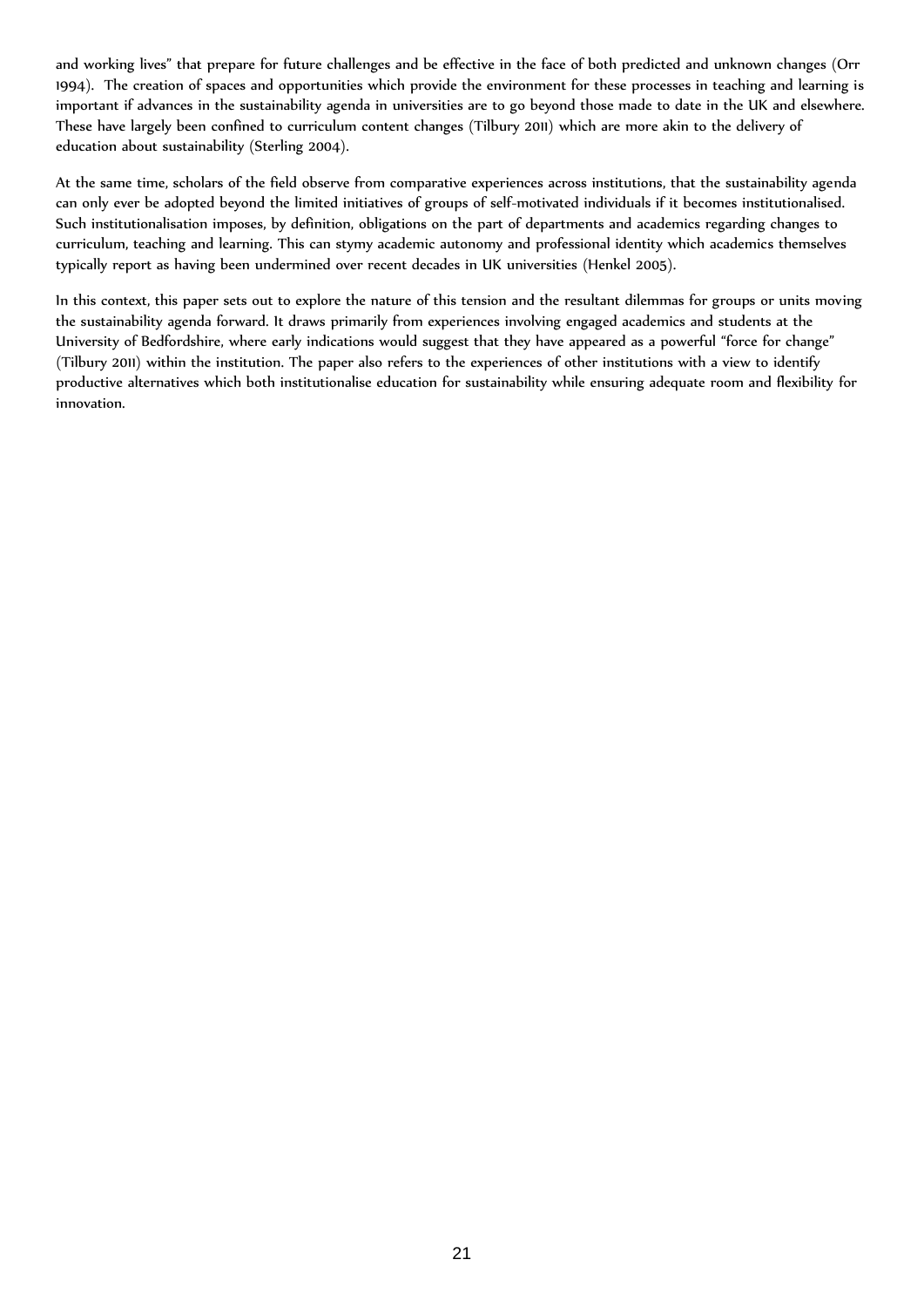and working lives" that prepare for future challenges and be effective in the face of both predicted and unknown changes (Orr 1994). The creation of spaces and opportunities which provide the environment for these processes in teaching and learning is important if advances in the sustainability agenda in universities are to go beyond those made to date in the UK and elsewhere. These have largely been confined to curriculum content changes (Tilbury 2011) which are more akin to the delivery of education about sustainability (Sterling 2004).

At the same time, scholars of the field observe from comparative experiences across institutions, that the sustainability agenda can only ever be adopted beyond the limited initiatives of groups of self-motivated individuals if it becomes institutionalised. Such institutionalisation imposes, by definition, obligations on the part of departments and academics regarding changes to curriculum, teaching and learning. This can stymy academic autonomy and professional identity which academics themselves typically report as having been undermined over recent decades in UK universities (Henkel 2005).

In this context, this paper sets out to explore the nature of this tension and the resultant dilemmas for groups or units moving the sustainability agenda forward. It draws primarily from experiences involving engaged academics and students at the University of Bedfordshire, where early indications would suggest that they have appeared as a powerful "force for change" (Tilbury 2011) within the institution. The paper also refers to the experiences of other institutions with a view to identify productive alternatives which both institutionalise education for sustainability while ensuring adequate room and flexibility for innovation.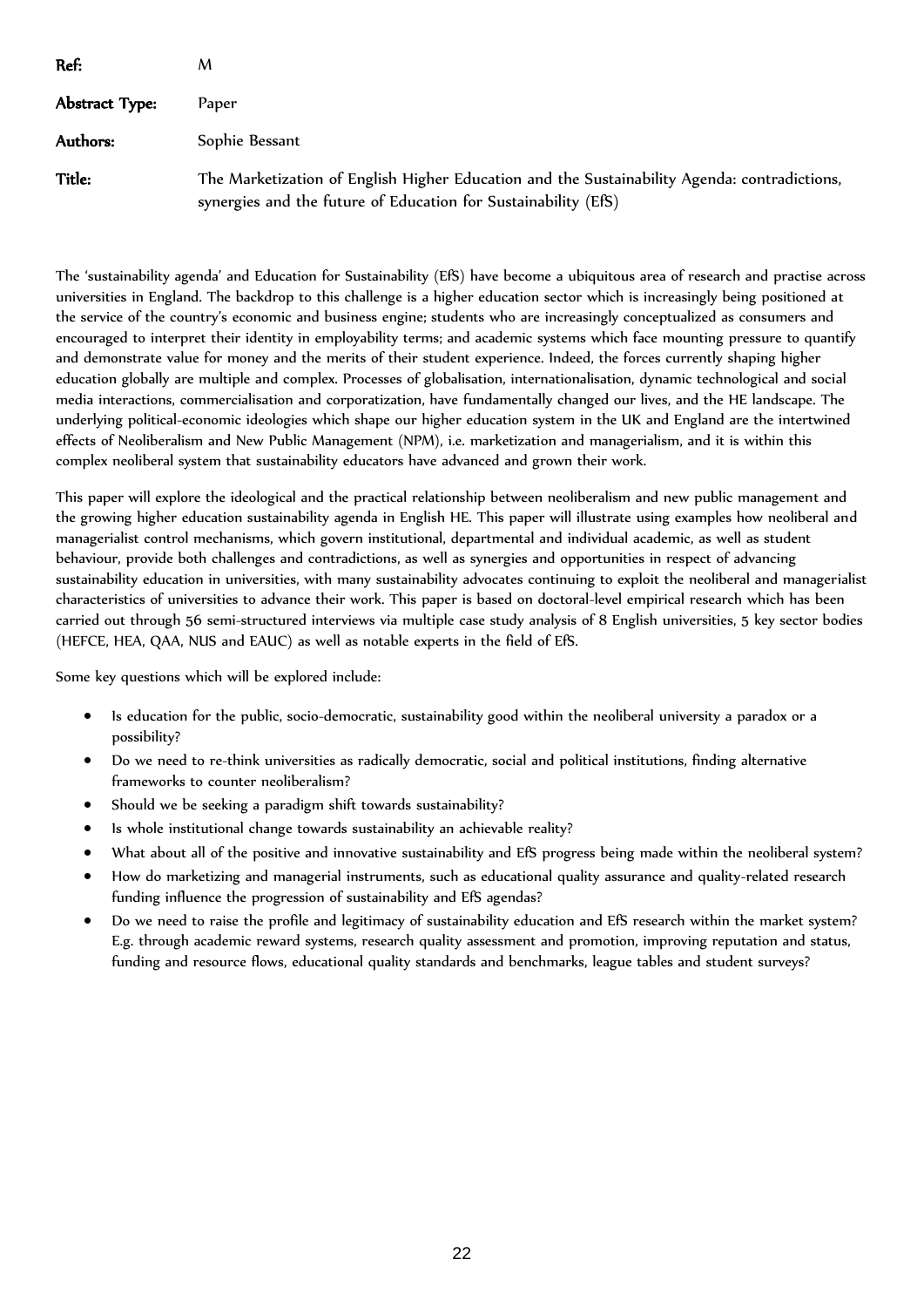| Ref:           | м                                                                                                                                                              |
|----------------|----------------------------------------------------------------------------------------------------------------------------------------------------------------|
| Abstract Type: | Paper                                                                                                                                                          |
| Authors:       | Sophie Bessant                                                                                                                                                 |
| Title:         | The Marketization of English Higher Education and the Sustainability Agenda: contradictions,<br>synergies and the future of Education for Sustainability (EfS) |

The 'sustainability agenda' and Education for Sustainability (EfS) have become a ubiquitous area of research and practise across universities in England. The backdrop to this challenge is a higher education sector which is increasingly being positioned at the service of the country's economic and business engine; students who are increasingly conceptualized as consumers and encouraged to interpret their identity in employability terms; and academic systems which face mounting pressure to quantify and demonstrate value for money and the merits of their student experience. Indeed, the forces currently shaping higher education globally are multiple and complex. Processes of globalisation, internationalisation, dynamic technological and social media interactions, commercialisation and corporatization, have fundamentally changed our lives, and the HE landscape. The underlying political-economic ideologies which shape our higher education system in the UK and England are the intertwined effects of Neoliberalism and New Public Management (NPM), i.e. marketization and managerialism, and it is within this complex neoliberal system that sustainability educators have advanced and grown their work.

This paper will explore the ideological and the practical relationship between neoliberalism and new public management and the growing higher education sustainability agenda in English HE. This paper will illustrate using examples how neoliberal and managerialist control mechanisms, which govern institutional, departmental and individual academic, as well as student behaviour, provide both challenges and contradictions, as well as synergies and opportunities in respect of advancing sustainability education in universities, with many sustainability advocates continuing to exploit the neoliberal and managerialist characteristics of universities to advance their work. This paper is based on doctoral-level empirical research which has been carried out through 56 semi-structured interviews via multiple case study analysis of 8 English universities, 5 key sector bodies (HEFCE, HEA, QAA, NUS and EAUC) as well as notable experts in the field of EfS.

Some key questions which will be explored include:

- Is education for the public, socio-democratic, sustainability good within the neoliberal university a paradox or a possibility?
- Do we need to re-think universities as radically democratic, social and political institutions, finding alternative frameworks to counter neoliberalism?
- Should we be seeking a paradigm shift towards sustainability?
- Is whole institutional change towards sustainability an achievable reality?
- What about all of the positive and innovative sustainability and EfS progress being made within the neoliberal system?
- How do marketizing and managerial instruments, such as educational quality assurance and quality-related research funding influence the progression of sustainability and EfS agendas?
- Do we need to raise the profile and legitimacy of sustainability education and EfS research within the market system? E.g. through academic reward systems, research quality assessment and promotion, improving reputation and status, funding and resource flows, educational quality standards and benchmarks, league tables and student surveys?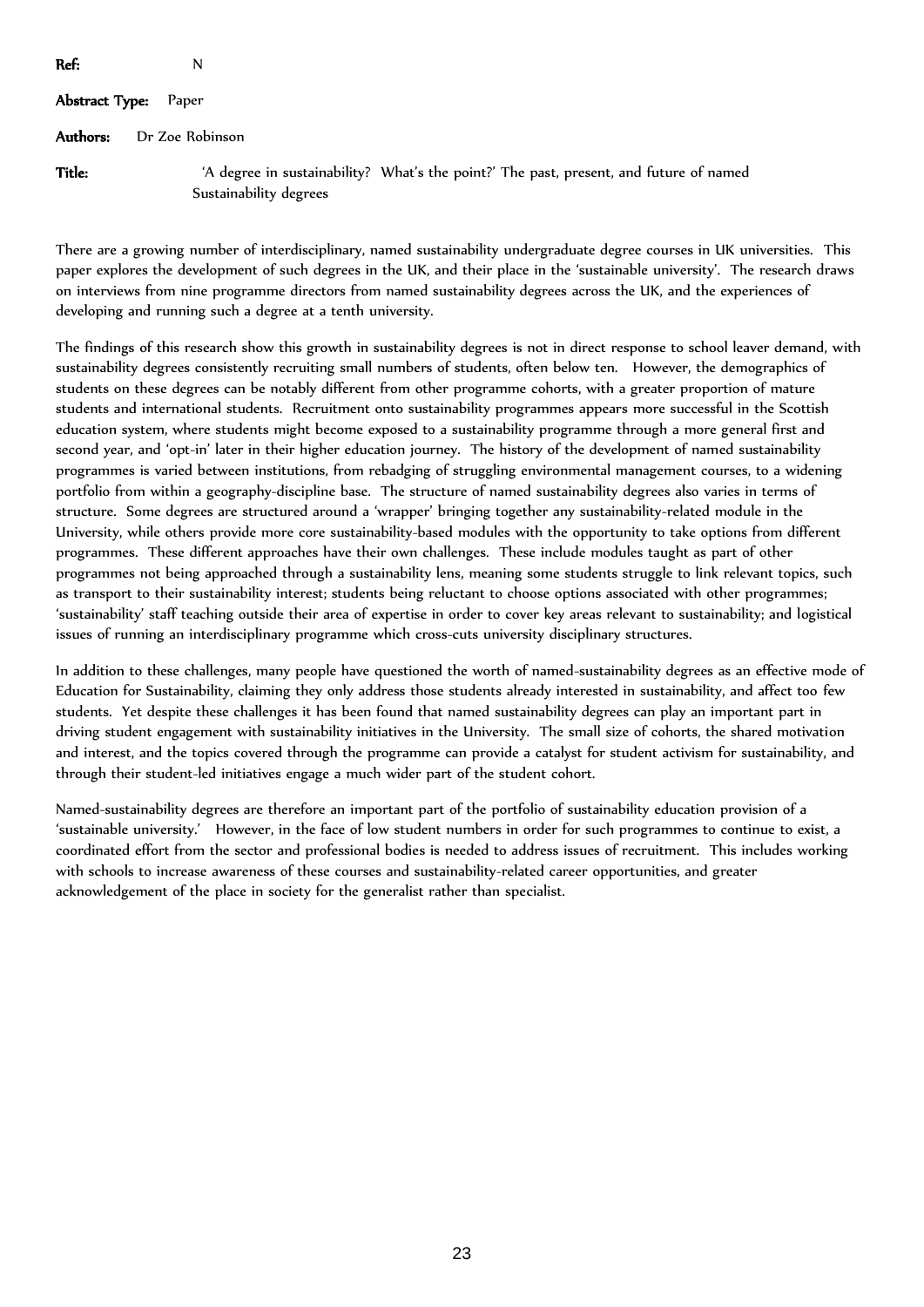| Ref:           | N                                                                                                                |
|----------------|------------------------------------------------------------------------------------------------------------------|
| Abstract Type: | Paper                                                                                                            |
| Authors:       | Dr Zoe Robinson                                                                                                  |
| Title:         | 'A degree in sustainability? What's the point?' The past, present, and future of named<br>Sustainability degrees |

There are a growing number of interdisciplinary, named sustainability undergraduate degree courses in UK universities. This paper explores the development of such degrees in the UK, and their place in the 'sustainable university'. The research draws on interviews from nine programme directors from named sustainability degrees across the UK, and the experiences of developing and running such a degree at a tenth university.

The findings of this research show this growth in sustainability degrees is not in direct response to school leaver demand, with sustainability degrees consistently recruiting small numbers of students, often below ten. However, the demographics of students on these degrees can be notably different from other programme cohorts, with a greater proportion of mature students and international students. Recruitment onto sustainability programmes appears more successful in the Scottish education system, where students might become exposed to a sustainability programme through a more general first and second year, and 'opt-in' later in their higher education journey. The history of the development of named sustainability programmes is varied between institutions, from rebadging of struggling environmental management courses, to a widening portfolio from within a geography-discipline base. The structure of named sustainability degrees also varies in terms of structure. Some degrees are structured around a 'wrapper' bringing together any sustainability-related module in the University, while others provide more core sustainability-based modules with the opportunity to take options from different programmes. These different approaches have their own challenges. These include modules taught as part of other programmes not being approached through a sustainability lens, meaning some students struggle to link relevant topics, such as transport to their sustainability interest; students being reluctant to choose options associated with other programmes; 'sustainability' staff teaching outside their area of expertise in order to cover key areas relevant to sustainability; and logistical issues of running an interdisciplinary programme which cross-cuts university disciplinary structures.

In addition to these challenges, many people have questioned the worth of named-sustainability degrees as an effective mode of Education for Sustainability, claiming they only address those students already interested in sustainability, and affect too few students. Yet despite these challenges it has been found that named sustainability degrees can play an important part in driving student engagement with sustainability initiatives in the University. The small size of cohorts, the shared motivation and interest, and the topics covered through the programme can provide a catalyst for student activism for sustainability, and through their student-led initiatives engage a much wider part of the student cohort.

Named-sustainability degrees are therefore an important part of the portfolio of sustainability education provision of a 'sustainable university.' However, in the face of low student numbers in order for such programmes to continue to exist, a coordinated effort from the sector and professional bodies is needed to address issues of recruitment. This includes working with schools to increase awareness of these courses and sustainability-related career opportunities, and greater acknowledgement of the place in society for the generalist rather than specialist.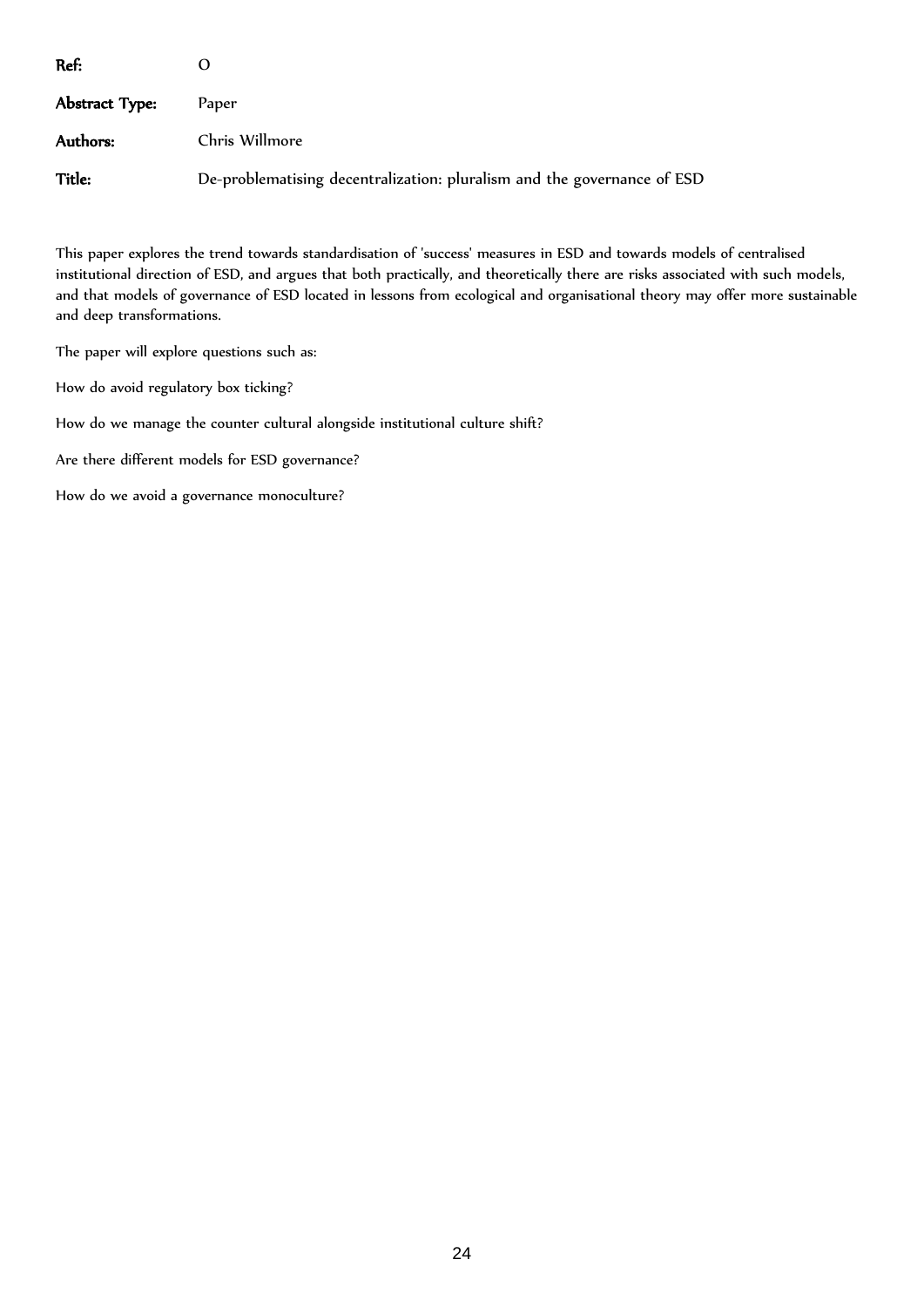| Ref:           |                                                                         |
|----------------|-------------------------------------------------------------------------|
| Abstract Type: | Paper                                                                   |
| Authors:       | Chris Willmore                                                          |
| Title:         | De-problematising decentralization: pluralism and the governance of ESD |

This paper explores the trend towards standardisation of 'success' measures in ESD and towards models of centralised institutional direction of ESD, and argues that both practically, and theoretically there are risks associated with such models, and that models of governance of ESD located in lessons from ecological and organisational theory may offer more sustainable and deep transformations.

The paper will explore questions such as:

How do avoid regulatory box ticking?

How do we manage the counter cultural alongside institutional culture shift?

Are there different models for ESD governance?

How do we avoid a governance monoculture?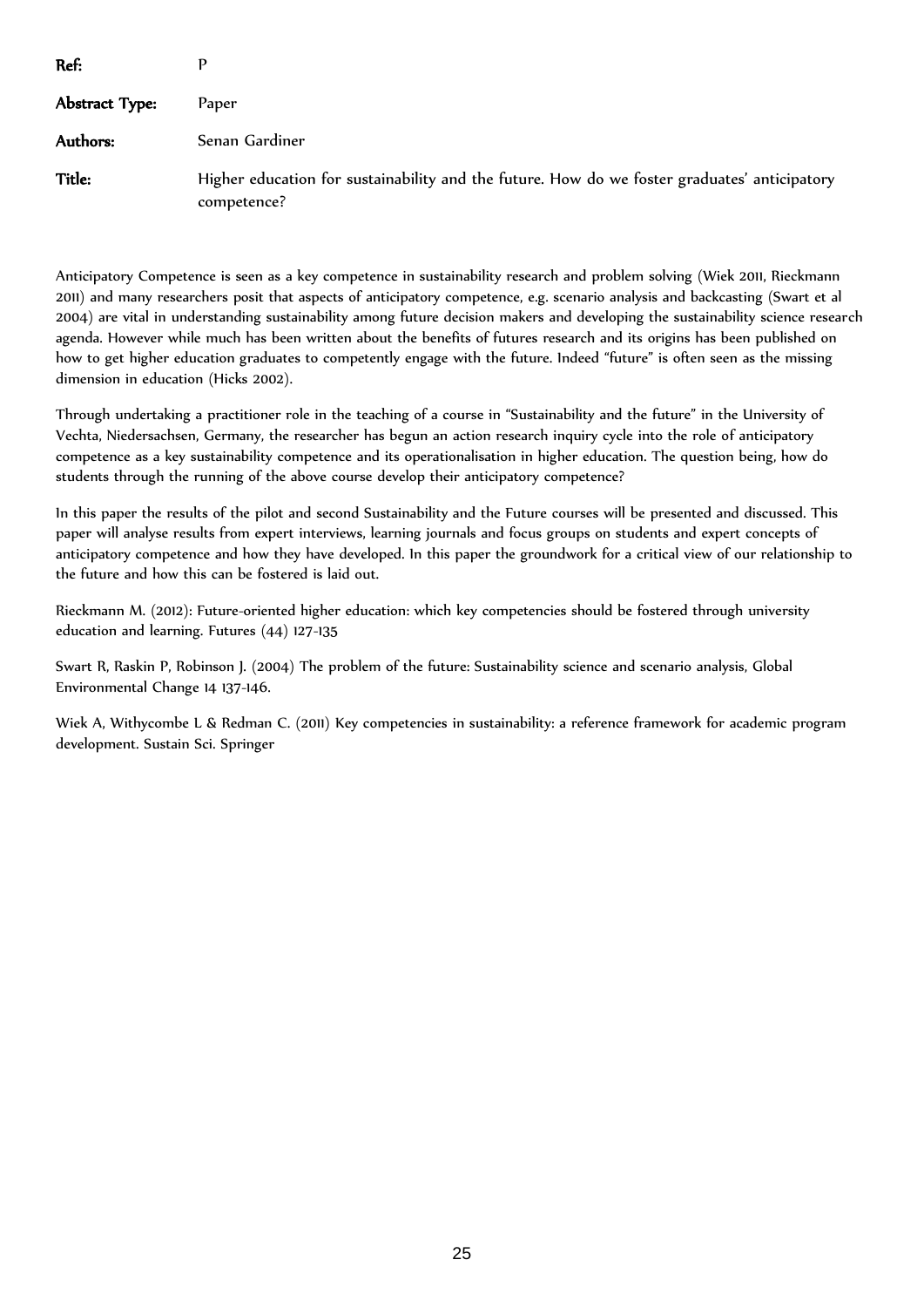| Ref:           |                                                                                                             |
|----------------|-------------------------------------------------------------------------------------------------------------|
| Abstract Type: | Paper                                                                                                       |
| Authors:       | Senan Gardiner                                                                                              |
| Title:         | Higher education for sustainability and the future. How do we foster graduates' anticipatory<br>competence? |

Anticipatory Competence is seen as a key competence in sustainability research and problem solving (Wiek 2011, Rieckmann 2011) and many researchers posit that aspects of anticipatory competence, e.g. scenario analysis and backcasting (Swart et al 2004) are vital in understanding sustainability among future decision makers and developing the sustainability science research agenda. However while much has been written about the benefits of futures research and its origins has been published on how to get higher education graduates to competently engage with the future. Indeed "future" is often seen as the missing dimension in education (Hicks 2002).

Through undertaking a practitioner role in the teaching of a course in "Sustainability and the future" in the University of Vechta, Niedersachsen, Germany, the researcher has begun an action research inquiry cycle into the role of anticipatory competence as a key sustainability competence and its operationalisation in higher education. The question being, how do students through the running of the above course develop their anticipatory competence?

In this paper the results of the pilot and second Sustainability and the Future courses will be presented and discussed. This paper will analyse results from expert interviews, learning journals and focus groups on students and expert concepts of anticipatory competence and how they have developed. In this paper the groundwork for a critical view of our relationship to the future and how this can be fostered is laid out.

Rieckmann M. (2012): Future-oriented higher education: which key competencies should be fostered through university education and learning. Futures (44) 127-135

Swart R, Raskin P, Robinson J. (2004) The problem of the future: Sustainability science and scenario analysis, Global Environmental Change 14 137-146.

Wiek A, Withycombe L & Redman C. (2011) Key competencies in sustainability: a reference framework for academic program development. Sustain Sci. Springer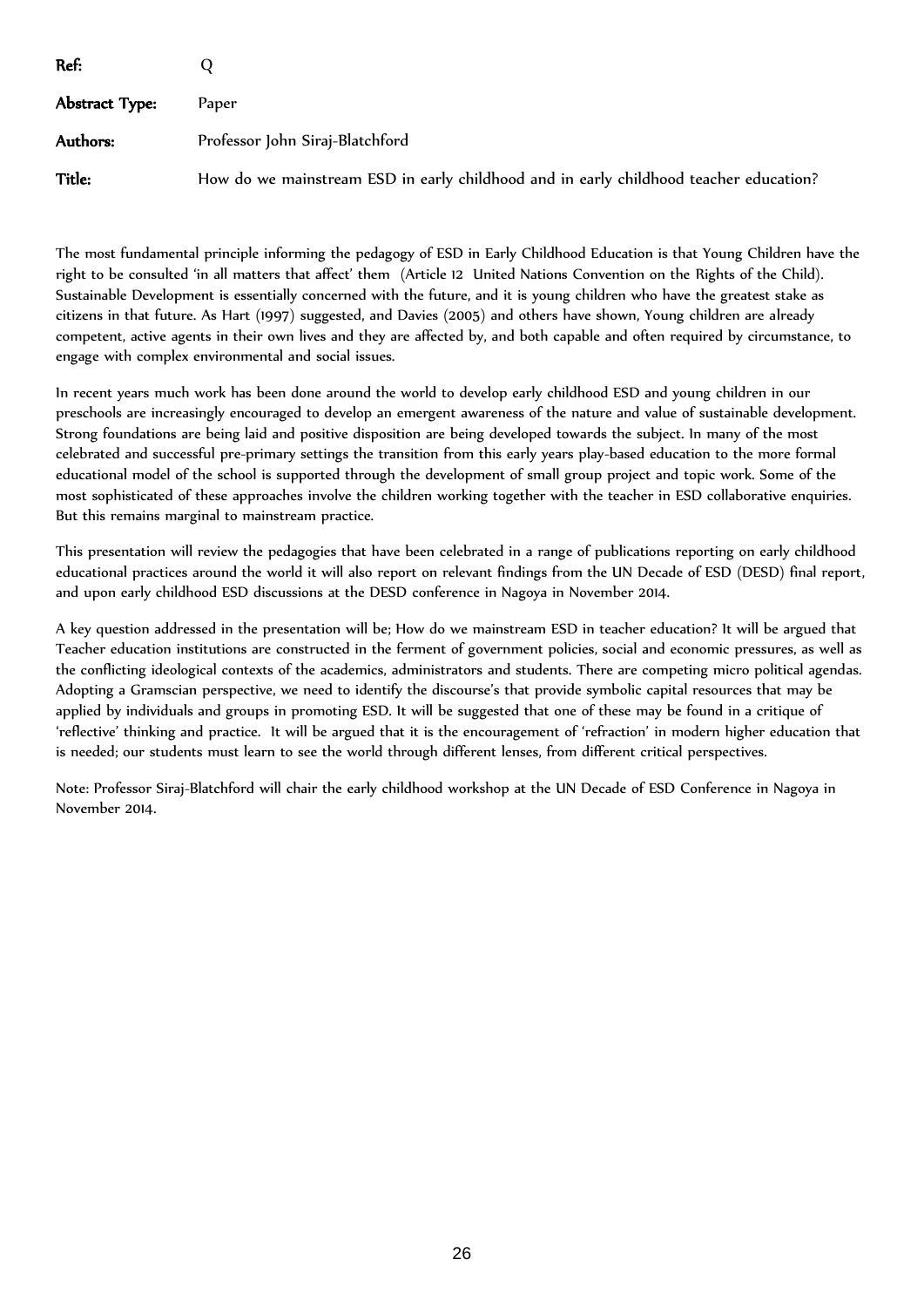| Ref:           |                                                                                       |
|----------------|---------------------------------------------------------------------------------------|
| Abstract Type: | Paper                                                                                 |
| Authors:       | Professor John Siraj-Blatchford                                                       |
| <b>Title:</b>  | How do we mainstream ESD in early childhood and in early childhood teacher education? |

The most fundamental principle informing the pedagogy of ESD in Early Childhood Education is that Young Children have the right to be consulted 'in all matters that affect' them (Article 12 United Nations Convention on the Rights of the Child). Sustainable Development is essentially concerned with the future, and it is young children who have the greatest stake as citizens in that future. As Hart (1997) suggested, and Davies (2005) and others have shown, Young children are already competent, active agents in their own lives and they are affected by, and both capable and often required by circumstance, to engage with complex environmental and social issues.

In recent years much work has been done around the world to develop early childhood ESD and young children in our preschools are increasingly encouraged to develop an emergent awareness of the nature and value of sustainable development. Strong foundations are being laid and positive disposition are being developed towards the subject. In many of the most celebrated and successful pre-primary settings the transition from this early years play-based education to the more formal educational model of the school is supported through the development of small group project and topic work. Some of the most sophisticated of these approaches involve the children working together with the teacher in ESD collaborative enquiries. But this remains marginal to mainstream practice.

This presentation will review the pedagogies that have been celebrated in a range of publications reporting on early childhood educational practices around the world it will also report on relevant findings from the UN Decade of ESD (DESD) final report, and upon early childhood ESD discussions at the DESD conference in Nagoya in November 2014.

A key question addressed in the presentation will be; How do we mainstream ESD in teacher education? It will be argued that Teacher education institutions are constructed in the ferment of government policies, social and economic pressures, as well as the conflicting ideological contexts of the academics, administrators and students. There are competing micro political agendas. Adopting a Gramscian perspective, we need to identify the discourse's that provide symbolic capital resources that may be applied by individuals and groups in promoting ESD. It will be suggested that one of these may be found in a critique of 'reflective' thinking and practice. It will be argued that it is the encouragement of 'refraction' in modern higher education that is needed; our students must learn to see the world through different lenses, from different critical perspectives.

Note: Professor Siraj-Blatchford will chair the early childhood workshop at the UN Decade of ESD Conference in Nagoya in November 2014.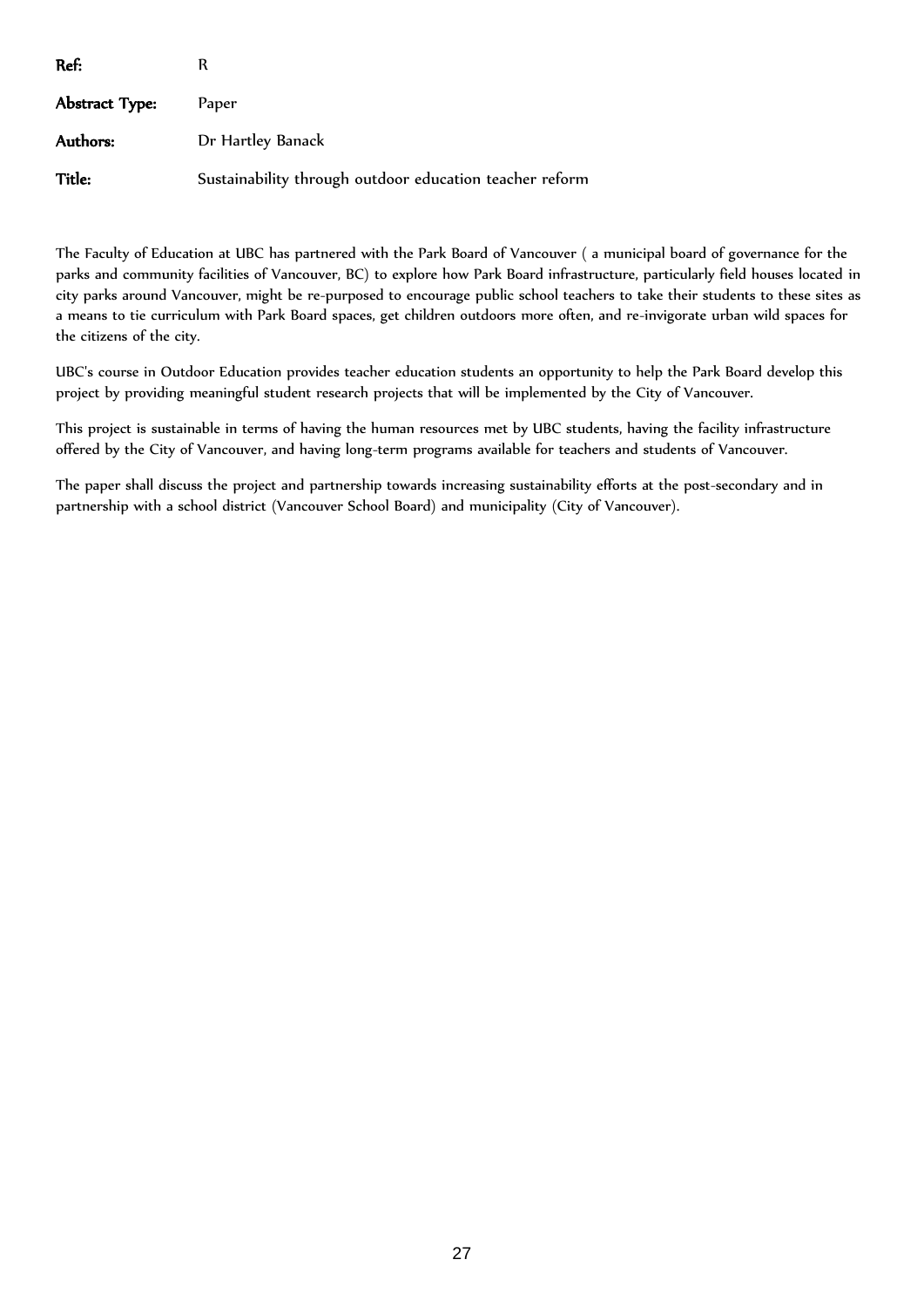| Ref:           | R                                                       |
|----------------|---------------------------------------------------------|
| Abstract Type: | Paper                                                   |
| Authors:       | Dr Hartley Banack                                       |
| Title:         | Sustainability through outdoor education teacher reform |

The Faculty of Education at UBC has partnered with the Park Board of Vancouver ( a municipal board of governance for the parks and community facilities of Vancouver, BC) to explore how Park Board infrastructure, particularly field houses located in city parks around Vancouver, might be re-purposed to encourage public school teachers to take their students to these sites as a means to tie curriculum with Park Board spaces, get children outdoors more often, and re-invigorate urban wild spaces for the citizens of the city.

UBC's course in Outdoor Education provides teacher education students an opportunity to help the Park Board develop this project by providing meaningful student research projects that will be implemented by the City of Vancouver.

This project is sustainable in terms of having the human resources met by UBC students, having the facility infrastructure offered by the City of Vancouver, and having long-term programs available for teachers and students of Vancouver.

The paper shall discuss the project and partnership towards increasing sustainability efforts at the post-secondary and in partnership with a school district (Vancouver School Board) and municipality (City of Vancouver).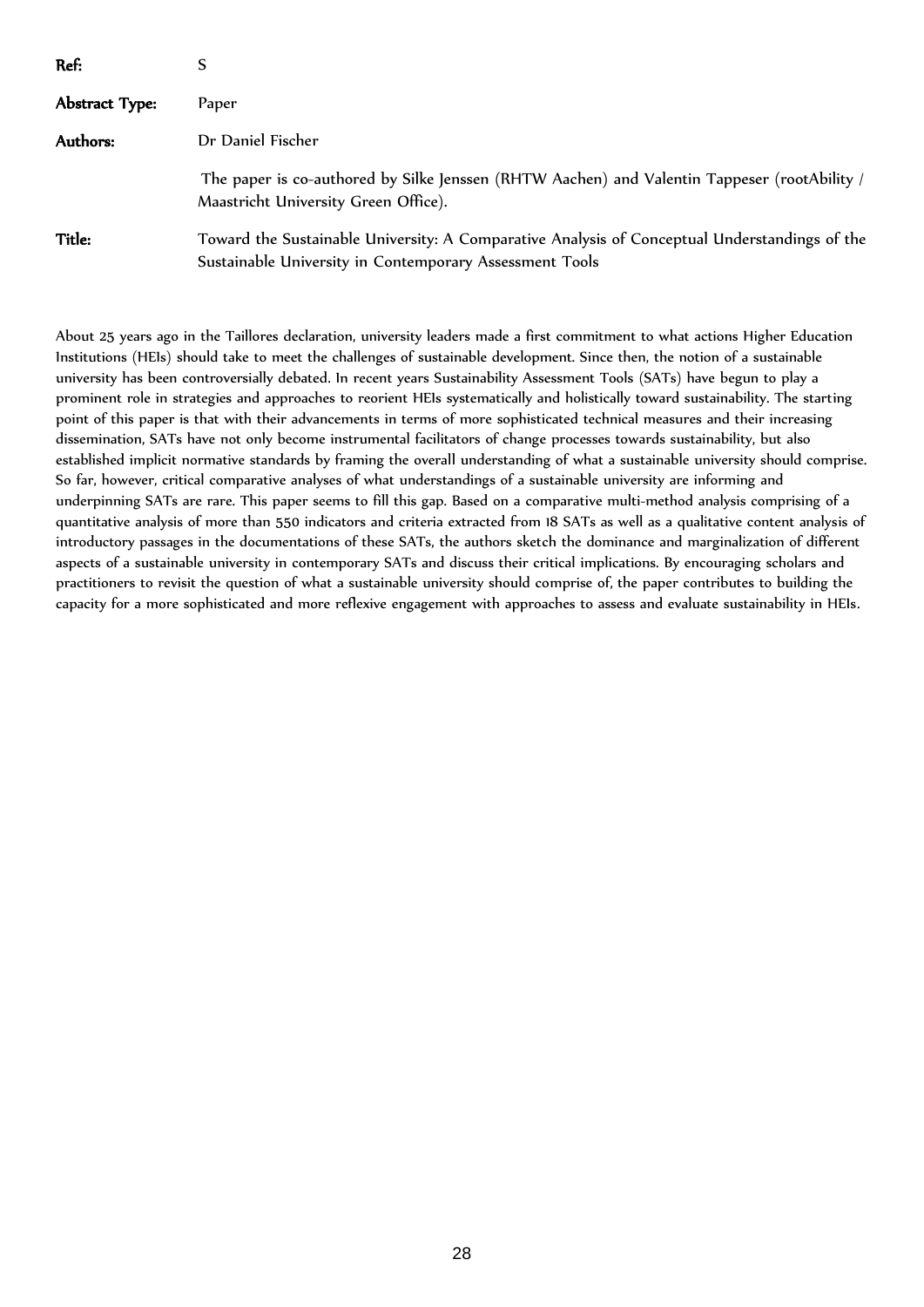| Ref:           |                                                                                                                                                          |
|----------------|----------------------------------------------------------------------------------------------------------------------------------------------------------|
| Abstract Type: | Paper                                                                                                                                                    |
| Authors:       | Dr Daniel Fischer                                                                                                                                        |
|                | The paper is co-authored by Silke Jenssen (RHTW Aachen) and Valentin Tappeser (rootAbility /<br>Maastricht University Green Office).                     |
| Title:         | Toward the Sustainable University: A Comparative Analysis of Conceptual Understandings of the<br>Sustainable University in Contemporary Assessment Tools |

About 25 years ago in the Taillores declaration, university leaders made a first commitment to what actions Higher Education Institutions (HEIs) should take to meet the challenges of sustainable development. Since then, the notion of a sustainable university has been controversially debated. In recent years Sustainability Assessment Tools (SATs) have begun to play a prominent role in strategies and approaches to reorient HEIs systematically and holistically toward sustainability. The starting point of this paper is that with their advancements in terms of more sophisticated technical measures and their increasing dissemination, SATs have not only become instrumental facilitators of change processes towards sustainability, but also established implicit normative standards by framing the overall understanding of what a sustainable university should comprise. So far, however, critical comparative analyses of what understandings of a sustainable university are informing and underpinning SATs are rare. This paper seems to fill this gap. Based on a comparative multi-method analysis comprising of a quantitative analysis of more than 550 indicators and criteria extracted from 18 SATs as well as a qualitative content analysis of introductory passages in the documentations of these SATs, the authors sketch the dominance and marginalization of different aspects of a sustainable university in contemporary SATs and discuss their critical implications. By encouraging scholars and practitioners to revisit the question of what a sustainable university should comprise of, the paper contributes to building the capacity for a more sophisticated and more reflexive engagement with approaches to assess and evaluate sustainability in HEIs.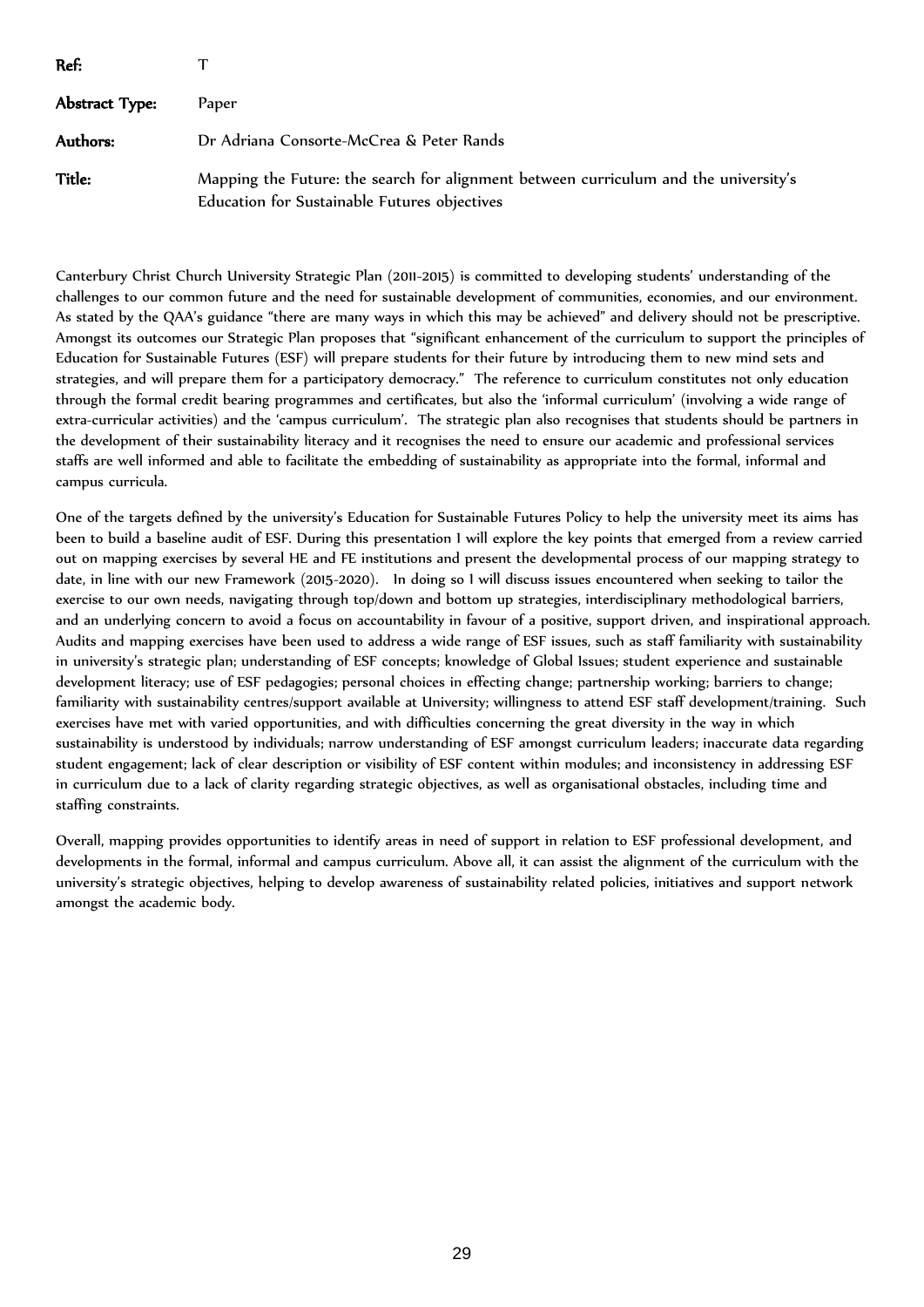| Ref:           |                                                                                                                                      |
|----------------|--------------------------------------------------------------------------------------------------------------------------------------|
| Abstract Type: | Paper                                                                                                                                |
| Authors:       | Dr Adriana Consorte-McCrea & Peter Rands                                                                                             |
| Title:         | Mapping the Future: the search for alignment between curriculum and the university's<br>Education for Sustainable Futures objectives |

Canterbury Christ Church University Strategic Plan (2011-2015) is committed to developing students' understanding of the challenges to our common future and the need for sustainable development of communities, economies, and our environment. As stated by the QAA's guidance "there are many ways in which this may be achieved" and delivery should not be prescriptive. Amongst its outcomes our Strategic Plan proposes that "significant enhancement of the curriculum to support the principles of Education for Sustainable Futures (ESF) will prepare students for their future by introducing them to new mind sets and strategies, and will prepare them for a participatory democracy." The reference to curriculum constitutes not only education through the formal credit bearing programmes and certificates, but also the 'informal curriculum' (involving a wide range of extra-curricular activities) and the 'campus curriculum'. The strategic plan also recognises that students should be partners in the development of their sustainability literacy and it recognises the need to ensure our academic and professional services staffs are well informed and able to facilitate the embedding of sustainability as appropriate into the formal, informal and campus curricula.

One of the targets defined by the university's Education for Sustainable Futures Policy to help the university meet its aims has been to build a baseline audit of ESF. During this presentation I will explore the key points that emerged from a review carried out on mapping exercises by several HE and FE institutions and present the developmental process of our mapping strategy to date, in line with our new Framework (2015-2020). In doing so I will discuss issues encountered when seeking to tailor the exercise to our own needs, navigating through top/down and bottom up strategies, interdisciplinary methodological barriers, and an underlying concern to avoid a focus on accountability in favour of a positive, support driven, and inspirational approach. Audits and mapping exercises have been used to address a wide range of ESF issues, such as staff familiarity with sustainability in university's strategic plan; understanding of ESF concepts; knowledge of Global Issues; student experience and sustainable development literacy; use of ESF pedagogies; personal choices in effecting change; partnership working; barriers to change; familiarity with sustainability centres/support available at University; willingness to attend ESF staff development/training. Such exercises have met with varied opportunities, and with difficulties concerning the great diversity in the way in which sustainability is understood by individuals; narrow understanding of ESF amongst curriculum leaders; inaccurate data regarding student engagement; lack of clear description or visibility of ESF content within modules; and inconsistency in addressing ESF in curriculum due to a lack of clarity regarding strategic objectives, as well as organisational obstacles, including time and staffing constraints.

Overall, mapping provides opportunities to identify areas in need of support in relation to ESF professional development, and developments in the formal, informal and campus curriculum. Above all, it can assist the alignment of the curriculum with the university's strategic objectives, helping to develop awareness of sustainability related policies, initiatives and support network amongst the academic body.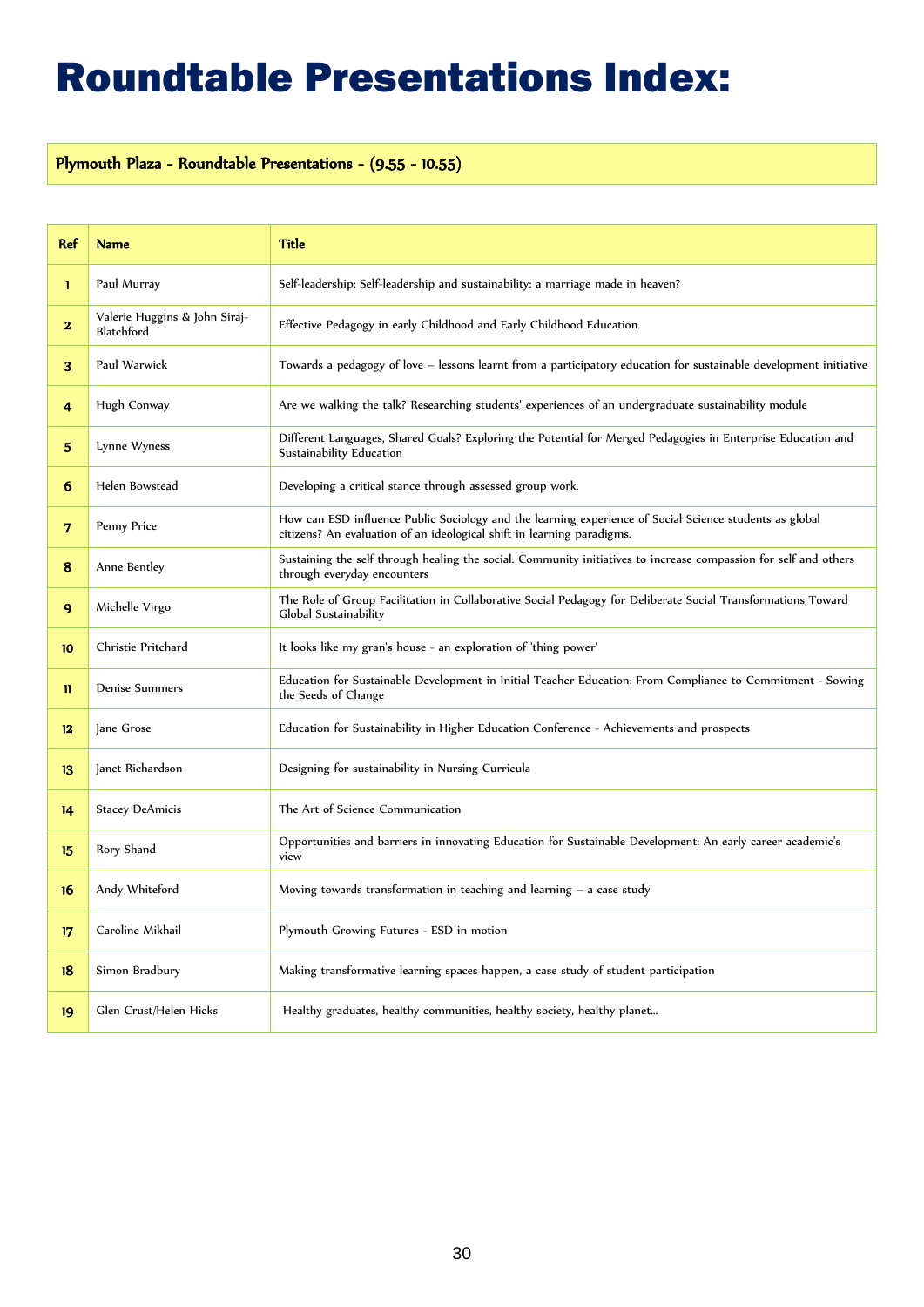### Roundtable Presentations Index:

### Plymouth Plaza - Roundtable Presentations - (9.55 - 10.55)

| <b>Ref</b>   | <b>Name</b>                                 | <b>Title</b>                                                                                                                                                                      |
|--------------|---------------------------------------------|-----------------------------------------------------------------------------------------------------------------------------------------------------------------------------------|
| 1            | Paul Murray                                 | Self-leadership: Self-leadership and sustainability: a marriage made in heaven?                                                                                                   |
| $\mathbf{2}$ | Valerie Huggins & John Siraj-<br>Blatchford | Effective Pedagogy in early Childhood and Early Childhood Education                                                                                                               |
| 3.           | Paul Warwick                                | Towards a pedagogy of love - lessons learnt from a participatory education for sustainable development initiative                                                                 |
| 4            | Hugh Conway                                 | Are we walking the talk? Researching students' experiences of an undergraduate sustainability module                                                                              |
| 5            | Lynne Wyness                                | Different Languages, Shared Goals? Exploring the Potential for Merged Pedagogies in Enterprise Education and<br>Sustainability Education                                          |
| 6            | Helen Bowstead                              | Developing a critical stance through assessed group work.                                                                                                                         |
| 7            | Penny Price                                 | How can ESD influence Public Sociology and the learning experience of Social Science students as global<br>citizens? An evaluation of an ideological shift in learning paradigms. |
| 8            | Anne Bentley                                | Sustaining the self through healing the social. Community initiatives to increase compassion for self and others<br>through everyday encounters                                   |
| 9            | Michelle Virgo                              | The Role of Group Facilitation in Collaborative Social Pedagogy for Deliberate Social Transformations Toward<br>Global Sustainability                                             |
| 10           | Christie Pritchard                          | It looks like my gran's house - an exploration of 'thing power'                                                                                                                   |
| n            | Denise Summers                              | Education for Sustainable Development in Initial Teacher Education: From Compliance to Commitment - Sowing<br>the Seeds of Change                                                 |
| 12           | Jane Grose                                  | Education for Sustainability in Higher Education Conference - Achievements and prospects                                                                                          |
| 13           | Janet Richardson                            | Designing for sustainability in Nursing Curricula                                                                                                                                 |
| 14           | <b>Stacey DeAmicis</b>                      | The Art of Science Communication                                                                                                                                                  |
| 15           | Rory Shand                                  | Opportunities and barriers in innovating Education for Sustainable Development: An early career academic's<br>view                                                                |
| 16           | Andy Whiteford                              | Moving towards transformation in teaching and learning $-$ a case study                                                                                                           |
| 17           | Caroline Mikhail                            | Plymouth Growing Futures - ESD in motion                                                                                                                                          |
| 18           | Simon Bradbury                              | Making transformative learning spaces happen, a case study of student participation                                                                                               |
| 19           | Glen Crust/Helen Hicks                      | Healthy graduates, healthy communities, healthy society, healthy planet                                                                                                           |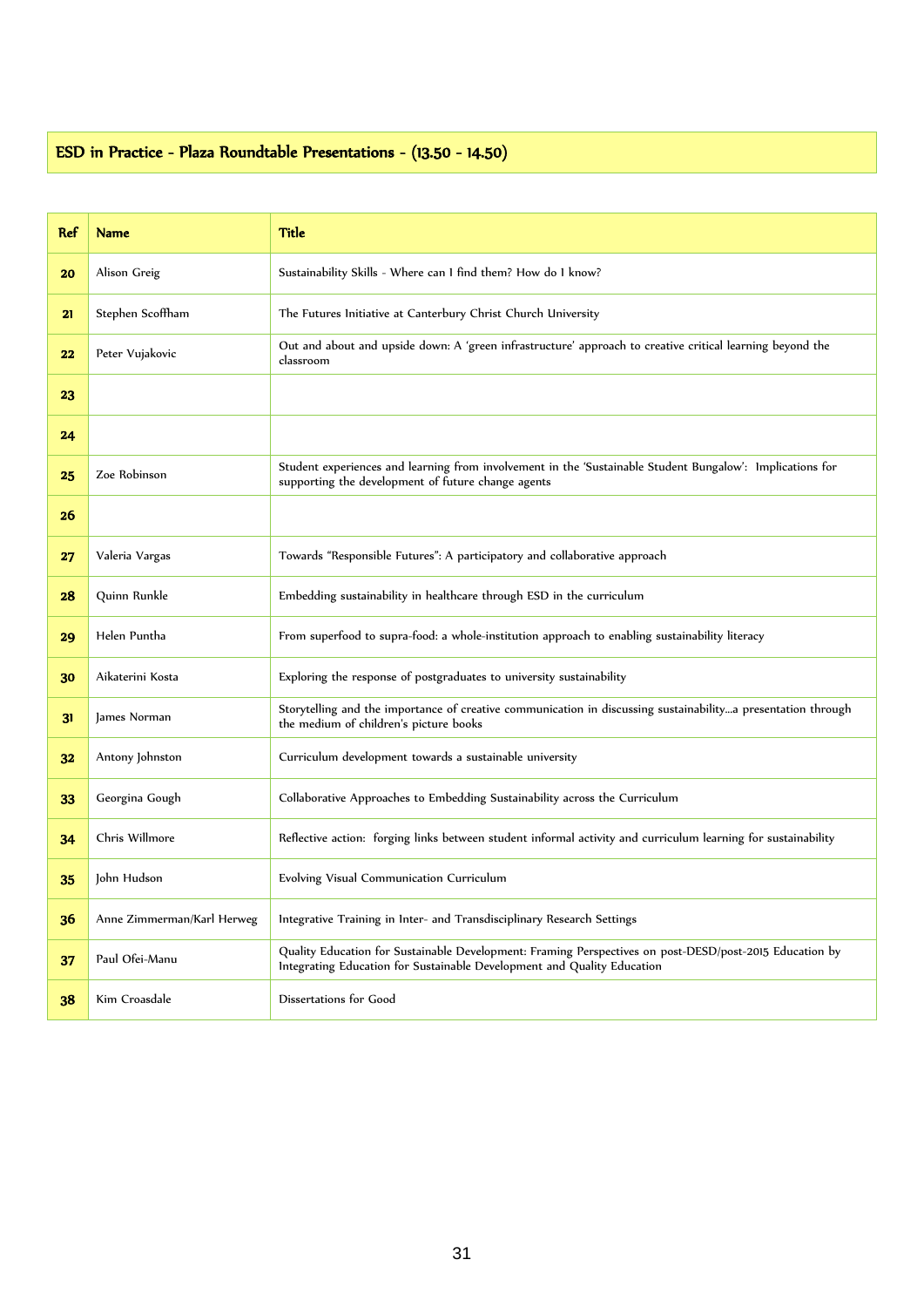### ESD in Practice - Plaza Roundtable Presentations - (13.50 - 14.50)

| <b>Ref</b> | <b>Name</b>                | Title                                                                                                                                                                              |
|------------|----------------------------|------------------------------------------------------------------------------------------------------------------------------------------------------------------------------------|
| 20         | Alison Greig               | Sustainability Skills - Where can 1 find them? How do 1 know?                                                                                                                      |
| 21         | Stephen Scoffham           | The Futures Initiative at Canterbury Christ Church University                                                                                                                      |
| 22         | Peter Vujakovic            | Out and about and upside down: A 'green infrastructure' approach to creative critical learning beyond the<br>classroom                                                             |
| 23         |                            |                                                                                                                                                                                    |
| 24         |                            |                                                                                                                                                                                    |
| 25         | Zoe Robinson               | Student experiences and learning from involvement in the 'Sustainable Student Bungalow': Implications for<br>supporting the development of future change agents                    |
| 26         |                            |                                                                                                                                                                                    |
| 27         | Valeria Vargas             | Towards "Responsible Futures": A participatory and collaborative approach                                                                                                          |
| 28         | Quinn Runkle               | Embedding sustainability in healthcare through ESD in the curriculum                                                                                                               |
| 29         | Helen Puntha               | From superfood to supra-food: a whole-institution approach to enabling sustainability literacy                                                                                     |
| 30         | Aikaterini Kosta           | Exploring the response of postgraduates to university sustainability                                                                                                               |
| 31         | James Norman               | Storytelling and the importance of creative communication in discussing sustainabilitya presentation through<br>the medium of children's picture books                             |
| 32         | Antony Johnston            | Curriculum development towards a sustainable university                                                                                                                            |
| 33         | Georgina Gough             | Collaborative Approaches to Embedding Sustainability across the Curriculum                                                                                                         |
| 34         | Chris Willmore             | Reflective action: forging links between student informal activity and curriculum learning for sustainability                                                                      |
| 35         | John Hudson                | Evolving Visual Communication Curriculum                                                                                                                                           |
| 36         | Anne Zimmerman/Karl Herweg | Integrative Training in Inter- and Transdisciplinary Research Settings                                                                                                             |
| 37         | Paul Ofei-Manu             | Quality Education for Sustainable Development: Framing Perspectives on post-DESD/post-2015 Education by<br>Integrating Education for Sustainable Development and Quality Education |
| 38         | Kim Croasdale              | Dissertations for Good                                                                                                                                                             |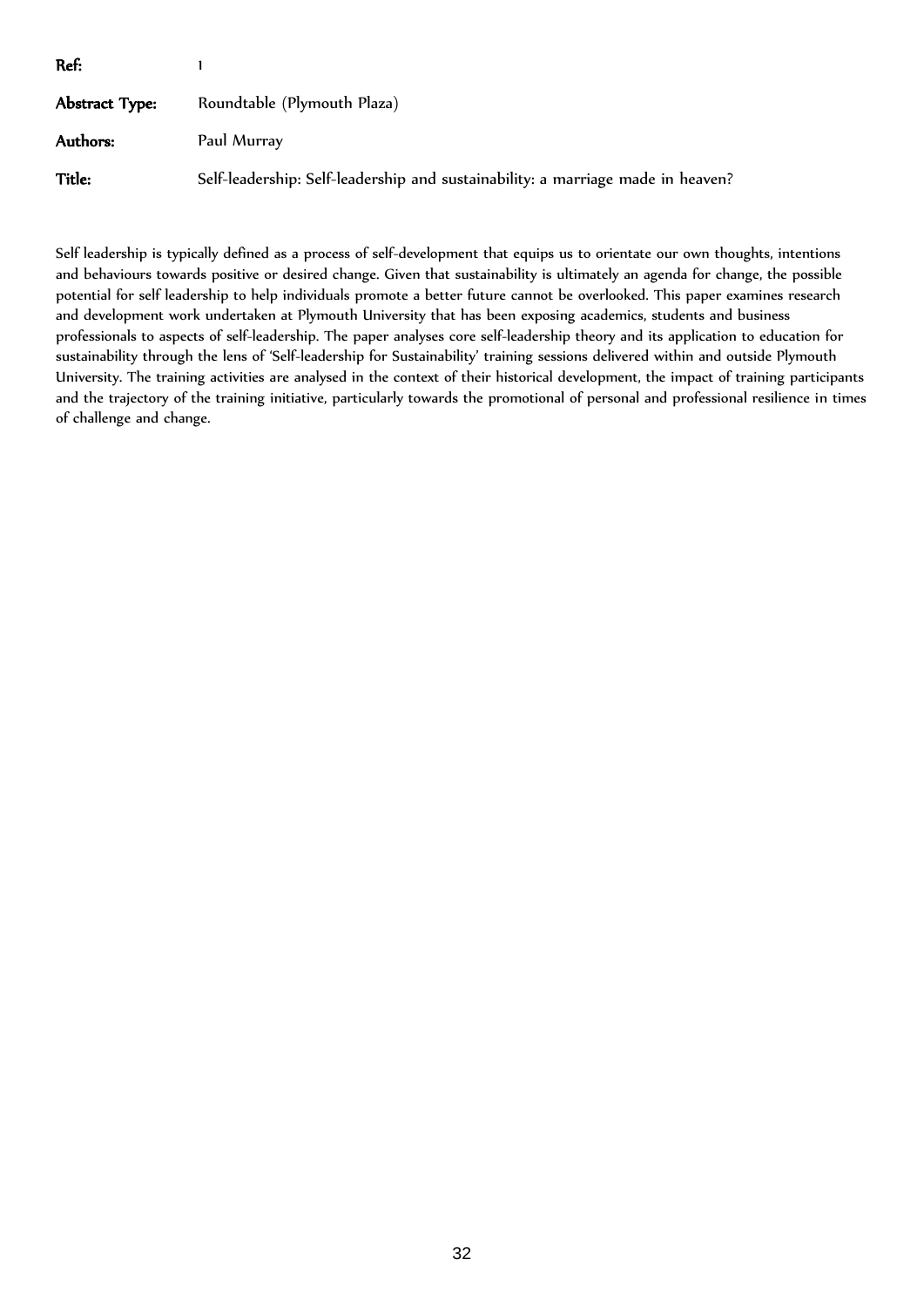| Ref:           |                                                                                 |
|----------------|---------------------------------------------------------------------------------|
| Abstract Type: | Roundtable (Plymouth Plaza)                                                     |
| Authors:       | Paul Murray                                                                     |
| Title:         | Self-leadership: Self-leadership and sustainability: a marriage made in heaven? |

Self leadership is typically defined as a process of self-development that equips us to orientate our own thoughts, intentions and behaviours towards positive or desired change. Given that sustainability is ultimately an agenda for change, the possible potential for self leadership to help individuals promote a better future cannot be overlooked. This paper examines research and development work undertaken at Plymouth University that has been exposing academics, students and business professionals to aspects of self-leadership. The paper analyses core self-leadership theory and its application to education for sustainability through the lens of 'Self-leadership for Sustainability' training sessions delivered within and outside Plymouth University. The training activities are analysed in the context of their historical development, the impact of training participants and the trajectory of the training initiative, particularly towards the promotional of personal and professional resilience in times of challenge and change.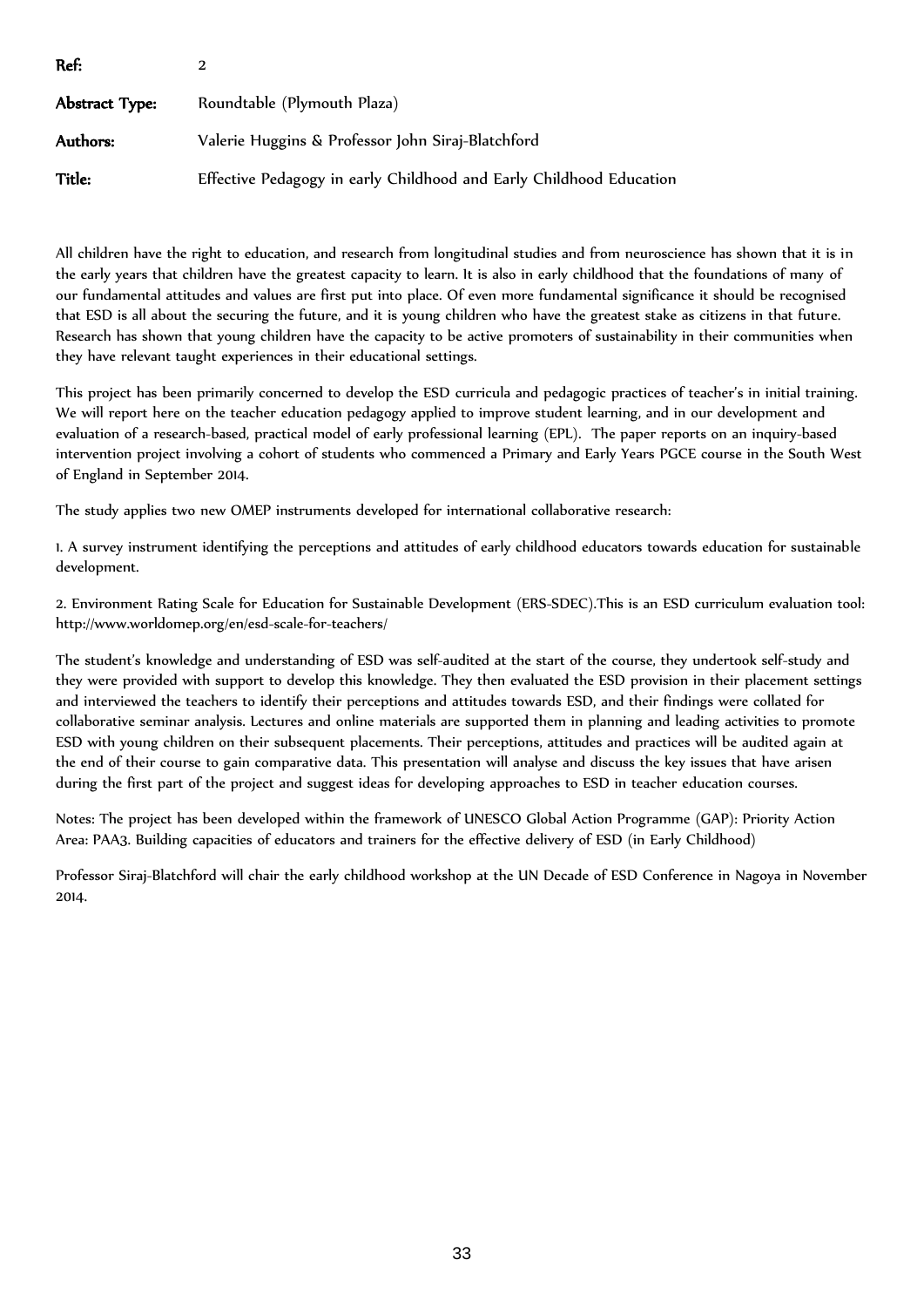| Ref:           |                                                                     |
|----------------|---------------------------------------------------------------------|
| Abstract Type: | Roundtable (Plymouth Plaza)                                         |
| Authors:       | Valerie Huggins & Professor John Siraj-Blatchford                   |
| Title:         | Effective Pedagogy in early Childhood and Early Childhood Education |

All children have the right to education, and research from longitudinal studies and from neuroscience has shown that it is in the early years that children have the greatest capacity to learn. It is also in early childhood that the foundations of many of our fundamental attitudes and values are first put into place. Of even more fundamental significance it should be recognised that ESD is all about the securing the future, and it is young children who have the greatest stake as citizens in that future. Research has shown that young children have the capacity to be active promoters of sustainability in their communities when they have relevant taught experiences in their educational settings.

This project has been primarily concerned to develop the ESD curricula and pedagogic practices of teacher's in initial training. We will report here on the teacher education pedagogy applied to improve student learning, and in our development and evaluation of a research-based, practical model of early professional learning (EPL). The paper reports on an inquiry-based intervention project involving a cohort of students who commenced a Primary and Early Years PGCE course in the South West of England in September 2014.

The study applies two new OMEP instruments developed for international collaborative research:

1. A survey instrument identifying the perceptions and attitudes of early childhood educators towards education for sustainable development.

2. Environment Rating Scale for Education for Sustainable Development (ERS-SDEC).This is an ESD curriculum evaluation tool: http://www.worldomep.org/en/esd-scale-for-teachers/

The student's knowledge and understanding of ESD was self-audited at the start of the course, they undertook self-study and they were provided with support to develop this knowledge. They then evaluated the ESD provision in their placement settings and interviewed the teachers to identify their perceptions and attitudes towards ESD, and their findings were collated for collaborative seminar analysis. Lectures and online materials are supported them in planning and leading activities to promote ESD with young children on their subsequent placements. Their perceptions, attitudes and practices will be audited again at the end of their course to gain comparative data. This presentation will analyse and discuss the key issues that have arisen during the first part of the project and suggest ideas for developing approaches to ESD in teacher education courses.

Notes: The project has been developed within the framework of UNESCO Global Action Programme (GAP): Priority Action Area: PAA3. Building capacities of educators and trainers for the effective delivery of ESD (in Early Childhood)

Professor Siraj-Blatchford will chair the early childhood workshop at the UN Decade of ESD Conference in Nagoya in November 2014.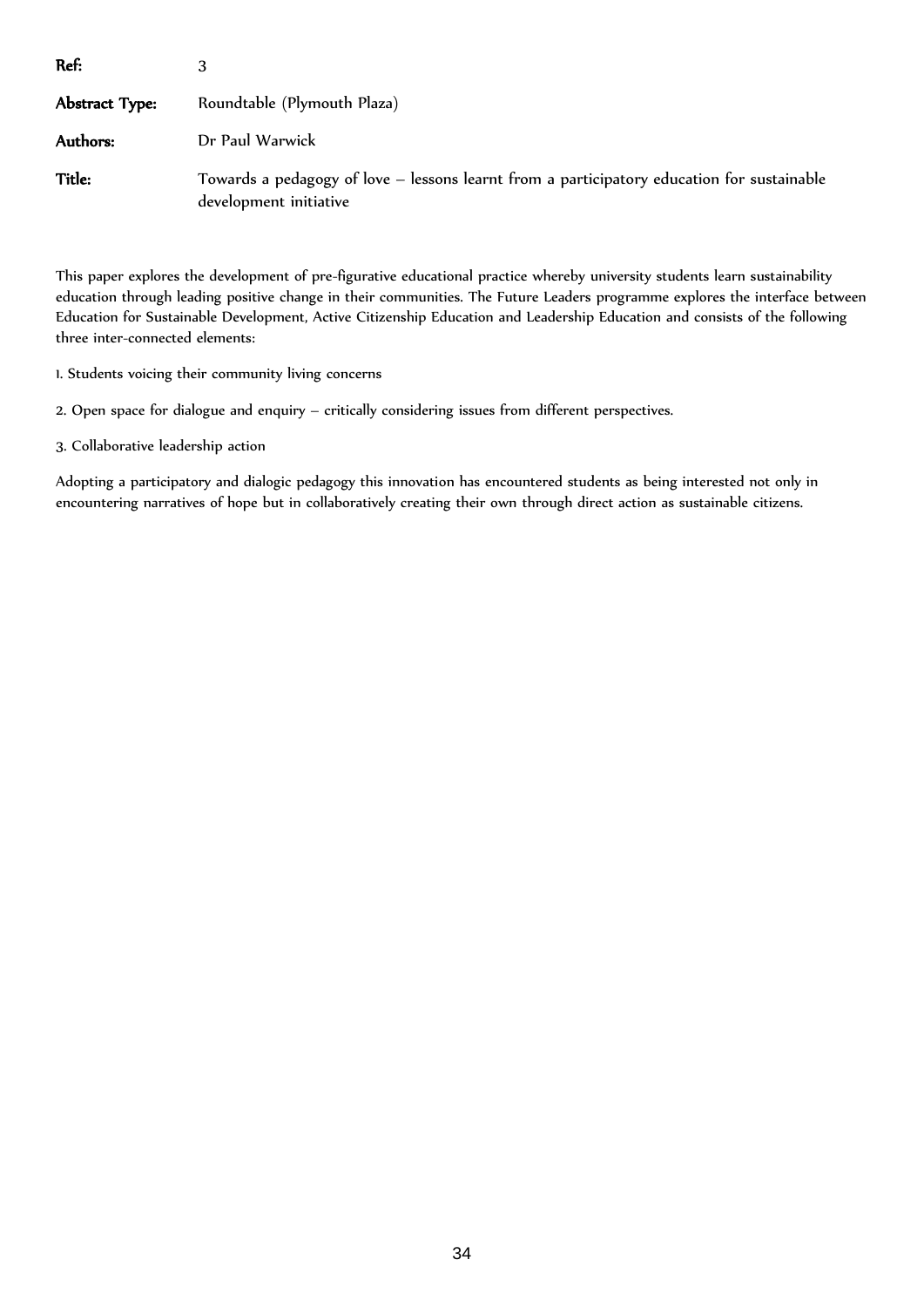| Ref:           |                                                                                                                      |
|----------------|----------------------------------------------------------------------------------------------------------------------|
| Abstract Type: | Roundtable (Plymouth Plaza)                                                                                          |
| Authors:       | Dr Paul Warwick                                                                                                      |
| Title:         | Towards a pedagogy of love – lessons learnt from a participatory education for sustainable<br>development initiative |

This paper explores the development of pre-figurative educational practice whereby university students learn sustainability education through leading positive change in their communities. The Future Leaders programme explores the interface between Education for Sustainable Development, Active Citizenship Education and Leadership Education and consists of the following three inter-connected elements:

1. Students voicing their community living concerns

2. Open space for dialogue and enquiry – critically considering issues from different perspectives.

3. Collaborative leadership action

Adopting a participatory and dialogic pedagogy this innovation has encountered students as being interested not only in encountering narratives of hope but in collaboratively creating their own through direct action as sustainable citizens.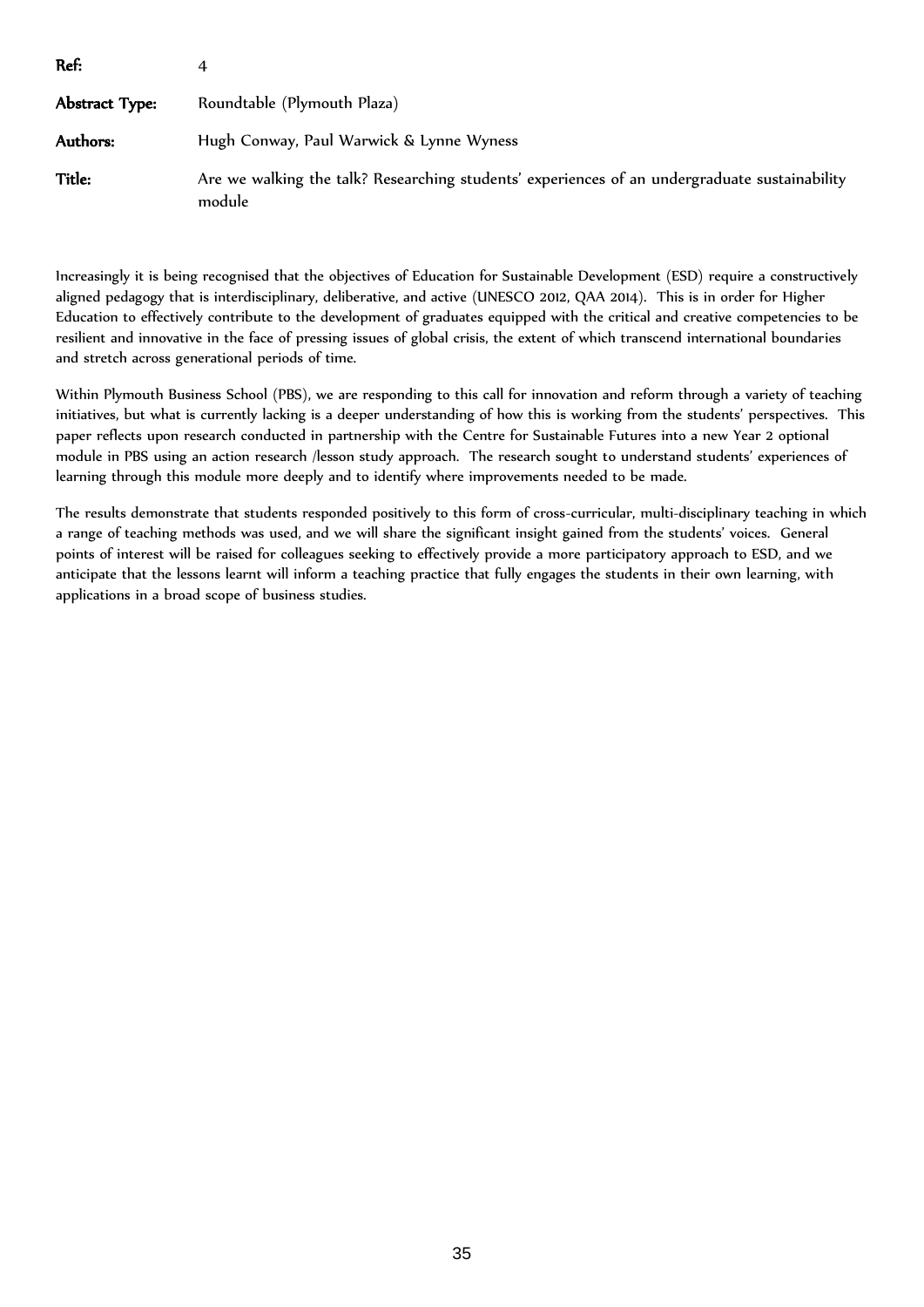| Ref:           |                                                                                                         |
|----------------|---------------------------------------------------------------------------------------------------------|
| Abstract Type: | Roundtable (Plymouth Plaza)                                                                             |
| Authors:       | Hugh Conway, Paul Warwick & Lynne Wyness                                                                |
| Title:         | Are we walking the talk? Researching students' experiences of an undergraduate sustainability<br>module |

Increasingly it is being recognised that the objectives of Education for Sustainable Development (ESD) require a constructively aligned pedagogy that is interdisciplinary, deliberative, and active (UNESCO 2012, QAA 2014). This is in order for Higher Education to effectively contribute to the development of graduates equipped with the critical and creative competencies to be resilient and innovative in the face of pressing issues of global crisis, the extent of which transcend international boundaries and stretch across generational periods of time.

Within Plymouth Business School (PBS), we are responding to this call for innovation and reform through a variety of teaching initiatives, but what is currently lacking is a deeper understanding of how this is working from the students' perspectives. This paper reflects upon research conducted in partnership with the Centre for Sustainable Futures into a new Year 2 optional module in PBS using an action research /lesson study approach. The research sought to understand students' experiences of learning through this module more deeply and to identify where improvements needed to be made.

The results demonstrate that students responded positively to this form of cross-curricular, multi-disciplinary teaching in which a range of teaching methods was used, and we will share the significant insight gained from the students' voices. General points of interest will be raised for colleagues seeking to effectively provide a more participatory approach to ESD, and we anticipate that the lessons learnt will inform a teaching practice that fully engages the students in their own learning, with applications in a broad scope of business studies.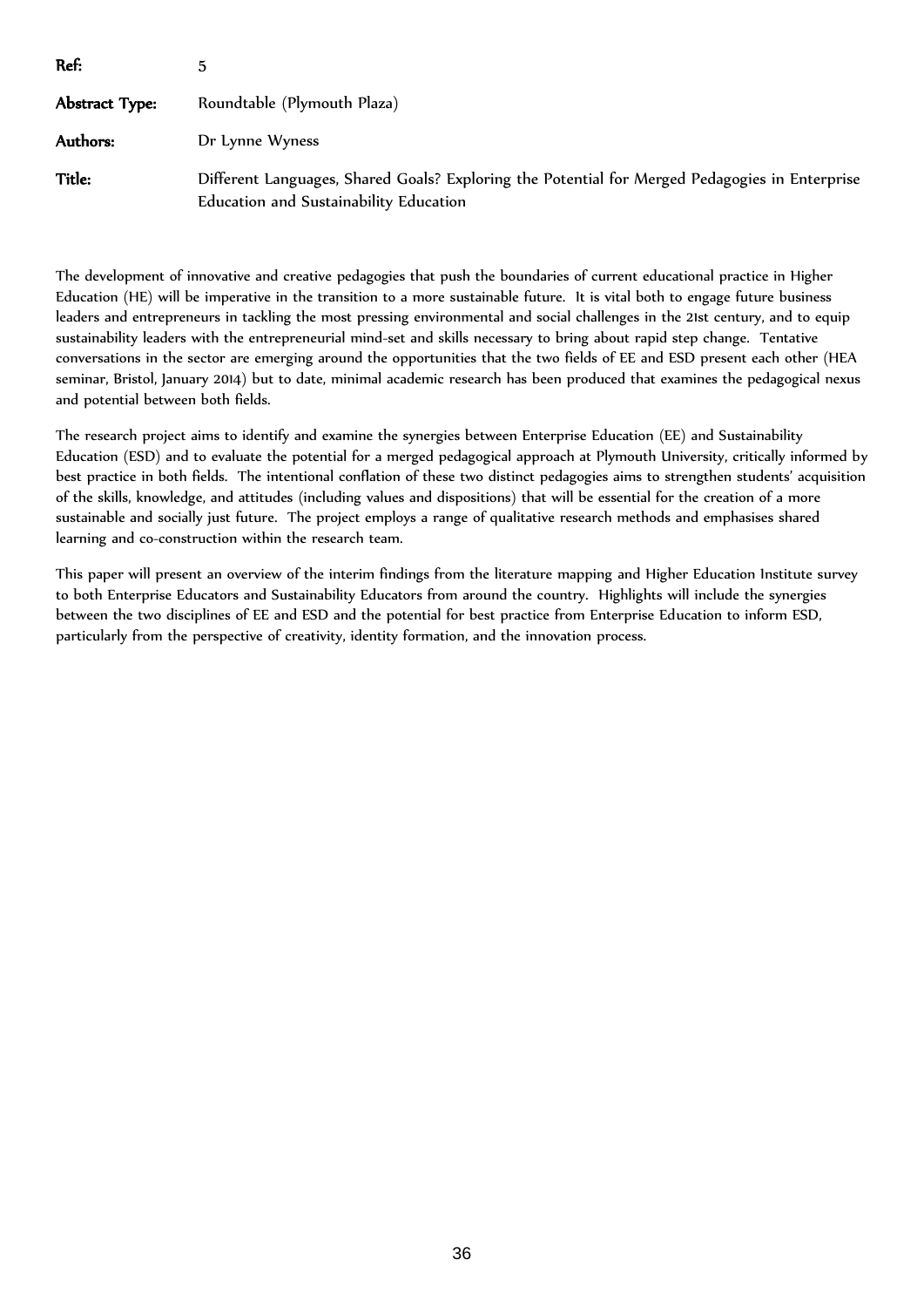| Ref:           |                                                                                                                                          |
|----------------|------------------------------------------------------------------------------------------------------------------------------------------|
| Abstract Type: | Roundtable (Plymouth Plaza)                                                                                                              |
| Authors:       | Dr Lynne Wyness                                                                                                                          |
| Title:         | Different Languages, Shared Goals? Exploring the Potential for Merged Pedagogies in Enterprise<br>Education and Sustainability Education |

The development of innovative and creative pedagogies that push the boundaries of current educational practice in Higher Education (HE) will be imperative in the transition to a more sustainable future. It is vital both to engage future business leaders and entrepreneurs in tackling the most pressing environmental and social challenges in the 21st century, and to equip sustainability leaders with the entrepreneurial mind-set and skills necessary to bring about rapid step change. Tentative conversations in the sector are emerging around the opportunities that the two fields of EE and ESD present each other (HEA seminar, Bristol, January 2014) but to date, minimal academic research has been produced that examines the pedagogical nexus and potential between both fields.

The research project aims to identify and examine the synergies between Enterprise Education (EE) and Sustainability Education (ESD) and to evaluate the potential for a merged pedagogical approach at Plymouth University, critically informed by best practice in both fields. The intentional conflation of these two distinct pedagogies aims to strengthen students' acquisition of the skills, knowledge, and attitudes (including values and dispositions) that will be essential for the creation of a more sustainable and socially just future. The project employs a range of qualitative research methods and emphasises shared learning and co-construction within the research team.

This paper will present an overview of the interim findings from the literature mapping and Higher Education Institute survey to both Enterprise Educators and Sustainability Educators from around the country. Highlights will include the synergies between the two disciplines of EE and ESD and the potential for best practice from Enterprise Education to inform ESD, particularly from the perspective of creativity, identity formation, and the innovation process.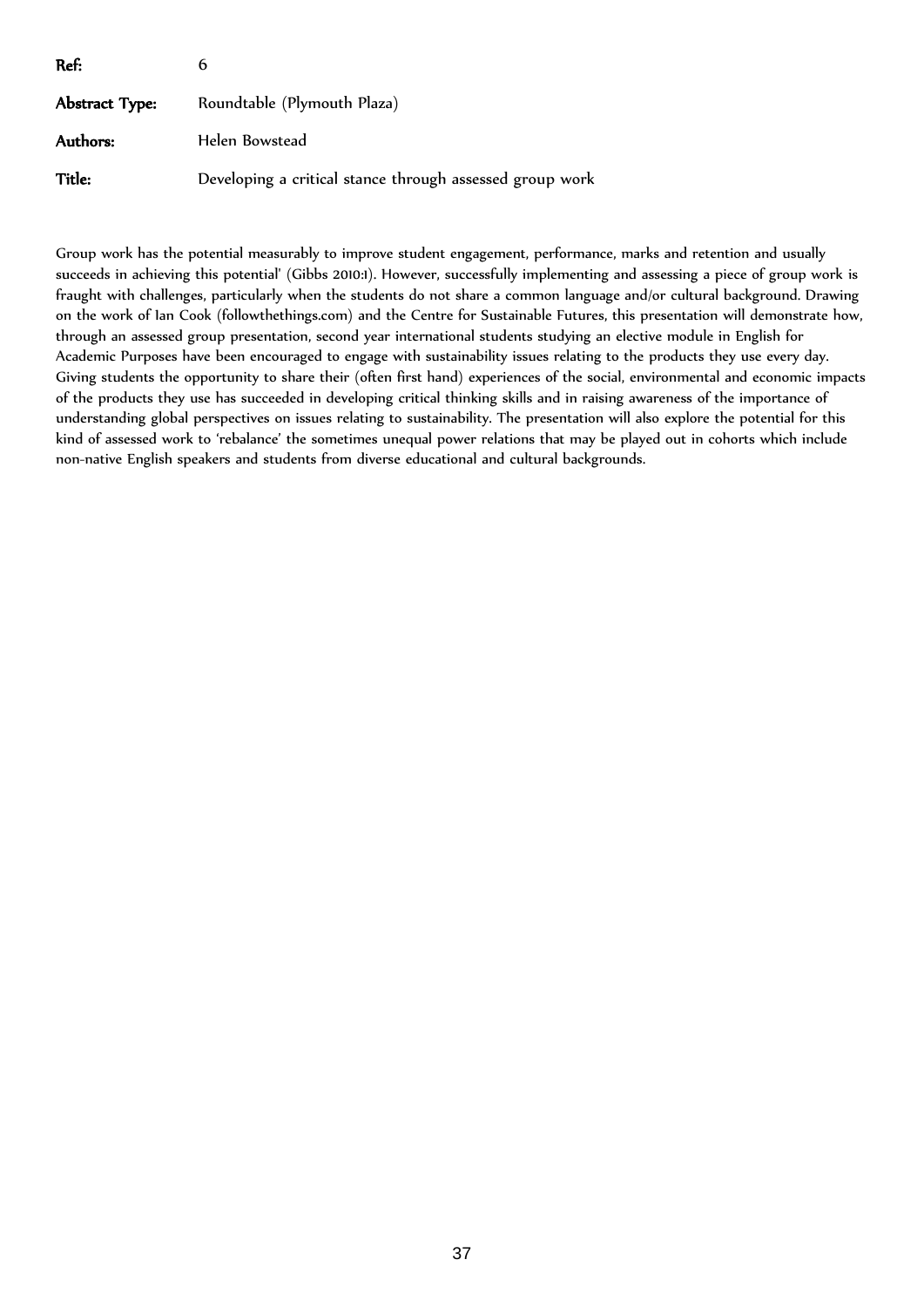| Ref:           | b                                                        |
|----------------|----------------------------------------------------------|
| Abstract Type: | Roundtable (Plymouth Plaza)                              |
| Authors:       | Helen Bowstead                                           |
| Title:         | Developing a critical stance through assessed group work |

Group work has the potential measurably to improve student engagement, performance, marks and retention and usually succeeds in achieving this potential' (Gibbs 2010:1). However, successfully implementing and assessing a piece of group work is fraught with challenges, particularly when the students do not share a common language and/or cultural background. Drawing on the work of Ian Cook (followthethings.com) and the Centre for Sustainable Futures, this presentation will demonstrate how, through an assessed group presentation, second year international students studying an elective module in English for Academic Purposes have been encouraged to engage with sustainability issues relating to the products they use every day. Giving students the opportunity to share their (often first hand) experiences of the social, environmental and economic impacts of the products they use has succeeded in developing critical thinking skills and in raising awareness of the importance of understanding global perspectives on issues relating to sustainability. The presentation will also explore the potential for this kind of assessed work to 'rebalance' the sometimes unequal power relations that may be played out in cohorts which include non-native English speakers and students from diverse educational and cultural backgrounds.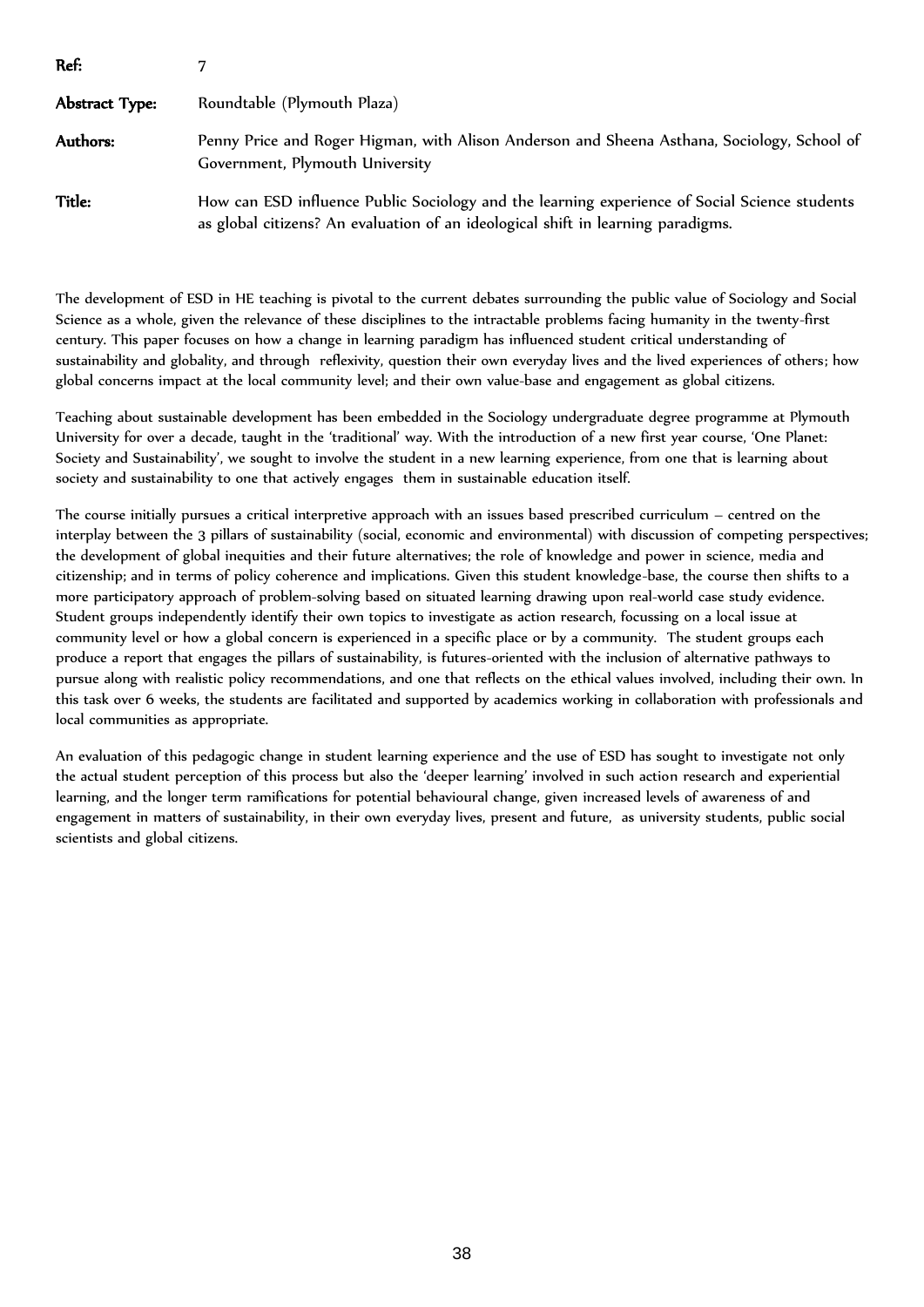| Ref:           |                                                                                                                                                                                   |
|----------------|-----------------------------------------------------------------------------------------------------------------------------------------------------------------------------------|
| Abstract Type: | Roundtable (Plymouth Plaza)                                                                                                                                                       |
| Authors:       | Penny Price and Roger Higman, with Alison Anderson and Sheena Asthana, Sociology, School of<br>Government, Plymouth University                                                    |
| Title:         | How can ESD influence Public Sociology and the learning experience of Social Science students<br>as global citizens? An evaluation of an ideological shift in learning paradigms. |

The development of ESD in HE teaching is pivotal to the current debates surrounding the public value of Sociology and Social Science as a whole, given the relevance of these disciplines to the intractable problems facing humanity in the twenty-first century. This paper focuses on how a change in learning paradigm has influenced student critical understanding of sustainability and globality, and through reflexivity, question their own everyday lives and the lived experiences of others; how global concerns impact at the local community level; and their own value-base and engagement as global citizens.

Teaching about sustainable development has been embedded in the Sociology undergraduate degree programme at Plymouth University for over a decade, taught in the 'traditional' way. With the introduction of a new first year course, 'One Planet: Society and Sustainability', we sought to involve the student in a new learning experience, from one that is learning about society and sustainability to one that actively engages them in sustainable education itself.

The course initially pursues a critical interpretive approach with an issues based prescribed curriculum – centred on the interplay between the 3 pillars of sustainability (social, economic and environmental) with discussion of competing perspectives; the development of global inequities and their future alternatives; the role of knowledge and power in science, media and citizenship; and in terms of policy coherence and implications. Given this student knowledge-base, the course then shifts to a more participatory approach of problem-solving based on situated learning drawing upon real-world case study evidence. Student groups independently identify their own topics to investigate as action research, focussing on a local issue at community level or how a global concern is experienced in a specific place or by a community. The student groups each produce a report that engages the pillars of sustainability, is futures-oriented with the inclusion of alternative pathways to pursue along with realistic policy recommendations, and one that reflects on the ethical values involved, including their own. In this task over 6 weeks, the students are facilitated and supported by academics working in collaboration with professionals and local communities as appropriate.

An evaluation of this pedagogic change in student learning experience and the use of ESD has sought to investigate not only the actual student perception of this process but also the 'deeper learning' involved in such action research and experiential learning, and the longer term ramifications for potential behavioural change, given increased levels of awareness of and engagement in matters of sustainability, in their own everyday lives, present and future, as university students, public social scientists and global citizens.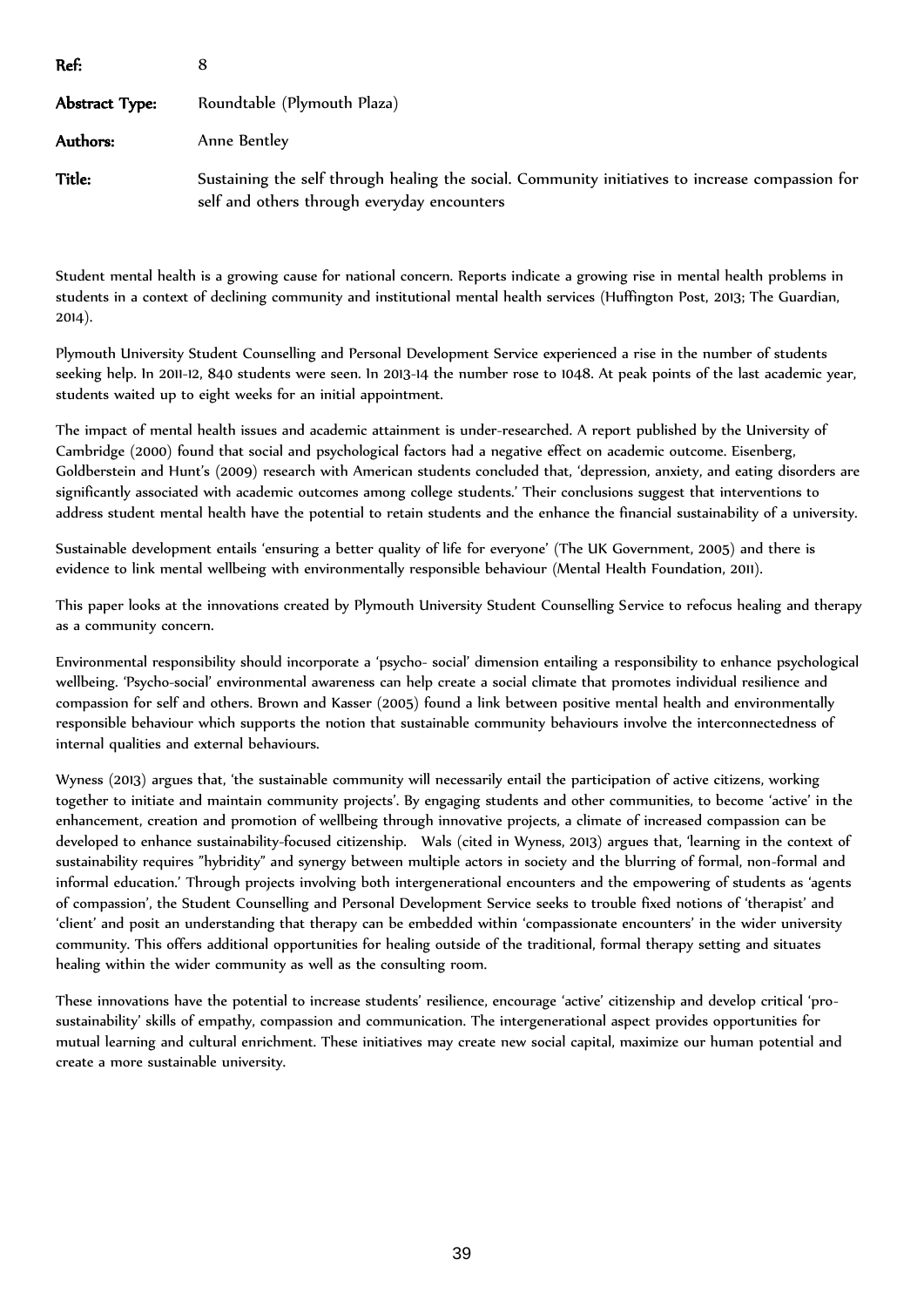| Ref:           |                                                                                                                                                 |  |
|----------------|-------------------------------------------------------------------------------------------------------------------------------------------------|--|
| Abstract Type: | Roundtable (Plymouth Plaza)                                                                                                                     |  |
| Authors:       | Anne Bentley                                                                                                                                    |  |
| Title:         | Sustaining the self through healing the social. Community initiatives to increase compassion for<br>self and others through everyday encounters |  |

Student mental health is a growing cause for national concern. Reports indicate a growing rise in mental health problems in students in a context of declining community and institutional mental health services (Huffington Post, 2013; The Guardian, 2014).

Plymouth University Student Counselling and Personal Development Service experienced a rise in the number of students seeking help. In 2011-12, 840 students were seen. In 2013-14 the number rose to 1048. At peak points of the last academic year, students waited up to eight weeks for an initial appointment.

The impact of mental health issues and academic attainment is under-researched. A report published by the University of Cambridge (2000) found that social and psychological factors had a negative effect on academic outcome. Eisenberg, Goldberstein and Hunt's (2009) research with American students concluded that, 'depression, anxiety, and eating disorders are significantly associated with academic outcomes among college students.' Their conclusions suggest that interventions to address student mental health have the potential to retain students and the enhance the financial sustainability of a university.

Sustainable development entails 'ensuring a better quality of life for everyone' (The UK Government, 2005) and there is evidence to link mental wellbeing with environmentally responsible behaviour (Mental Health Foundation, 2011).

This paper looks at the innovations created by Plymouth University Student Counselling Service to refocus healing and therapy as a community concern.

Environmental responsibility should incorporate a 'psycho- social' dimension entailing a responsibility to enhance psychological wellbeing. 'Psycho-social' environmental awareness can help create a social climate that promotes individual resilience and compassion for self and others. Brown and Kasser (2005) found a link between positive mental health and environmentally responsible behaviour which supports the notion that sustainable community behaviours involve the interconnectedness of internal qualities and external behaviours.

Wyness (2013) argues that, 'the sustainable community will necessarily entail the participation of active citizens, working together to initiate and maintain community projects'. By engaging students and other communities, to become 'active' in the enhancement, creation and promotion of wellbeing through innovative projects, a climate of increased compassion can be developed to enhance sustainability-focused citizenship. Wals (cited in Wyness, 2013) argues that, 'learning in the context of sustainability requires "hybridity" and synergy between multiple actors in society and the blurring of formal, non-formal and informal education.' Through projects involving both intergenerational encounters and the empowering of students as 'agents of compassion', the Student Counselling and Personal Development Service seeks to trouble fixed notions of 'therapist' and 'client' and posit an understanding that therapy can be embedded within 'compassionate encounters' in the wider university community. This offers additional opportunities for healing outside of the traditional, formal therapy setting and situates healing within the wider community as well as the consulting room.

These innovations have the potential to increase students' resilience, encourage 'active' citizenship and develop critical 'prosustainability' skills of empathy, compassion and communication. The intergenerational aspect provides opportunities for mutual learning and cultural enrichment. These initiatives may create new social capital, maximize our human potential and create a more sustainable university.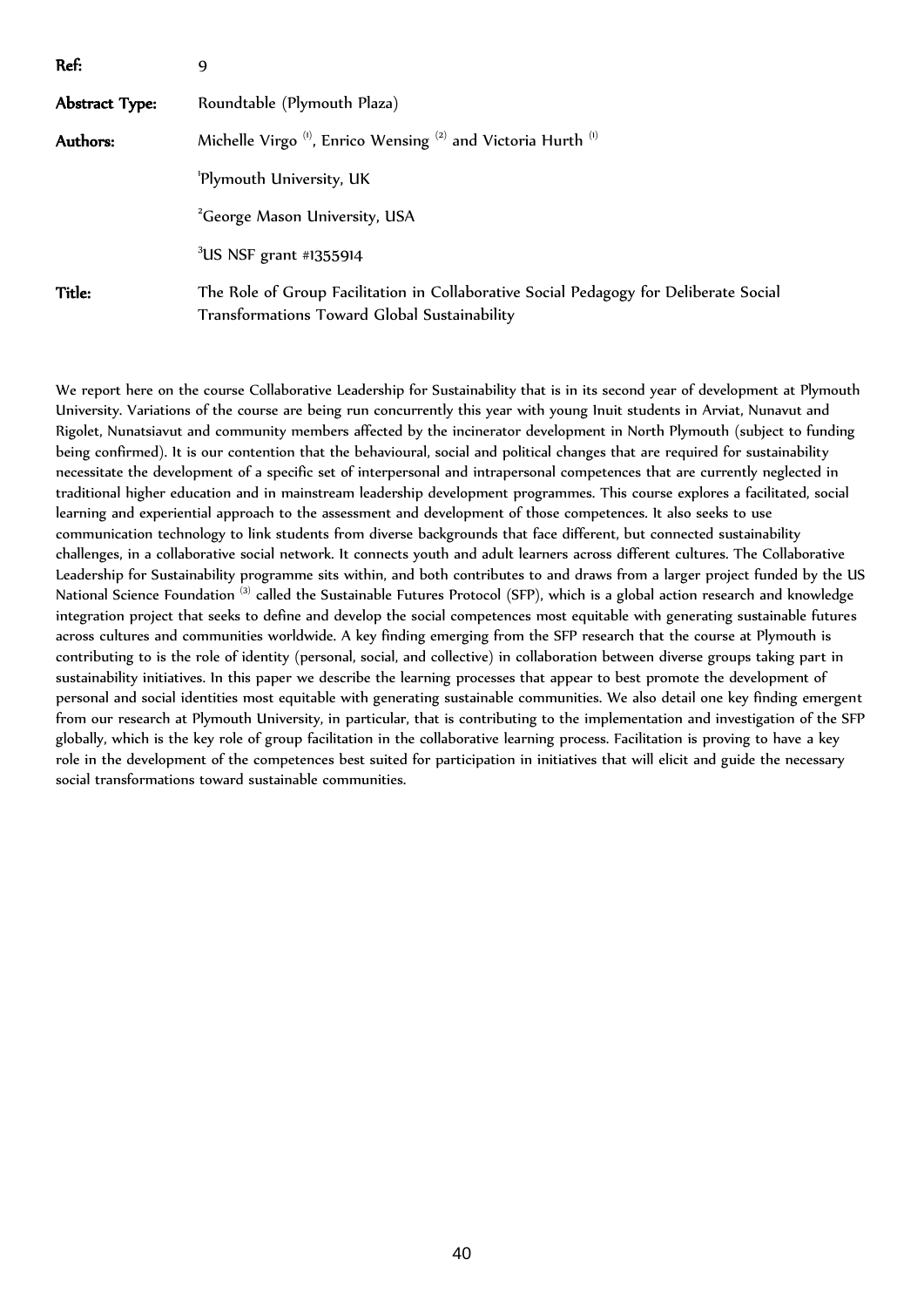| Ref:                     | 9                                                                                                                                     |  |
|--------------------------|---------------------------------------------------------------------------------------------------------------------------------------|--|
| Abstract Type:           | Roundtable (Plymouth Plaza)                                                                                                           |  |
| Authors:                 | Michelle Virgo <sup>(1)</sup> , Enrico Wensing <sup>(2)</sup> and Victoria Hurth <sup>(1)</sup>                                       |  |
| 'Plymouth University, UK |                                                                                                                                       |  |
|                          | <sup>2</sup> George Mason University, USA                                                                                             |  |
|                          | $3$ US NSF grant #1355914                                                                                                             |  |
| Title:                   | The Role of Group Facilitation in Collaborative Social Pedagogy for Deliberate Social<br>Transformations Toward Global Sustainability |  |

We report here on the course Collaborative Leadership for Sustainability that is in its second year of development at Plymouth University. Variations of the course are being run concurrently this year with young Inuit students in Arviat, Nunavut and Rigolet, Nunatsiavut and community members affected by the incinerator development in North Plymouth (subject to funding being confirmed). It is our contention that the behavioural, social and political changes that are required for sustainability necessitate the development of a specific set of interpersonal and intrapersonal competences that are currently neglected in traditional higher education and in mainstream leadership development programmes. This course explores a facilitated, social learning and experiential approach to the assessment and development of those competences. It also seeks to use communication technology to link students from diverse backgrounds that face different, but connected sustainability challenges, in a collaborative social network. It connects youth and adult learners across different cultures. The Collaborative Leadership for Sustainability programme sits within, and both contributes to and draws from a larger project funded by the US National Science Foundation <sup>(3)</sup> called the Sustainable Futures Protocol (SFP), which is a global action research and knowledge integration project that seeks to define and develop the social competences most equitable with generating sustainable futures across cultures and communities worldwide. A key finding emerging from the SFP research that the course at Plymouth is contributing to is the role of identity (personal, social, and collective) in collaboration between diverse groups taking part in sustainability initiatives. In this paper we describe the learning processes that appear to best promote the development of personal and social identities most equitable with generating sustainable communities. We also detail one key finding emergent from our research at Plymouth University, in particular, that is contributing to the implementation and investigation of the SFP globally, which is the key role of group facilitation in the collaborative learning process. Facilitation is proving to have a key role in the development of the competences best suited for participation in initiatives that will elicit and guide the necessary social transformations toward sustainable communities.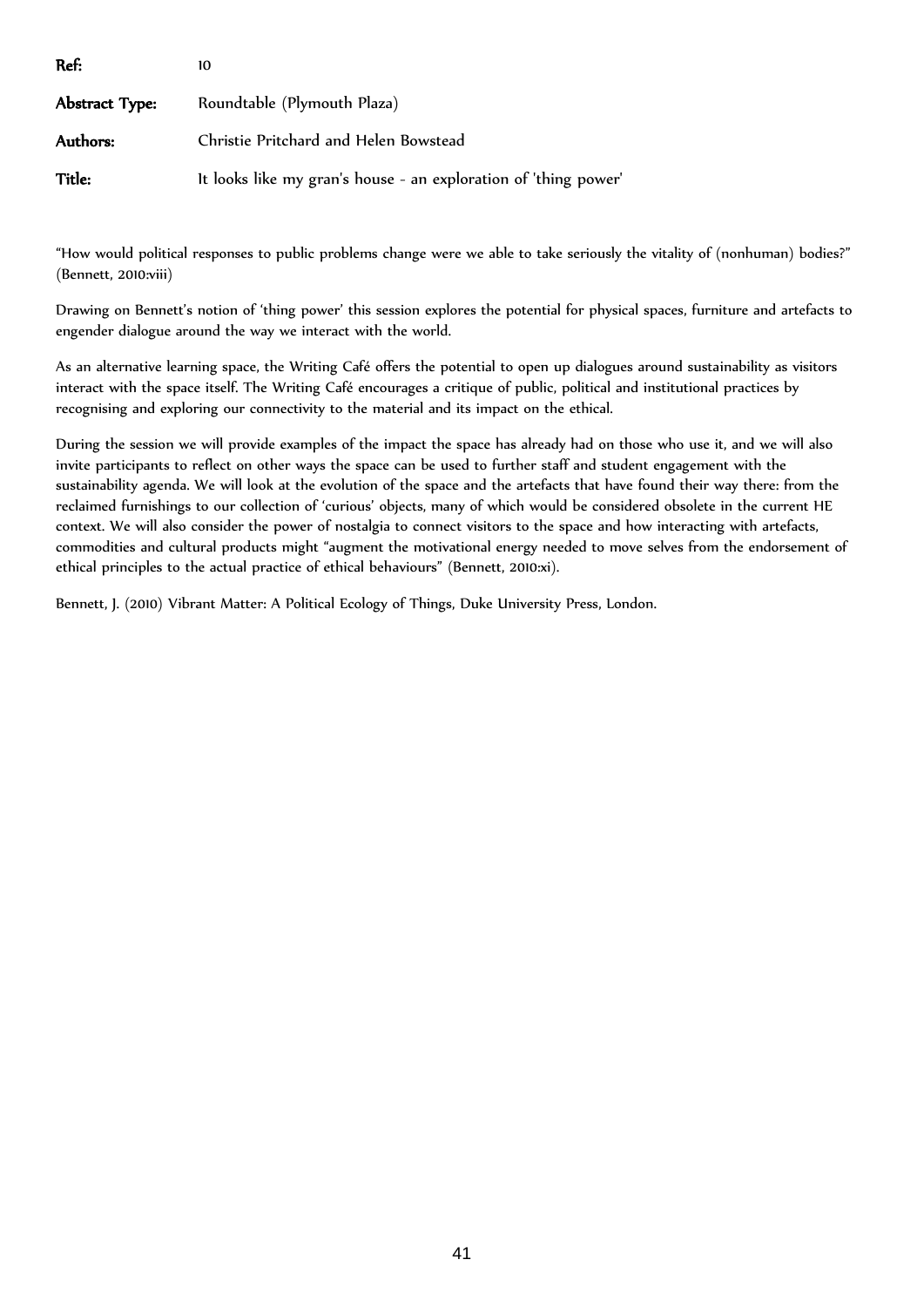| Ref:           |                                                                 |
|----------------|-----------------------------------------------------------------|
| Abstract Type: | Roundtable (Plymouth Plaza)                                     |
| Authors:       | Christie Pritchard and Helen Bowstead                           |
| Title:         | It looks like my gran's house - an exploration of 'thing power' |

"How would political responses to public problems change were we able to take seriously the vitality of (nonhuman) bodies?" (Bennett, 2010:viii)

Drawing on Bennett's notion of 'thing power' this session explores the potential for physical spaces, furniture and artefacts to engender dialogue around the way we interact with the world.

As an alternative learning space, the Writing Café offers the potential to open up dialogues around sustainability as visitors interact with the space itself. The Writing Café encourages a critique of public, political and institutional practices by recognising and exploring our connectivity to the material and its impact on the ethical.

During the session we will provide examples of the impact the space has already had on those who use it, and we will also invite participants to reflect on other ways the space can be used to further staff and student engagement with the sustainability agenda. We will look at the evolution of the space and the artefacts that have found their way there: from the reclaimed furnishings to our collection of 'curious' objects, many of which would be considered obsolete in the current HE context. We will also consider the power of nostalgia to connect visitors to the space and how interacting with artefacts, commodities and cultural products might "augment the motivational energy needed to move selves from the endorsement of ethical principles to the actual practice of ethical behaviours" (Bennett, 2010:xi).

Bennett, J. (2010) Vibrant Matter: A Political Ecology of Things, Duke University Press, London.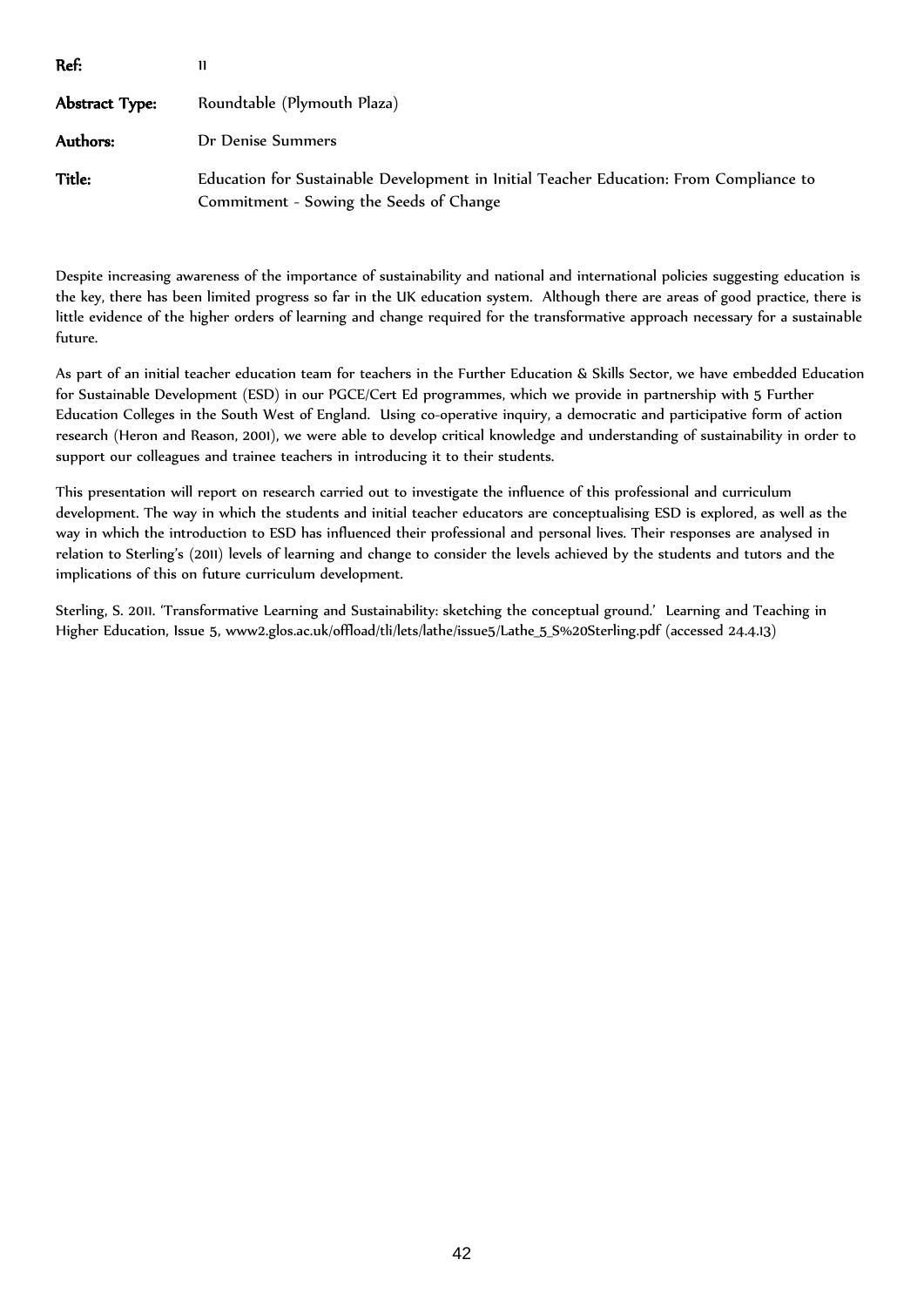| Ref:           | 11                                                                                                                                |  |
|----------------|-----------------------------------------------------------------------------------------------------------------------------------|--|
| Abstract Type: | Roundtable (Plymouth Plaza)                                                                                                       |  |
| Authors:       | Dr Denise Summers                                                                                                                 |  |
| <b>Title:</b>  | Education for Sustainable Development in Initial Teacher Education: From Compliance to<br>Commitment - Sowing the Seeds of Change |  |

Despite increasing awareness of the importance of sustainability and national and international policies suggesting education is the key, there has been limited progress so far in the UK education system. Although there are areas of good practice, there is little evidence of the higher orders of learning and change required for the transformative approach necessary for a sustainable future.

As part of an initial teacher education team for teachers in the Further Education & Skills Sector, we have embedded Education for Sustainable Development (ESD) in our PGCE/Cert Ed programmes, which we provide in partnership with 5 Further Education Colleges in the South West of England. Using co-operative inquiry, a democratic and participative form of action research (Heron and Reason, 2001), we were able to develop critical knowledge and understanding of sustainability in order to support our colleagues and trainee teachers in introducing it to their students.

This presentation will report on research carried out to investigate the influence of this professional and curriculum development. The way in which the students and initial teacher educators are conceptualising ESD is explored, as well as the way in which the introduction to ESD has influenced their professional and personal lives. Their responses are analysed in relation to Sterling's (2011) levels of learning and change to consider the levels achieved by the students and tutors and the implications of this on future curriculum development.

Sterling, S. 2011. 'Transformative Learning and Sustainability: sketching the conceptual ground.' Learning and Teaching in Higher Education, Issue 5, www2.glos.ac.uk/offload/tli/lets/lathe/issue5/Lathe\_5\_S%20Sterling.pdf (accessed 24.4.13)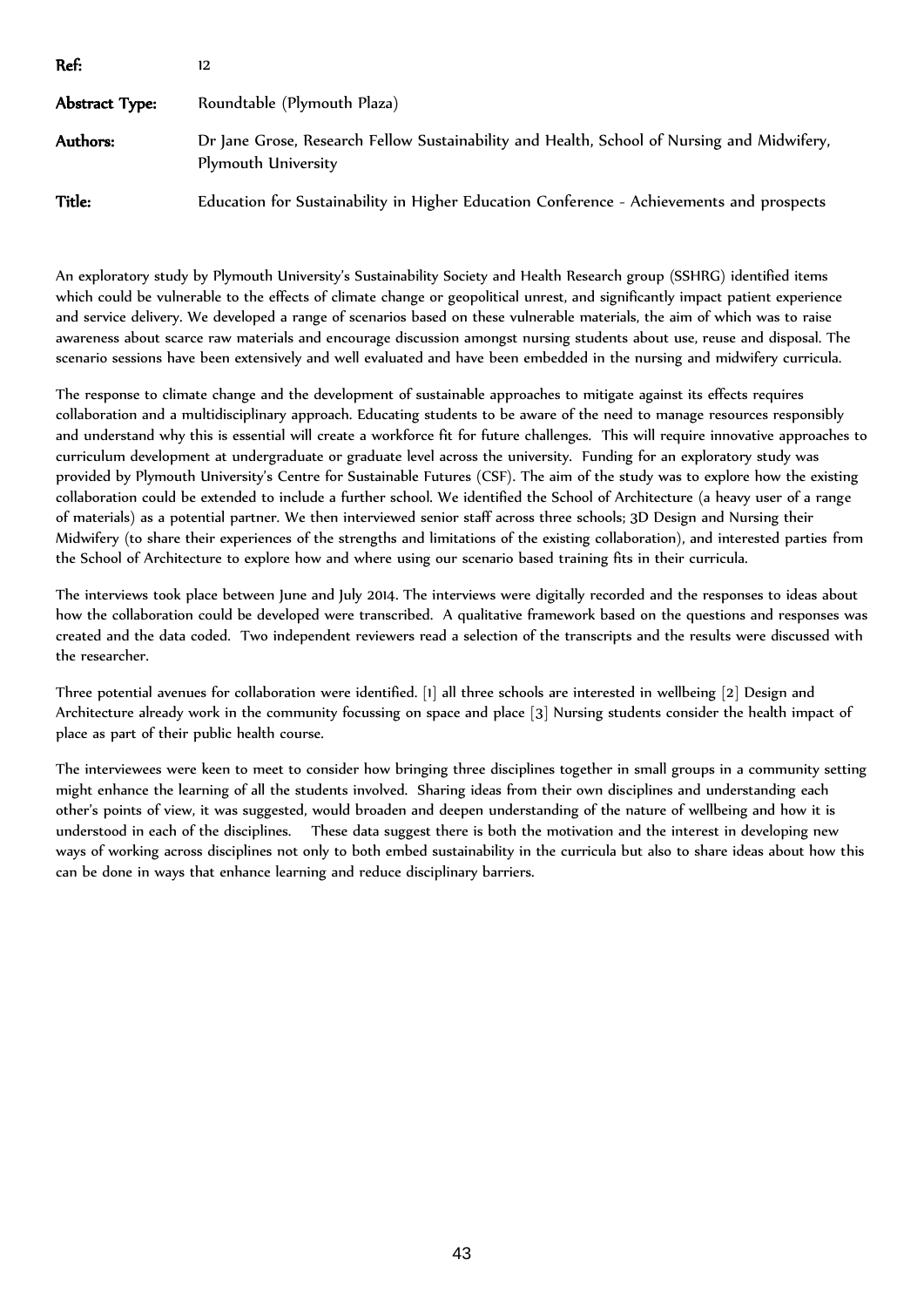| Ref:           | 12                                                                                                                |  |
|----------------|-------------------------------------------------------------------------------------------------------------------|--|
| Abstract Type: | Roundtable (Plymouth Plaza)                                                                                       |  |
| Authors:       | Dr Jane Grose, Research Fellow Sustainability and Health, School of Nursing and Midwifery,<br>Plymouth University |  |
| Title:         | Education for Sustainability in Higher Education Conference - Achievements and prospects                          |  |

An exploratory study by Plymouth University's Sustainability Society and Health Research group (SSHRG) identified items which could be vulnerable to the effects of climate change or geopolitical unrest, and significantly impact patient experience and service delivery. We developed a range of scenarios based on these vulnerable materials, the aim of which was to raise awareness about scarce raw materials and encourage discussion amongst nursing students about use, reuse and disposal. The scenario sessions have been extensively and well evaluated and have been embedded in the nursing and midwifery curricula.

The response to climate change and the development of sustainable approaches to mitigate against its effects requires collaboration and a multidisciplinary approach. Educating students to be aware of the need to manage resources responsibly and understand why this is essential will create a workforce fit for future challenges. This will require innovative approaches to curriculum development at undergraduate or graduate level across the university. Funding for an exploratory study was provided by Plymouth University's Centre for Sustainable Futures (CSF). The aim of the study was to explore how the existing collaboration could be extended to include a further school. We identified the School of Architecture (a heavy user of a range of materials) as a potential partner. We then interviewed senior staff across three schools; 3D Design and Nursing their Midwifery (to share their experiences of the strengths and limitations of the existing collaboration), and interested parties from the School of Architecture to explore how and where using our scenario based training fits in their curricula.

The interviews took place between June and July 2014. The interviews were digitally recorded and the responses to ideas about how the collaboration could be developed were transcribed. A qualitative framework based on the questions and responses was created and the data coded. Two independent reviewers read a selection of the transcripts and the results were discussed with the researcher.

Three potential avenues for collaboration were identified. [1] all three schools are interested in wellbeing [2] Design and Architecture already work in the community focussing on space and place [3] Nursing students consider the health impact of place as part of their public health course.

The interviewees were keen to meet to consider how bringing three disciplines together in small groups in a community setting might enhance the learning of all the students involved. Sharing ideas from their own disciplines and understanding each other's points of view, it was suggested, would broaden and deepen understanding of the nature of wellbeing and how it is understood in each of the disciplines. These data suggest there is both the motivation and the interest in developing new ways of working across disciplines not only to both embed sustainability in the curricula but also to share ideas about how this can be done in ways that enhance learning and reduce disciplinary barriers.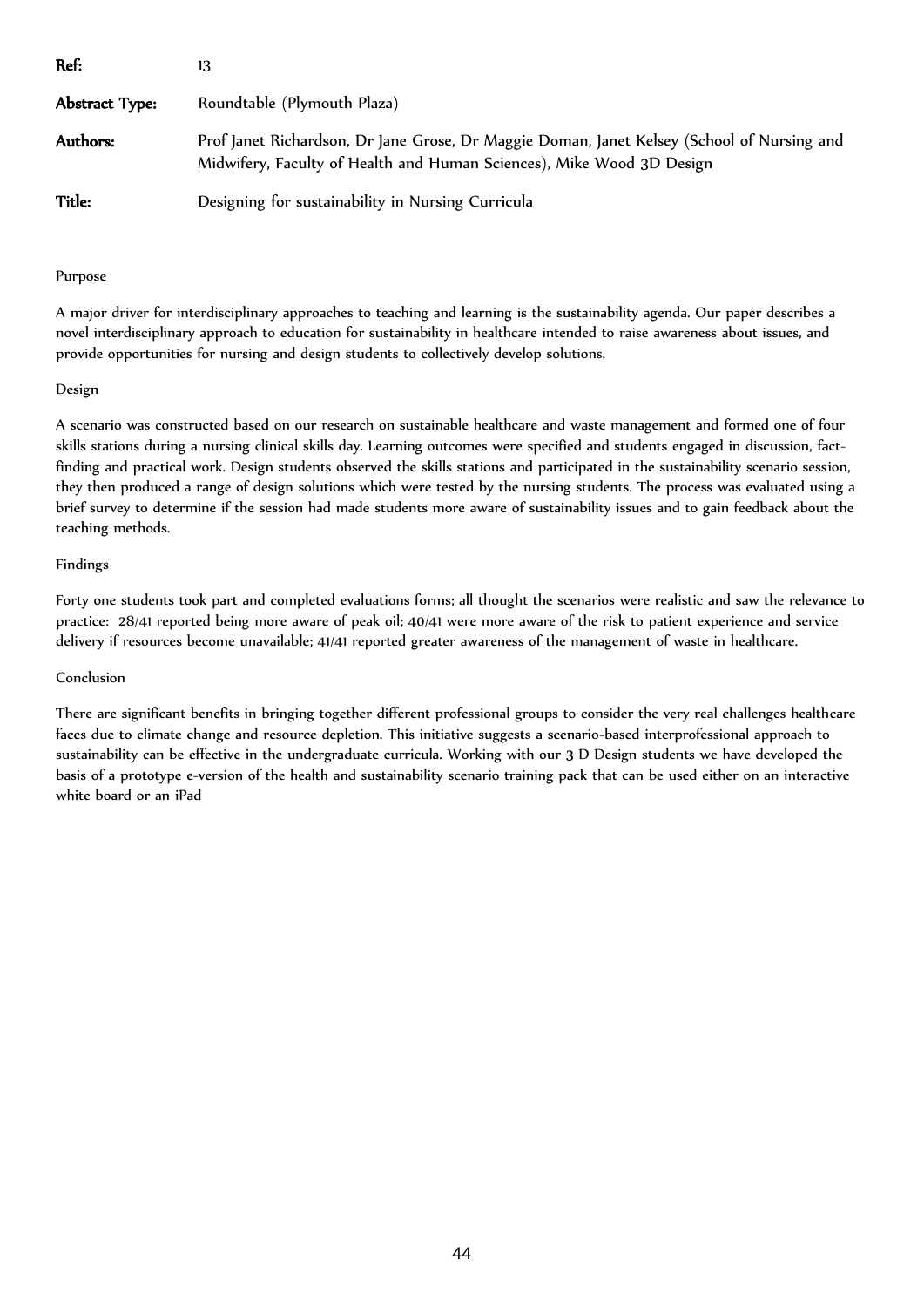| Ref:           | 13                                                                                                                                                                  |
|----------------|---------------------------------------------------------------------------------------------------------------------------------------------------------------------|
| Abstract Type: | Roundtable (Plymouth Plaza)                                                                                                                                         |
| Authors:       | Prof Janet Richardson, Dr Jane Grose, Dr Maggie Doman, Janet Kelsey (School of Nursing and<br>Midwifery, Faculty of Health and Human Sciences), Mike Wood 3D Design |
| Title:         | Designing for sustainability in Nursing Curricula                                                                                                                   |

## Purpose

A major driver for interdisciplinary approaches to teaching and learning is the sustainability agenda. Our paper describes a novel interdisciplinary approach to education for sustainability in healthcare intended to raise awareness about issues, and provide opportunities for nursing and design students to collectively develop solutions.

## Design

A scenario was constructed based on our research on sustainable healthcare and waste management and formed one of four skills stations during a nursing clinical skills day. Learning outcomes were specified and students engaged in discussion, factfinding and practical work. Design students observed the skills stations and participated in the sustainability scenario session, they then produced a range of design solutions which were tested by the nursing students. The process was evaluated using a brief survey to determine if the session had made students more aware of sustainability issues and to gain feedback about the teaching methods.

## Findings

Forty one students took part and completed evaluations forms; all thought the scenarios were realistic and saw the relevance to practice: 28/41 reported being more aware of peak oil; 40/41 were more aware of the risk to patient experience and service delivery if resources become unavailable; 41/41 reported greater awareness of the management of waste in healthcare.

# Conclusion

There are significant benefits in bringing together different professional groups to consider the very real challenges healthcare faces due to climate change and resource depletion. This initiative suggests a scenario-based interprofessional approach to sustainability can be effective in the undergraduate curricula. Working with our 3 D Design students we have developed the basis of a prototype e-version of the health and sustainability scenario training pack that can be used either on an interactive white board or an iPad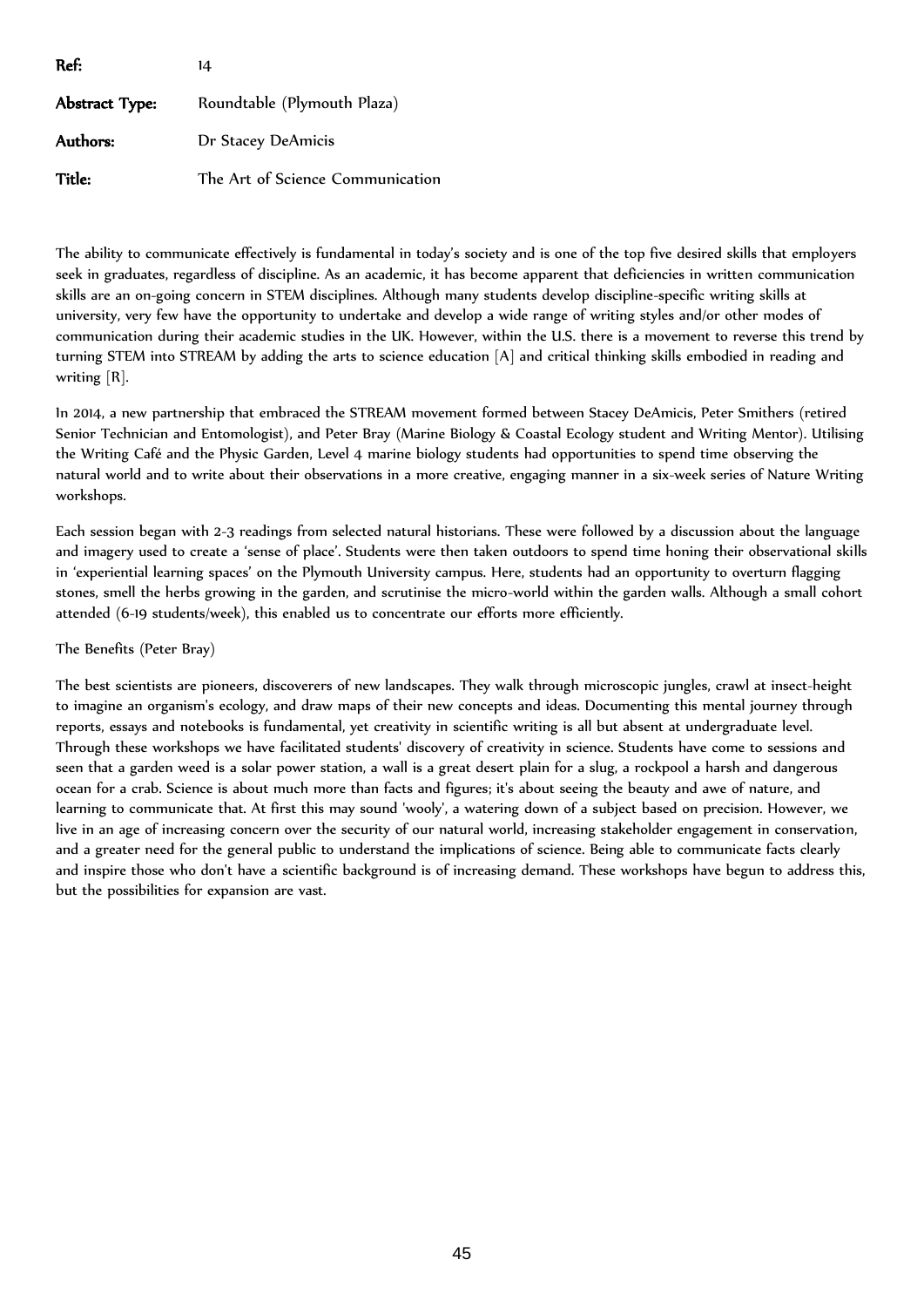| Ref:                  | 14                               |
|-----------------------|----------------------------------|
| <b>Abstract Type:</b> | Roundtable (Plymouth Plaza)      |
| Authors:              | Dr Stacey DeAmicis               |
| Title:                | The Art of Science Communication |

The ability to communicate effectively is fundamental in today's society and is one of the top five desired skills that employers seek in graduates, regardless of discipline. As an academic, it has become apparent that deficiencies in written communication skills are an on-going concern in STEM disciplines. Although many students develop discipline-specific writing skills at university, very few have the opportunity to undertake and develop a wide range of writing styles and/or other modes of communication during their academic studies in the UK. However, within the U.S. there is a movement to reverse this trend by turning STEM into STREAM by adding the arts to science education [A] and critical thinking skills embodied in reading and writing [R].

In 2014, a new partnership that embraced the STREAM movement formed between Stacey DeAmicis, Peter Smithers (retired Senior Technician and Entomologist), and Peter Bray (Marine Biology & Coastal Ecology student and Writing Mentor). Utilising the Writing Café and the Physic Garden, Level 4 marine biology students had opportunities to spend time observing the natural world and to write about their observations in a more creative, engaging manner in a six-week series of Nature Writing workshops.

Each session began with 2-3 readings from selected natural historians. These were followed by a discussion about the language and imagery used to create a 'sense of place'. Students were then taken outdoors to spend time honing their observational skills in 'experiential learning spaces' on the Plymouth University campus. Here, students had an opportunity to overturn flagging stones, smell the herbs growing in the garden, and scrutinise the micro-world within the garden walls. Although a small cohort attended (6-19 students/week), this enabled us to concentrate our efforts more efficiently.

# The Benefits (Peter Bray)

The best scientists are pioneers, discoverers of new landscapes. They walk through microscopic jungles, crawl at insect-height to imagine an organism's ecology, and draw maps of their new concepts and ideas. Documenting this mental journey through reports, essays and notebooks is fundamental, yet creativity in scientific writing is all but absent at undergraduate level. Through these workshops we have facilitated students' discovery of creativity in science. Students have come to sessions and seen that a garden weed is a solar power station, a wall is a great desert plain for a slug, a rockpool a harsh and dangerous ocean for a crab. Science is about much more than facts and figures; it's about seeing the beauty and awe of nature, and learning to communicate that. At first this may sound 'wooly', a watering down of a subject based on precision. However, we live in an age of increasing concern over the security of our natural world, increasing stakeholder engagement in conservation, and a greater need for the general public to understand the implications of science. Being able to communicate facts clearly and inspire those who don't have a scientific background is of increasing demand. These workshops have begun to address this, but the possibilities for expansion are vast.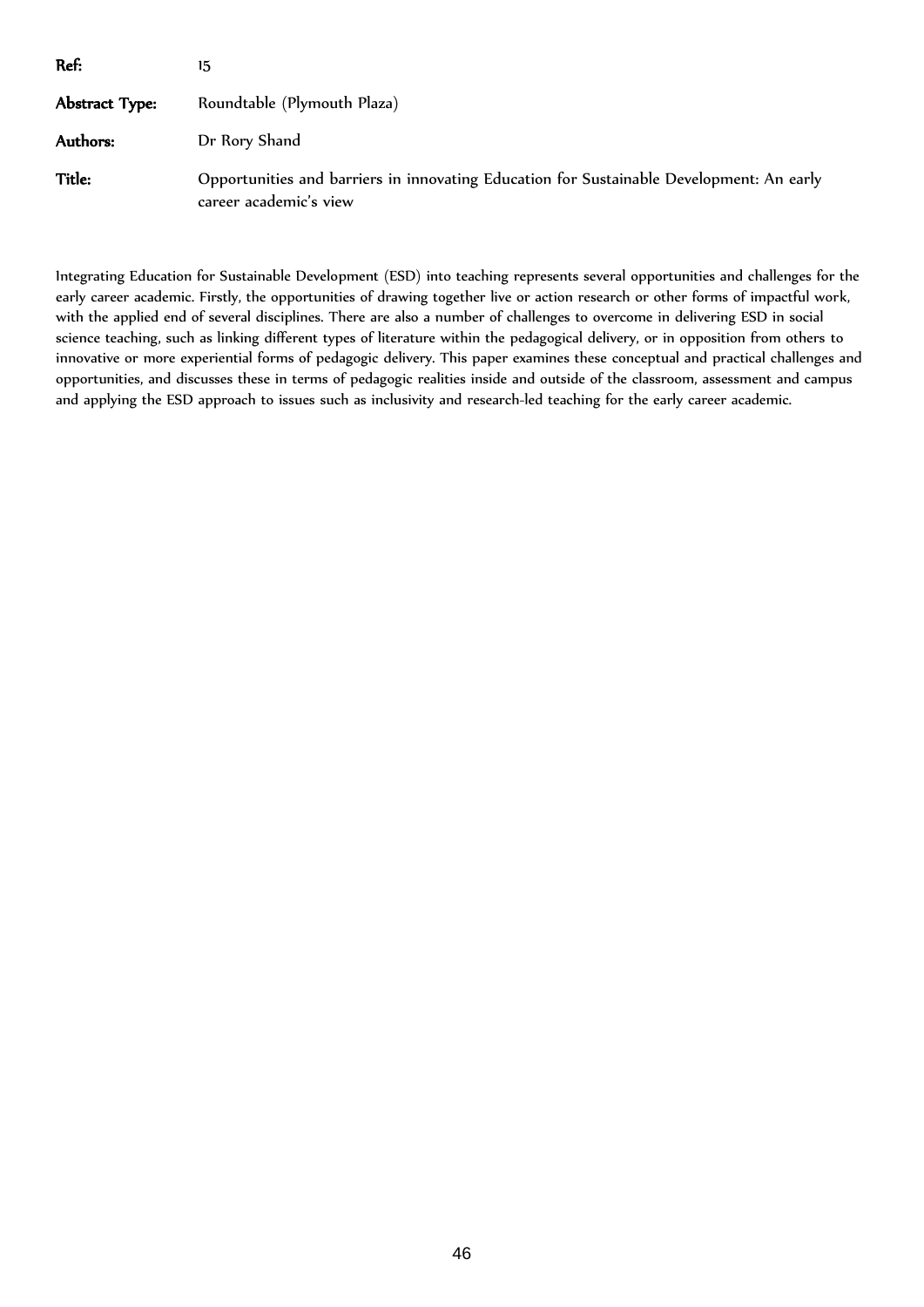| Ref:           | 15                                                                                                                 |  |
|----------------|--------------------------------------------------------------------------------------------------------------------|--|
| Abstract Type: | Roundtable (Plymouth Plaza)                                                                                        |  |
| Authors:       | Dr Rory Shand                                                                                                      |  |
| Title:         | Opportunities and barriers in innovating Education for Sustainable Development: An early<br>career academic's view |  |

Integrating Education for Sustainable Development (ESD) into teaching represents several opportunities and challenges for the early career academic. Firstly, the opportunities of drawing together live or action research or other forms of impactful work, with the applied end of several disciplines. There are also a number of challenges to overcome in delivering ESD in social science teaching, such as linking different types of literature within the pedagogical delivery, or in opposition from others to innovative or more experiential forms of pedagogic delivery. This paper examines these conceptual and practical challenges and opportunities, and discusses these in terms of pedagogic realities inside and outside of the classroom, assessment and campus and applying the ESD approach to issues such as inclusivity and research-led teaching for the early career academic.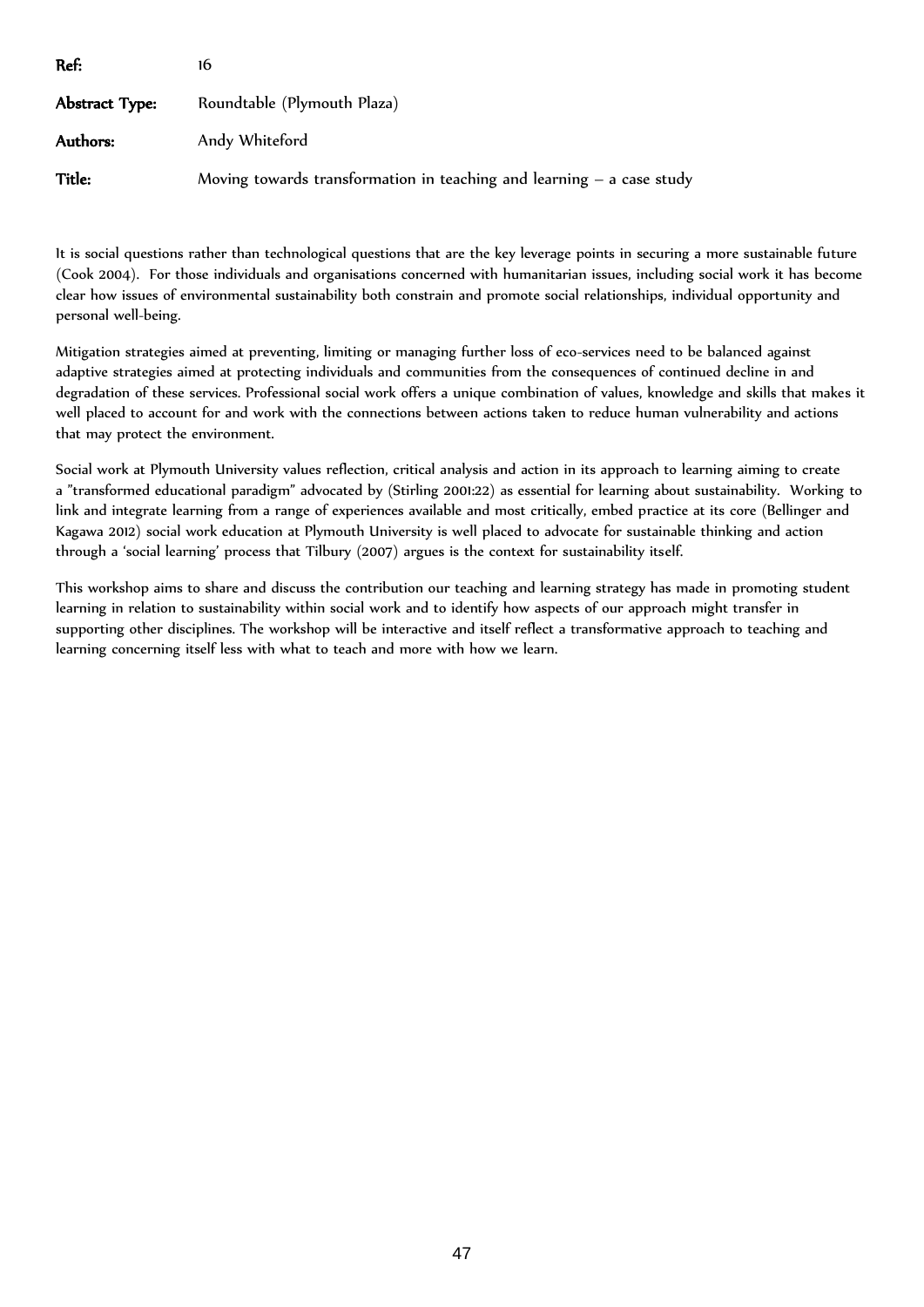| Ref:           | 16                                                                      |
|----------------|-------------------------------------------------------------------------|
| Abstract Type: | Roundtable (Plymouth Plaza)                                             |
| Authors:       | Andy Whiteford                                                          |
| Title:         | Moving towards transformation in teaching and learning $-$ a case study |

It is social questions rather than technological questions that are the key leverage points in securing a more sustainable future (Cook 2004). For those individuals and organisations concerned with humanitarian issues, including social work it has become clear how issues of environmental sustainability both constrain and promote social relationships, individual opportunity and personal well-being.

Mitigation strategies aimed at preventing, limiting or managing further loss of eco-services need to be balanced against adaptive strategies aimed at protecting individuals and communities from the consequences of continued decline in and degradation of these services. Professional social work offers a unique combination of values, knowledge and skills that makes it well placed to account for and work with the connections between actions taken to reduce human vulnerability and actions that may protect the environment.

Social work at Plymouth University values reflection, critical analysis and action in its approach to learning aiming to create a "transformed educational paradigm" advocated by (Stirling 2001:22) as essential for learning about sustainability. Working to link and integrate learning from a range of experiences available and most critically, embed practice at its core (Bellinger and Kagawa 2012) social work education at Plymouth University is well placed to advocate for sustainable thinking and action through a 'social learning' process that Tilbury (2007) argues is the context for sustainability itself.

This workshop aims to share and discuss the contribution our teaching and learning strategy has made in promoting student learning in relation to sustainability within social work and to identify how aspects of our approach might transfer in supporting other disciplines. The workshop will be interactive and itself reflect a transformative approach to teaching and learning concerning itself less with what to teach and more with how we learn.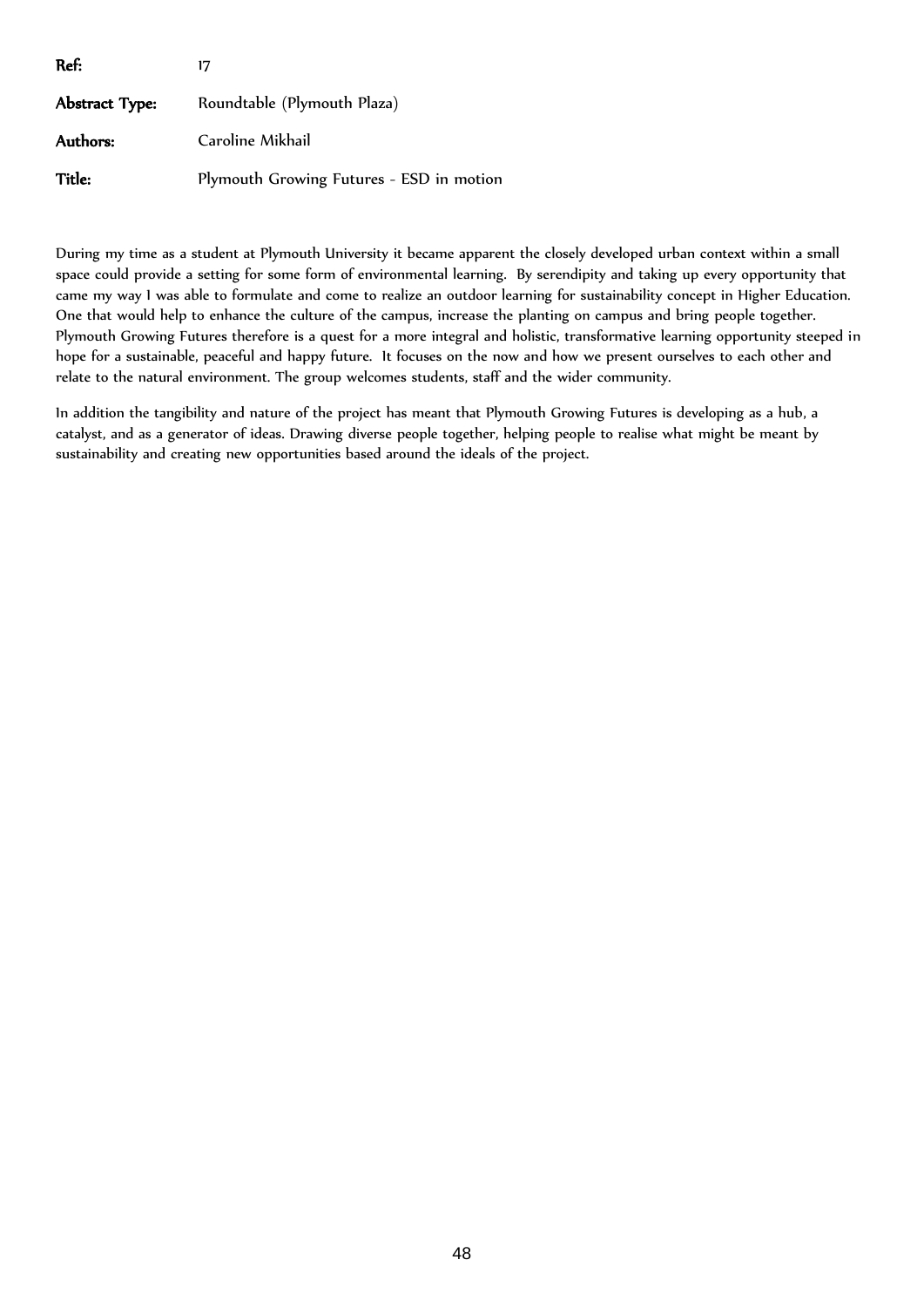| Ref:           | 17                                       |
|----------------|------------------------------------------|
| Abstract Type: | Roundtable (Plymouth Plaza)              |
| Authors:       | Caroline Mikhail                         |
| Title:         | Plymouth Growing Futures - ESD in motion |

During my time as a student at Plymouth University it became apparent the closely developed urban context within a small space could provide a setting for some form of environmental learning. By serendipity and taking up every opportunity that came my way I was able to formulate and come to realize an outdoor learning for sustainability concept in Higher Education. One that would help to enhance the culture of the campus, increase the planting on campus and bring people together. Plymouth Growing Futures therefore is a quest for a more integral and holistic, transformative learning opportunity steeped in hope for a sustainable, peaceful and happy future. It focuses on the now and how we present ourselves to each other and relate to the natural environment. The group welcomes students, staff and the wider community.

In addition the tangibility and nature of the project has meant that Plymouth Growing Futures is developing as a hub, a catalyst, and as a generator of ideas. Drawing diverse people together, helping people to realise what might be meant by sustainability and creating new opportunities based around the ideals of the project.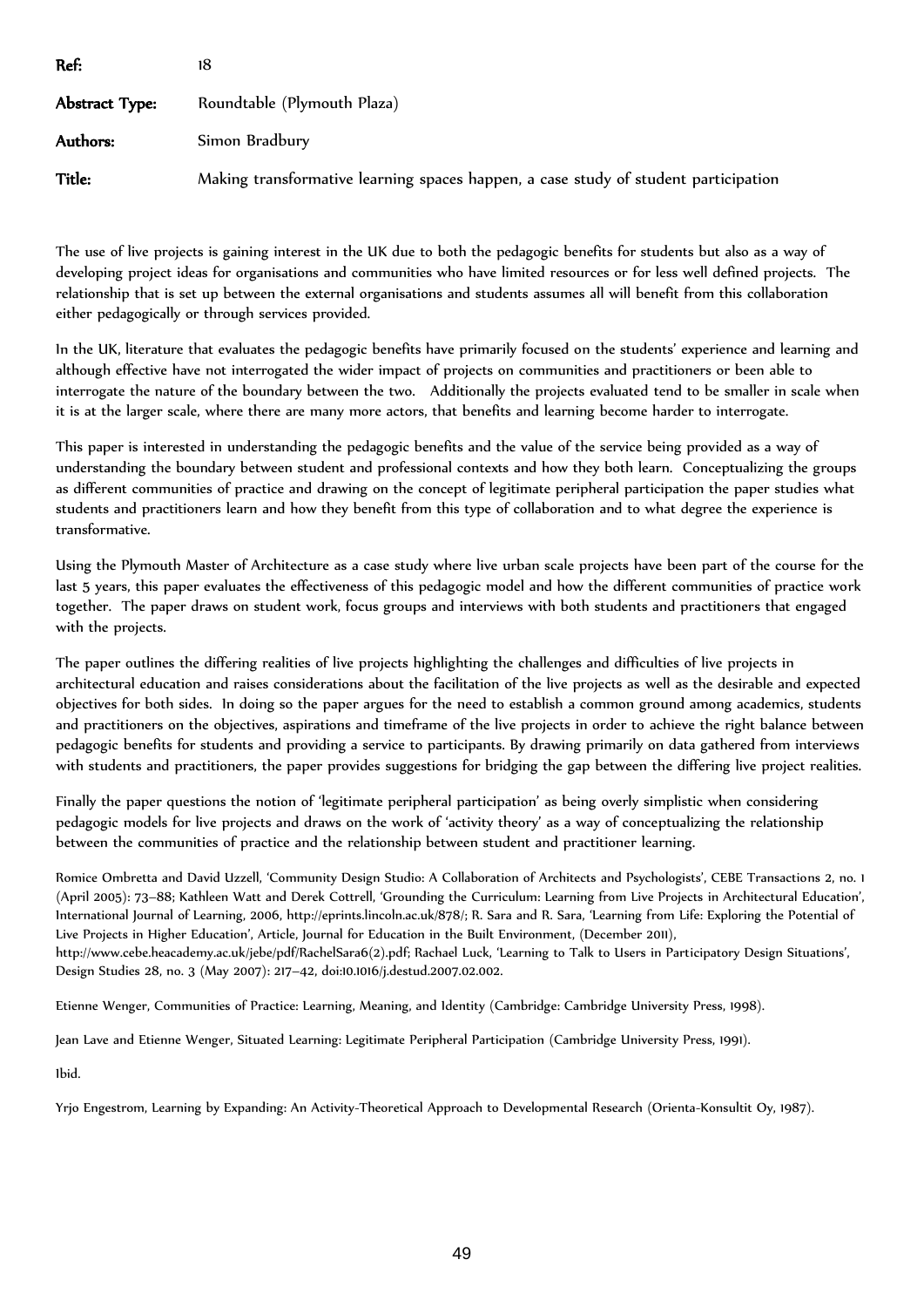| Ref:           | 18                                                                                  |
|----------------|-------------------------------------------------------------------------------------|
| Abstract Type: | Roundtable (Plymouth Plaza)                                                         |
| Authors:       | Simon Bradbury                                                                      |
| <b>Title:</b>  | Making transformative learning spaces happen, a case study of student participation |

The use of live projects is gaining interest in the UK due to both the pedagogic benefits for students but also as a way of developing project ideas for organisations and communities who have limited resources or for less well defined projects. The relationship that is set up between the external organisations and students assumes all will benefit from this collaboration either pedagogically or through services provided.

In the UK, literature that evaluates the pedagogic benefits have primarily focused on the students' experience and learning and although effective have not interrogated the wider impact of projects on communities and practitioners or been able to interrogate the nature of the boundary between the two. Additionally the projects evaluated tend to be smaller in scale when it is at the larger scale, where there are many more actors, that benefits and learning become harder to interrogate.

This paper is interested in understanding the pedagogic benefits and the value of the service being provided as a way of understanding the boundary between student and professional contexts and how they both learn. Conceptualizing the groups as different communities of practice and drawing on the concept of legitimate peripheral participation the paper studies what students and practitioners learn and how they benefit from this type of collaboration and to what degree the experience is transformative.

Using the Plymouth Master of Architecture as a case study where live urban scale projects have been part of the course for the last 5 years, this paper evaluates the effectiveness of this pedagogic model and how the different communities of practice work together. The paper draws on student work, focus groups and interviews with both students and practitioners that engaged with the projects.

The paper outlines the differing realities of live projects highlighting the challenges and difficulties of live projects in architectural education and raises considerations about the facilitation of the live projects as well as the desirable and expected objectives for both sides. In doing so the paper argues for the need to establish a common ground among academics, students and practitioners on the objectives, aspirations and timeframe of the live projects in order to achieve the right balance between pedagogic benefits for students and providing a service to participants. By drawing primarily on data gathered from interviews with students and practitioners, the paper provides suggestions for bridging the gap between the differing live project realities.

Finally the paper questions the notion of 'legitimate peripheral participation' as being overly simplistic when considering pedagogic models for live projects and draws on the work of 'activity theory' as a way of conceptualizing the relationship between the communities of practice and the relationship between student and practitioner learning.

Romice Ombretta and David Uzzell, 'Community Design Studio: A Collaboration of Architects and Psychologists', CEBE Transactions 2, no. 1 (April 2005): 73–88; Kathleen Watt and Derek Cottrell, 'Grounding the Curriculum: Learning from Live Projects in Architectural Education', International Journal of Learning, 2006, http://eprints.lincoln.ac.uk/878/; R. Sara and R. Sara, 'Learning from Life: Exploring the Potential of Live Projects in Higher Education', Article, Journal for Education in the Built Environment, (December 2011), http://www.cebe.heacademy.ac.uk/jebe/pdf/RachelSara6(2).pdf; Rachael Luck, 'Learning to Talk to Users in Participatory Design Situations', Design Studies 28, no. 3 (May 2007): 217–42, doi:10.1016/j.destud.2007.02.002.

Etienne Wenger, Communities of Practice: Learning, Meaning, and Identity (Cambridge: Cambridge University Press, 1998).

Jean Lave and Etienne Wenger, Situated Learning: Legitimate Peripheral Participation (Cambridge University Press, 1991).

Ibid.

Yrjo Engestrom, Learning by Expanding: An Activity-Theoretical Approach to Developmental Research (Orienta-Konsultit Oy, 1987).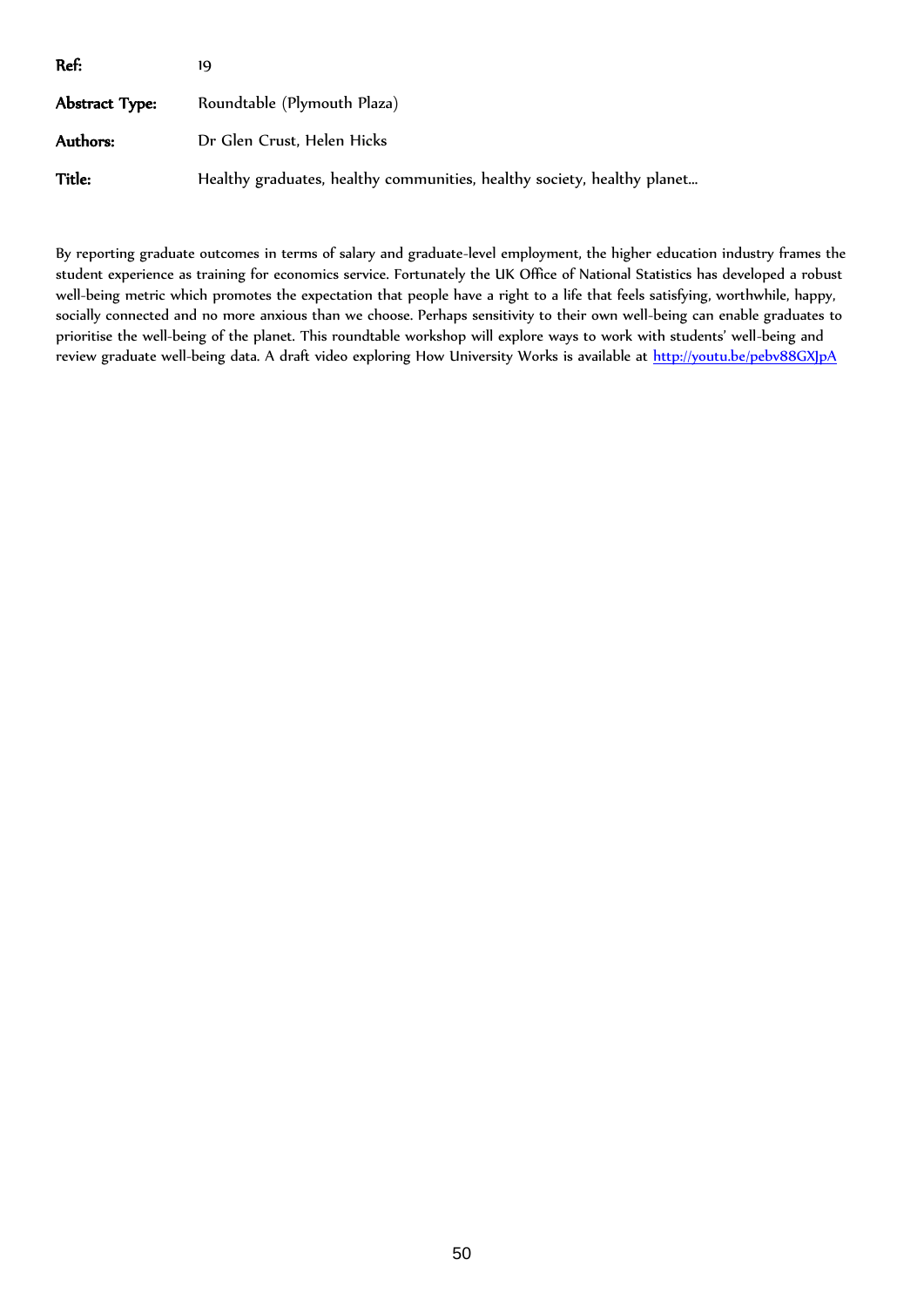| Ref:           | 19                                                                      |
|----------------|-------------------------------------------------------------------------|
| Abstract Type: | Roundtable (Plymouth Plaza)                                             |
| Authors:       | Dr Glen Crust, Helen Hicks                                              |
| Title:         | Healthy graduates, healthy communities, healthy society, healthy planet |

By reporting graduate outcomes in terms of salary and graduate-level employment, the higher education industry frames the student experience as training for economics service. Fortunately the UK Office of National Statistics has developed a robust well-being metric which promotes the expectation that people have a right to a life that feels satisfying, worthwhile, happy, socially connected and no more anxious than we choose. Perhaps sensitivity to their own well-being can enable graduates to prioritise the well-being of the planet. This roundtable workshop will explore ways to work with students' well-being and review graduate well-being data. A draft video exploring How University Works is available at<http://youtu.be/pebv88GXJpA>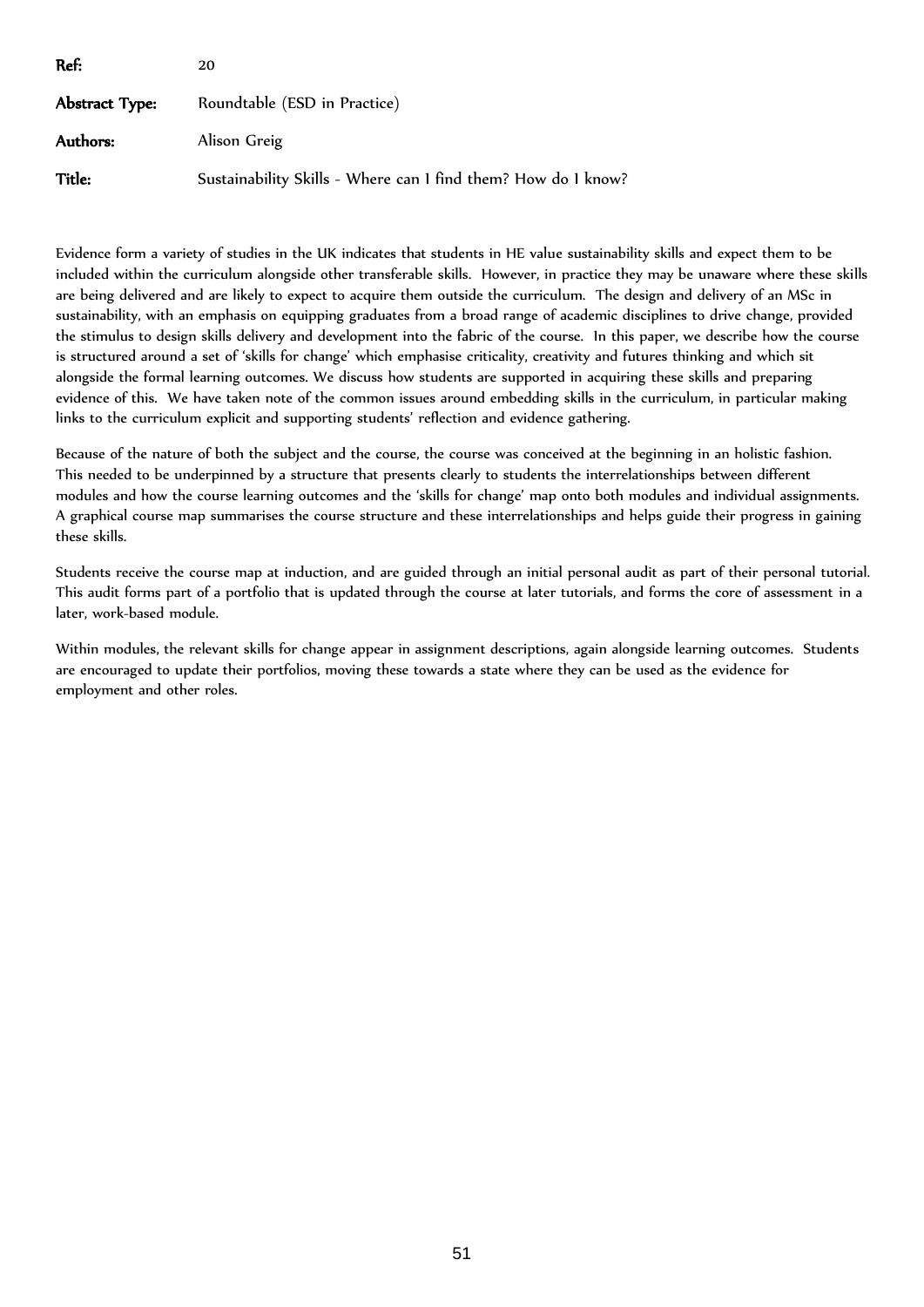| Ref:           | 20                                                            |
|----------------|---------------------------------------------------------------|
| Abstract Type: | Roundtable (ESD in Practice)                                  |
| Authors:       | Alison Greig                                                  |
| Title:         | Sustainability Skills - Where can 1 find them? How do 1 know? |

Evidence form a variety of studies in the UK indicates that students in HE value sustainability skills and expect them to be included within the curriculum alongside other transferable skills. However, in practice they may be unaware where these skills are being delivered and are likely to expect to acquire them outside the curriculum. The design and delivery of an MSc in sustainability, with an emphasis on equipping graduates from a broad range of academic disciplines to drive change, provided the stimulus to design skills delivery and development into the fabric of the course. In this paper, we describe how the course is structured around a set of 'skills for change' which emphasise criticality, creativity and futures thinking and which sit alongside the formal learning outcomes. We discuss how students are supported in acquiring these skills and preparing evidence of this. We have taken note of the common issues around embedding skills in the curriculum, in particular making links to the curriculum explicit and supporting students' reflection and evidence gathering.

Because of the nature of both the subject and the course, the course was conceived at the beginning in an holistic fashion. This needed to be underpinned by a structure that presents clearly to students the interrelationships between different modules and how the course learning outcomes and the 'skills for change' map onto both modules and individual assignments. A graphical course map summarises the course structure and these interrelationships and helps guide their progress in gaining these skills.

Students receive the course map at induction, and are guided through an initial personal audit as part of their personal tutorial. This audit forms part of a portfolio that is updated through the course at later tutorials, and forms the core of assessment in a later, work-based module.

Within modules, the relevant skills for change appear in assignment descriptions, again alongside learning outcomes. Students are encouraged to update their portfolios, moving these towards a state where they can be used as the evidence for employment and other roles.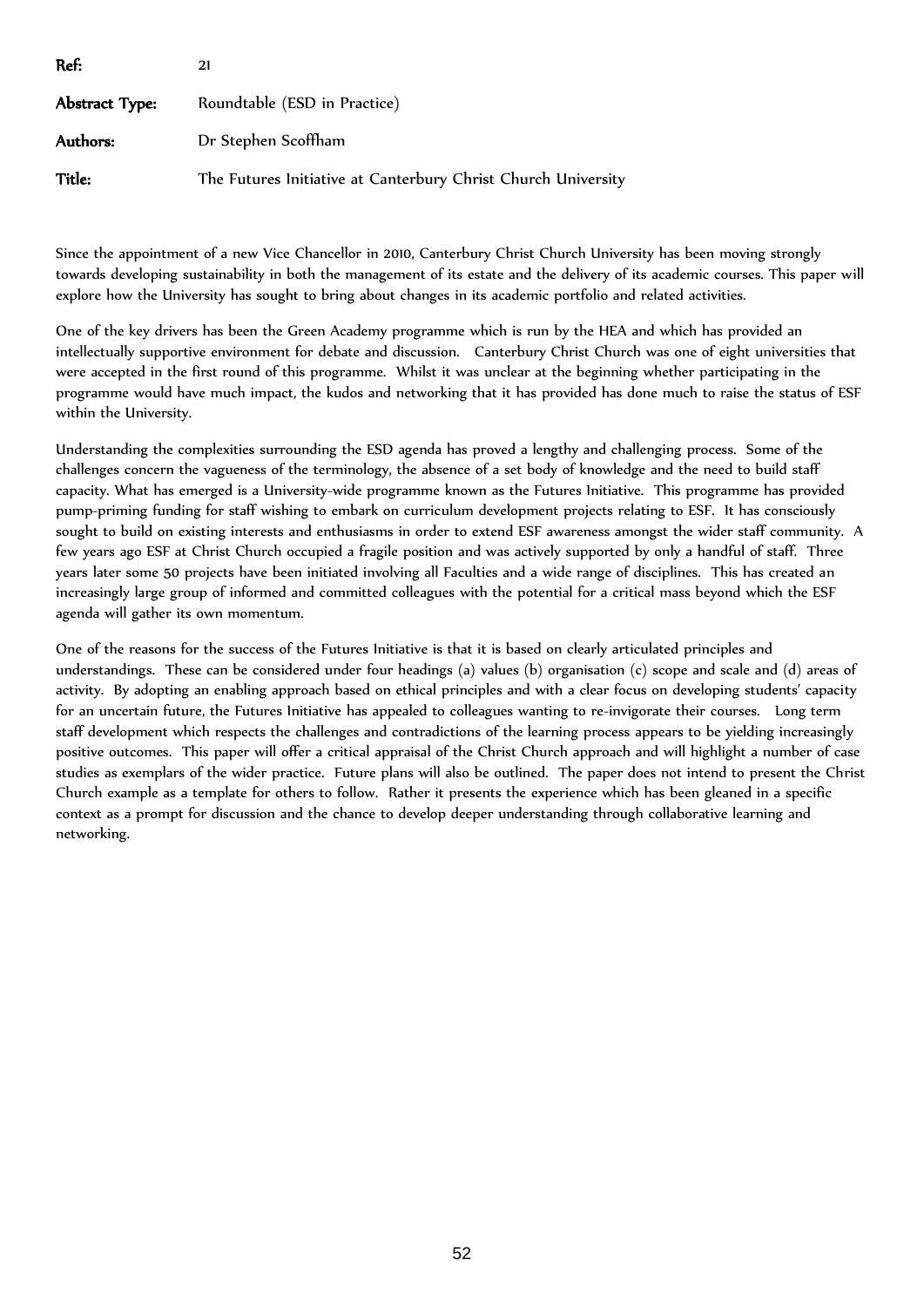| Ref:           | 21                                                            |
|----------------|---------------------------------------------------------------|
| Abstract Type: | Roundtable (ESD in Practice)                                  |
| Authors:       | Dr Stephen Scoffham                                           |
| Title:         | The Futures Initiative at Canterbury Christ Church University |

Since the appointment of a new Vice Chancellor in 2010, Canterbury Christ Church University has been moving strongly towards developing sustainability in both the management of its estate and the delivery of its academic courses. This paper will explore how the University has sought to bring about changes in its academic portfolio and related activities.

One of the key drivers has been the Green Academy programme which is run by the HEA and which has provided an intellectually supportive environment for debate and discussion. Canterbury Christ Church was one of eight universities that were accepted in the first round of this programme. Whilst it was unclear at the beginning whether participating in the programme would have much impact, the kudos and networking that it has provided has done much to raise the status of ESF within the University.

Understanding the complexities surrounding the ESD agenda has proved a lengthy and challenging process. Some of the challenges concern the vagueness of the terminology, the absence of a set body of knowledge and the need to build staff capacity. What has emerged is a University-wide programme known as the Futures Initiative. This programme has provided pump-priming funding for staff wishing to embark on curriculum development projects relating to ESF. It has consciously sought to build on existing interests and enthusiasms in order to extend ESF awareness amongst the wider staff community. A few years ago ESF at Christ Church occupied a fragile position and was actively supported by only a handful of staff. Three years later some 50 projects have been initiated involving all Faculties and a wide range of disciplines. This has created an increasingly large group of informed and committed colleagues with the potential for a critical mass beyond which the ESF agenda will gather its own momentum.

One of the reasons for the success of the Futures Initiative is that it is based on clearly articulated principles and understandings. These can be considered under four headings (a) values (b) organisation (c) scope and scale and (d) areas of activity. By adopting an enabling approach based on ethical principles and with a clear focus on developing students' capacity for an uncertain future, the Futures Initiative has appealed to colleagues wanting to re-invigorate their courses. Long term staff development which respects the challenges and contradictions of the learning process appears to be yielding increasingly positive outcomes. This paper will offer a critical appraisal of the Christ Church approach and will highlight a number of case studies as exemplars of the wider practice. Future plans will also be outlined. The paper does not intend to present the Christ Church example as a template for others to follow. Rather it presents the experience which has been gleaned in a specific context as a prompt for discussion and the chance to develop deeper understanding through collaborative learning and networking.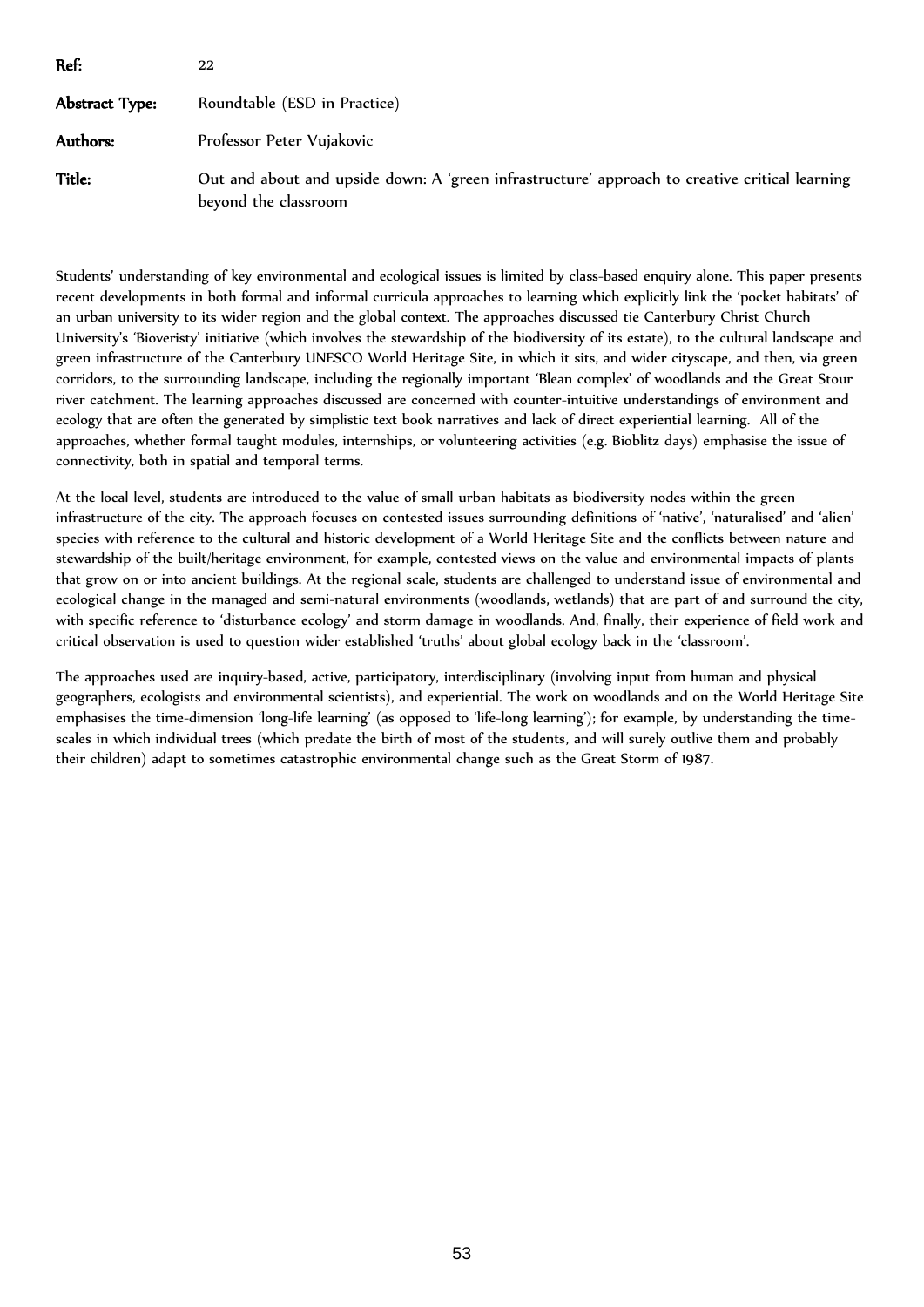| Ref:           | 22                                                                                                                     |
|----------------|------------------------------------------------------------------------------------------------------------------------|
| Abstract Type: | Roundtable (ESD in Practice)                                                                                           |
| Authors:       | Professor Peter Vujakovic                                                                                              |
| Title:         | Out and about and upside down: A 'green infrastructure' approach to creative critical learning<br>beyond the classroom |

Students' understanding of key environmental and ecological issues is limited by class-based enquiry alone. This paper presents recent developments in both formal and informal curricula approaches to learning which explicitly link the 'pocket habitats' of an urban university to its wider region and the global context. The approaches discussed tie Canterbury Christ Church University's 'Bioveristy' initiative (which involves the stewardship of the biodiversity of its estate), to the cultural landscape and green infrastructure of the Canterbury UNESCO World Heritage Site, in which it sits, and wider cityscape, and then, via green corridors, to the surrounding landscape, including the regionally important 'Blean complex' of woodlands and the Great Stour river catchment. The learning approaches discussed are concerned with counter-intuitive understandings of environment and ecology that are often the generated by simplistic text book narratives and lack of direct experiential learning. All of the approaches, whether formal taught modules, internships, or volunteering activities (e.g. Bioblitz days) emphasise the issue of connectivity, both in spatial and temporal terms.

At the local level, students are introduced to the value of small urban habitats as biodiversity nodes within the green infrastructure of the city. The approach focuses on contested issues surrounding definitions of 'native', 'naturalised' and 'alien' species with reference to the cultural and historic development of a World Heritage Site and the conflicts between nature and stewardship of the built/heritage environment, for example, contested views on the value and environmental impacts of plants that grow on or into ancient buildings. At the regional scale, students are challenged to understand issue of environmental and ecological change in the managed and semi-natural environments (woodlands, wetlands) that are part of and surround the city, with specific reference to 'disturbance ecology' and storm damage in woodlands. And, finally, their experience of field work and critical observation is used to question wider established 'truths' about global ecology back in the 'classroom'.

The approaches used are inquiry-based, active, participatory, interdisciplinary (involving input from human and physical geographers, ecologists and environmental scientists), and experiential. The work on woodlands and on the World Heritage Site emphasises the time-dimension 'long-life learning' (as opposed to 'life-long learning'); for example, by understanding the timescales in which individual trees (which predate the birth of most of the students, and will surely outlive them and probably their children) adapt to sometimes catastrophic environmental change such as the Great Storm of 1987.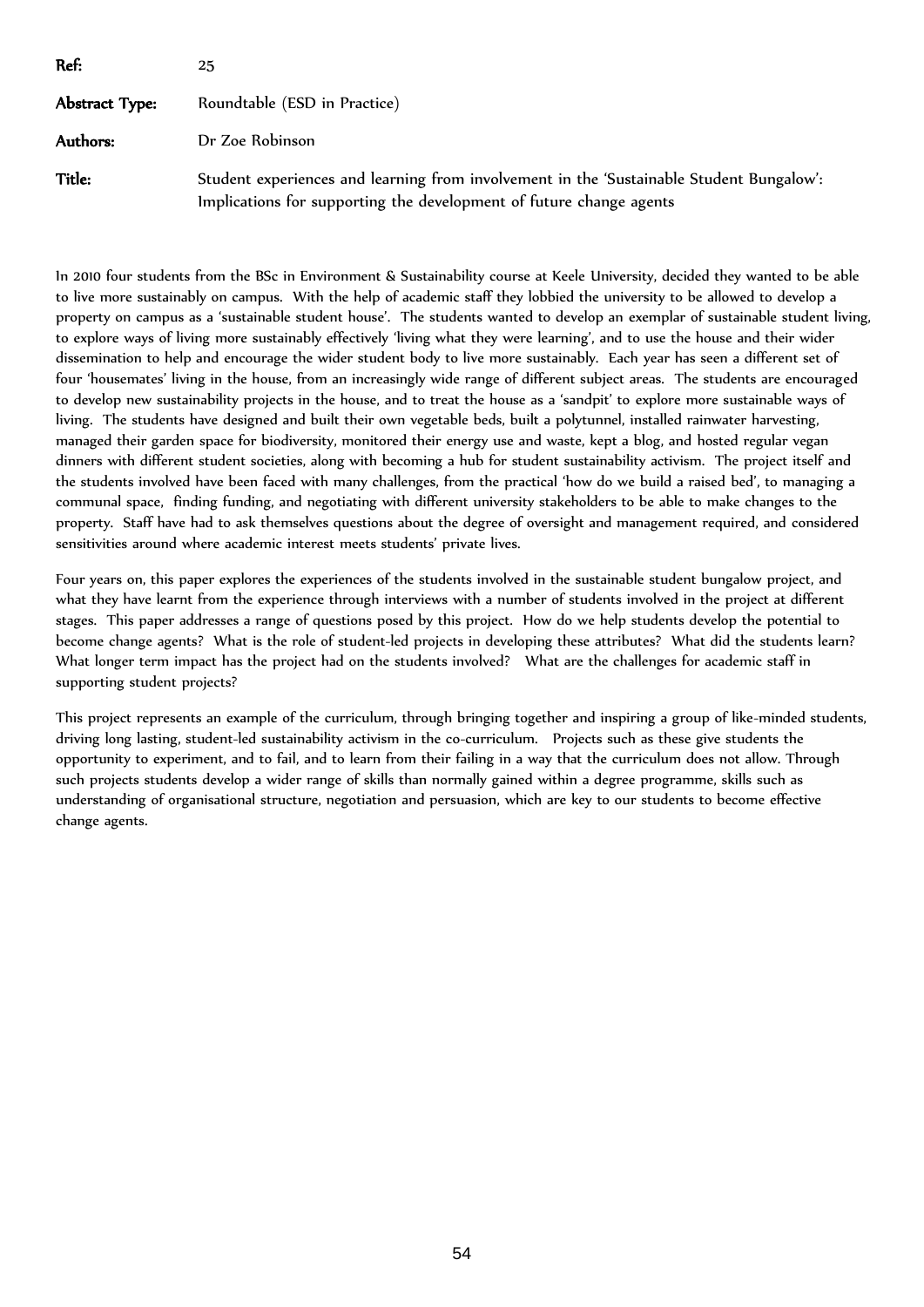| Ref:           | 25                                                                                                                                                              |
|----------------|-----------------------------------------------------------------------------------------------------------------------------------------------------------------|
| Abstract Type: | Roundtable (ESD in Practice)                                                                                                                                    |
| Authors:       | Dr Zoe Robinson                                                                                                                                                 |
| Title:         | Student experiences and learning from involvement in the 'Sustainable Student Bungalow':<br>Implications for supporting the development of future change agents |

In 2010 four students from the BSc in Environment & Sustainability course at Keele University, decided they wanted to be able to live more sustainably on campus. With the help of academic staff they lobbied the university to be allowed to develop a property on campus as a 'sustainable student house'. The students wanted to develop an exemplar of sustainable student living, to explore ways of living more sustainably effectively 'living what they were learning', and to use the house and their wider dissemination to help and encourage the wider student body to live more sustainably. Each year has seen a different set of four 'housemates' living in the house, from an increasingly wide range of different subject areas. The students are encouraged to develop new sustainability projects in the house, and to treat the house as a 'sandpit' to explore more sustainable ways of living. The students have designed and built their own vegetable beds, built a polytunnel, installed rainwater harvesting, managed their garden space for biodiversity, monitored their energy use and waste, kept a blog, and hosted regular vegan dinners with different student societies, along with becoming a hub for student sustainability activism. The project itself and the students involved have been faced with many challenges, from the practical 'how do we build a raised bed', to managing a communal space, finding funding, and negotiating with different university stakeholders to be able to make changes to the property. Staff have had to ask themselves questions about the degree of oversight and management required, and considered sensitivities around where academic interest meets students' private lives.

Four years on, this paper explores the experiences of the students involved in the sustainable student bungalow project, and what they have learnt from the experience through interviews with a number of students involved in the project at different stages. This paper addresses a range of questions posed by this project. How do we help students develop the potential to become change agents? What is the role of student-led projects in developing these attributes? What did the students learn? What longer term impact has the project had on the students involved? What are the challenges for academic staff in supporting student projects?

This project represents an example of the curriculum, through bringing together and inspiring a group of like-minded students, driving long lasting, student-led sustainability activism in the co-curriculum. Projects such as these give students the opportunity to experiment, and to fail, and to learn from their failing in a way that the curriculum does not allow. Through such projects students develop a wider range of skills than normally gained within a degree programme, skills such as understanding of organisational structure, negotiation and persuasion, which are key to our students to become effective change agents.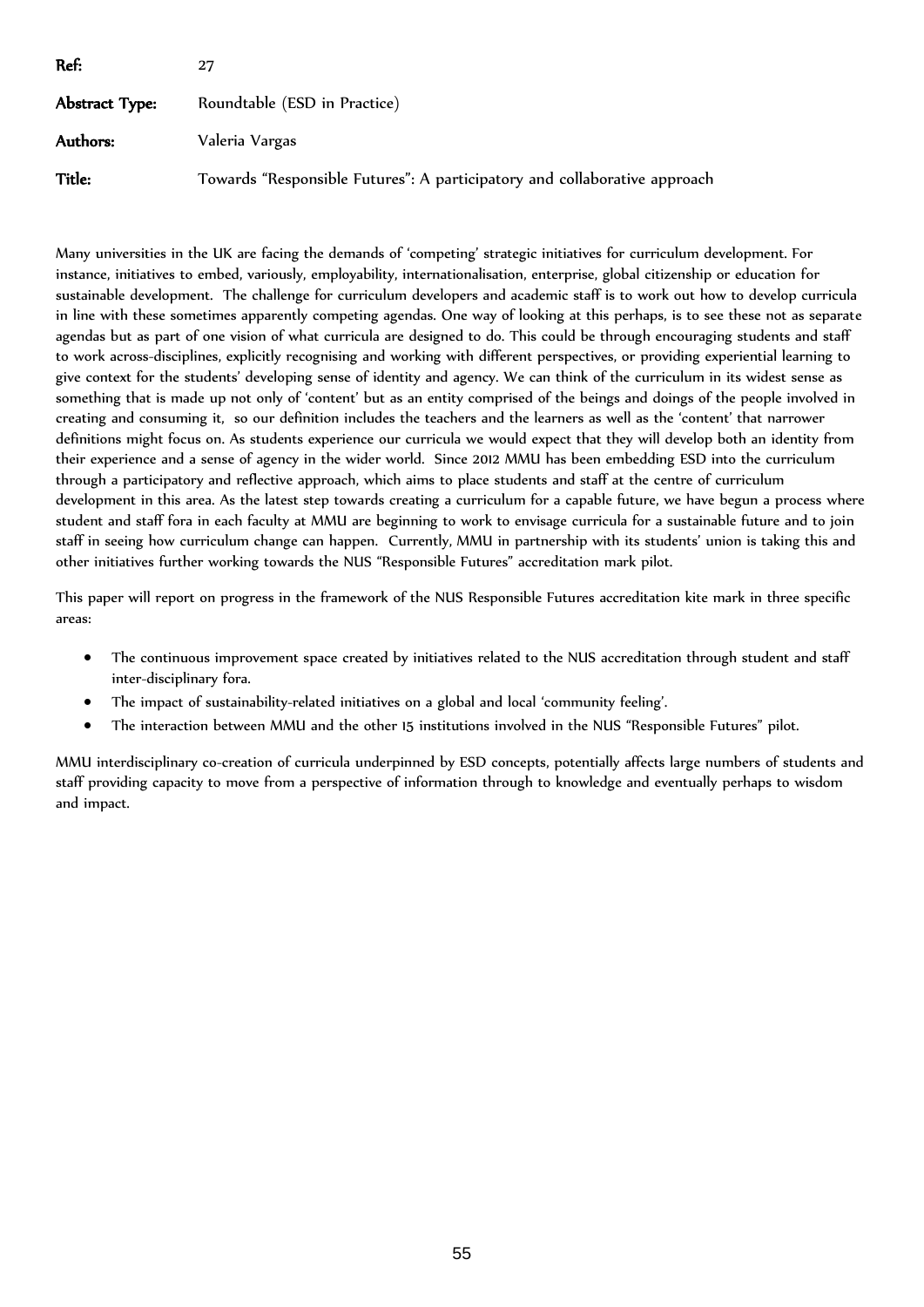| Ref:           | 27                                                                        |
|----------------|---------------------------------------------------------------------------|
| Abstract Type: | Roundtable (ESD in Practice)                                              |
| Authors:       | Valeria Vargas                                                            |
| Title:         | Towards "Responsible Futures": A participatory and collaborative approach |

Many universities in the UK are facing the demands of 'competing' strategic initiatives for curriculum development. For instance, initiatives to embed, variously, employability, internationalisation, enterprise, global citizenship or education for sustainable development. The challenge for curriculum developers and academic staff is to work out how to develop curricula in line with these sometimes apparently competing agendas. One way of looking at this perhaps, is to see these not as separate agendas but as part of one vision of what curricula are designed to do. This could be through encouraging students and staff to work across-disciplines, explicitly recognising and working with different perspectives, or providing experiential learning to give context for the students' developing sense of identity and agency. We can think of the curriculum in its widest sense as something that is made up not only of 'content' but as an entity comprised of the beings and doings of the people involved in creating and consuming it, so our definition includes the teachers and the learners as well as the 'content' that narrower definitions might focus on. As students experience our curricula we would expect that they will develop both an identity from their experience and a sense of agency in the wider world. Since 2012 MMU has been embedding ESD into the curriculum through a participatory and reflective approach, which aims to place students and staff at the centre of curriculum development in this area. As the latest step towards creating a curriculum for a capable future, we have begun a process where student and staff fora in each faculty at MMU are beginning to work to envisage curricula for a sustainable future and to join staff in seeing how curriculum change can happen. Currently, MMU in partnership with its students' union is taking this and other initiatives further working towards the NUS "Responsible Futures" accreditation mark pilot.

This paper will report on progress in the framework of the NUS Responsible Futures accreditation kite mark in three specific areas:

- The continuous improvement space created by initiatives related to the NUS accreditation through student and staff inter-disciplinary fora.
- The impact of sustainability-related initiatives on a global and local 'community feeling'.
- The interaction between MMU and the other 15 institutions involved in the NUS "Responsible Futures" pilot.

MMU interdisciplinary co-creation of curricula underpinned by ESD concepts, potentially affects large numbers of students and staff providing capacity to move from a perspective of information through to knowledge and eventually perhaps to wisdom and impact.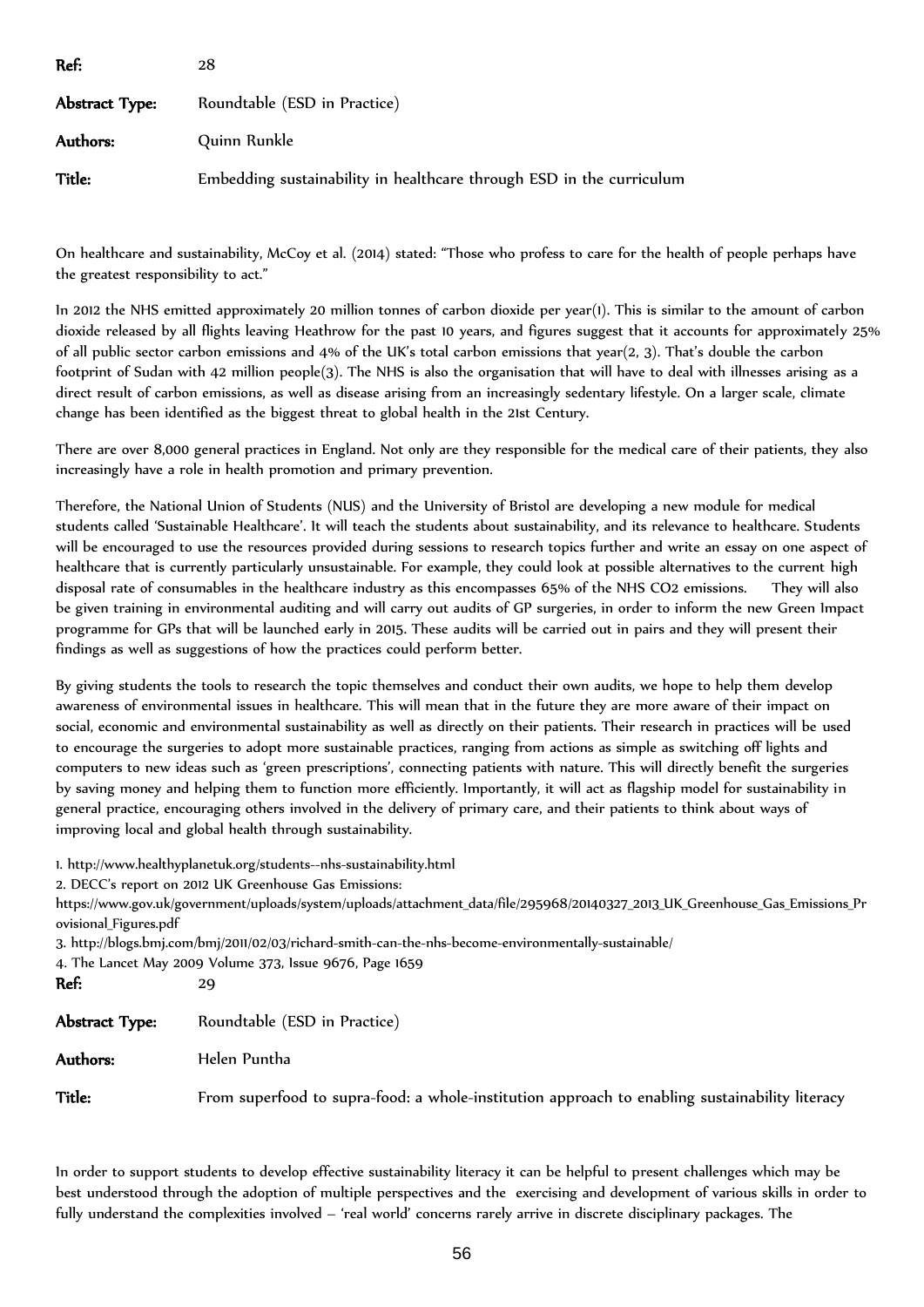| Ref:           | 28                                                                   |
|----------------|----------------------------------------------------------------------|
| Abstract Type: | Roundtable (ESD in Practice)                                         |
| Authors:       | Quinn Runkle                                                         |
| Title:         | Embedding sustainability in healthcare through ESD in the curriculum |

On healthcare and sustainability, McCoy et al. (2014) stated: "Those who profess to care for the health of people perhaps have the greatest responsibility to act."

In 2012 the NHS emitted approximately 20 million tonnes of carbon dioxide per year(1). This is similar to the amount of carbon dioxide released by all flights leaving Heathrow for the past 10 years, and figures suggest that it accounts for approximately 25% of all public sector carbon emissions and 4% of the UK's total carbon emissions that year(2, 3). That's double the carbon footprint of Sudan with 42 million people(3). The NHS is also the organisation that will have to deal with illnesses arising as a direct result of carbon emissions, as well as disease arising from an increasingly sedentary lifestyle. On a larger scale, climate change has been identified as the biggest threat to global health in the 21st Century.

There are over 8,000 general practices in England. Not only are they responsible for the medical care of their patients, they also increasingly have a role in health promotion and primary prevention.

Therefore, the National Union of Students (NUS) and the University of Bristol are developing a new module for medical students called 'Sustainable Healthcare'. It will teach the students about sustainability, and its relevance to healthcare. Students will be encouraged to use the resources provided during sessions to research topics further and write an essay on one aspect of healthcare that is currently particularly unsustainable. For example, they could look at possible alternatives to the current high disposal rate of consumables in the healthcare industry as this encompasses 65% of the NHS CO2 emissions. They will also be given training in environmental auditing and will carry out audits of GP surgeries, in order to inform the new Green Impact programme for GPs that will be launched early in 2015. These audits will be carried out in pairs and they will present their findings as well as suggestions of how the practices could perform better.

By giving students the tools to research the topic themselves and conduct their own audits, we hope to help them develop awareness of environmental issues in healthcare. This will mean that in the future they are more aware of their impact on social, economic and environmental sustainability as well as directly on their patients. Their research in practices will be used to encourage the surgeries to adopt more sustainable practices, ranging from actions as simple as switching off lights and computers to new ideas such as 'green prescriptions', connecting patients with nature. This will directly benefit the surgeries by saving money and helping them to function more efficiently. Importantly, it will act as flagship model for sustainability in general practice, encouraging others involved in the delivery of primary care, and their patients to think about ways of improving local and global health through sustainability.

1. http://www.healthyplanetuk.org/students--nhs-sustainability.html

2. DECC's report on 2012 UK Greenhouse Gas Emissions:

https://www.gov.uk/government/uploads/system/uploads/attachment\_data/file/295968/20140327\_2013\_UK\_Greenhouse\_Gas\_Emissions\_Pr ovisional\_Figures.pdf

3. http://blogs.bmj.com/bmj/2011/02/03/richard-smith-can-the-nhs-become-environmentally-sustainable/

4. The Lancet May 2009 Volume 373, Issue 9676, Page 1659

| Ref:           | 29                                                                                             |
|----------------|------------------------------------------------------------------------------------------------|
| Abstract Type: | Roundtable (ESD in Practice)                                                                   |
| Authors:       | Helen Puntha                                                                                   |
| <b>Title:</b>  | From superfood to supra-food: a whole-institution approach to enabling sustainability literacy |

In order to support students to develop effective sustainability literacy it can be helpful to present challenges which may be best understood through the adoption of multiple perspectives and the exercising and development of various skills in order to fully understand the complexities involved – 'real world' concerns rarely arrive in discrete disciplinary packages. The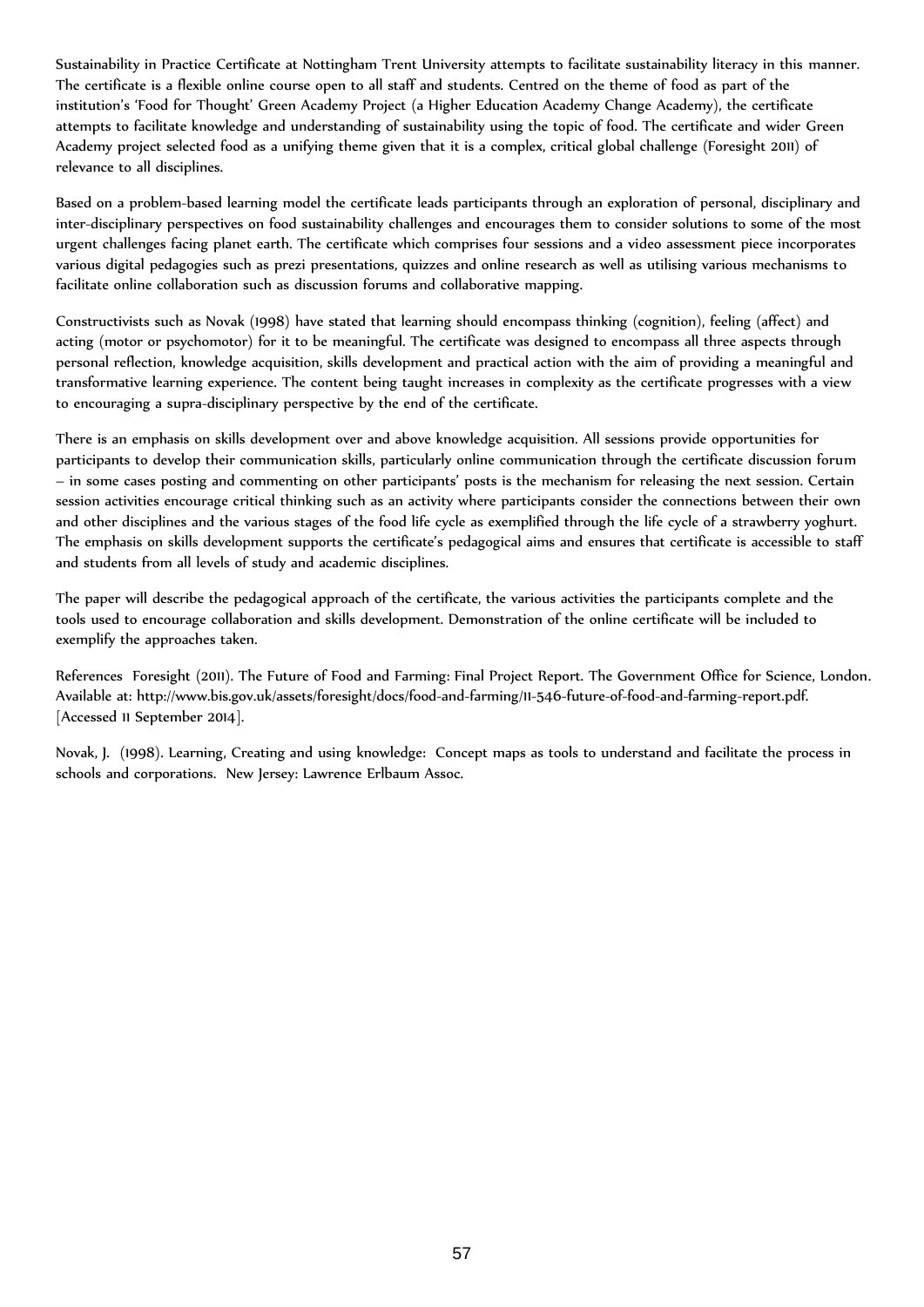Sustainability in Practice Certificate at Nottingham Trent University attempts to facilitate sustainability literacy in this manner. The certificate is a flexible online course open to all staff and students. Centred on the theme of food as part of the institution's 'Food for Thought' Green Academy Project (a Higher Education Academy Change Academy), the certificate attempts to facilitate knowledge and understanding of sustainability using the topic of food. The certificate and wider Green Academy project selected food as a unifying theme given that it is a complex, critical global challenge (Foresight 2011) of relevance to all disciplines.

Based on a problem-based learning model the certificate leads participants through an exploration of personal, disciplinary and inter-disciplinary perspectives on food sustainability challenges and encourages them to consider solutions to some of the most urgent challenges facing planet earth. The certificate which comprises four sessions and a video assessment piece incorporates various digital pedagogies such as prezi presentations, quizzes and online research as well as utilising various mechanisms to facilitate online collaboration such as discussion forums and collaborative mapping.

Constructivists such as Novak (1998) have stated that learning should encompass thinking (cognition), feeling (affect) and acting (motor or psychomotor) for it to be meaningful. The certificate was designed to encompass all three aspects through personal reflection, knowledge acquisition, skills development and practical action with the aim of providing a meaningful and transformative learning experience. The content being taught increases in complexity as the certificate progresses with a view to encouraging a supra-disciplinary perspective by the end of the certificate.

There is an emphasis on skills development over and above knowledge acquisition. All sessions provide opportunities for participants to develop their communication skills, particularly online communication through the certificate discussion forum – in some cases posting and commenting on other participants' posts is the mechanism for releasing the next session. Certain session activities encourage critical thinking such as an activity where participants consider the connections between their own and other disciplines and the various stages of the food life cycle as exemplified through the life cycle of a strawberry yoghurt. The emphasis on skills development supports the certificate's pedagogical aims and ensures that certificate is accessible to staff and students from all levels of study and academic disciplines.

The paper will describe the pedagogical approach of the certificate, the various activities the participants complete and the tools used to encourage collaboration and skills development. Demonstration of the online certificate will be included to exemplify the approaches taken.

References Foresight (2011). The Future of Food and Farming: Final Project Report. The Government Office for Science, London. Available at: http://www.bis.gov.uk/assets/foresight/docs/food-and-farming/11-546-future-of-food-and-farming-report.pdf. [Accessed 11 September 2014].

Novak, J. (1998). Learning, Creating and using knowledge: Concept maps as tools to understand and facilitate the process in schools and corporations. New Jersey: Lawrence Erlbaum Assoc.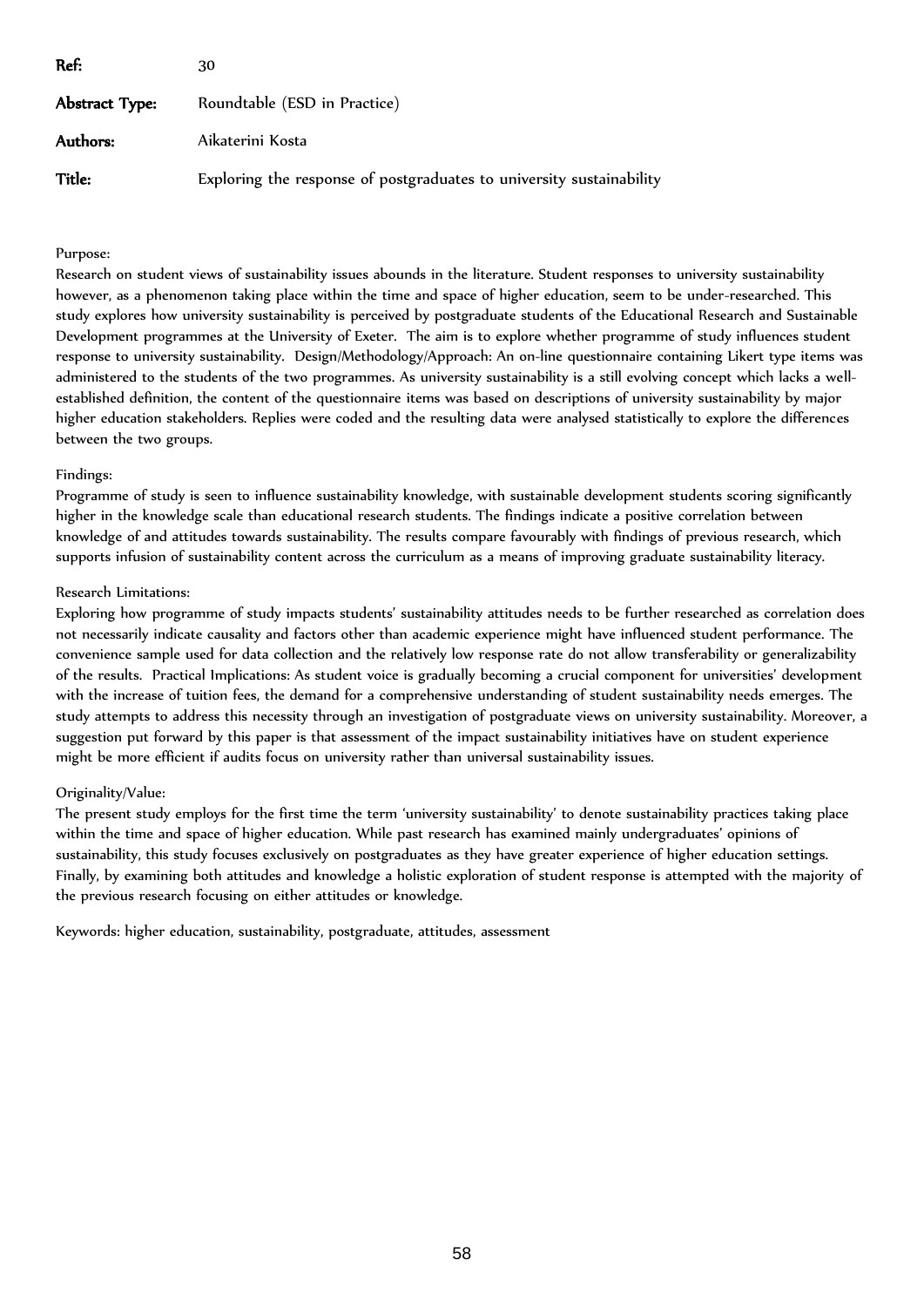| Ref:           | 30                                                                   |
|----------------|----------------------------------------------------------------------|
| Abstract Type: | Roundtable (ESD in Practice)                                         |
| Authors:       | Aikaterini Kosta                                                     |
| Title:         | Exploring the response of postgraduates to university sustainability |

# Purpose:

Research on student views of sustainability issues abounds in the literature. Student responses to university sustainability however, as a phenomenon taking place within the time and space of higher education, seem to be under-researched. This study explores how university sustainability is perceived by postgraduate students of the Educational Research and Sustainable Development programmes at the University of Exeter. The aim is to explore whether programme of study influences student response to university sustainability. Design/Methodology/Approach: An on-line questionnaire containing Likert type items was administered to the students of the two programmes. As university sustainability is a still evolving concept which lacks a wellestablished definition, the content of the questionnaire items was based on descriptions of university sustainability by major higher education stakeholders. Replies were coded and the resulting data were analysed statistically to explore the differences between the two groups.

## Findings:

Programme of study is seen to influence sustainability knowledge, with sustainable development students scoring significantly higher in the knowledge scale than educational research students. The findings indicate a positive correlation between knowledge of and attitudes towards sustainability. The results compare favourably with findings of previous research, which supports infusion of sustainability content across the curriculum as a means of improving graduate sustainability literacy.

## Research Limitations:

Exploring how programme of study impacts students' sustainability attitudes needs to be further researched as correlation does not necessarily indicate causality and factors other than academic experience might have influenced student performance. The convenience sample used for data collection and the relatively low response rate do not allow transferability or generalizability of the results. Practical Implications: As student voice is gradually becoming a crucial component for universities' development with the increase of tuition fees, the demand for a comprehensive understanding of student sustainability needs emerges. The study attempts to address this necessity through an investigation of postgraduate views on university sustainability. Moreover, a suggestion put forward by this paper is that assessment of the impact sustainability initiatives have on student experience might be more efficient if audits focus on university rather than universal sustainability issues.

# Originality/Value:

The present study employs for the first time the term 'university sustainability' to denote sustainability practices taking place within the time and space of higher education. While past research has examined mainly undergraduates' opinions of sustainability, this study focuses exclusively on postgraduates as they have greater experience of higher education settings. Finally, by examining both attitudes and knowledge a holistic exploration of student response is attempted with the majority of the previous research focusing on either attitudes or knowledge.

Keywords: higher education, sustainability, postgraduate, attitudes, assessment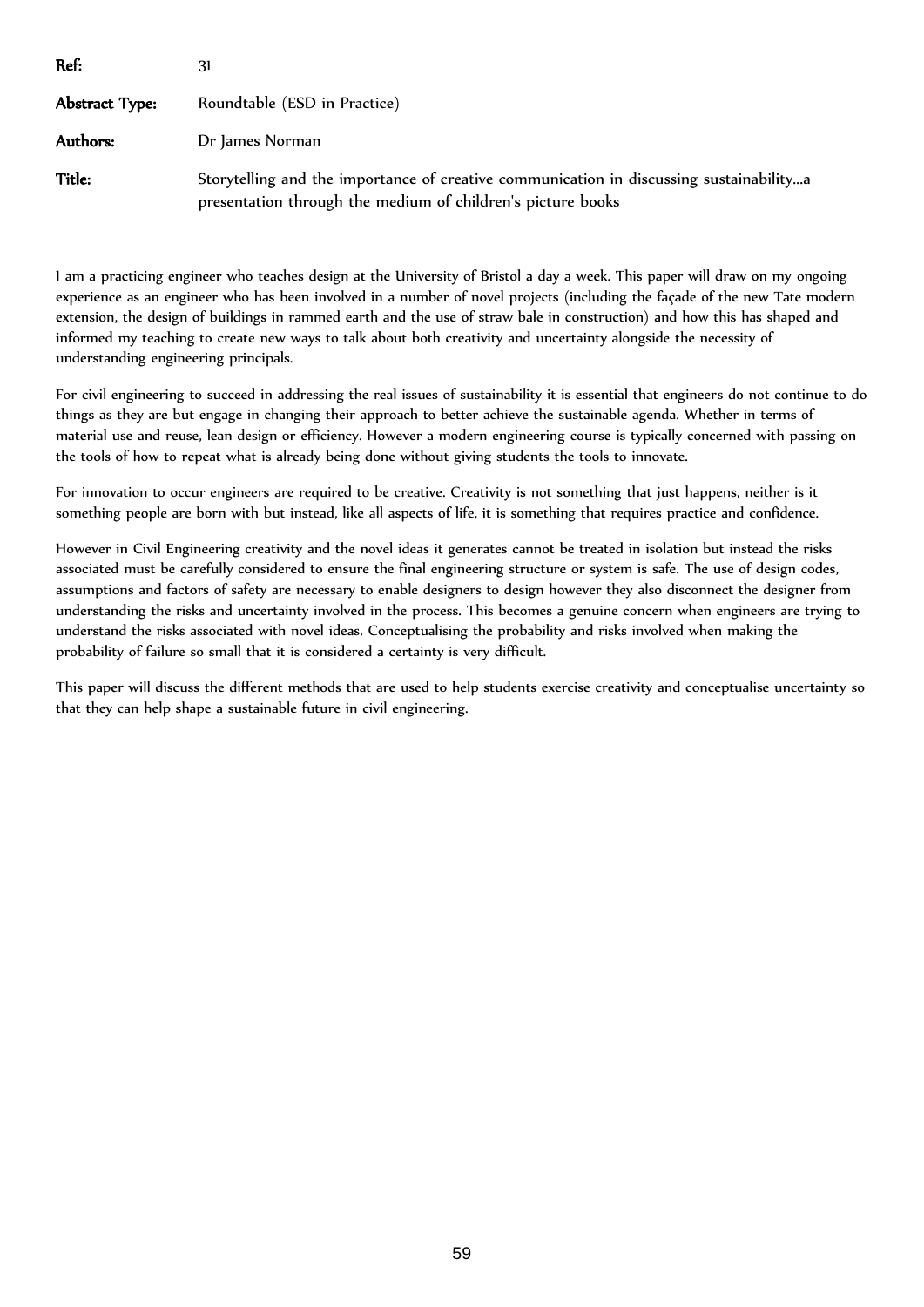| Ref:           | 31                                                                                                                                                     |
|----------------|--------------------------------------------------------------------------------------------------------------------------------------------------------|
| Abstract Type: | Roundtable (ESD in Practice)                                                                                                                           |
| Authors:       | Dr James Norman                                                                                                                                        |
| Title:         | Storytelling and the importance of creative communication in discussing sustainabilitya<br>presentation through the medium of children's picture books |

I am a practicing engineer who teaches design at the University of Bristol a day a week. This paper will draw on my ongoing experience as an engineer who has been involved in a number of novel projects (including the façade of the new Tate modern extension, the design of buildings in rammed earth and the use of straw bale in construction) and how this has shaped and informed my teaching to create new ways to talk about both creativity and uncertainty alongside the necessity of understanding engineering principals.

For civil engineering to succeed in addressing the real issues of sustainability it is essential that engineers do not continue to do things as they are but engage in changing their approach to better achieve the sustainable agenda. Whether in terms of material use and reuse, lean design or efficiency. However a modern engineering course is typically concerned with passing on the tools of how to repeat what is already being done without giving students the tools to innovate.

For innovation to occur engineers are required to be creative. Creativity is not something that just happens, neither is it something people are born with but instead, like all aspects of life, it is something that requires practice and confidence.

However in Civil Engineering creativity and the novel ideas it generates cannot be treated in isolation but instead the risks associated must be carefully considered to ensure the final engineering structure or system is safe. The use of design codes, assumptions and factors of safety are necessary to enable designers to design however they also disconnect the designer from understanding the risks and uncertainty involved in the process. This becomes a genuine concern when engineers are trying to understand the risks associated with novel ideas. Conceptualising the probability and risks involved when making the probability of failure so small that it is considered a certainty is very difficult.

This paper will discuss the different methods that are used to help students exercise creativity and conceptualise uncertainty so that they can help shape a sustainable future in civil engineering.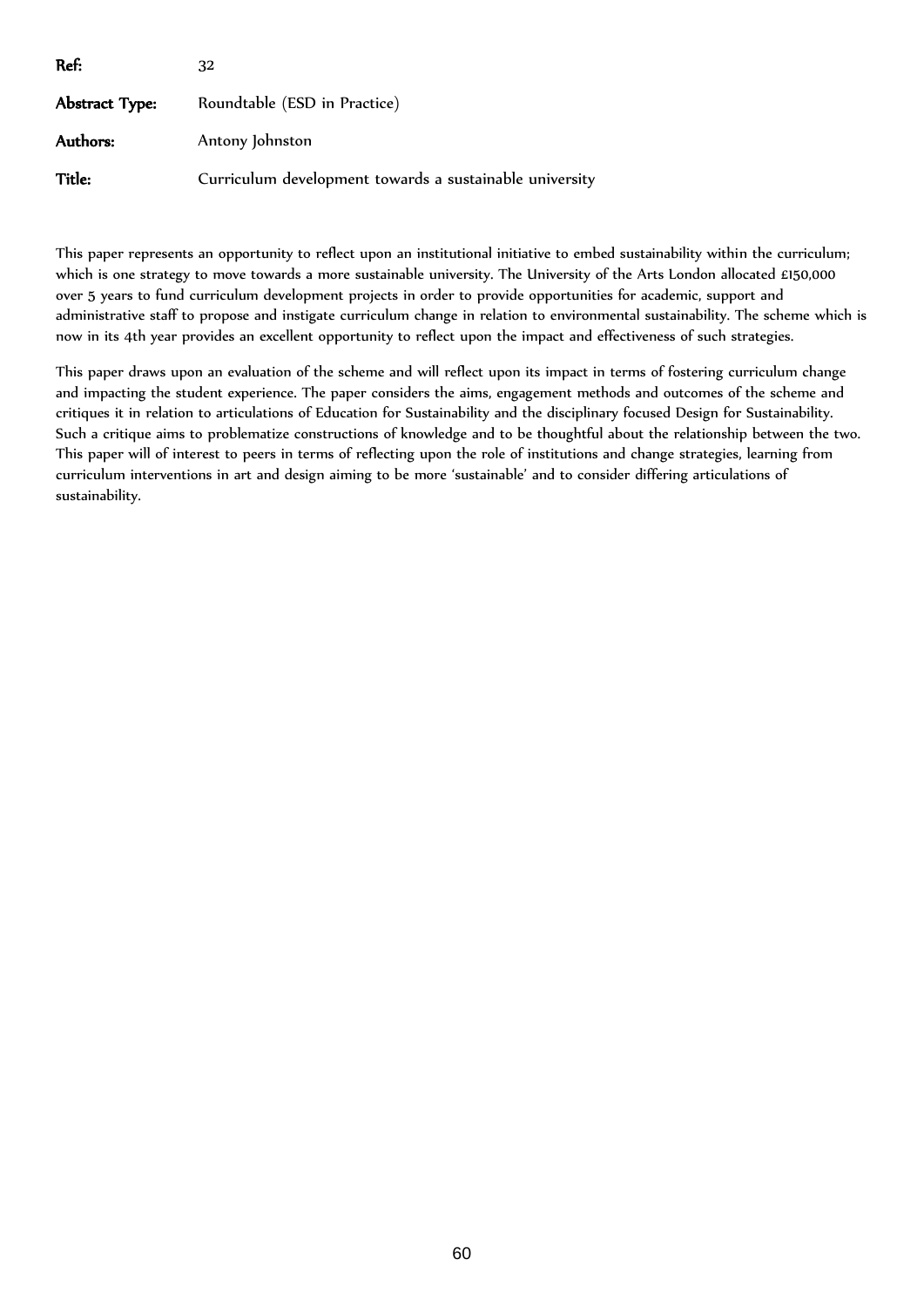| Ref:                  | 32                                                      |
|-----------------------|---------------------------------------------------------|
| <b>Abstract Type:</b> | Roundtable (ESD in Practice)                            |
| Authors:              | Antony Johnston                                         |
| Title:                | Curriculum development towards a sustainable university |

This paper represents an opportunity to reflect upon an institutional initiative to embed sustainability within the curriculum; which is one strategy to move towards a more sustainable university. The University of the Arts London allocated £150,000 over 5 years to fund curriculum development projects in order to provide opportunities for academic, support and administrative staff to propose and instigate curriculum change in relation to environmental sustainability. The scheme which is now in its 4th year provides an excellent opportunity to reflect upon the impact and effectiveness of such strategies.

This paper draws upon an evaluation of the scheme and will reflect upon its impact in terms of fostering curriculum change and impacting the student experience. The paper considers the aims, engagement methods and outcomes of the scheme and critiques it in relation to articulations of Education for Sustainability and the disciplinary focused Design for Sustainability. Such a critique aims to problematize constructions of knowledge and to be thoughtful about the relationship between the two. This paper will of interest to peers in terms of reflecting upon the role of institutions and change strategies, learning from curriculum interventions in art and design aiming to be more 'sustainable' and to consider differing articulations of sustainability.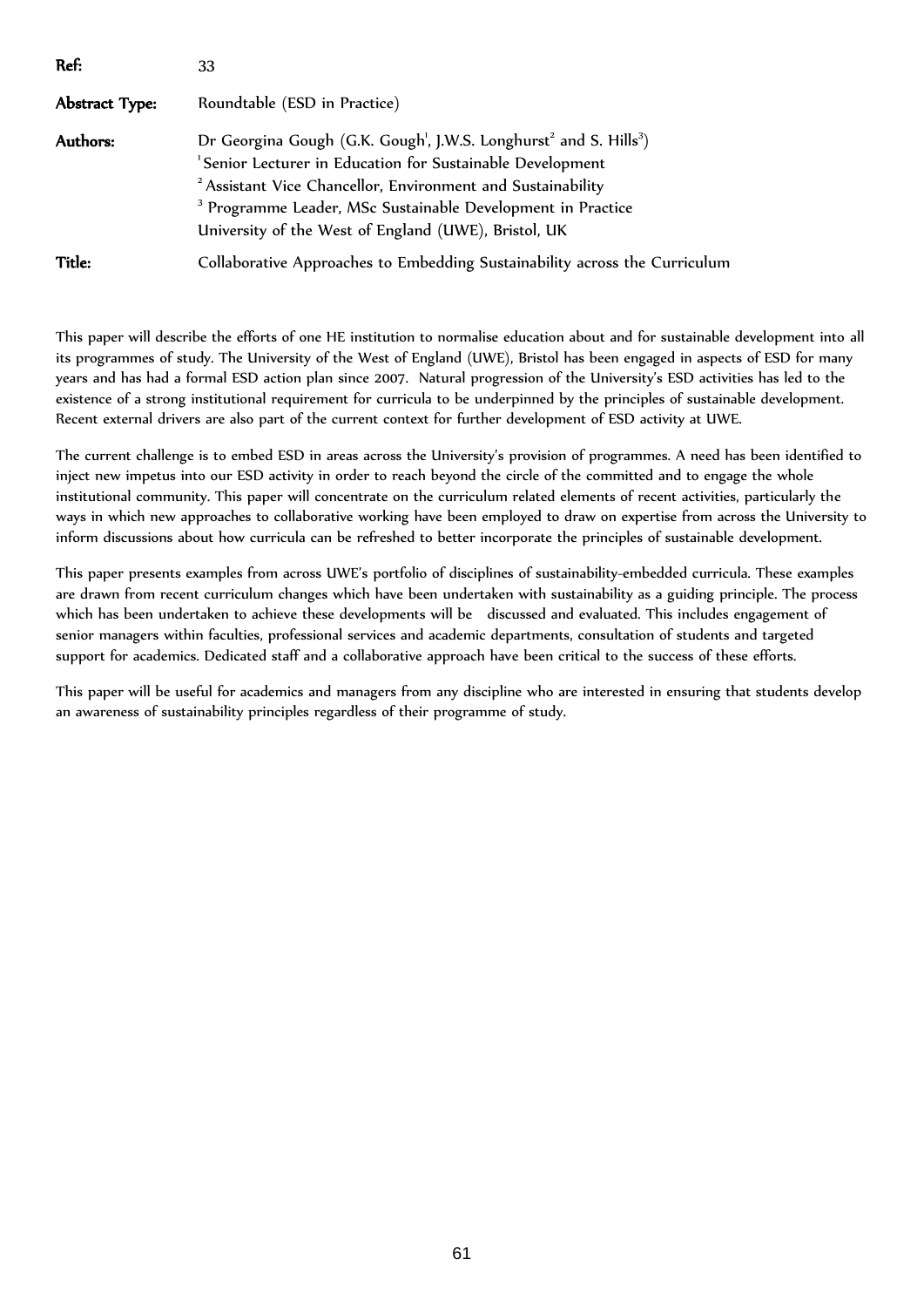| Ref:           | 33                                                                                                                                                                                                                                                                                                                                                                                          |
|----------------|---------------------------------------------------------------------------------------------------------------------------------------------------------------------------------------------------------------------------------------------------------------------------------------------------------------------------------------------------------------------------------------------|
| Abstract Type: | Roundtable (ESD in Practice)                                                                                                                                                                                                                                                                                                                                                                |
| Authors:       | Dr Georgina Gough (G.K. Gough <sup>1</sup> , J.W.S. Longhurst <sup>2</sup> and S. Hills <sup>3</sup> )<br><sup>1</sup> Senior Lecturer in Education for Sustainable Development<br><sup>2</sup> Assistant Vice Chancellor, Environment and Sustainability<br><sup>3</sup> Programme Leader, MSc Sustainable Development in Practice<br>University of the West of England (UWE), Bristol, UK |
| Title:         | Collaborative Approaches to Embedding Sustainability across the Curriculum                                                                                                                                                                                                                                                                                                                  |

This paper will describe the efforts of one HE institution to normalise education about and for sustainable development into all its programmes of study. The University of the West of England (UWE), Bristol has been engaged in aspects of ESD for many years and has had a formal ESD action plan since 2007. Natural progression of the University's ESD activities has led to the existence of a strong institutional requirement for curricula to be underpinned by the principles of sustainable development. Recent external drivers are also part of the current context for further development of ESD activity at UWE.

The current challenge is to embed ESD in areas across the University's provision of programmes. A need has been identified to inject new impetus into our ESD activity in order to reach beyond the circle of the committed and to engage the whole institutional community. This paper will concentrate on the curriculum related elements of recent activities, particularly the ways in which new approaches to collaborative working have been employed to draw on expertise from across the University to inform discussions about how curricula can be refreshed to better incorporate the principles of sustainable development.

This paper presents examples from across UWE's portfolio of disciplines of sustainability-embedded curricula. These examples are drawn from recent curriculum changes which have been undertaken with sustainability as a guiding principle. The process which has been undertaken to achieve these developments will be discussed and evaluated. This includes engagement of senior managers within faculties, professional services and academic departments, consultation of students and targeted support for academics. Dedicated staff and a collaborative approach have been critical to the success of these efforts.

This paper will be useful for academics and managers from any discipline who are interested in ensuring that students develop an awareness of sustainability principles regardless of their programme of study.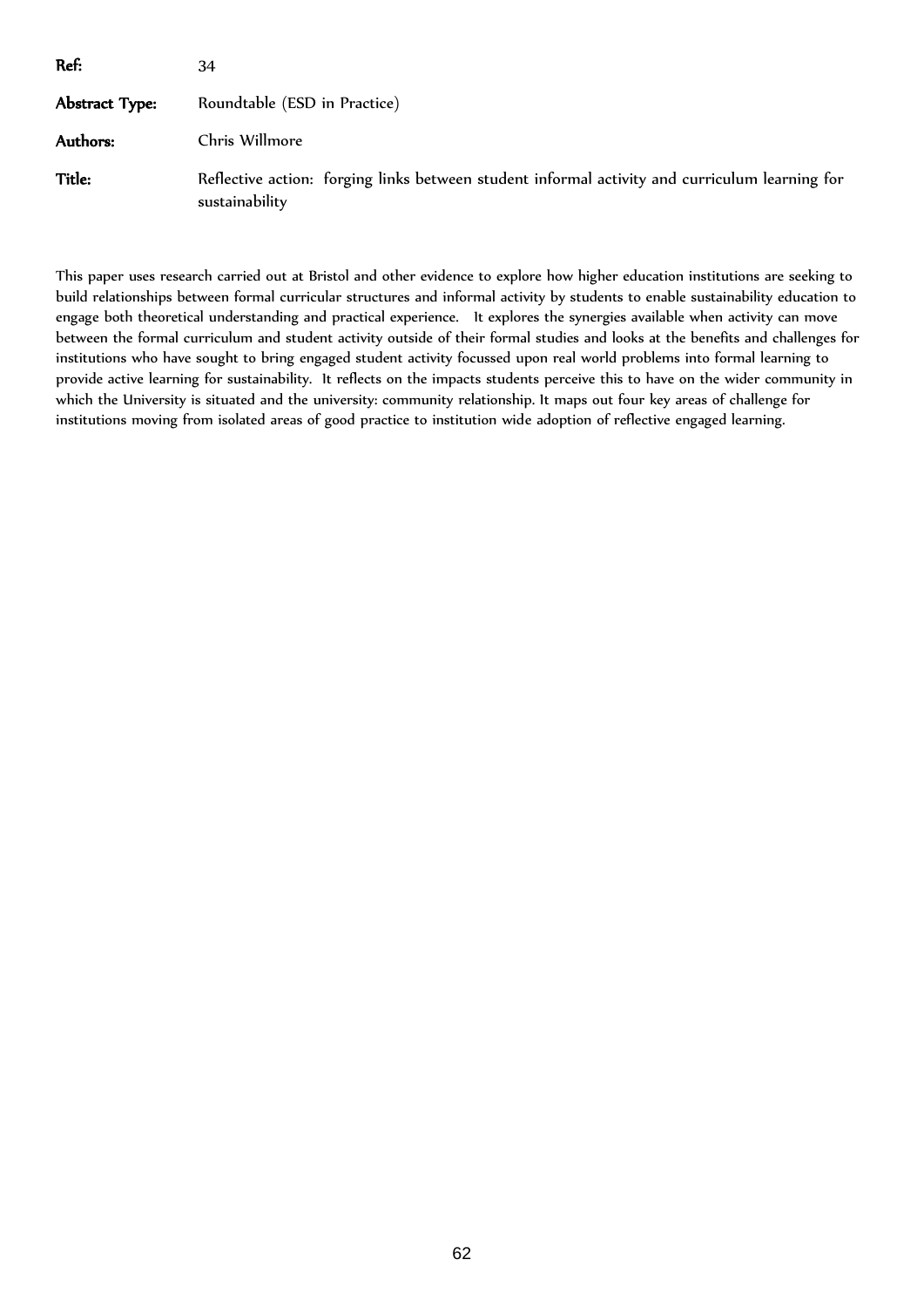| Ref:           | 34                                                                                                               |  |
|----------------|------------------------------------------------------------------------------------------------------------------|--|
| Abstract Type: | Roundtable (ESD in Practice)                                                                                     |  |
| Authors:       | Chris Willmore                                                                                                   |  |
| Title:         | Reflective action: forging links between student informal activity and curriculum learning for<br>sustainability |  |

This paper uses research carried out at Bristol and other evidence to explore how higher education institutions are seeking to build relationships between formal curricular structures and informal activity by students to enable sustainability education to engage both theoretical understanding and practical experience. It explores the synergies available when activity can move between the formal curriculum and student activity outside of their formal studies and looks at the benefits and challenges for institutions who have sought to bring engaged student activity focussed upon real world problems into formal learning to provide active learning for sustainability. It reflects on the impacts students perceive this to have on the wider community in which the University is situated and the university: community relationship. It maps out four key areas of challenge for institutions moving from isolated areas of good practice to institution wide adoption of reflective engaged learning.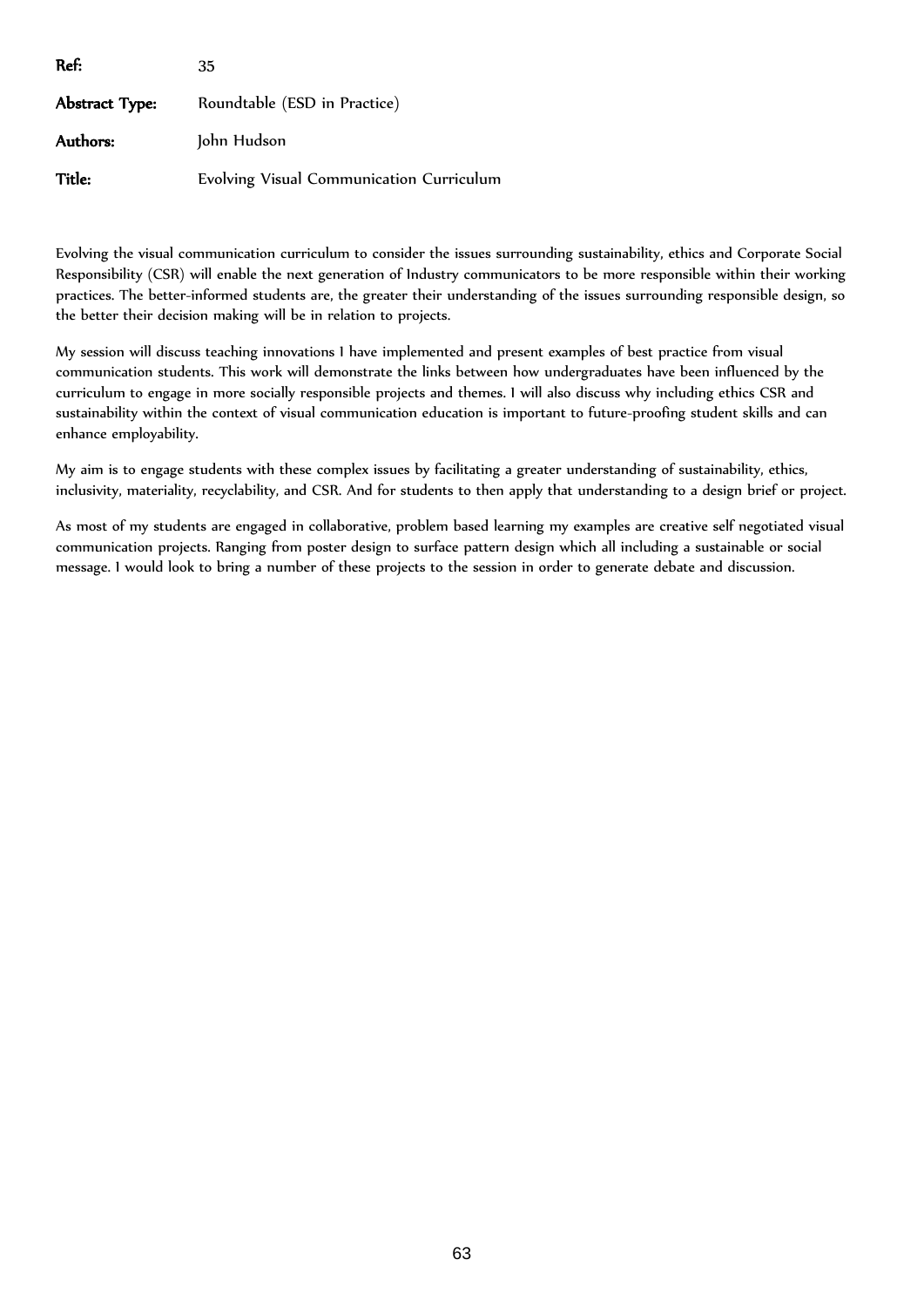| Ref:           | 35                                       |
|----------------|------------------------------------------|
| Abstract Type: | Roundtable (ESD in Practice)             |
| Authors:       | John Hudson                              |
| Title:         | Evolving Visual Communication Curriculum |

Evolving the visual communication curriculum to consider the issues surrounding sustainability, ethics and Corporate Social Responsibility (CSR) will enable the next generation of Industry communicators to be more responsible within their working practices. The better-informed students are, the greater their understanding of the issues surrounding responsible design, so the better their decision making will be in relation to projects.

My session will discuss teaching innovations I have implemented and present examples of best practice from visual communication students. This work will demonstrate the links between how undergraduates have been influenced by the curriculum to engage in more socially responsible projects and themes. I will also discuss why including ethics CSR and sustainability within the context of visual communication education is important to future-proofing student skills and can enhance employability.

My aim is to engage students with these complex issues by facilitating a greater understanding of sustainability, ethics, inclusivity, materiality, recyclability, and CSR. And for students to then apply that understanding to a design brief or project.

As most of my students are engaged in collaborative, problem based learning my examples are creative self negotiated visual communication projects. Ranging from poster design to surface pattern design which all including a sustainable or social message. I would look to bring a number of these projects to the session in order to generate debate and discussion.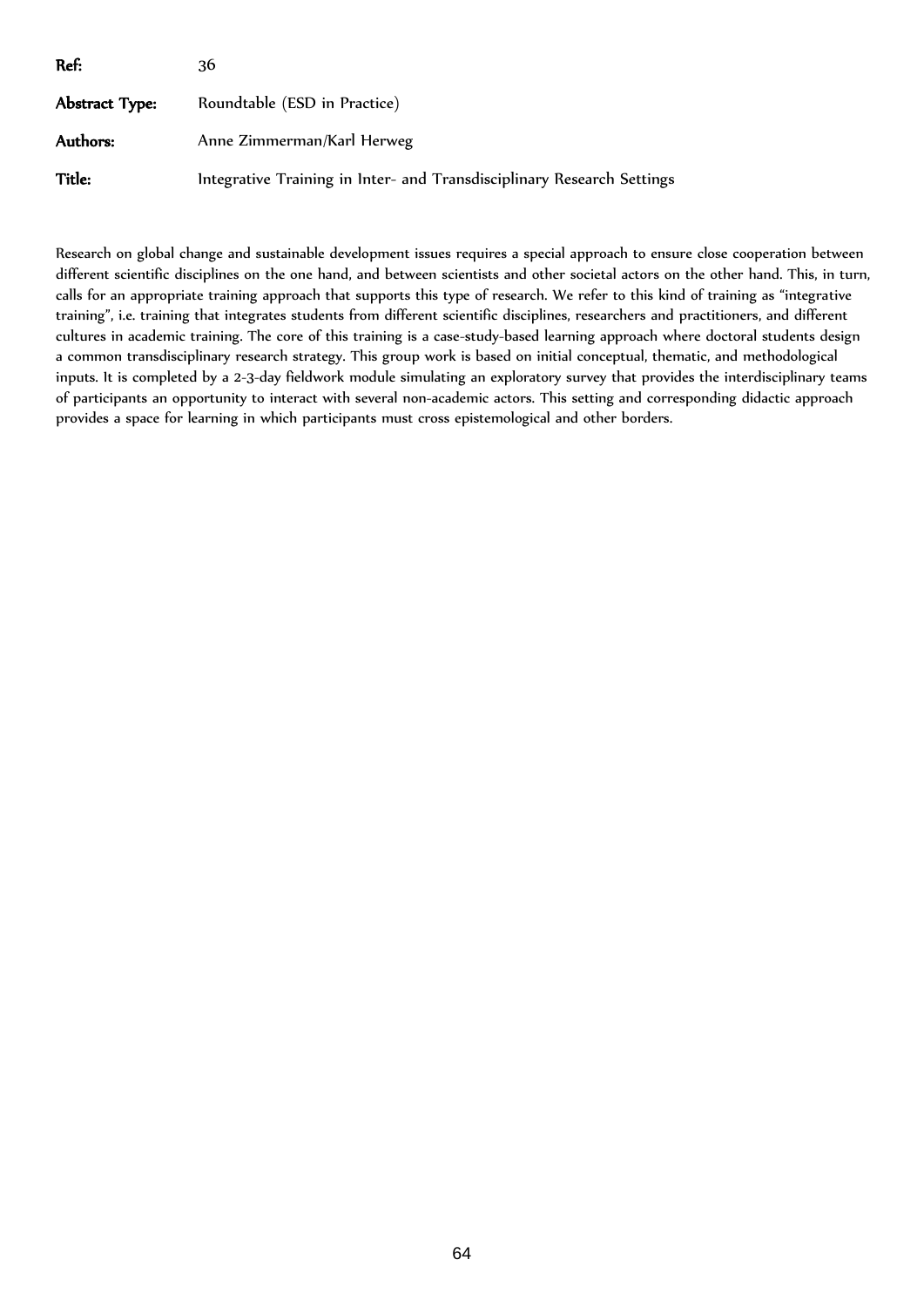| Ref:           | 36                                                                     |
|----------------|------------------------------------------------------------------------|
| Abstract Type: | Roundtable (ESD in Practice)                                           |
| Authors:       | Anne Zimmerman/Karl Herweg                                             |
| Title:         | Integrative Training in Inter- and Transdisciplinary Research Settings |

Research on global change and sustainable development issues requires a special approach to ensure close cooperation between different scientific disciplines on the one hand, and between scientists and other societal actors on the other hand. This, in turn, calls for an appropriate training approach that supports this type of research. We refer to this kind of training as "integrative training", i.e. training that integrates students from different scientific disciplines, researchers and practitioners, and different cultures in academic training. The core of this training is a case-study-based learning approach where doctoral students design a common transdisciplinary research strategy. This group work is based on initial conceptual, thematic, and methodological inputs. It is completed by a 2-3-day fieldwork module simulating an exploratory survey that provides the interdisciplinary teams of participants an opportunity to interact with several non-academic actors. This setting and corresponding didactic approach provides a space for learning in which participants must cross epistemological and other borders.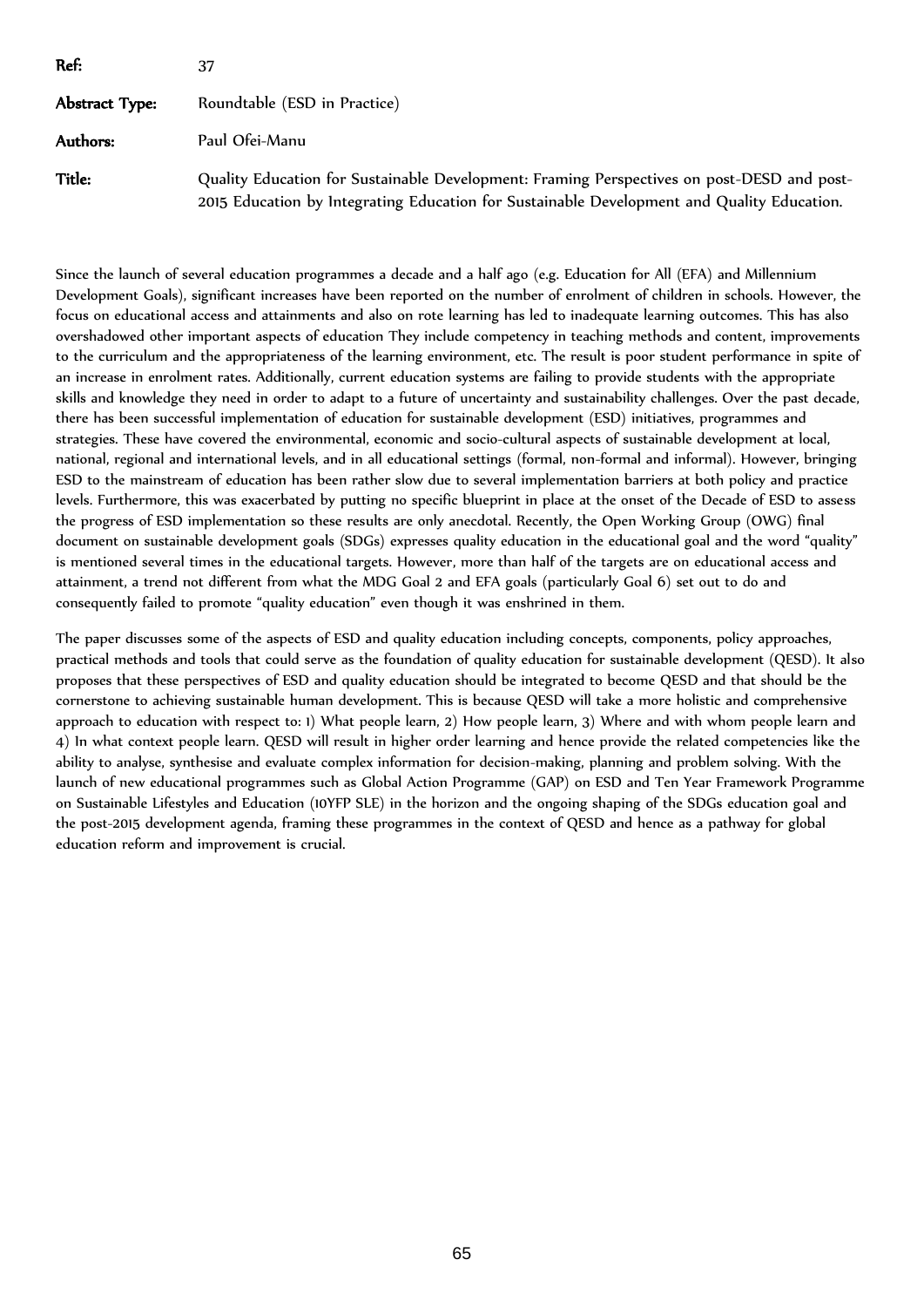| Ref:           | 37                                                                                                                                                                                       |  |
|----------------|------------------------------------------------------------------------------------------------------------------------------------------------------------------------------------------|--|
| Abstract Type: | Roundtable (ESD in Practice)                                                                                                                                                             |  |
| Authors:       | Paul Ofei-Manu                                                                                                                                                                           |  |
| Title:         | Quality Education for Sustainable Development: Framing Perspectives on post-DESD and post-<br>2015 Education by Integrating Education for Sustainable Development and Quality Education. |  |

Since the launch of several education programmes a decade and a half ago (e.g. Education for All (EFA) and Millennium Development Goals), significant increases have been reported on the number of enrolment of children in schools. However, the focus on educational access and attainments and also on rote learning has led to inadequate learning outcomes. This has also overshadowed other important aspects of education They include competency in teaching methods and content, improvements to the curriculum and the appropriateness of the learning environment, etc. The result is poor student performance in spite of an increase in enrolment rates. Additionally, current education systems are failing to provide students with the appropriate skills and knowledge they need in order to adapt to a future of uncertainty and sustainability challenges. Over the past decade, there has been successful implementation of education for sustainable development (ESD) initiatives, programmes and strategies. These have covered the environmental, economic and socio-cultural aspects of sustainable development at local, national, regional and international levels, and in all educational settings (formal, non-formal and informal). However, bringing ESD to the mainstream of education has been rather slow due to several implementation barriers at both policy and practice levels. Furthermore, this was exacerbated by putting no specific blueprint in place at the onset of the Decade of ESD to assess the progress of ESD implementation so these results are only anecdotal. Recently, the Open Working Group (OWG) final document on sustainable development goals (SDGs) expresses quality education in the educational goal and the word "quality" is mentioned several times in the educational targets. However, more than half of the targets are on educational access and attainment, a trend not different from what the MDG Goal 2 and EFA goals (particularly Goal 6) set out to do and consequently failed to promote "quality education" even though it was enshrined in them.

The paper discusses some of the aspects of ESD and quality education including concepts, components, policy approaches, practical methods and tools that could serve as the foundation of quality education for sustainable development (QESD). It also proposes that these perspectives of ESD and quality education should be integrated to become QESD and that should be the cornerstone to achieving sustainable human development. This is because QESD will take a more holistic and comprehensive approach to education with respect to: 1) What people learn, 2) How people learn, 3) Where and with whom people learn and 4) In what context people learn. QESD will result in higher order learning and hence provide the related competencies like the ability to analyse, synthesise and evaluate complex information for decision-making, planning and problem solving. With the launch of new educational programmes such as Global Action Programme (GAP) on ESD and Ten Year Framework Programme on Sustainable Lifestyles and Education (10YFP SLE) in the horizon and the ongoing shaping of the SDGs education goal and the post-2015 development agenda, framing these programmes in the context of QESD and hence as a pathway for global education reform and improvement is crucial.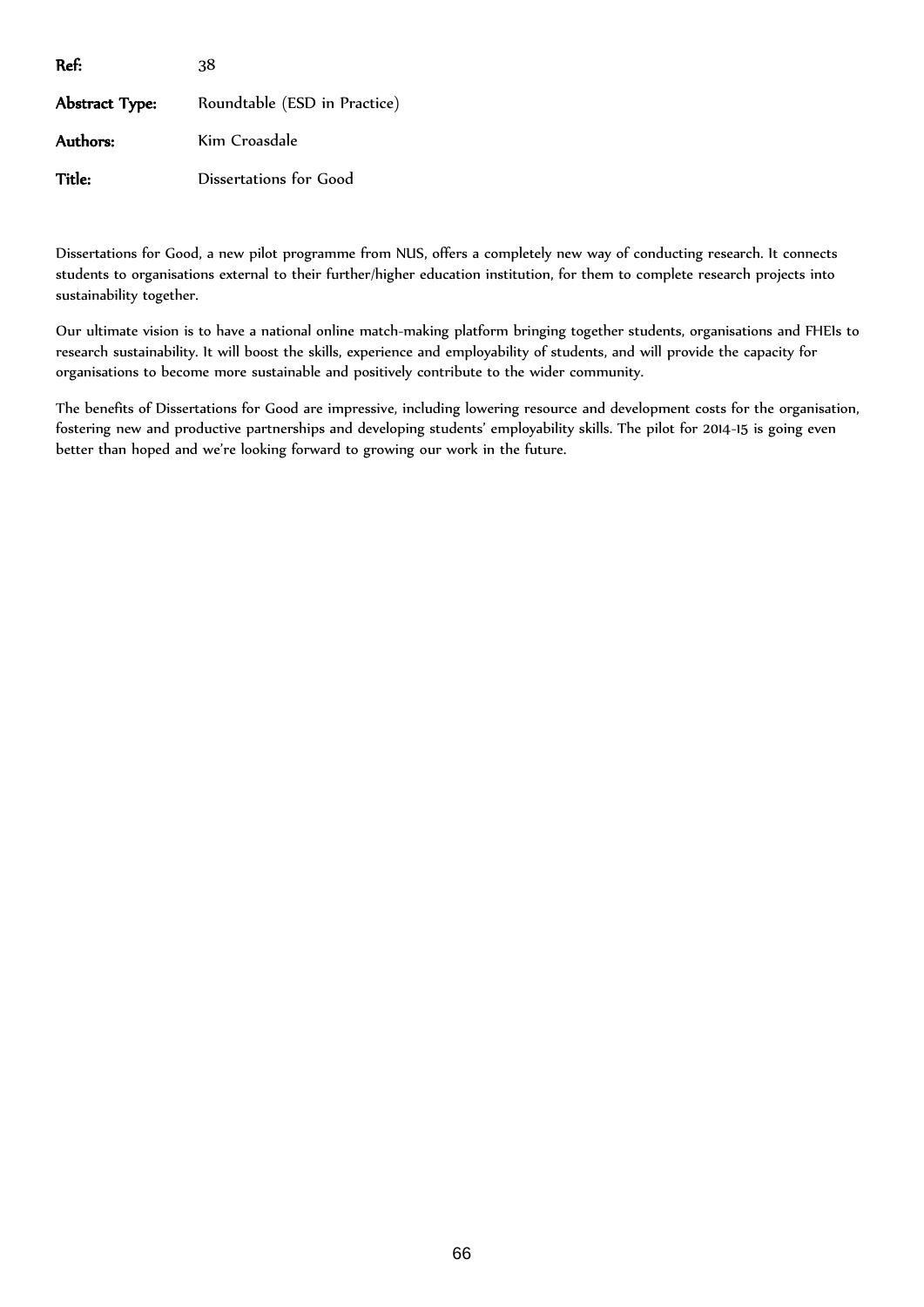| Ref:           | 38                           |
|----------------|------------------------------|
| Abstract Type: | Roundtable (ESD in Practice) |
| Authors:       | Kim Croasdale                |
| Title:         | Dissertations for Good       |

Dissertations for Good, a new pilot programme from NUS, offers a completely new way of conducting research. It connects students to organisations external to their further/higher education institution, for them to complete research projects into sustainability together.

Our ultimate vision is to have a national online match-making platform bringing together students, organisations and FHEIs to research sustainability. It will boost the skills, experience and employability of students, and will provide the capacity for organisations to become more sustainable and positively contribute to the wider community.

The benefits of Dissertations for Good are impressive, including lowering resource and development costs for the organisation, fostering new and productive partnerships and developing students' employability skills. The pilot for 2014-15 is going even better than hoped and we're looking forward to growing our work in the future.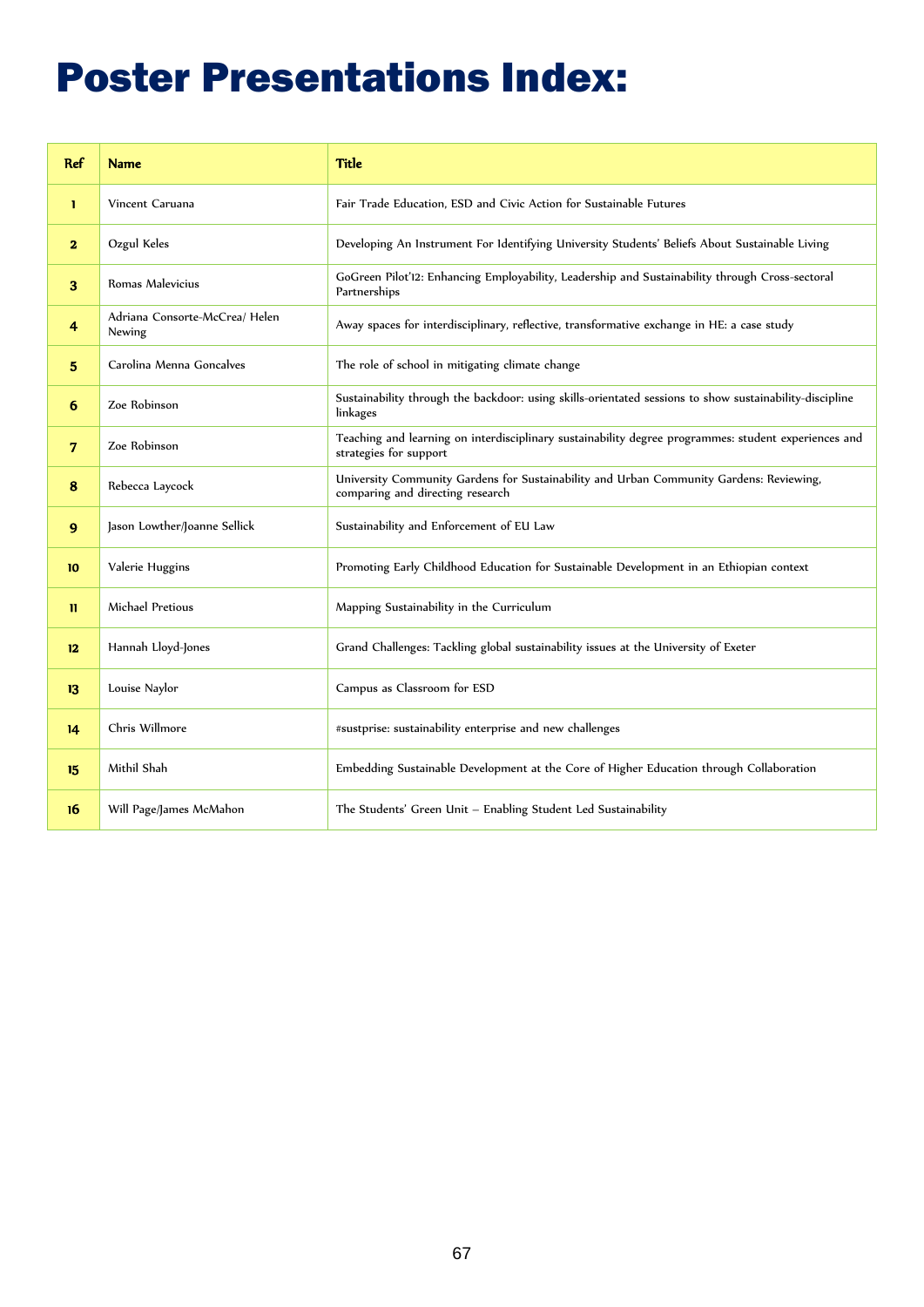# Poster Presentations Index:

| Ref                     | <b>Name</b>                              | <b>Title</b>                                                                                                                   |
|-------------------------|------------------------------------------|--------------------------------------------------------------------------------------------------------------------------------|
| $\mathbf{1}$            | Vincent Caruana                          | Fair Trade Education, ESD and Civic Action for Sustainable Futures                                                             |
| $\overline{\mathbf{2}}$ | Ozgul Keles                              | Developing An Instrument For Identifying University Students' Beliefs About Sustainable Living                                 |
| 3                       | Romas Malevicius                         | GoGreen Pilot'12: Enhancing Employability, Leadership and Sustainability through Cross-sectoral<br>Partnerships                |
| 4                       | Adriana Consorte-McCrea/ Helen<br>Newing | Away spaces for interdisciplinary, reflective, transformative exchange in HE: a case study                                     |
| 5                       | Carolina Menna Goncalves                 | The role of school in mitigating climate change                                                                                |
| 6                       | Zoe Robinson                             | Sustainability through the backdoor: using skills-orientated sessions to show sustainability-discipline<br>linkages            |
| 7                       | Zoe Robinson                             | Teaching and learning on interdisciplinary sustainability degree programmes: student experiences and<br>strategies for support |
| 8                       | Rebecca Laycock                          | University Community Gardens for Sustainability and Urban Community Gardens: Reviewing,<br>comparing and directing research    |
| 9                       | Jason Lowther/Joanne Sellick             | Sustainability and Enforcement of EU Law                                                                                       |
| 10                      | Valerie Huggins                          | Promoting Early Childhood Education for Sustainable Development in an Ethiopian context                                        |
| $\mathbf{u}$            | Michael Pretious                         | Mapping Sustainability in the Curriculum                                                                                       |
| 12                      | Hannah Lloyd-Jones                       | Grand Challenges: Tackling global sustainability issues at the University of Exeter                                            |
| 13                      | Louise Naylor                            | Campus as Classroom for ESD                                                                                                    |
| 14                      | Chris Willmore                           | #sustprise: sustainability enterprise and new challenges                                                                       |
| 15                      | Mithil Shah                              | Embedding Sustainable Development at the Core of Higher Education through Collaboration                                        |
| 16                      | Will Page/James McMahon                  | The Students' Green Unit - Enabling Student Led Sustainability                                                                 |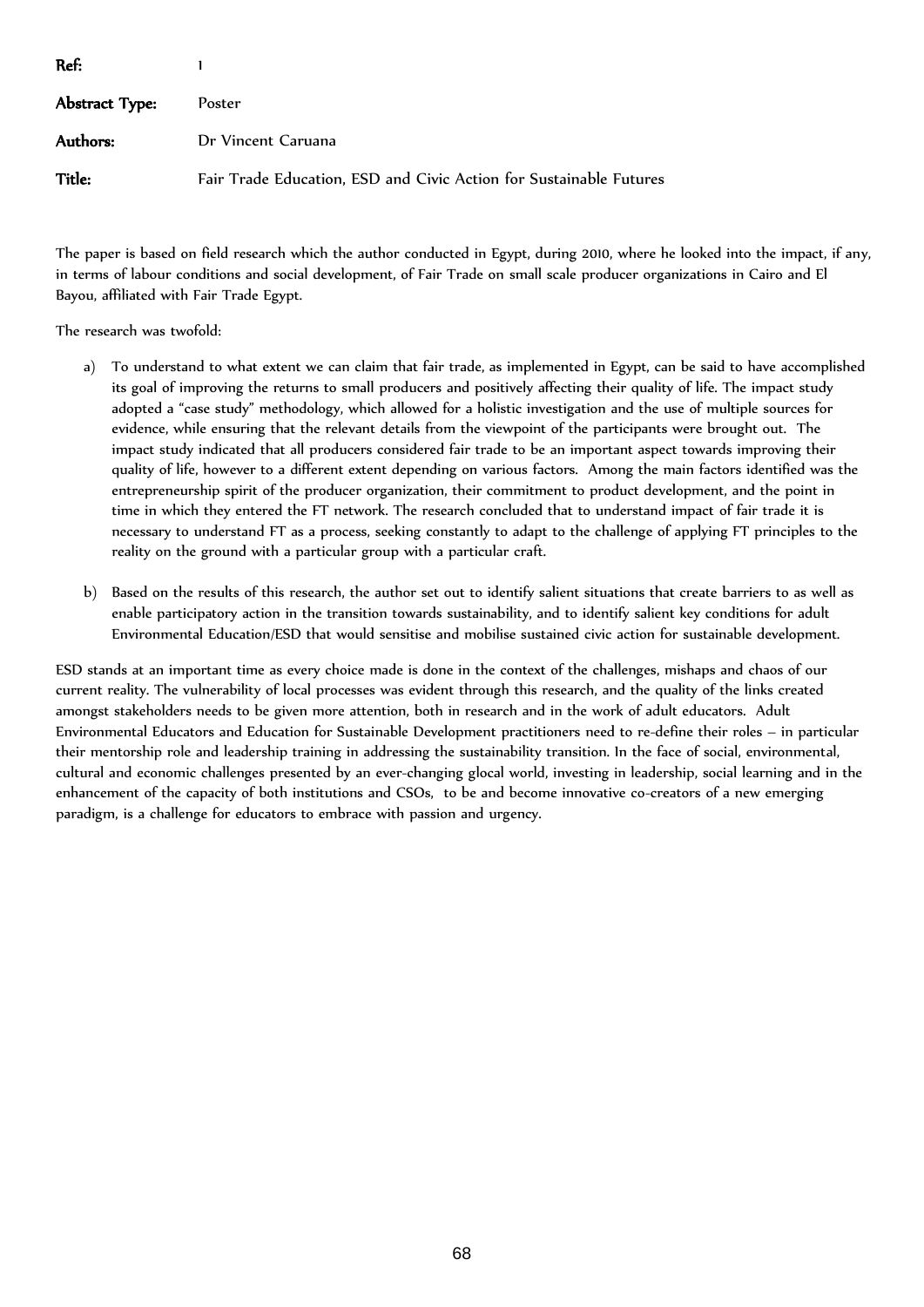| Ref:           |                                                                    |
|----------------|--------------------------------------------------------------------|
| Abstract Type: | Poster                                                             |
| Authors:       | Dr Vincent Caruana                                                 |
| Title:         | Fair Trade Education, ESD and Civic Action for Sustainable Futures |

The paper is based on field research which the author conducted in Egypt, during 2010, where he looked into the impact, if any, in terms of labour conditions and social development, of Fair Trade on small scale producer organizations in Cairo and El Bayou, affiliated with Fair Trade Egypt.

The research was twofold:

- a) To understand to what extent we can claim that fair trade, as implemented in Egypt, can be said to have accomplished its goal of improving the returns to small producers and positively affecting their quality of life. The impact study adopted a "case study" methodology, which allowed for a holistic investigation and the use of multiple sources for evidence, while ensuring that the relevant details from the viewpoint of the participants were brought out. The impact study indicated that all producers considered fair trade to be an important aspect towards improving their quality of life, however to a different extent depending on various factors. Among the main factors identified was the entrepreneurship spirit of the producer organization, their commitment to product development, and the point in time in which they entered the FT network. The research concluded that to understand impact of fair trade it is necessary to understand FT as a process, seeking constantly to adapt to the challenge of applying FT principles to the reality on the ground with a particular group with a particular craft.
- b) Based on the results of this research, the author set out to identify salient situations that create barriers to as well as enable participatory action in the transition towards sustainability, and to identify salient key conditions for adult Environmental Education/ESD that would sensitise and mobilise sustained civic action for sustainable development.

ESD stands at an important time as every choice made is done in the context of the challenges, mishaps and chaos of our current reality. The vulnerability of local processes was evident through this research, and the quality of the links created amongst stakeholders needs to be given more attention, both in research and in the work of adult educators. Adult Environmental Educators and Education for Sustainable Development practitioners need to re-define their roles – in particular their mentorship role and leadership training in addressing the sustainability transition. In the face of social, environmental, cultural and economic challenges presented by an ever-changing glocal world, investing in leadership, social learning and in the enhancement of the capacity of both institutions and CSOs, to be and become innovative co-creators of a new emerging paradigm, is a challenge for educators to embrace with passion and urgency.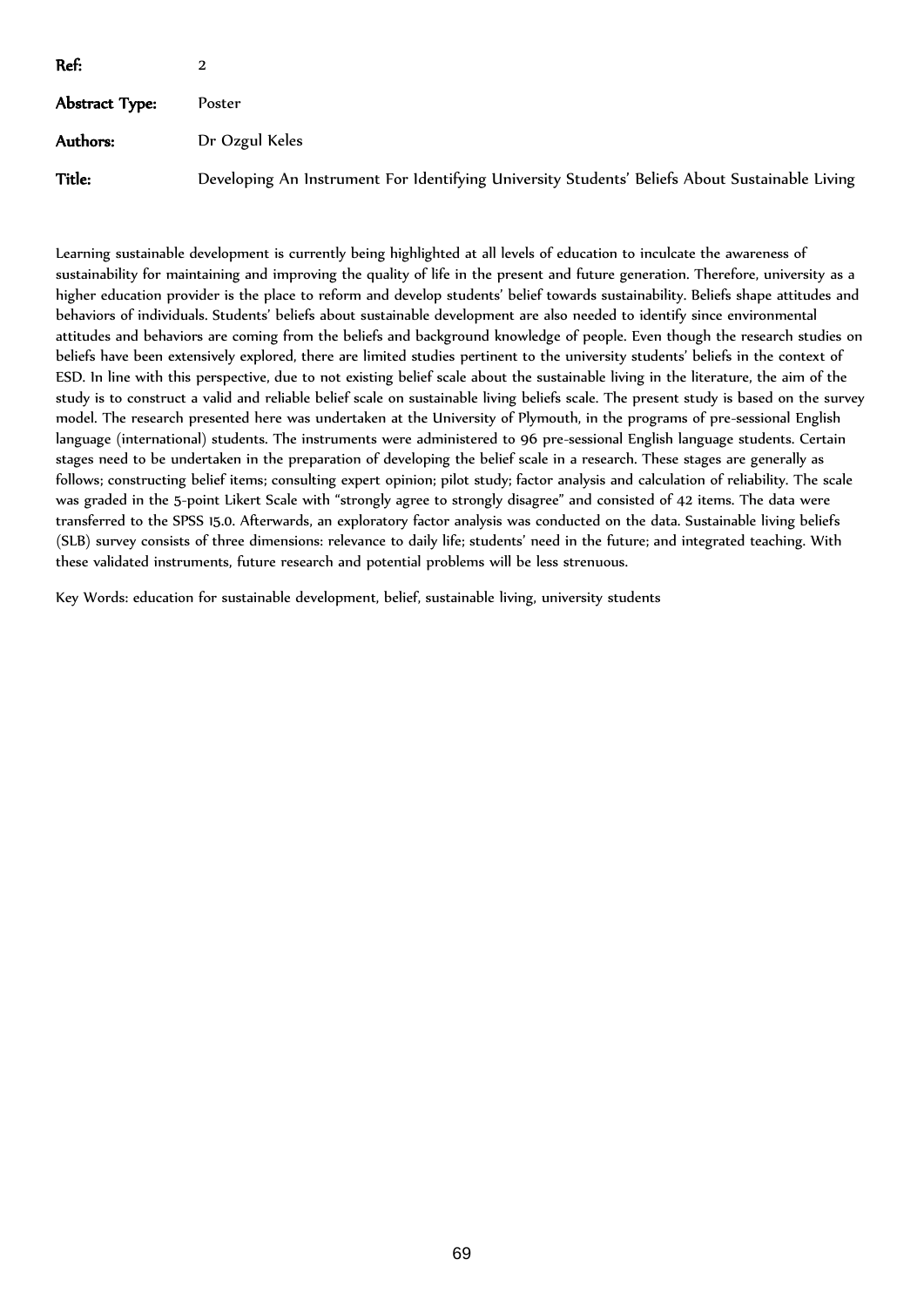| Ref:           |                                                                                                |
|----------------|------------------------------------------------------------------------------------------------|
| Abstract Type: | Poster                                                                                         |
| Authors:       | Dr Ozgul Keles                                                                                 |
| Title:         | Developing An Instrument For Identifying University Students' Beliefs About Sustainable Living |

Learning sustainable development is currently being highlighted at all levels of education to inculcate the awareness of sustainability for maintaining and improving the quality of life in the present and future generation. Therefore, university as a higher education provider is the place to reform and develop students' belief towards sustainability. Beliefs shape attitudes and behaviors of individuals. Students' beliefs about sustainable development are also needed to identify since environmental attitudes and behaviors are coming from the beliefs and background knowledge of people. Even though the research studies on beliefs have been extensively explored, there are limited studies pertinent to the university students' beliefs in the context of ESD. In line with this perspective, due to not existing belief scale about the sustainable living in the literature, the aim of the study is to construct a valid and reliable belief scale on sustainable living beliefs scale. The present study is based on the survey model. The research presented here was undertaken at the University of Plymouth, in the programs of pre-sessional English language (international) students. The instruments were administered to 96 pre-sessional English language students. Certain stages need to be undertaken in the preparation of developing the belief scale in a research. These stages are generally as follows; constructing belief items; consulting expert opinion; pilot study; factor analysis and calculation of reliability. The scale was graded in the 5-point Likert Scale with "strongly agree to strongly disagree" and consisted of 42 items. The data were transferred to the SPSS 15.0. Afterwards, an exploratory factor analysis was conducted on the data. Sustainable living beliefs (SLB) survey consists of three dimensions: relevance to daily life; students' need in the future; and integrated teaching. With these validated instruments, future research and potential problems will be less strenuous.

Key Words: education for sustainable development, belief, sustainable living, university students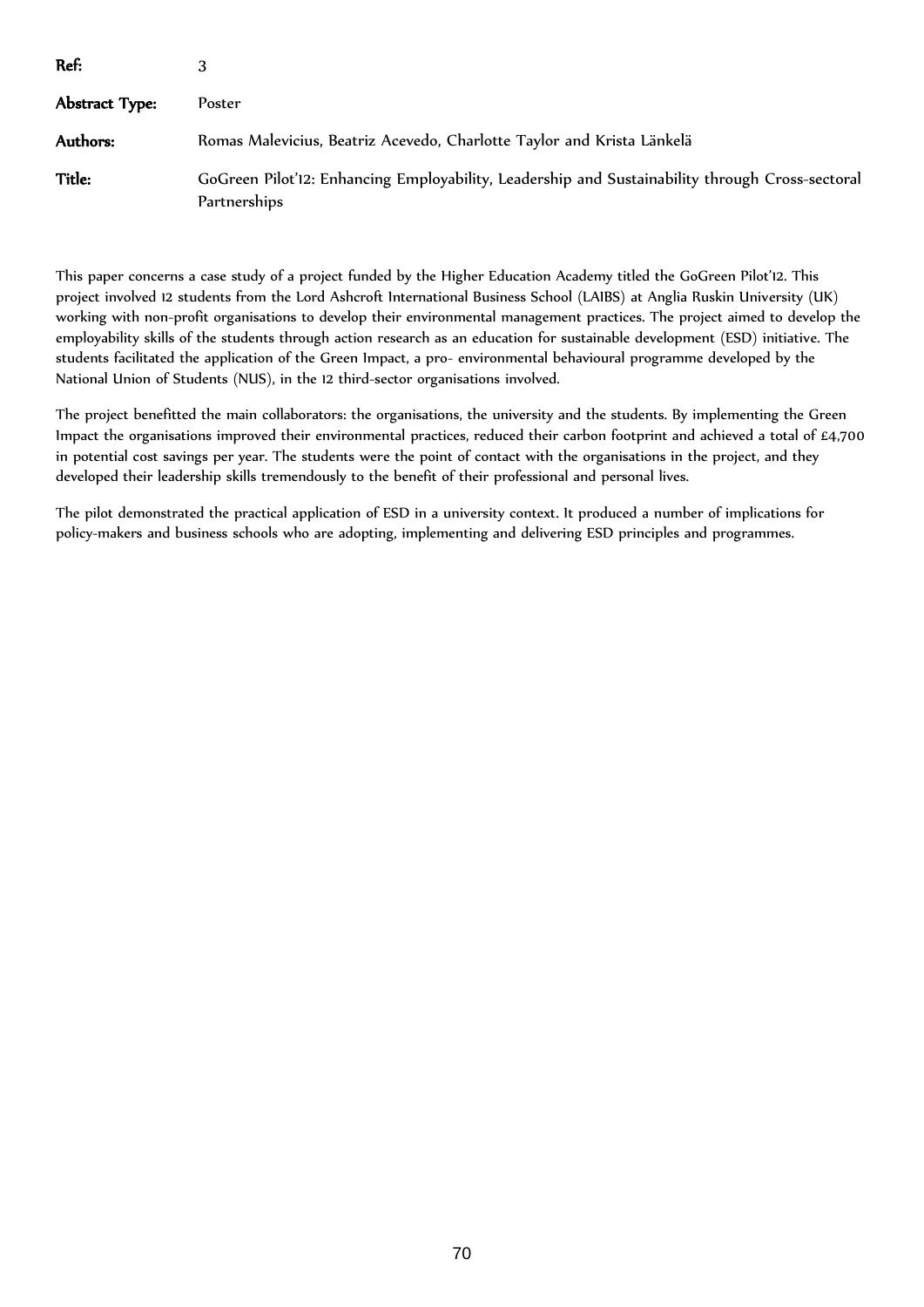| Ref:           |                                                                                                                 |  |
|----------------|-----------------------------------------------------------------------------------------------------------------|--|
| Abstract Type: | Poster                                                                                                          |  |
| Authors:       | Romas Malevicius, Beatriz Acevedo, Charlotte Taylor and Krista Länkelä                                          |  |
| Title:         | GoGreen Pilot'12: Enhancing Employability, Leadership and Sustainability through Cross-sectoral<br>Partnerships |  |

This paper concerns a case study of a project funded by the Higher Education Academy titled the GoGreen Pilot'12. This project involved 12 students from the Lord Ashcroft International Business School (LAIBS) at Anglia Ruskin University (UK) working with non-profit organisations to develop their environmental management practices. The project aimed to develop the employability skills of the students through action research as an education for sustainable development (ESD) initiative. The students facilitated the application of the Green Impact, a pro- environmental behavioural programme developed by the National Union of Students (NUS), in the 12 third-sector organisations involved.

The project benefitted the main collaborators: the organisations, the university and the students. By implementing the Green Impact the organisations improved their environmental practices, reduced their carbon footprint and achieved a total of £4,700 in potential cost savings per year. The students were the point of contact with the organisations in the project, and they developed their leadership skills tremendously to the benefit of their professional and personal lives.

The pilot demonstrated the practical application of ESD in a university context. It produced a number of implications for policy-makers and business schools who are adopting, implementing and delivering ESD principles and programmes.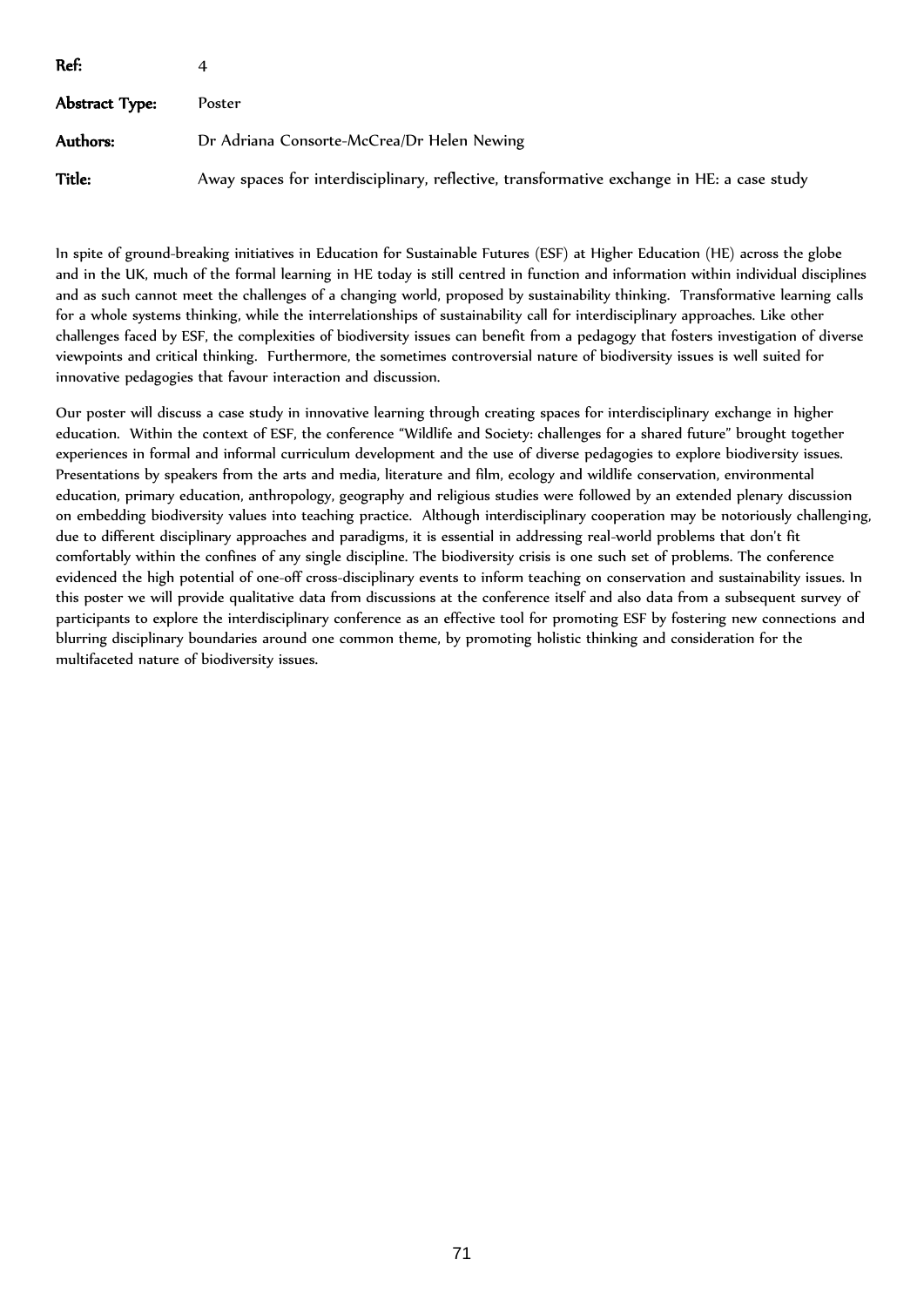| Ref:           |                                                                                            |
|----------------|--------------------------------------------------------------------------------------------|
| Abstract Type: | Poster                                                                                     |
| Authors:       | Dr Adriana Consorte-McCrea/Dr Helen Newing                                                 |
| <b>Title:</b>  | Away spaces for interdisciplinary, reflective, transformative exchange in HE: a case study |

In spite of ground-breaking initiatives in Education for Sustainable Futures (ESF) at Higher Education (HE) across the globe and in the UK, much of the formal learning in HE today is still centred in function and information within individual disciplines and as such cannot meet the challenges of a changing world, proposed by sustainability thinking. Transformative learning calls for a whole systems thinking, while the interrelationships of sustainability call for interdisciplinary approaches. Like other challenges faced by ESF, the complexities of biodiversity issues can benefit from a pedagogy that fosters investigation of diverse viewpoints and critical thinking. Furthermore, the sometimes controversial nature of biodiversity issues is well suited for innovative pedagogies that favour interaction and discussion.

Our poster will discuss a case study in innovative learning through creating spaces for interdisciplinary exchange in higher education. Within the context of ESF, the conference "Wildlife and Society: challenges for a shared future" brought together experiences in formal and informal curriculum development and the use of diverse pedagogies to explore biodiversity issues. Presentations by speakers from the arts and media, literature and film, ecology and wildlife conservation, environmental education, primary education, anthropology, geography and religious studies were followed by an extended plenary discussion on embedding biodiversity values into teaching practice. Although interdisciplinary cooperation may be notoriously challenging, due to different disciplinary approaches and paradigms, it is essential in addressing real-world problems that don't fit comfortably within the confines of any single discipline. The biodiversity crisis is one such set of problems. The conference evidenced the high potential of one-off cross-disciplinary events to inform teaching on conservation and sustainability issues. In this poster we will provide qualitative data from discussions at the conference itself and also data from a subsequent survey of participants to explore the interdisciplinary conference as an effective tool for promoting ESF by fostering new connections and blurring disciplinary boundaries around one common theme, by promoting holistic thinking and consideration for the multifaceted nature of biodiversity issues.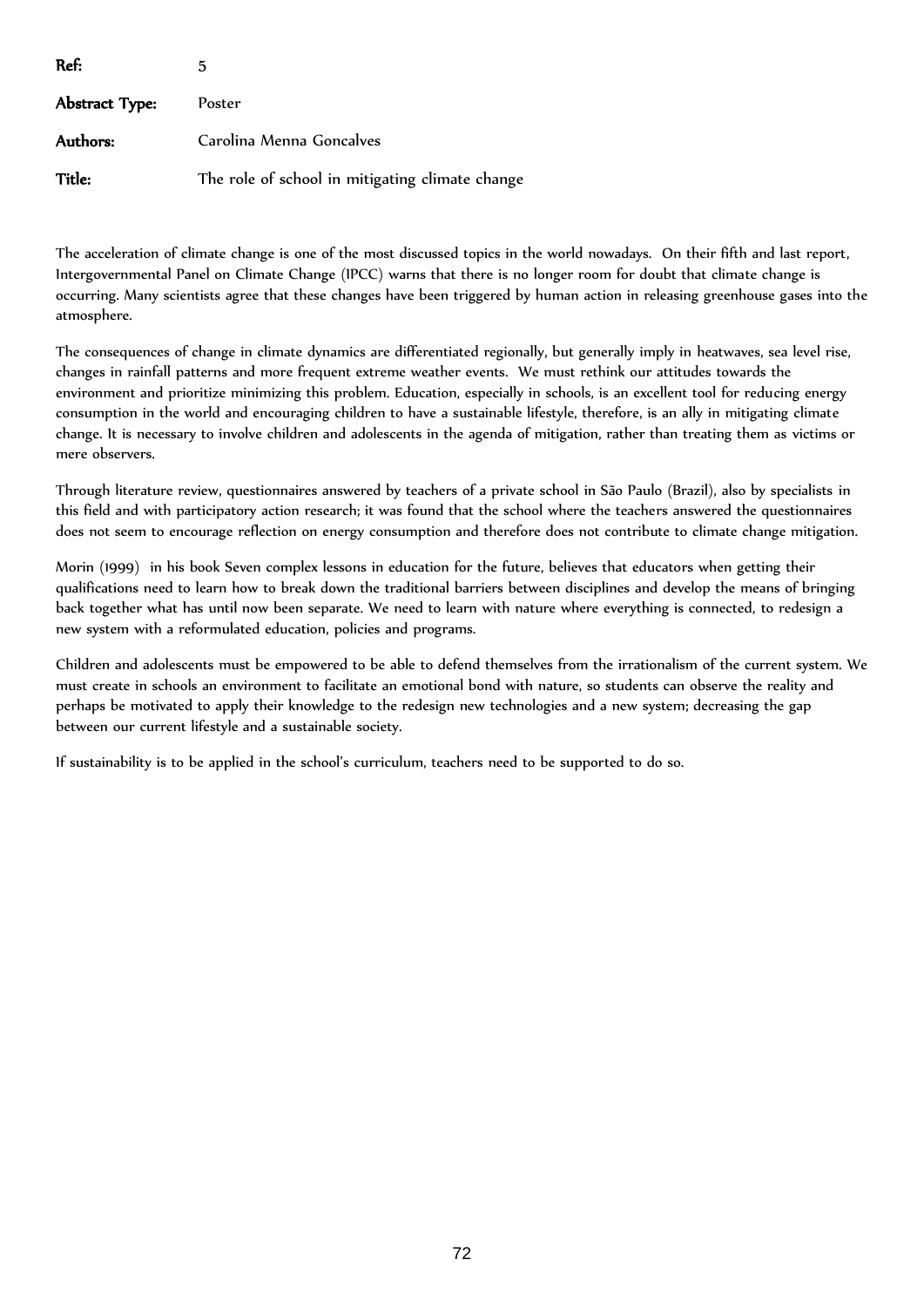| Ref:           | 5                                               |
|----------------|-------------------------------------------------|
| Abstract Type: | Poster                                          |
| Authors:       | Carolina Menna Goncalves                        |
| Title:         | The role of school in mitigating climate change |

The acceleration of climate change is one of the most discussed topics in the world nowadays. On their fifth and last report, Intergovernmental Panel on Climate Change (IPCC) warns that there is no longer room for doubt that climate change is occurring. Many scientists agree that these changes have been triggered by human action in releasing greenhouse gases into the atmosphere.

The consequences of change in climate dynamics are differentiated regionally, but generally imply in heatwaves, sea level rise, changes in rainfall patterns and more frequent extreme weather events. We must rethink our attitudes towards the environment and prioritize minimizing this problem. Education, especially in schools, is an excellent tool for reducing energy consumption in the world and encouraging children to have a sustainable lifestyle, therefore, is an ally in mitigating climate change. It is necessary to involve children and adolescents in the agenda of mitigation, rather than treating them as victims or mere observers.

Through literature review, questionnaires answered by teachers of a private school in São Paulo (Brazil), also by specialists in this field and with participatory action research; it was found that the school where the teachers answered the questionnaires does not seem to encourage reflection on energy consumption and therefore does not contribute to climate change mitigation.

Morin (1999) in his book Seven complex lessons in education for the future, believes that educators when getting their qualifications need to learn how to break down the traditional barriers between disciplines and develop the means of bringing back together what has until now been separate. We need to learn with nature where everything is connected, to redesign a new system with a reformulated education, policies and programs.

Children and adolescents must be empowered to be able to defend themselves from the irrationalism of the current system. We must create in schools an environment to facilitate an emotional bond with nature, so students can observe the reality and perhaps be motivated to apply their knowledge to the redesign new technologies and a new system; decreasing the gap between our current lifestyle and a sustainable society.

If sustainability is to be applied in the school's curriculum, teachers need to be supported to do so.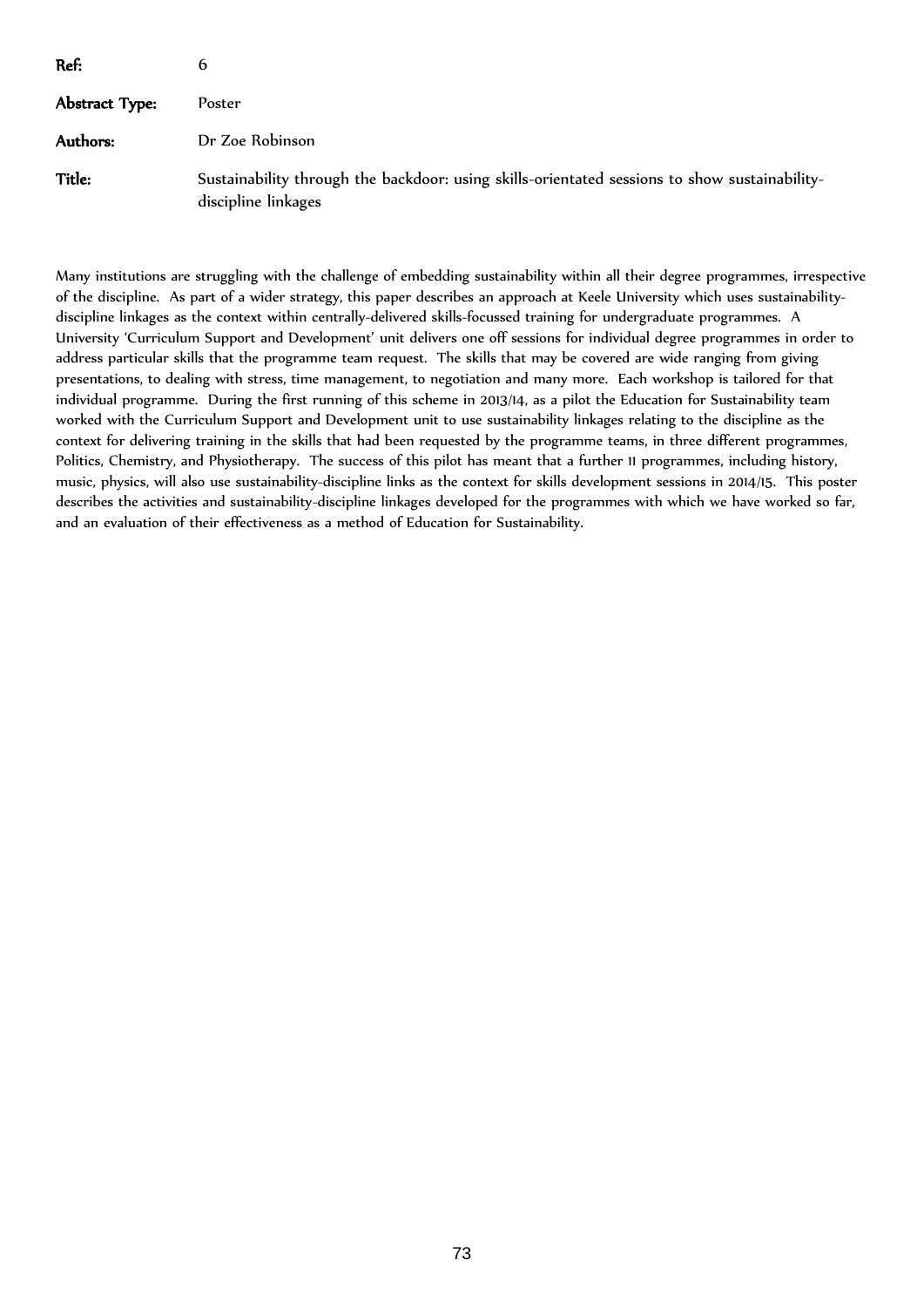| Ref:           | 6                                                                                                                    |
|----------------|----------------------------------------------------------------------------------------------------------------------|
| Abstract Type: | Poster                                                                                                               |
| Authors:       | Dr Zoe Robinson                                                                                                      |
| Title:         | Sustainability through the backdoor: using skills-orientated sessions to show sustainability-<br>discipline linkages |

Many institutions are struggling with the challenge of embedding sustainability within all their degree programmes, irrespective of the discipline. As part of a wider strategy, this paper describes an approach at Keele University which uses sustainabilitydiscipline linkages as the context within centrally-delivered skills-focussed training for undergraduate programmes. A University 'Curriculum Support and Development' unit delivers one off sessions for individual degree programmes in order to address particular skills that the programme team request. The skills that may be covered are wide ranging from giving presentations, to dealing with stress, time management, to negotiation and many more. Each workshop is tailored for that individual programme. During the first running of this scheme in 2013/14, as a pilot the Education for Sustainability team worked with the Curriculum Support and Development unit to use sustainability linkages relating to the discipline as the context for delivering training in the skills that had been requested by the programme teams, in three different programmes, Politics, Chemistry, and Physiotherapy. The success of this pilot has meant that a further 11 programmes, including history, music, physics, will also use sustainability-discipline links as the context for skills development sessions in 2014/15. This poster describes the activities and sustainability-discipline linkages developed for the programmes with which we have worked so far, and an evaluation of their effectiveness as a method of Education for Sustainability.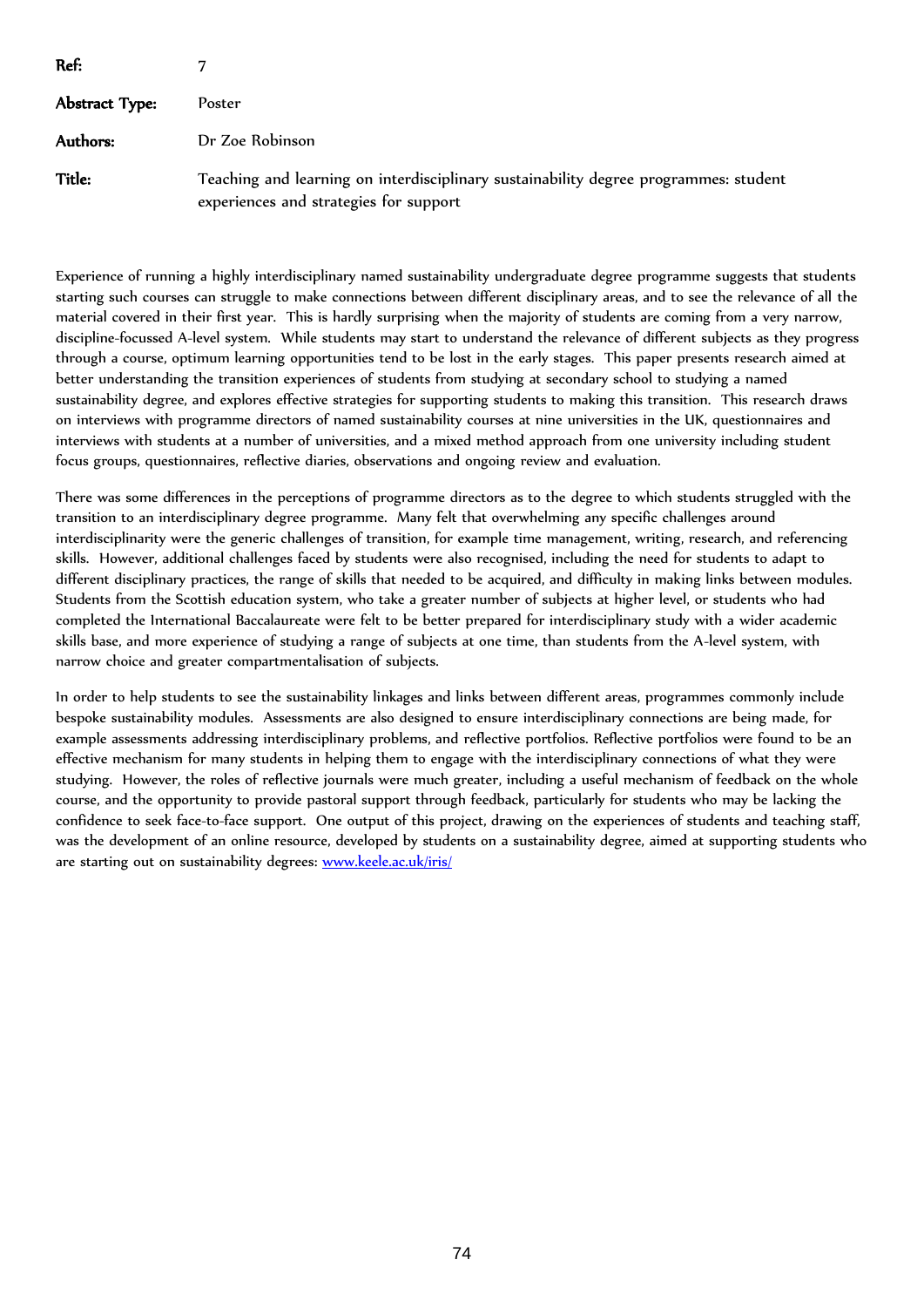| Ref:           |                                                                                                                                |
|----------------|--------------------------------------------------------------------------------------------------------------------------------|
| Abstract Type: | Poster                                                                                                                         |
| Authors:       | Dr Zoe Robinson                                                                                                                |
| Title:         | Teaching and learning on interdisciplinary sustainability degree programmes: student<br>experiences and strategies for support |

Experience of running a highly interdisciplinary named sustainability undergraduate degree programme suggests that students starting such courses can struggle to make connections between different disciplinary areas, and to see the relevance of all the material covered in their first year. This is hardly surprising when the majority of students are coming from a very narrow, discipline-focussed A-level system. While students may start to understand the relevance of different subjects as they progress through a course, optimum learning opportunities tend to be lost in the early stages. This paper presents research aimed at better understanding the transition experiences of students from studying at secondary school to studying a named sustainability degree, and explores effective strategies for supporting students to making this transition. This research draws on interviews with programme directors of named sustainability courses at nine universities in the UK, questionnaires and interviews with students at a number of universities, and a mixed method approach from one university including student focus groups, questionnaires, reflective diaries, observations and ongoing review and evaluation.

There was some differences in the perceptions of programme directors as to the degree to which students struggled with the transition to an interdisciplinary degree programme. Many felt that overwhelming any specific challenges around interdisciplinarity were the generic challenges of transition, for example time management, writing, research, and referencing skills. However, additional challenges faced by students were also recognised, including the need for students to adapt to different disciplinary practices, the range of skills that needed to be acquired, and difficulty in making links between modules. Students from the Scottish education system, who take a greater number of subjects at higher level, or students who had completed the International Baccalaureate were felt to be better prepared for interdisciplinary study with a wider academic skills base, and more experience of studying a range of subjects at one time, than students from the A-level system, with narrow choice and greater compartmentalisation of subjects.

In order to help students to see the sustainability linkages and links between different areas, programmes commonly include bespoke sustainability modules. Assessments are also designed to ensure interdisciplinary connections are being made, for example assessments addressing interdisciplinary problems, and reflective portfolios. Reflective portfolios were found to be an effective mechanism for many students in helping them to engage with the interdisciplinary connections of what they were studying. However, the roles of reflective journals were much greater, including a useful mechanism of feedback on the whole course, and the opportunity to provide pastoral support through feedback, particularly for students who may be lacking the confidence to seek face-to-face support. One output of this project, drawing on the experiences of students and teaching staff, was the development of an online resource, developed by students on a sustainability degree, aimed at supporting students who are starting out on sustainability degrees: [www.keele.ac.uk/iris/](http://www.keele.ac.uk/iris/)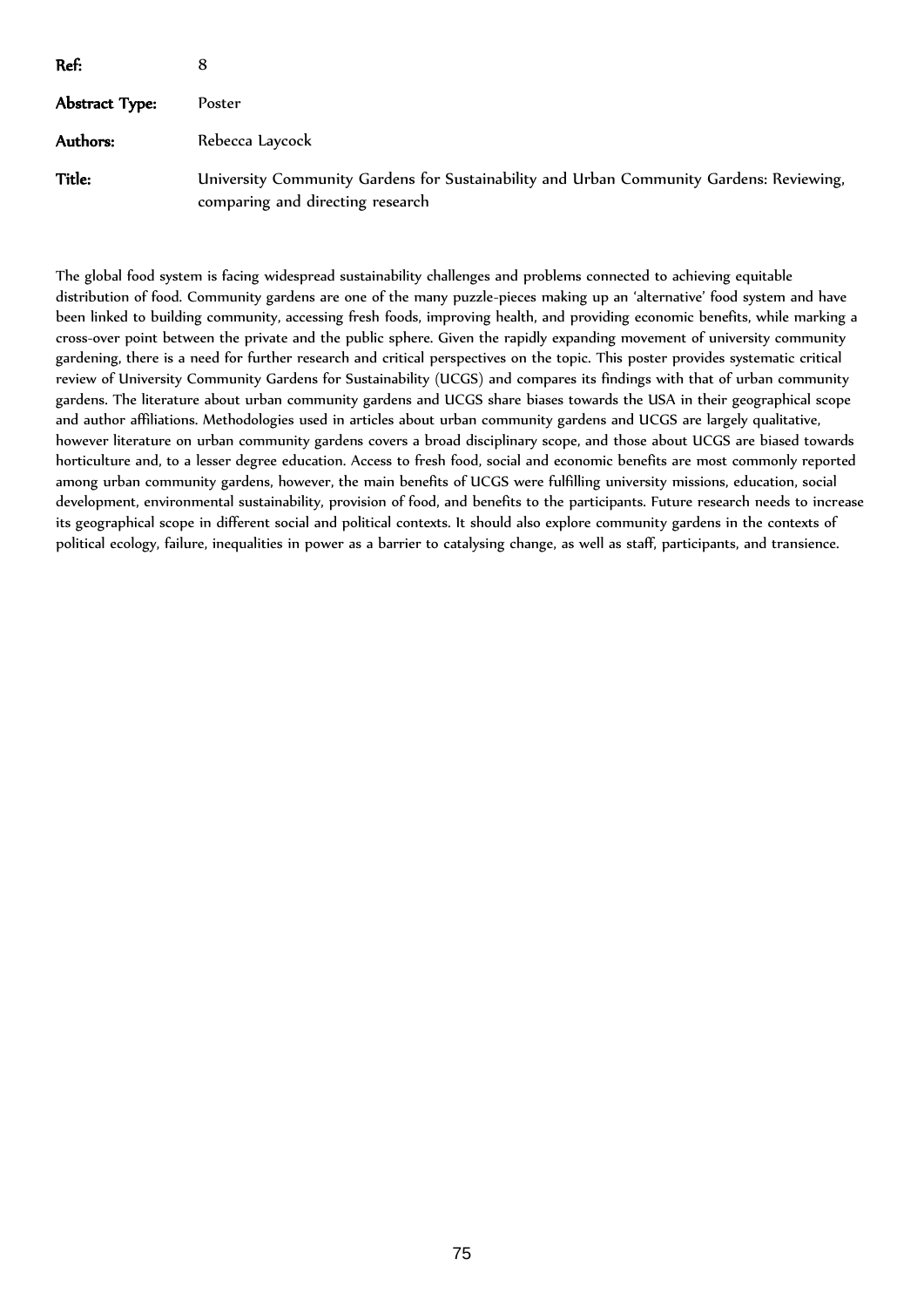| Ref:           |                                                                                                                             |
|----------------|-----------------------------------------------------------------------------------------------------------------------------|
| Abstract Type: | Poster                                                                                                                      |
| Authors:       | Rebecca Laycock                                                                                                             |
| Title:         | University Community Gardens for Sustainability and Urban Community Gardens: Reviewing,<br>comparing and directing research |

The global food system is facing widespread sustainability challenges and problems connected to achieving equitable distribution of food. Community gardens are one of the many puzzle-pieces making up an 'alternative' food system and have been linked to building community, accessing fresh foods, improving health, and providing economic benefits, while marking a cross-over point between the private and the public sphere. Given the rapidly expanding movement of university community gardening, there is a need for further research and critical perspectives on the topic. This poster provides systematic critical review of University Community Gardens for Sustainability (UCGS) and compares its findings with that of urban community gardens. The literature about urban community gardens and UCGS share biases towards the USA in their geographical scope and author affiliations. Methodologies used in articles about urban community gardens and UCGS are largely qualitative, however literature on urban community gardens covers a broad disciplinary scope, and those about UCGS are biased towards horticulture and, to a lesser degree education. Access to fresh food, social and economic benefits are most commonly reported among urban community gardens, however, the main benefits of UCGS were fulfilling university missions, education, social development, environmental sustainability, provision of food, and benefits to the participants. Future research needs to increase its geographical scope in different social and political contexts. It should also explore community gardens in the contexts of political ecology, failure, inequalities in power as a barrier to catalysing change, as well as staff, participants, and transience.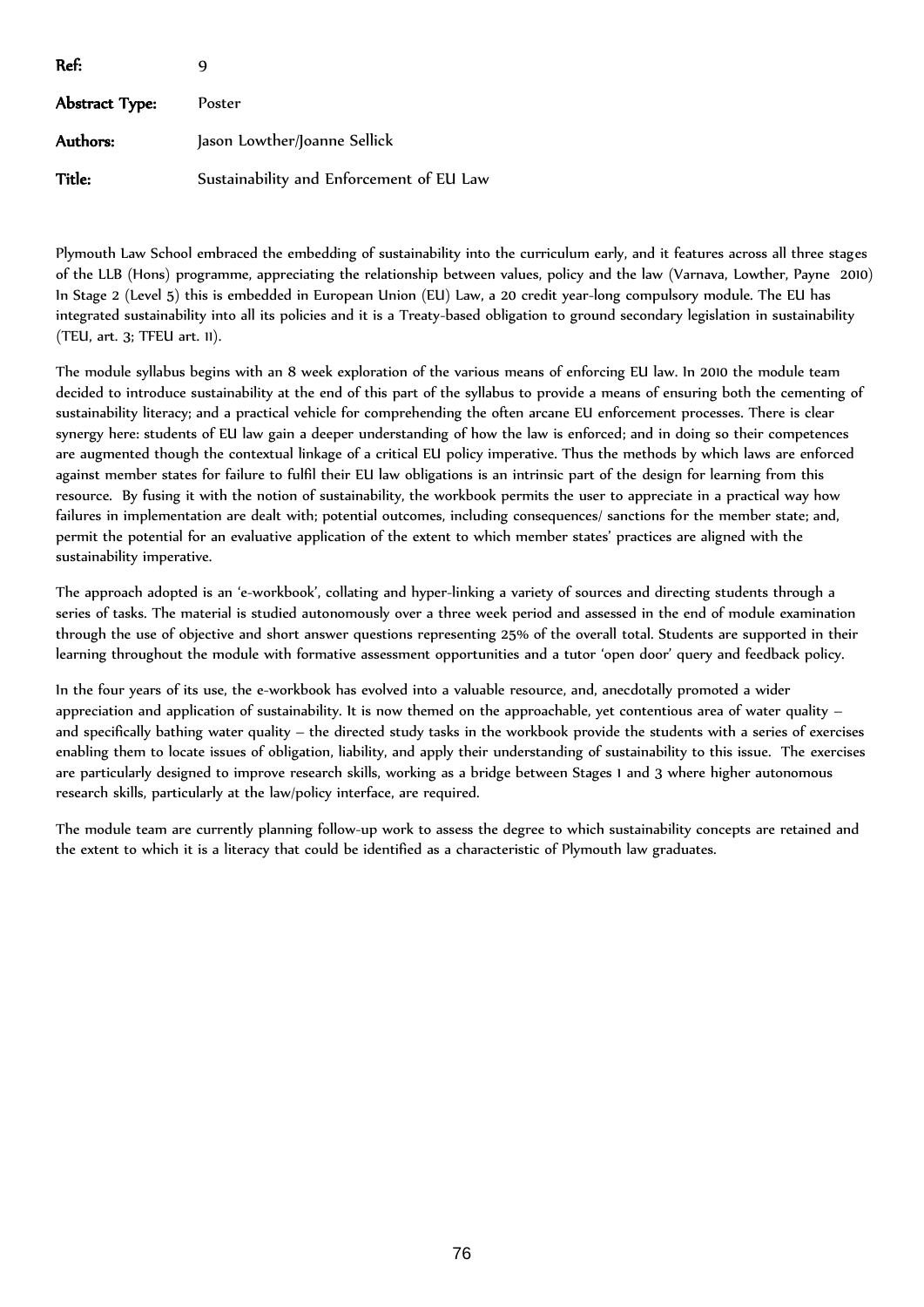| Ref:           |                                          |
|----------------|------------------------------------------|
| Abstract Type: | Poster                                   |
| Authors:       | Jason Lowther/Joanne Sellick             |
| Title:         | Sustainability and Enforcement of EU Law |

Plymouth Law School embraced the embedding of sustainability into the curriculum early, and it features across all three stages of the LLB (Hons) programme, appreciating the relationship between values, policy and the law (Varnava, Lowther, Payne 2010) In Stage 2 (Level 5) this is embedded in European Union (EU) Law, a 20 credit year-long compulsory module. The EU has integrated sustainability into all its policies and it is a Treaty-based obligation to ground secondary legislation in sustainability (TEU, art. 3; TFEU art. 11).

The module syllabus begins with an 8 week exploration of the various means of enforcing EU law. In 2010 the module team decided to introduce sustainability at the end of this part of the syllabus to provide a means of ensuring both the cementing of sustainability literacy; and a practical vehicle for comprehending the often arcane EU enforcement processes. There is clear synergy here: students of EU law gain a deeper understanding of how the law is enforced; and in doing so their competences are augmented though the contextual linkage of a critical EU policy imperative. Thus the methods by which laws are enforced against member states for failure to fulfil their EU law obligations is an intrinsic part of the design for learning from this resource. By fusing it with the notion of sustainability, the workbook permits the user to appreciate in a practical way how failures in implementation are dealt with; potential outcomes, including consequences/ sanctions for the member state; and, permit the potential for an evaluative application of the extent to which member states' practices are aligned with the sustainability imperative.

The approach adopted is an 'e-workbook', collating and hyper-linking a variety of sources and directing students through a series of tasks. The material is studied autonomously over a three week period and assessed in the end of module examination through the use of objective and short answer questions representing 25% of the overall total. Students are supported in their learning throughout the module with formative assessment opportunities and a tutor 'open door' query and feedback policy.

In the four years of its use, the e-workbook has evolved into a valuable resource, and, anecdotally promoted a wider appreciation and application of sustainability. It is now themed on the approachable, yet contentious area of water quality – and specifically bathing water quality – the directed study tasks in the workbook provide the students with a series of exercises enabling them to locate issues of obligation, liability, and apply their understanding of sustainability to this issue. The exercises are particularly designed to improve research skills, working as a bridge between Stages 1 and 3 where higher autonomous research skills, particularly at the law/policy interface, are required.

The module team are currently planning follow-up work to assess the degree to which sustainability concepts are retained and the extent to which it is a literacy that could be identified as a characteristic of Plymouth law graduates.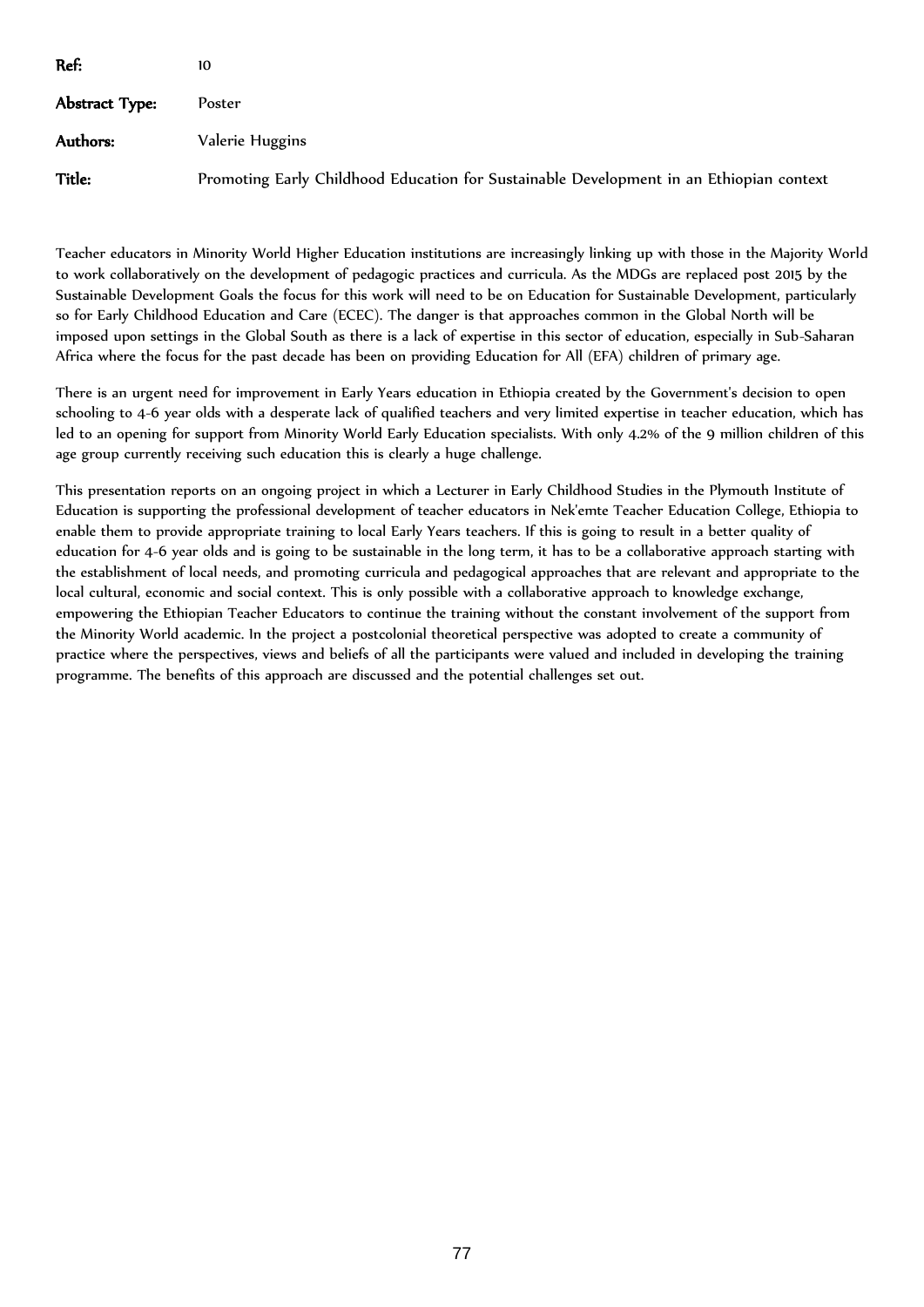| Ref:           | 10                                                                                      |
|----------------|-----------------------------------------------------------------------------------------|
| Abstract Type: | Poster                                                                                  |
| Authors:       | Valerie Huggins                                                                         |
| Title:         | Promoting Early Childhood Education for Sustainable Development in an Ethiopian context |

Teacher educators in Minority World Higher Education institutions are increasingly linking up with those in the Majority World to work collaboratively on the development of pedagogic practices and curricula. As the MDGs are replaced post 2015 by the Sustainable Development Goals the focus for this work will need to be on Education for Sustainable Development, particularly so for Early Childhood Education and Care (ECEC). The danger is that approaches common in the Global North will be imposed upon settings in the Global South as there is a lack of expertise in this sector of education, especially in Sub-Saharan Africa where the focus for the past decade has been on providing Education for All (EFA) children of primary age.

There is an urgent need for improvement in Early Years education in Ethiopia created by the Government's decision to open schooling to 4-6 year olds with a desperate lack of qualified teachers and very limited expertise in teacher education, which has led to an opening for support from Minority World Early Education specialists. With only 4.2% of the 9 million children of this age group currently receiving such education this is clearly a huge challenge.

This presentation reports on an ongoing project in which a Lecturer in Early Childhood Studies in the Plymouth Institute of Education is supporting the professional development of teacher educators in Nek'emte Teacher Education College, Ethiopia to enable them to provide appropriate training to local Early Years teachers. If this is going to result in a better quality of education for 4-6 year olds and is going to be sustainable in the long term, it has to be a collaborative approach starting with the establishment of local needs, and promoting curricula and pedagogical approaches that are relevant and appropriate to the local cultural, economic and social context. This is only possible with a collaborative approach to knowledge exchange, empowering the Ethiopian Teacher Educators to continue the training without the constant involvement of the support from the Minority World academic. In the project a postcolonial theoretical perspective was adopted to create a community of practice where the perspectives, views and beliefs of all the participants were valued and included in developing the training programme. The benefits of this approach are discussed and the potential challenges set out.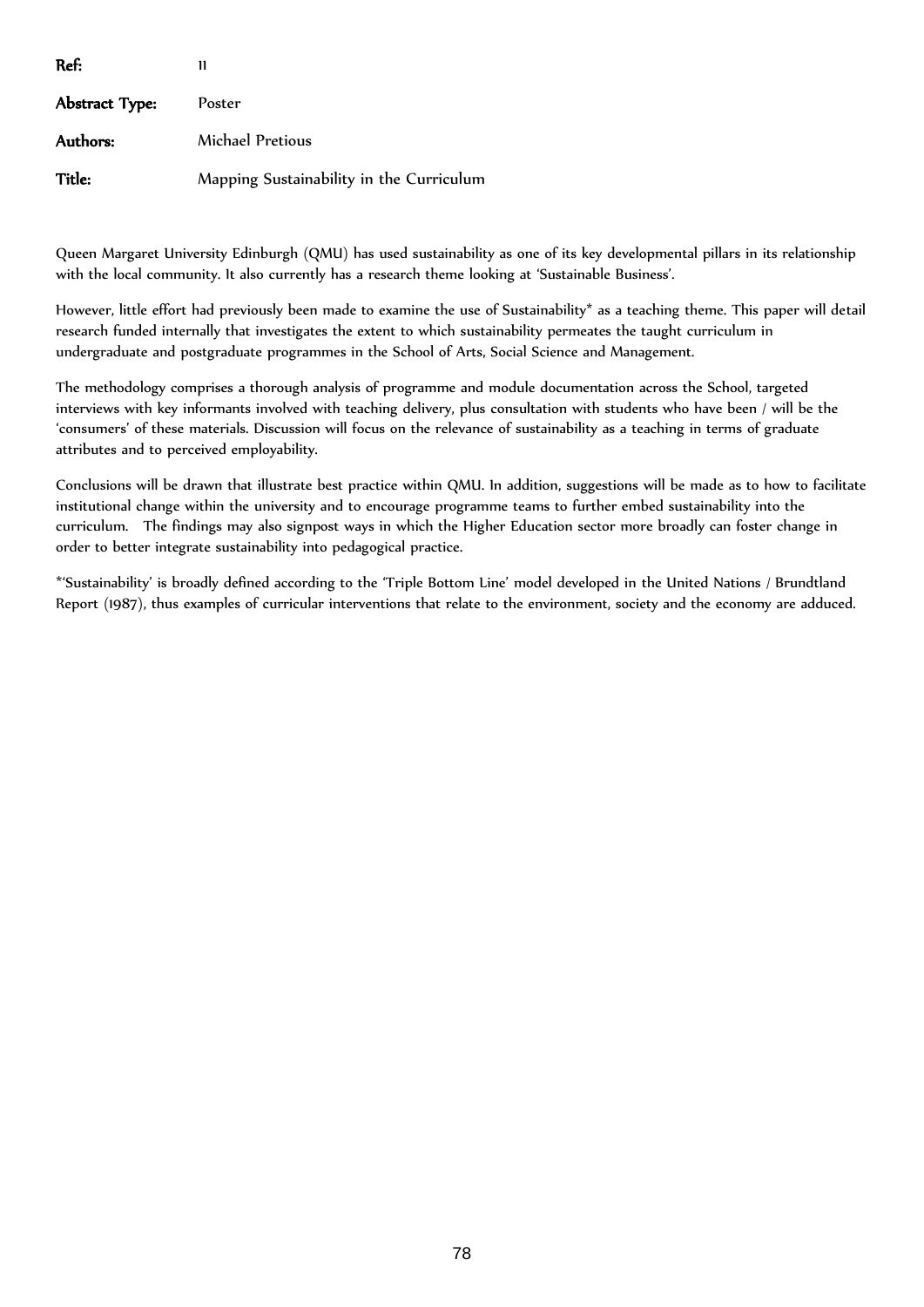| Ref:                  | 11                                       |
|-----------------------|------------------------------------------|
| <b>Abstract Type:</b> | Poster                                   |
| Authors:              | Michael Pretious                         |
| Title:                | Mapping Sustainability in the Curriculum |

Queen Margaret University Edinburgh (QMU) has used sustainability as one of its key developmental pillars in its relationship with the local community. It also currently has a research theme looking at 'Sustainable Business'.

However, little effort had previously been made to examine the use of Sustainability\* as a teaching theme. This paper will detail research funded internally that investigates the extent to which sustainability permeates the taught curriculum in undergraduate and postgraduate programmes in the School of Arts, Social Science and Management.

The methodology comprises a thorough analysis of programme and module documentation across the School, targeted interviews with key informants involved with teaching delivery, plus consultation with students who have been / will be the 'consumers' of these materials. Discussion will focus on the relevance of sustainability as a teaching in terms of graduate attributes and to perceived employability.

Conclusions will be drawn that illustrate best practice within QMU. In addition, suggestions will be made as to how to facilitate institutional change within the university and to encourage programme teams to further embed sustainability into the curriculum. The findings may also signpost ways in which the Higher Education sector more broadly can foster change in order to better integrate sustainability into pedagogical practice.

\*'Sustainability' is broadly defined according to the 'Triple Bottom Line' model developed in the United Nations / Brundtland Report (1987), thus examples of curricular interventions that relate to the environment, society and the economy are adduced.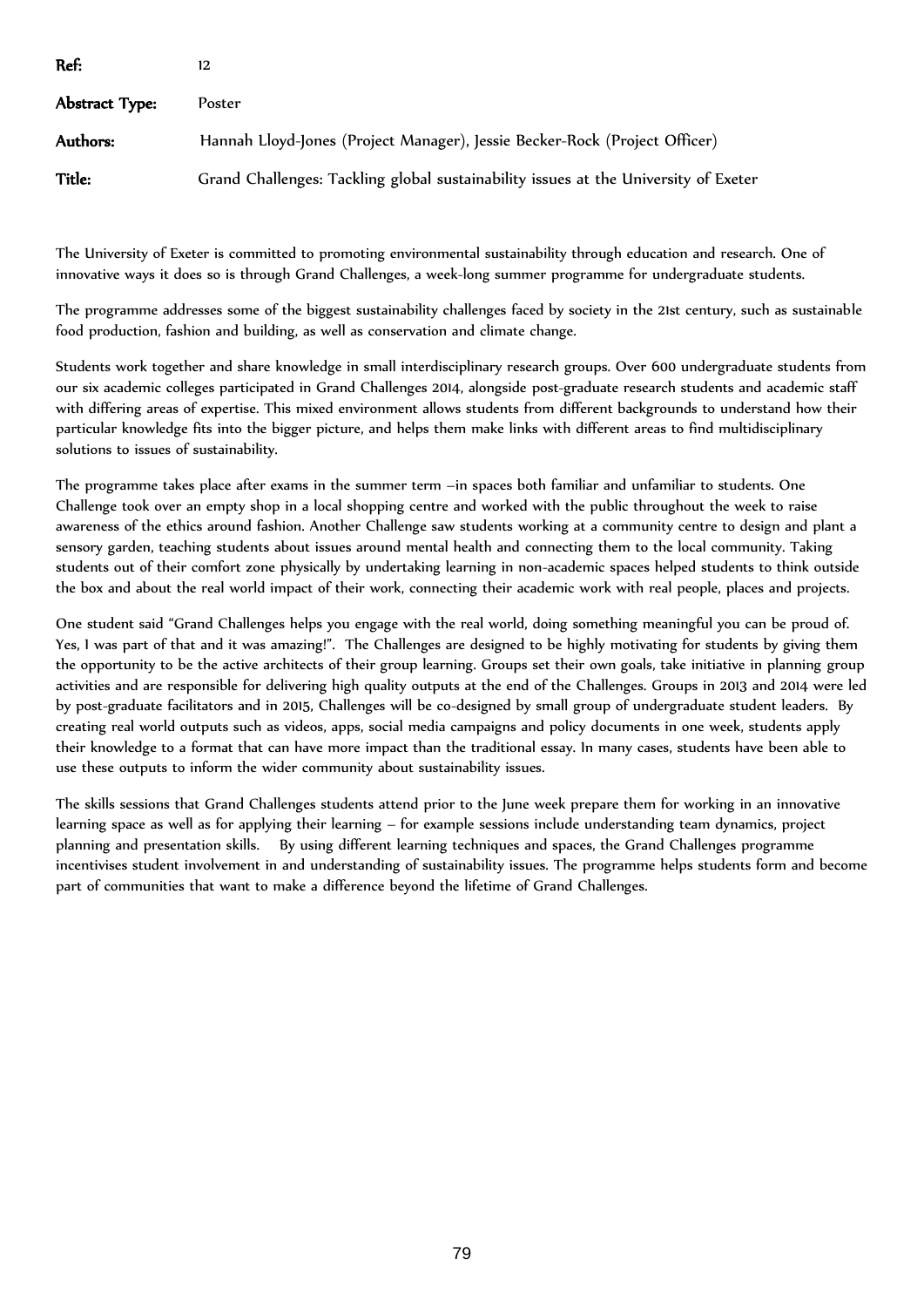| Ref:           |                                                                                     |
|----------------|-------------------------------------------------------------------------------------|
| Abstract Type: | Poster                                                                              |
| Authors:       | Hannah Lloyd-Jones (Project Manager), Jessie Becker-Rock (Project Officer)          |
| Title:         | Grand Challenges: Tackling global sustainability issues at the University of Exeter |

The University of Exeter is committed to promoting environmental sustainability through education and research. One of innovative ways it does so is through Grand Challenges, a week-long summer programme for undergraduate students.

The programme addresses some of the biggest sustainability challenges faced by society in the 21st century, such as sustainable food production, fashion and building, as well as conservation and climate change.

Students work together and share knowledge in small interdisciplinary research groups. Over 600 undergraduate students from our six academic colleges participated in Grand Challenges 2014, alongside post-graduate research students and academic staff with differing areas of expertise. This mixed environment allows students from different backgrounds to understand how their particular knowledge fits into the bigger picture, and helps them make links with different areas to find multidisciplinary solutions to issues of sustainability.

The programme takes place after exams in the summer term –in spaces both familiar and unfamiliar to students. One Challenge took over an empty shop in a local shopping centre and worked with the public throughout the week to raise awareness of the ethics around fashion. Another Challenge saw students working at a community centre to design and plant a sensory garden, teaching students about issues around mental health and connecting them to the local community. Taking students out of their comfort zone physically by undertaking learning in non-academic spaces helped students to think outside the box and about the real world impact of their work, connecting their academic work with real people, places and projects.

One student said "Grand Challenges helps you engage with the real world, doing something meaningful you can be proud of. Yes, I was part of that and it was amazing!". The Challenges are designed to be highly motivating for students by giving them the opportunity to be the active architects of their group learning. Groups set their own goals, take initiative in planning group activities and are responsible for delivering high quality outputs at the end of the Challenges. Groups in 2013 and 2014 were led by post-graduate facilitators and in 2015, Challenges will be co-designed by small group of undergraduate student leaders. By creating real world outputs such as videos, apps, social media campaigns and policy documents in one week, students apply their knowledge to a format that can have more impact than the traditional essay. In many cases, students have been able to use these outputs to inform the wider community about sustainability issues.

The skills sessions that Grand Challenges students attend prior to the June week prepare them for working in an innovative learning space as well as for applying their learning – for example sessions include understanding team dynamics, project planning and presentation skills. By using different learning techniques and spaces, the Grand Challenges programme incentivises student involvement in and understanding of sustainability issues. The programme helps students form and become part of communities that want to make a difference beyond the lifetime of Grand Challenges.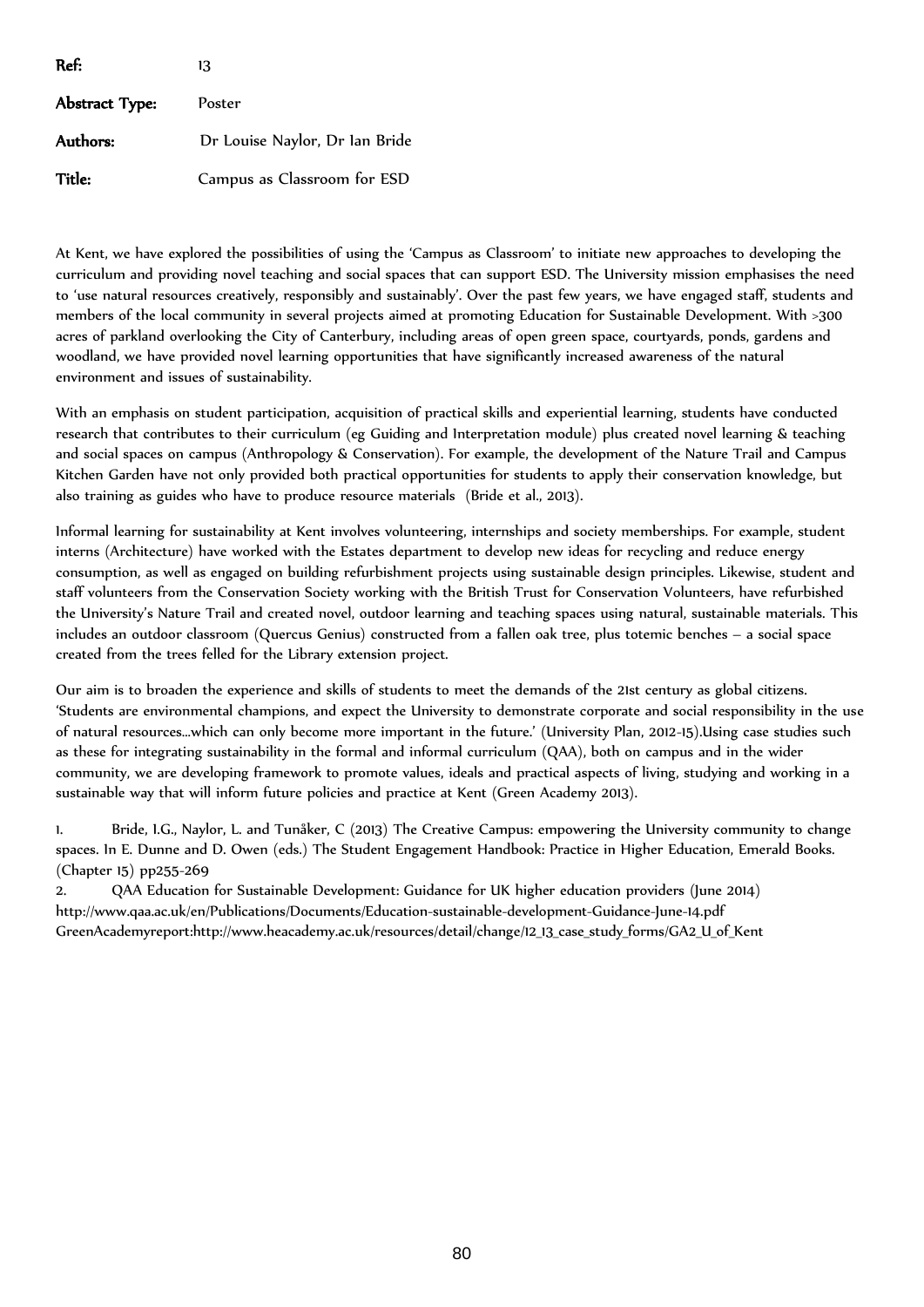| Ref:           | 13                             |
|----------------|--------------------------------|
| Abstract Type: | Poster                         |
| Authors:       | Dr Louise Naylor, Dr Ian Bride |
| Title:         | Campus as Classroom for ESD    |

At Kent, we have explored the possibilities of using the 'Campus as Classroom' to initiate new approaches to developing the curriculum and providing novel teaching and social spaces that can support ESD. The University mission emphasises the need to 'use natural resources creatively, responsibly and sustainably'. Over the past few years, we have engaged staff, students and members of the local community in several projects aimed at promoting Education for Sustainable Development. With >300 acres of parkland overlooking the City of Canterbury, including areas of open green space, courtyards, ponds, gardens and woodland, we have provided novel learning opportunities that have significantly increased awareness of the natural environment and issues of sustainability.

With an emphasis on student participation, acquisition of practical skills and experiential learning, students have conducted research that contributes to their curriculum (eg Guiding and Interpretation module) plus created novel learning & teaching and social spaces on campus (Anthropology & Conservation). For example, the development of the Nature Trail and Campus Kitchen Garden have not only provided both practical opportunities for students to apply their conservation knowledge, but also training as guides who have to produce resource materials (Bride et al., 2013).

Informal learning for sustainability at Kent involves volunteering, internships and society memberships. For example, student interns (Architecture) have worked with the Estates department to develop new ideas for recycling and reduce energy consumption, as well as engaged on building refurbishment projects using sustainable design principles. Likewise, student and staff volunteers from the Conservation Society working with the British Trust for Conservation Volunteers, have refurbished the University's Nature Trail and created novel, outdoor learning and teaching spaces using natural, sustainable materials. This includes an outdoor classroom (Quercus Genius) constructed from a fallen oak tree, plus totemic benches – a social space created from the trees felled for the Library extension project.

Our aim is to broaden the experience and skills of students to meet the demands of the 21st century as global citizens. 'Students are environmental champions, and expect the University to demonstrate corporate and social responsibility in the use of natural resources…which can only become more important in the future.' (University Plan, 2012-15).Using case studies such as these for integrating sustainability in the formal and informal curriculum (QAA), both on campus and in the wider community, we are developing framework to promote values, ideals and practical aspects of living, studying and working in a sustainable way that will inform future policies and practice at Kent (Green Academy 2013).

1. Bride, I.G., Naylor, L. and Tunåker, C (2013) The Creative Campus: empowering the University community to change spaces. In E. Dunne and D. Owen (eds.) The Student Engagement Handbook: Practice in Higher Education, Emerald Books. (Chapter 15) pp255-269

2. QAA Education for Sustainable Development: Guidance for UK higher education providers (June 2014) http://www.qaa.ac.uk/en/Publications/Documents/Education-sustainable-development-Guidance-June-14.pdf GreenAcademyreport:http://www.heacademy.ac.uk/resources/detail/change/12\_13\_case\_study\_forms/GA2\_U\_of\_Kent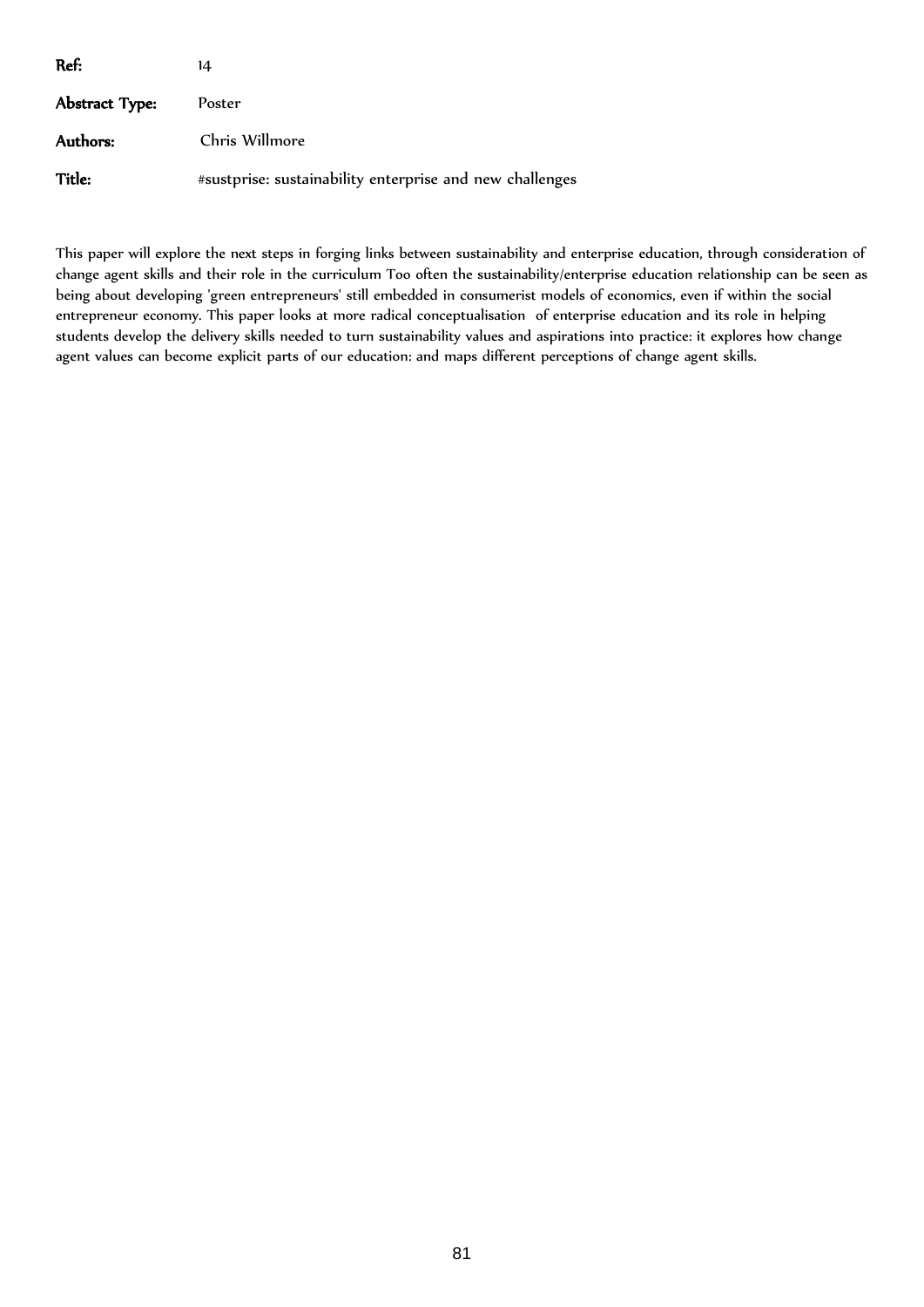| Ref:           | 14                                                       |
|----------------|----------------------------------------------------------|
| Abstract Type: | Poster                                                   |
| Authors:       | Chris Willmore                                           |
| Title:         | #sustprise: sustainability enterprise and new challenges |

This paper will explore the next steps in forging links between sustainability and enterprise education, through consideration of change agent skills and their role in the curriculum Too often the sustainability/enterprise education relationship can be seen as being about developing 'green entrepreneurs' still embedded in consumerist models of economics, even if within the social entrepreneur economy. This paper looks at more radical conceptualisation of enterprise education and its role in helping students develop the delivery skills needed to turn sustainability values and aspirations into practice: it explores how change agent values can become explicit parts of our education: and maps different perceptions of change agent skills.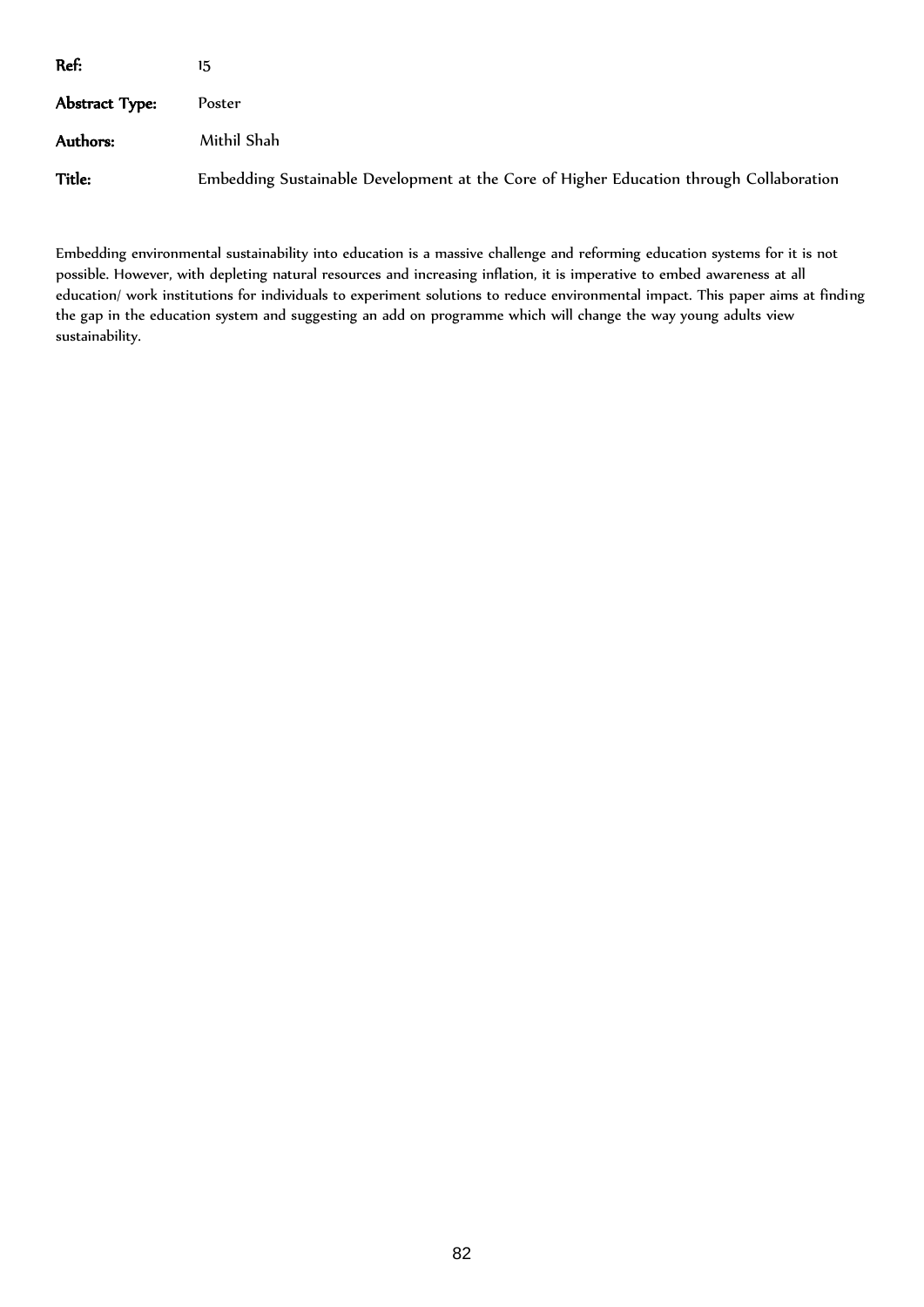| Ref:           | 15                                                                                      |
|----------------|-----------------------------------------------------------------------------------------|
| Abstract Type: | Poster                                                                                  |
| Authors:       | Mithil Shah                                                                             |
| Title:         | Embedding Sustainable Development at the Core of Higher Education through Collaboration |

Embedding environmental sustainability into education is a massive challenge and reforming education systems for it is not possible. However, with depleting natural resources and increasing inflation, it is imperative to embed awareness at all education/ work institutions for individuals to experiment solutions to reduce environmental impact. This paper aims at finding the gap in the education system and suggesting an add on programme which will change the way young adults view sustainability.